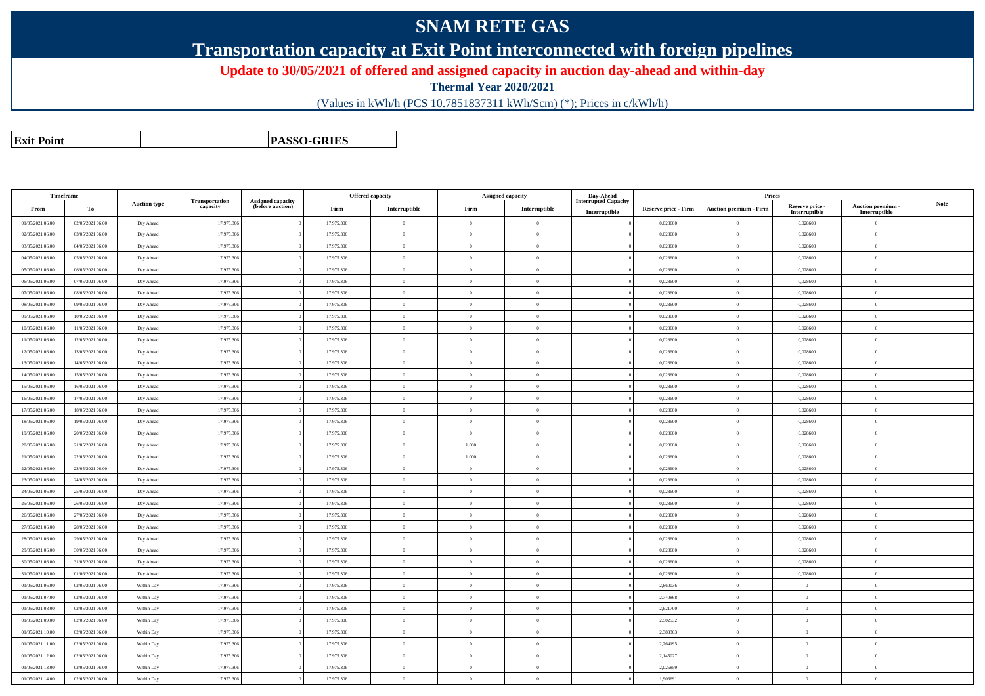## **SNAM RETE GAS**

**Transportation capacity at Exit Point interconnected with foreign pipelines**

**Update to 30/05/2021 of offered and assigned capacity in auction day-ahead and within-day**

**Thermal Year 2020/2021**

(Values in kWh/h (PCS 10.7851837311 kWh/Scm) (\*); Prices in c/kWh/h)

**Exit PointPASSO-GRIES**

| <b>Timeframe</b> |                  |                     |                            |                                              |            | <b>Offered capacity</b> |                | <b>Assigned capacity</b> | Day-Ahead                   |                             | Prices                        |                           |                           |      |
|------------------|------------------|---------------------|----------------------------|----------------------------------------------|------------|-------------------------|----------------|--------------------------|-----------------------------|-----------------------------|-------------------------------|---------------------------|---------------------------|------|
| From             | To               | <b>Auction type</b> | Transportation<br>capacity | <b>Assigned capacity</b><br>(before auction) | Firm       | Interruptible           | Firm           | Interruptible            | <b>Interrupted Capacity</b> | <b>Reserve price - Firm</b> | <b>Auction premium - Firm</b> | Reserve price -           | Auction premium -         | Note |
| 01/05/2021 06:00 | 02/05/2021 06:00 | Day Ahead           | 17.975.306                 |                                              | 17.975.306 | $\theta$                | $\mathbf{0}$   | $\overline{0}$           | Interruptible               | 0.028600                    | $\theta$                      | Interruptible<br>0,028600 | Interruptible<br>$\theta$ |      |
| 02/05/2021 06:00 | 03/05/2021 06:00 | Day Ahead           | 17.975.306                 |                                              | 17.975.306 | $\bf{0}$                | $\theta$       | $\overline{0}$           |                             | 0,028600                    | $\overline{0}$                | 0,028600                  | $\theta$                  |      |
| 03/05/2021 06:00 | 04/05/2021 06:00 | Day Ahead           | 17.975.306                 |                                              | 17.975.306 | $\overline{0}$          | $\overline{0}$ | $\overline{0}$           |                             | 0,028600                    | $\mathbf{0}$                  | 0,028600                  | $\overline{0}$            |      |
| 04/05/2021 06:00 | 05/05/2021 06:00 | Day Ahead           | 17.975.306                 |                                              | 17.975.306 | $\theta$                | $\overline{0}$ | $\theta$                 |                             | 0.028600                    | $\theta$                      | 0.028600                  | $\theta$                  |      |
| 05/05/2021 06:00 | 06/05/2021 06:00 | Day Ahead           | 17.975.306                 |                                              | 17.975.306 | $\theta$                | $\overline{0}$ | $\overline{0}$           |                             | 0.028600                    | $\overline{0}$                | 0.028600                  | $\overline{0}$            |      |
| 06/05/2021 06:00 | 07/05/2021 06:00 | Day Ahead           | 17.975.306                 |                                              | 17.975.306 | $\overline{0}$          | $\Omega$       | $\overline{0}$           |                             | 0,028600                    | $\mathbf{0}$                  | 0,028600                  | $\overline{0}$            |      |
| 07/05/2021 06:00 | 08/05/2021 06:00 | Day Ahead           | 17.975.306                 |                                              | 17.975.306 | $\overline{0}$          | $\Omega$       | $\overline{0}$           |                             | 0,028600                    | $\mathbf{0}$                  | 0,028600                  | $\overline{0}$            |      |
| 08/05/2021 06:00 | 09/05/2021 06:00 | Day Ahead           | 17.975.306                 |                                              | 17.975.306 | $\theta$                | $\sqrt{2}$     | $\theta$                 |                             | 0.028600                    | $\theta$                      | 0.028600                  | $\theta$                  |      |
| 09/05/2021 06:00 | 10/05/2021 06:00 | Day Ahead           | 17.975.306                 |                                              | 17.975.306 | $\overline{0}$          | $\Omega$       | $\overline{0}$           |                             | 0,028600                    | $\mathbf{0}$                  | 0,028600                  | $\overline{0}$            |      |
| 10/05/2021 06:00 | 11/05/2021 06:00 | Day Ahead           | 17.975.306                 |                                              | 17.975.306 | $\overline{0}$          | $\Omega$       | $\overline{0}$           |                             | 0,028600                    | $\overline{0}$                | 0,028600                  | $\overline{0}$            |      |
| 11/05/2021 06:00 | 12/05/2021 06:00 | Day Ahead           | 17.975.306                 |                                              | 17.975.306 | $\overline{0}$          | $\Omega$       | $\overline{0}$           |                             | 0.028600                    | $\overline{0}$                | 0.028600                  | $\overline{0}$            |      |
| 12/05/2021 06:00 | 13/05/2021 06:00 | Day Ahead           | 17.975.306                 |                                              | 17.975.306 | $\theta$                | $\sqrt{2}$     | $\theta$                 |                             | 0.028600                    | $\Omega$                      | 0.028600                  | $\Omega$                  |      |
| 13/05/2021 06:00 | 14/05/2021 06:00 | Day Ahead           | 17.975.306                 |                                              | 17.975.306 | $\overline{0}$          | $\Omega$       | $\overline{0}$           |                             | 0,028600                    | $\overline{0}$                | 0,028600                  | $\overline{0}$            |      |
| 14/05/2021 06:00 | 15/05/2021 06:00 | Day Ahead           | 17.975.306                 |                                              | 17.975.306 | $\overline{0}$          | $\Omega$       | $\overline{0}$           |                             | 0,028600                    | $\overline{0}$                | 0,028600                  | $\overline{0}$            |      |
| 15/05/2021 06:00 | 16/05/2021 06:00 | Day Ahead           | 17.975.306                 |                                              | 17.975.306 | $\theta$                | $\Omega$       | $\overline{0}$           |                             | 0.028600                    | $\overline{0}$                | 0.028600                  | $\overline{0}$            |      |
| 16/05/2021 06:00 | 17/05/2021 06:00 | Day Ahead           | 17.975.306                 |                                              | 17.975.306 | $\theta$                | $\Omega$       | $\theta$                 |                             | 0,028600                    | $\Omega$                      | 0,028600                  | $\theta$                  |      |
| 17/05/2021 06:00 | 18/05/2021 06:00 | Day Ahead           | 17.975.306                 |                                              | 17.975.306 | $\theta$                | $\Omega$       | $\overline{0}$           |                             | 0,028600                    | $\overline{0}$                | 0,028600                  | $\overline{0}$            |      |
| 18/05/2021 06:00 | 19/05/2021 06:00 | Day Ahead           | 17.975.30                  |                                              | 17.975.306 | $\overline{0}$          | $\Omega$       | $\overline{0}$           |                             | 0,028600                    | $\overline{0}$                | 0,028600                  | $\overline{0}$            |      |
| 19/05/2021 06:00 | 20/05/2021 06:00 | Day Ahead           | 17.975.306                 |                                              | 17.975.306 | $\overline{0}$          | $\overline{0}$ | $\mathbf{0}$             |                             | 0,028600                    | $\theta$                      | 0,028600                  | $\theta$                  |      |
| 20/05/2021 06:00 | 21/05/2021 06:00 | Day Ahead           | 17.975.306                 |                                              | 17.975.306 | $\theta$                | 1.000          | $\theta$                 |                             | 0,028600                    | $\Omega$                      | 0,028600                  | $\theta$                  |      |
| 21/05/2021 06:00 | 22/05/2021 06:00 | Day Ahead           | 17.975.306                 |                                              | 17.975.306 | $\theta$                | 1.000          | $\overline{0}$           |                             | 0,028600                    | $\overline{0}$                | 0,028600                  | $\overline{0}$            |      |
| 22/05/2021 06:00 | 23/05/2021 06:00 | Day Ahead           | 17.975.30                  |                                              | 17.975.306 | $\overline{0}$          | $\overline{0}$ | $\theta$                 |                             | 0,028600                    | $\overline{0}$                | 0,028600                  | $\theta$                  |      |
| 23/05/2021 06:00 | 24/05/2021 06:00 | Day Ahead           | 17.975.306                 |                                              | 17.975.306 | $\theta$                | $\Omega$       | $\overline{0}$           |                             | 0,028600                    | $\theta$                      | 0,028600                  | $\Omega$                  |      |
| 24/05/2021 06:00 | 25/05/2021 06:00 | Day Ahead           | 17.975.30                  |                                              | 17.975.306 | $\theta$                | $\Omega$       | $\theta$                 |                             | 0,028600                    | $\theta$                      | 0,028600                  | $\theta$                  |      |
| 25/05/2021 06:00 | 26/05/2021 06:00 | Day Ahead           | 17.975.306                 |                                              | 17.975.306 | $\overline{0}$          | $\overline{0}$ | $\overline{0}$           |                             | 0,028600                    | $\,$ 0 $\,$                   | 0,028600                  | $\overline{0}$            |      |
| 26/05/2021 06:00 | 27/05/2021 06:00 | Day Ahead           | 17.975.30                  |                                              | 17.975.306 | $\overline{0}$          | $\overline{0}$ | $\theta$                 |                             | 0,028600                    | $\bf{0}$                      | 0,028600                  | $\theta$                  |      |
| 27/05/2021 06:00 | 28/05/2021 06:00 | Day Ahead           | 17.975.306                 |                                              | 17.975.306 | $\theta$                | $\Omega$       | $\overline{0}$           |                             | 0,028600                    | $\theta$                      | 0,028600                  | $\overline{0}$            |      |
| 28/05/2021 06:00 | 29/05/2021 06:00 | Day Ahead           | 17.975.30                  |                                              | 17.975.306 | $\overline{0}$          | $\theta$       | $\theta$                 |                             | 0,028600                    | $\theta$                      | 0,028600                  | $\overline{0}$            |      |
| 29/05/2021 06:00 | 30/05/2021 06:00 | Day Ahead           | 17.975.306                 |                                              | 17.975.306 | $\overline{0}$          | $\overline{0}$ | $\overline{0}$           |                             | 0,028600                    | $\overline{0}$                | 0,028600                  | $\overline{0}$            |      |
| 30/05/2021 06:00 | 31/05/2021 06:00 | Day Ahead           | 17.975.30                  |                                              | 17.975.306 | $\overline{0}$          | $\overline{0}$ | $\theta$                 |                             | 0,028600                    | $\theta$                      | 0,028600                  | $\theta$                  |      |
| 31/05/2021 06:00 | 01/06/2021 06:00 | Day Ahead           | 17.975.306                 |                                              | 17.975.306 | $\theta$                | $\Omega$       | $\overline{0}$           |                             | 0,028600                    | $\overline{0}$                | 0,028600                  | $\theta$                  |      |
| 01/05/2021 06:00 | 02/05/2021 06:00 | Within Day          | 17.975.30                  |                                              | 17.975.306 | $\overline{0}$          | $\theta$       | $\theta$                 |                             | 2,860036                    | $\overline{0}$                | $\Omega$                  | $\overline{0}$            |      |
| 01/05/2021 07:00 | 02/05/2021 06:00 | Within Day          | 17.975.306                 |                                              | 17.975.306 | $\overline{0}$          | $\overline{0}$ | $\overline{0}$           |                             | 2,740868                    | $\,$ 0 $\,$                   | $\mathbf{0}$              | $\overline{0}$            |      |
| 01/05/2021 08:00 | 02/05/2021 06:00 | Within Day          | 17.975.30                  |                                              | 17.975.306 | $\overline{0}$          | $\theta$       | $\overline{0}$           |                             | 2,621700                    | $\bf{0}$                      | $\theta$                  | $\bf{0}$                  |      |
| 01/05/2021 09:00 | 02/05/2021 06:00 | Within Day          | 17.975.306                 |                                              | 17.975.306 | $\theta$                | $\sqrt{2}$     | $\overline{0}$           |                             | 2,502532                    | $\overline{0}$                | $\Omega$                  | $\theta$                  |      |
| 01/05/2021 10:00 | 02/05/2021 06:00 | Within Day          | 17.975.30                  |                                              | 17.975.306 | $\overline{0}$          | $\Omega$       | $\theta$                 |                             | 2,383363                    | $\overline{0}$                | $\Omega$                  | $\overline{0}$            |      |
| 01/05/2021 11:00 | 02/05/2021 06:00 | Within Day          | 17.975.306                 |                                              | 17.975.306 | $\bf{0}$                | $\theta$       | $\overline{0}$           |                             | 2,264195                    | $\bf{0}$                      | $\theta$                  | $\overline{0}$            |      |
| 01/05/2021 12:00 | 02/05/2021 06:00 | Within Day          | 17.975.30                  |                                              | 17.975.306 | $\overline{0}$          | $\overline{0}$ | $\theta$                 |                             | 2,145027                    | $\overline{0}$                | $\theta$                  | $\bf{0}$                  |      |
| 01/05/2021 13:00 | 02/05/2021 06:00 | Within Day          | 17.975.306                 |                                              | 17.975.306 | $\theta$                | $\Omega$       | $\overline{0}$           |                             | 2,025859                    | $\overline{0}$                | $\Omega$                  | $\overline{0}$            |      |
| 01/05/2021 14:00 | 02/05/2021 06:00 | Within Day          | 17.975.306                 |                                              | 17.975.306 | $\overline{0}$          | $\theta$       | $\theta$                 |                             | 1,906691                    | $\theta$                      | $\overline{0}$            | $\overline{0}$            |      |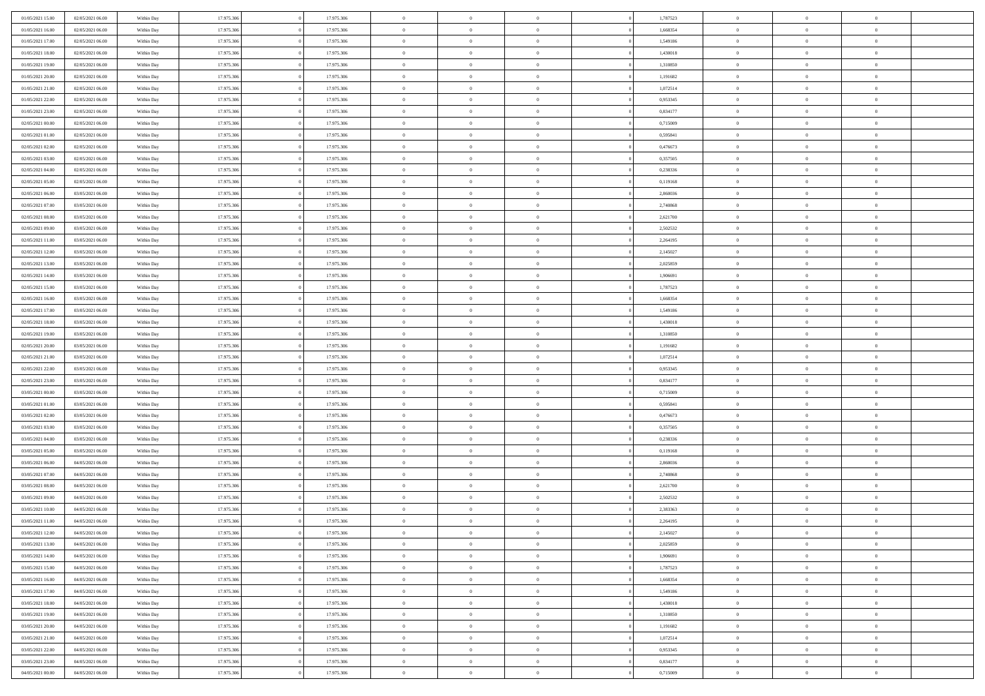| 01/05/2021 15:00 | 02/05/2021 06:00 | Within Day | 17.975.306 | 17.975.306 | $\,0\,$                | $\bf{0}$       | $\bf{0}$       |                | 1,787523 | $\,$ 0 $\,$    | $\overline{0}$ | $\,$ 0 $\,$    |  |
|------------------|------------------|------------|------------|------------|------------------------|----------------|----------------|----------------|----------|----------------|----------------|----------------|--|
| 01/05/2021 16:00 | 02/05/2021 06:00 | Within Day | 17.975.306 | 17.975.306 | $\overline{0}$         | $\mathbf{0}$   | $\overline{0}$ |                | 1,668354 | $\theta$       | $\overline{0}$ | $\theta$       |  |
| 01/05/2021 17:00 | 02/05/2021 06:00 | Within Day | 17.975.306 | 17.975.306 | $\mathbf{0}$           | $\overline{0}$ | $\overline{0}$ |                | 1,549186 | $\theta$       | $\overline{0}$ | $\overline{0}$ |  |
| 01/05/2021 18:00 | 02/05/2021 06:00 | Within Day | 17.975.306 | 17.975.306 | $\bf{0}$               | $\overline{0}$ | $\bf{0}$       |                | 1,430018 | $\bf{0}$       | $\overline{0}$ | $\bf{0}$       |  |
| 01/05/2021 19:00 | 02/05/2021 06:00 | Within Day | 17.975.306 | 17.975.306 | $\bf{0}$               | $\overline{0}$ | $\overline{0}$ |                | 1,310850 | $\,$ 0 $\,$    | $\bf{0}$       | $\bf{0}$       |  |
| 01/05/2021 20:00 | 02/05/2021 06:00 | Within Day | 17.975.306 | 17.975.306 | $\overline{0}$         | $\overline{0}$ | $\overline{0}$ |                | 1,191682 | $\theta$       | $\overline{0}$ | $\theta$       |  |
| 01/05/2021 21:00 |                  |            | 17.975.306 |            | $\mathbf{0}$           | $\overline{0}$ | $\overline{0}$ |                | 1,072514 | $\bf{0}$       | $\overline{0}$ | $\theta$       |  |
|                  | 02/05/2021 06:00 | Within Day |            | 17.975.306 |                        |                |                |                |          |                |                |                |  |
| 01/05/2021 22:00 | 02/05/2021 06:00 | Within Day | 17.975.306 | 17.975.306 | $\overline{0}$         | $\mathbf{0}$   | $\overline{0}$ |                | 0,953345 | $\,$ 0 $\,$    | $\overline{0}$ | $\theta$       |  |
| 01/05/2021 23:00 | 02/05/2021 06:00 | Within Day | 17.975.306 | 17.975.306 | $\mathbf{0}$           | $\overline{0}$ | $\overline{0}$ |                | 0,834177 | $\theta$       | $\overline{0}$ | $\overline{0}$ |  |
| 02/05/2021 00:00 | 02/05/2021 06:00 | Within Day | 17.975.306 | 17.975.306 | $\bf{0}$               | $\overline{0}$ | $\overline{0}$ |                | 0,715009 | $\bf{0}$       | $\overline{0}$ | $\bf{0}$       |  |
| 02/05/2021 01:00 | 02/05/2021 06:00 | Within Day | 17.975.306 | 17.975.306 | $\bf{0}$               | $\overline{0}$ | $\overline{0}$ |                | 0,595841 | $\,$ 0         | $\theta$       | $\theta$       |  |
| 02/05/2021 02:00 | 02/05/2021 06:00 | Within Day | 17.975.306 | 17.975.306 | $\mathbf{0}$           | $\overline{0}$ | $\overline{0}$ |                | 0,476673 | $\theta$       | $\overline{0}$ | $\theta$       |  |
| 02/05/2021 03:00 | 02/05/2021 06:00 | Within Day | 17.975.306 | 17.975.306 | $\bf{0}$               | $\overline{0}$ | $\bf{0}$       |                | 0,357505 | $\bf{0}$       | $\overline{0}$ | $\bf{0}$       |  |
| 02/05/2021 04:00 | 02/05/2021 06:00 | Within Day | 17.975.306 | 17.975.306 | $\overline{0}$         | $\mathbf{0}$   | $\overline{0}$ |                | 0,238336 | $\,$ 0 $\,$    | $\overline{0}$ | $\theta$       |  |
| 02/05/2021 05:00 | 02/05/2021 06:00 | Within Day | 17.975.306 | 17.975.306 | $\mathbf{0}$           | $\overline{0}$ | $\overline{0}$ |                | 0,119168 | $\theta$       | $\overline{0}$ | $\overline{0}$ |  |
| 02/05/2021 06:00 | 03/05/2021 06:00 | Within Day | 17.975.306 | 17.975.306 | $\mathbf{0}$           | $\overline{0}$ | $\overline{0}$ |                | 2,860036 | $\bf{0}$       | $\overline{0}$ | $\bf{0}$       |  |
| 02/05/2021 07:00 | 03/05/2021 06:00 | Within Day | 17.975.306 | 17.975.306 | $\bf{0}$               | $\overline{0}$ | $\overline{0}$ |                | 2,740868 | $\,$ 0 $\,$    | $\mathbf{0}$   | $\overline{0}$ |  |
| 02/05/2021 08:00 | 03/05/2021 06:00 | Within Day | 17.975.306 | 17.975.306 | $\mathbf{0}$           | $\overline{0}$ | $\overline{0}$ |                | 2,621700 | $\theta$       | $\overline{0}$ | $\theta$       |  |
| 02/05/2021 09:00 | 03/05/2021 06:00 | Within Day | 17.975.306 | 17.975.306 | $\bf{0}$               | $\overline{0}$ | $\bf{0}$       |                | 2,502532 | $\bf{0}$       | $\overline{0}$ | $\bf{0}$       |  |
| 02/05/2021 11:00 | 03/05/2021 06:00 | Within Day | 17.975.306 | 17.975.306 | $\bf{0}$               | $\overline{0}$ | $\overline{0}$ |                | 2,264195 | $\,$ 0         | $\mathbf{0}$   | $\bf{0}$       |  |
| 02/05/2021 12:00 | 03/05/2021 06:00 | Within Day | 17.975.306 | 17.975.306 | $\mathbf{0}$           | $\overline{0}$ | $\overline{0}$ |                | 2,145027 | $\theta$       | $\overline{0}$ | $\overline{0}$ |  |
| 02/05/2021 13:00 | 03/05/2021 06:00 | Within Day | 17.975.306 | 17.975.306 | $\mathbf{0}$           | $\theta$       | $\overline{0}$ |                | 2,025859 | $\bf{0}$       | $\theta$       | $\theta$       |  |
| 02/05/2021 14:00 | 03/05/2021 06:00 | Within Day | 17.975.306 | 17.975.306 | $\overline{0}$         | $\mathbf{0}$   | $\overline{0}$ |                | 1,906691 | $\,$ 0 $\,$    | $\overline{0}$ | $\overline{0}$ |  |
| 02/05/2021 15:00 | 03/05/2021 06:00 | Within Day | 17.975.306 | 17.975.306 | $\mathbf{0}$           | $\overline{0}$ | $\overline{0}$ |                | 1,787523 | $\theta$       | $\overline{0}$ | $\overline{0}$ |  |
| 02/05/2021 16:00 | 03/05/2021 06:00 | Within Day | 17.975.306 | 17.975.306 | $\bf{0}$               | $\overline{0}$ | $\overline{0}$ |                | 1,668354 | $\bf{0}$       | $\overline{0}$ | $\bf{0}$       |  |
| 02/05/2021 17:00 | 03/05/2021 06:00 | Within Day | 17.975.306 | 17.975.306 | $\bf{0}$               | $\overline{0}$ | $\overline{0}$ |                | 1,549186 | $\,$ 0         | $\mathbf{0}$   | $\bf{0}$       |  |
| 02/05/2021 18:00 | 03/05/2021 06:00 | Within Day | 17.975.306 | 17.975.306 | $\overline{0}$         | $\overline{0}$ | $\overline{0}$ |                | 1,430018 | $\theta$       | $\overline{0}$ | $\theta$       |  |
| 02/05/2021 19:00 | 03/05/2021 06:00 | Within Day | 17.975.306 | 17.975.306 | $\,0\,$                | $\overline{0}$ | $\overline{0}$ |                | 1,310850 | $\bf{0}$       | $\overline{0}$ | $\bf{0}$       |  |
|                  |                  |            | 17.975.306 |            | $\bf{0}$               | $\overline{0}$ |                |                |          | $\,$ 0 $\,$    | $\overline{0}$ | $\overline{0}$ |  |
| 02/05/2021 20:00 | 03/05/2021 06:00 | Within Day |            | 17.975.306 |                        |                | $\overline{0}$ |                | 1,191682 |                |                |                |  |
| 02/05/2021 21:00 | 03/05/2021 06:00 | Within Day | 17.975.306 | 17.975.306 | $\mathbf{0}$           | $\overline{0}$ | $\overline{0}$ |                | 1,072514 | $\theta$       | $\overline{0}$ | $\overline{0}$ |  |
| 02/05/2021 22:00 | 03/05/2021 06:00 | Within Day | 17.975.306 | 17.975.306 | $\mathbf{0}$           | $\overline{0}$ | $\overline{0}$ |                | 0,953345 | $\,$ 0 $\,$    | $\overline{0}$ | $\theta$       |  |
| 02/05/2021 23:00 | 03/05/2021 06:00 | Within Day | 17.975.306 | 17.975.306 | $\bf{0}$               | $\overline{0}$ | $\overline{0}$ |                | 0,834177 | $\bf{0}$       | $\mathbf{0}$   | $\overline{0}$ |  |
| 03/05/2021 00:00 | 03/05/2021 06:00 | Within Day | 17.975.306 | 17.975.306 | $\mathbf{0}$           | $\overline{0}$ | $\overline{0}$ |                | 0,715009 | $\theta$       | $\overline{0}$ | $\theta$       |  |
| 03/05/2021 01:00 | 03/05/2021 06:00 | Within Day | 17.975.306 | 17.975.306 | $\mathbf{0}$           | $\overline{0}$ | $\theta$       |                | 0,595841 | $\,$ 0 $\,$    | $\overline{0}$ | $\theta$       |  |
| 03/05/2021 02:00 | 03/05/2021 06:00 | Within Day | 17.975.306 | 17.975.306 | $\bf{0}$               | $\overline{0}$ | $\overline{0}$ |                | 0,476673 | $\,$ 0 $\,$    | $\overline{0}$ | $\overline{0}$ |  |
| 03/05/2021 03:00 | 03/05/2021 06:00 | Within Day | 17.975.306 | 17.975.306 | $\mathbf{0}$           | $\overline{0}$ | $\overline{0}$ |                | 0,357505 | $\theta$       | $\overline{0}$ | $\overline{0}$ |  |
| 03/05/2021 04:00 | 03/05/2021 06:00 | Within Day | 17.975.306 | 17.975.306 | $\mathbf{0}$           | $\overline{0}$ | $\theta$       |                | 0,238336 | $\,$ 0 $\,$    | $\overline{0}$ | $\theta$       |  |
| 03/05/2021 05:00 | 03/05/2021 06:00 | Within Day | 17.975.306 | 17.975.306 | $\overline{0}$         | $\mathbf{0}$   | $\overline{0}$ |                | 0,119168 | $\,$ 0 $\,$    | $\mathbf{0}$   | $\overline{0}$ |  |
| 03/05/2021 06:00 | 04/05/2021 06:00 | Within Day | 17.975.306 | 17.975.306 | $\mathbf{0}$           | $\overline{0}$ | $\overline{0}$ |                | 2,860036 | $\theta$       | $\overline{0}$ | $\overline{0}$ |  |
| 03/05/2021 07:00 | 04/05/2021 06:00 | Within Day | 17.975.306 | 17.975.306 | $\mathbf{0}$           | $\overline{0}$ | $\bf{0}$       |                | 2,740868 | $\,$ 0 $\,$    | $\overline{0}$ | $\,$ 0 $\,$    |  |
| 03/05/2021 08:00 | 04/05/2021 06:00 | Within Day | 17.975.306 | 17.975.306 | $\bf{0}$               | $\overline{0}$ | $\overline{0}$ |                | 2,621700 | $\,$ 0 $\,$    | $\overline{0}$ | $\bf{0}$       |  |
| 03/05/2021 09:00 | 04/05/2021 06:00 | Within Day | 17.975.306 | 17.975.306 | $\mathbf{0}$           | $\overline{0}$ | $\overline{0}$ |                | 2,502532 | $\theta$       | $\overline{0}$ | $\theta$       |  |
| 03/05/2021 10:00 | 04/05/2021 06:00 | Within Day | 17.975.306 | 17.975.306 | $\mathbf{0}$           | $\overline{0}$ | $\overline{0}$ |                | 2,383363 | $\,$ 0 $\,$    | $\overline{0}$ | $\theta$       |  |
| 03/05/2021 11:00 | 04/05/2021 06:00 | Within Day | 17.975.306 | 17.975.306 | $\bf{0}$               | $\overline{0}$ | $\overline{0}$ |                | 2,264195 | $\,$ 0 $\,$    | $\overline{0}$ | $\overline{0}$ |  |
| 03/05/2021 12:00 | 04/05/2021 06:00 | Within Day | 17.975.306 | 17.975.306 | $\mathbf{0}$           | $\overline{0}$ | $\overline{0}$ |                | 2,145027 | $\overline{0}$ | $^{\circ}$     | $\theta$       |  |
| 03/05/2021 13:00 | 04/05/2021 06:00 | Within Day | 17.975.306 | 17.975.306 | $\,$ 0                 | $\overline{0}$ | $\bf{0}$       |                | 2,025859 | $\,$ 0 $\,$    | $\overline{0}$ | $\theta$       |  |
| 03/05/2021 14:00 | 04/05/2021 06:00 | Within Day | 17.975.306 | 17.975.306 | $\bf{0}$               | $\overline{0}$ | $\overline{0}$ |                | 1,906691 | $\,$ 0 $\,$    | $\overline{0}$ | $\overline{0}$ |  |
| 03/05/2021 15:00 | 04/05/2021 06:00 | Within Day | 17.975.306 | 17.975.306 | $\mathbf{0}$           | $\overline{0}$ | $\overline{0}$ |                | 1,787523 | $\mathbf{0}$   | $\overline{0}$ | $\mathbf{0}$   |  |
| 03/05/2021 16:00 | 04/05/2021 06:00 | Within Day | 17.975.306 | 17.975.306 | $\,$ 0                 | $\overline{0}$ | $\overline{0}$ | $\overline{0}$ | 1,668354 | $\,$ 0 $\,$    | $\overline{0}$ | $\,$ 0 $\,$    |  |
| 03/05/2021 17:00 | 04/05/2021 06:00 | Within Day | 17.975.306 | 17.975.306 | $\hspace{0.1mm}\bm{0}$ | $\overline{0}$ | $\overline{0}$ |                | 1,549186 | $\,$ 0 $\,$    | $\overline{0}$ | $\overline{0}$ |  |
| 03/05/2021 18:00 | 04/05/2021 06:00 | Within Day | 17.975.306 | 17.975.306 | $\mathbf{0}$           | $\overline{0}$ | $\overline{0}$ |                | 1,430018 | $\overline{0}$ | $\overline{0}$ | $\overline{0}$ |  |
| 03/05/2021 19:00 | 04/05/2021 06:00 | Within Day | 17.975.306 | 17.975.306 | $\,$ 0 $\,$            | $\overline{0}$ | $\overline{0}$ |                | 1,310850 | $\,$ 0 $\,$    | $\bf{0}$       | $\,$ 0 $\,$    |  |
| 03/05/2021 20:00 | 04/05/2021 06:00 | Within Day | 17.975.306 | 17.975.306 | $\overline{0}$         | $\overline{0}$ | $\overline{0}$ |                | 1,191682 | $\overline{0}$ | $\overline{0}$ | $\overline{0}$ |  |
| 03/05/2021 21:00 | 04/05/2021 06:00 | Within Day | 17.975.306 | 17.975.306 | $\mathbf{0}$           | $\overline{0}$ | $\overline{0}$ |                | 1,072514 | $\mathbf{0}$   | $\overline{0}$ | $\overline{0}$ |  |
| 03/05/2021 22:00 | 04/05/2021 06:00 | Within Day | 17.975.306 | 17.975.306 | $\,$ 0 $\,$            | $\overline{0}$ | $\overline{0}$ |                | 0,953345 | $\,$ 0 $\,$    | $\overline{0}$ | $\,$ 0 $\,$    |  |
| 03/05/2021 23:00 | 04/05/2021 06:00 | Within Day | 17.975.306 | 17.975.306 | $\bf{0}$               | $\overline{0}$ | $\overline{0}$ |                | 0,834177 | $\,$ 0 $\,$    | $\overline{0}$ | $\bf{0}$       |  |
| 04/05/2021 00:00 |                  |            |            | 17.975.306 | $\mathbf{0}$           |                |                |                |          | $\,$ 0 $\,$    |                |                |  |
|                  | 04/05/2021 06:00 | Within Day | 17.975.306 |            |                        | $\overline{0}$ | $\overline{0}$ |                | 0,715009 |                | $\overline{0}$ | $\overline{0}$ |  |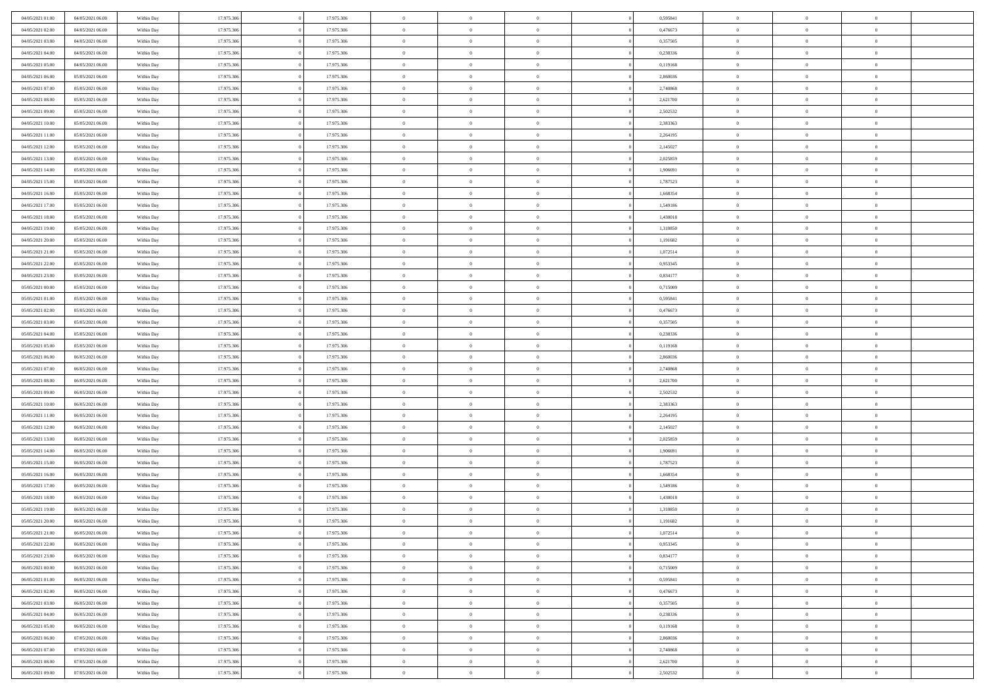| 04/05/2021 01:00 | 04/05/2021 06:00                     | Within Day | 17.975.306 | 17.975.306 | $\,$ 0 $\,$    | $\overline{0}$ | $\overline{0}$ | 0,595841 | $\bf{0}$              | $\overline{0}$                   | $\,0\,$        |  |
|------------------|--------------------------------------|------------|------------|------------|----------------|----------------|----------------|----------|-----------------------|----------------------------------|----------------|--|
| 04/05/2021 02:00 | 04/05/2021 06:00                     | Within Day | 17.975.306 | 17.975.306 | $\overline{0}$ | $\overline{0}$ | $\mathbf{0}$   | 0,476673 | $\theta$              | $\overline{0}$                   | $\theta$       |  |
| 04/05/2021 03:00 | 04/05/2021 06:00                     | Within Day | 17.975.306 | 17.975.306 | $\theta$       | $\overline{0}$ | $\overline{0}$ | 0,357505 | $\mathbf{0}$          | $\overline{0}$                   | $\overline{0}$ |  |
| 04/05/2021 04:00 | 04/05/2021 06:00                     | Within Day | 17.975.306 | 17.975.306 | $\,$ 0 $\,$    | $\overline{0}$ | $\overline{0}$ | 0,238336 | $\bf{0}$              | $\overline{0}$                   | $\bf{0}$       |  |
| 04/05/2021 05:00 | 04/05/2021 06:00                     | Within Day | 17.975.306 | 17.975.306 | $\bf{0}$       | $\overline{0}$ | $\mathbf{0}$   | 0,119168 | $\bf{0}$              | $\mathbf{0}$                     | $\,0\,$        |  |
| 04/05/2021 06:00 | 05/05/2021 06:00                     | Within Day | 17.975.306 | 17.975.306 | $\theta$       | $\overline{0}$ | $\mathbf{0}$   | 2,860036 | $\mathbf{0}$          | $\overline{0}$                   | $\overline{0}$ |  |
| 04/05/2021 07:00 | 05/05/2021 06:00                     | Within Day | 17.975.306 | 17.975.306 | $\,$ 0 $\,$    | $\overline{0}$ | $\overline{0}$ | 2,740868 | $\bf{0}$              | $\overline{0}$                   | $\bf{0}$       |  |
| 04/05/2021 08:00 |                                      | Within Day | 17.975.306 | 17.975.306 | $\overline{0}$ | $\overline{0}$ | $\mathbf{0}$   |          | $\,$ 0 $\,$           | $\overline{0}$                   | $\overline{0}$ |  |
|                  | 05/05/2021 06:00                     |            |            |            |                |                |                | 2,621700 |                       |                                  |                |  |
| 04/05/2021 09:00 | 05/05/2021 06:00                     | Within Day | 17.975.306 | 17.975.306 | $\theta$       | $\overline{0}$ | $\mathbf{0}$   | 2,502532 | $\mathbf{0}$          | $\overline{0}$                   | $\overline{0}$ |  |
| 04/05/2021 10:00 | 05/05/2021 06:00                     | Within Day | 17.975.306 | 17.975.306 | $\,$ 0 $\,$    | $\overline{0}$ | $\Omega$       | 2,383363 | $\bf{0}$              | $\overline{0}$                   | $\,0\,$        |  |
| 04/05/2021 11:00 | 05/05/2021 06:00                     | Within Day | 17.975.306 | 17.975.306 | $\bf{0}$       | $\overline{0}$ | $\mathbf{0}$   | 2,264195 | $\bf{0}$              | $\overline{0}$                   | $\theta$       |  |
| 04/05/2021 12:00 | 05/05/2021 06:00                     | Within Day | 17.975.306 | 17.975.306 | $\theta$       | $\overline{0}$ | $\overline{0}$ | 2,145027 | $\mathbf{0}$          | $\overline{0}$                   | $\overline{0}$ |  |
| 04/05/2021 13:00 | 05/05/2021 06:00                     | Within Day | 17.975.306 | 17.975.306 | $\,$ 0 $\,$    | $\overline{0}$ | $\overline{0}$ | 2,025859 | $\bf{0}$              | $\overline{0}$                   | $\bf{0}$       |  |
| 04/05/2021 14:00 | 05/05/2021 06:00                     | Within Day | 17.975.306 | 17.975.306 | $\bf{0}$       | $\overline{0}$ | $\mathbf{0}$   | 1,906691 | $\bf{0}$              | $\mathbf{0}$                     | $\,0\,$        |  |
| 04/05/2021 15:00 | 05/05/2021 06:00                     | Within Day | 17.975.306 | 17.975.306 | $\theta$       | $\overline{0}$ | $\overline{0}$ | 1,787523 | $\mathbf{0}$          | $\overline{0}$                   | $\overline{0}$ |  |
| 04/05/2021 16:00 | 05/05/2021 06:00                     | Within Day | 17.975.306 | 17.975.306 | $\,$ 0 $\,$    | $\overline{0}$ | $\Omega$       | 1,668354 | $\bf{0}$              | $\overline{0}$                   | $\bf{0}$       |  |
| 04/05/2021 17:00 | 05/05/2021 06:00                     | Within Day | 17.975.306 | 17.975.306 | $\overline{0}$ | $\overline{0}$ | $\mathbf{0}$   | 1,549186 | $\,$ 0 $\,$           | $\overline{0}$                   | $\theta$       |  |
| 04/05/2021 18:00 | 05/05/2021 06:00                     | Within Day | 17.975.306 | 17.975.306 | $\theta$       | $\overline{0}$ | $\mathbf{0}$   | 1,430018 | $\mathbf{0}$          | $\overline{0}$                   | $\overline{0}$ |  |
| 04/05/2021 19:00 | 05/05/2021 06:00                     | Within Day | 17.975.306 | 17.975.306 | $\,$ 0 $\,$    | $\overline{0}$ | $\Omega$       | 1,310850 | $\bf{0}$              | $\overline{0}$                   | $\,0\,$        |  |
| 04/05/2021 20:00 | 05/05/2021 06:00                     | Within Day | 17.975.306 | 17.975.306 | $\overline{0}$ | $\overline{0}$ | $\mathbf{0}$   | 1,191682 | $\bf{0}$              | $\mathbf{0}$                     | $\overline{0}$ |  |
| 04/05/2021 21:00 | 05/05/2021 06:00                     | Within Day | 17.975.306 | 17.975.306 | $\theta$       | $\overline{0}$ | $\overline{0}$ | 1,072514 | $\mathbf{0}$          | $\overline{0}$                   | $\overline{0}$ |  |
| 04/05/2021 22:00 | 05/05/2021 06:00                     | Within Day | 17.975.306 | 17.975.306 | $\,$ 0 $\,$    | $\overline{0}$ | $\overline{0}$ | 0,953345 | $\bf{0}$              | $\overline{0}$                   | $\bf{0}$       |  |
| 04/05/2021 23:00 | 05/05/2021 06:00                     | Within Day | 17.975.306 | 17.975.306 | $\bf{0}$       | $\overline{0}$ | $\mathbf{0}$   | 0,834177 | $\bf{0}$              | $\bf{0}$                         | $\,0\,$        |  |
| 05/05/2021 00:00 | 05/05/2021 06:00                     | Within Day | 17.975.306 | 17.975.306 | $\theta$       | $\overline{0}$ | $\mathbf{0}$   | 0,715009 | $\mathbf{0}$          | $\overline{0}$                   | $\overline{0}$ |  |
| 05/05/2021 01:00 | 05/05/2021 06:00                     | Within Day | 17.975.306 | 17.975.306 | $\,$ 0 $\,$    | $\overline{0}$ | $\overline{0}$ | 0,595841 | $\bf{0}$              | $\overline{0}$                   | $\bf{0}$       |  |
| 05/05/2021 02:00 | 05/05/2021 06:00                     | Within Day | 17.975.306 | 17.975.306 | $\overline{0}$ | $\overline{0}$ | $\mathbf{0}$   | 0,476673 | $\bf{0}$              | $\overline{0}$                   | $\overline{0}$ |  |
| 05/05/2021 03:00 | 05/05/2021 06:00                     | Within Day | 17.975.306 | 17.975.306 | $\theta$       | $\overline{0}$ | $\mathbf{0}$   | 0,357505 | $\mathbf{0}$          | $\overline{0}$                   | $\overline{0}$ |  |
| 05/05/2021 04:00 | 05/05/2021 06:00                     | Within Day | 17.975.306 | 17.975.306 | $\,$ 0 $\,$    | $\overline{0}$ | $\Omega$       | 0,238336 | $\bf{0}$              | $\overline{0}$                   | $\bf{0}$       |  |
| 05/05/2021 05:00 | 05/05/2021 06:00                     | Within Day | 17.975.306 | 17.975.306 | $\bf{0}$       | $\overline{0}$ | $\mathbf{0}$   | 0,119168 | $\bf{0}$              | $\mathbf{0}$                     | $\overline{0}$ |  |
| 05/05/2021 06:00 | 06/05/2021 06:00                     | Within Day | 17.975.306 | 17.975.306 | $\theta$       | $\overline{0}$ | $\overline{0}$ | 2,860036 | $\mathbf{0}$          | $\overline{0}$                   | $\overline{0}$ |  |
| 05/05/2021 07:00 | 06/05/2021 06:00                     | Within Day | 17.975.306 | 17.975.306 | $\theta$       | $\overline{0}$ | $\overline{0}$ | 2,740868 | $\,$ 0                | $\overline{0}$                   | $\,$ 0 $\,$    |  |
| 05/05/2021 08:00 | 06/05/2021 06:00                     | Within Day | 17.975.306 | 17.975.306 | $\bf{0}$       | $\overline{0}$ | $\mathbf{0}$   | 2,621700 | $\bf{0}$              | $\mathbf{0}$                     | $\bf{0}$       |  |
| 05/05/2021 09:00 | 06/05/2021 06:00                     | Within Day | 17.975.306 | 17.975.306 | $\theta$       | $\overline{0}$ | $\overline{0}$ | 2,502532 | $\mathbf{0}$          | $\overline{0}$                   | $\overline{0}$ |  |
| 05/05/2021 10:00 | 06/05/2021 06:00                     | Within Day | 17.975.306 | 17.975.306 | $\theta$       | $\overline{0}$ | $\overline{0}$ | 2,383363 | $\,$ 0                | $\overline{0}$                   | $\theta$       |  |
| 05/05/2021 11:00 | 06/05/2021 06:00                     | Within Day | 17.975.306 | 17.975.306 | $\bf{0}$       | $\overline{0}$ | $\mathbf{0}$   | 2,264195 | $\mathbf{0}$          | $\overline{0}$                   | $\overline{0}$ |  |
| 05/05/2021 12:00 | 06/05/2021 06:00                     | Within Day | 17.975.306 | 17.975.306 | $\theta$       | $\overline{0}$ | $\mathbf{0}$   | 2,145027 | $\mathbf{0}$          | $\overline{0}$                   | $\overline{0}$ |  |
| 05/05/2021 13:00 | 06/05/2021 06:00                     | Within Day | 17.975.306 | 17.975.306 | $\theta$       | $\overline{0}$ | $\overline{0}$ | 2,025859 | $\,$ 0                | $\overline{0}$                   | $\theta$       |  |
| 05/05/2021 14:00 | 06/05/2021 06:00                     | Within Day | 17.975.306 | 17.975.306 | $\bf{0}$       | $\overline{0}$ | $\mathbf{0}$   | 1,906691 | $\bf{0}$              | $\mathbf{0}$                     | $\bf{0}$       |  |
| 05/05/2021 15:00 | 06/05/2021 06:00                     | Within Day | 17.975.306 | 17.975.306 | $\theta$       | $\overline{0}$ | $\overline{0}$ | 1,787523 | $\mathbf{0}$          | $\overline{0}$                   | $\overline{0}$ |  |
| 05/05/2021 16:00 | 06/05/2021 06:00                     | Within Day | 17.975.306 | 17.975.306 | $\,$ 0 $\,$    | $\overline{0}$ | $\overline{0}$ | 1,668354 | $\,$ 0                | $\overline{0}$                   | $\,$ 0 $\,$    |  |
| 05/05/2021 17:00 | 06/05/2021 06:00                     | Within Day | 17.975.306 | 17.975.306 | $\bf{0}$       | $\,$ 0 $\,$    | $\mathbf{0}$   | 1,549186 | $\,$ 0 $\,$           | $\overline{0}$                   | $\bf{0}$       |  |
| 05/05/2021 18:00 | 06/05/2021 06:00                     | Within Day | 17.975.306 | 17.975.306 | $\theta$       | $\overline{0}$ | $\mathbf{0}$   | 1,430018 | $\mathbf{0}$          | $\overline{0}$                   | $\overline{0}$ |  |
|                  |                                      |            |            |            |                |                |                |          |                       |                                  | $\theta$       |  |
| 05/05/2021 19:00 | 06/05/2021 06:00                     | Within Day | 17.975.306 | 17.975.306 | $\theta$       | $\overline{0}$ | $\overline{0}$ | 1,310850 | $\,$ 0<br>$\,$ 0 $\,$ | $\overline{0}$<br>$\overline{0}$ |                |  |
| 05/05/2021 20:00 | 06/05/2021 06:00<br>06/05/2021 06:00 | Within Day | 17.975.306 | 17.975.306 | $\bf{0}$       | $\overline{0}$ | $\mathbf{0}$   | 1,191682 |                       |                                  | $\overline{0}$ |  |
| 05/05/2021 21:00 |                                      | Within Day | 17.975.306 | 17.975.306 | $\overline{0}$ | $\theta$       |                | 1,072514 | $\overline{0}$        | $\theta$                         | $\theta$       |  |
| 05/05/2021 22:00 | 06/05/2021 06:00                     | Within Day | 17.975.306 | 17.975.306 | $\,$ 0 $\,$    | $\overline{0}$ | $\overline{0}$ | 0,953345 | $\,$ 0 $\,$           | $\bf{0}$                         | $\,$ 0 $\,$    |  |
| 05/05/2021 23:00 | 06/05/2021 06:00                     | Within Day | 17.975.306 | 17.975.306 | $\bf{0}$       | $\overline{0}$ | $\overline{0}$ | 0,834177 | $\,$ 0 $\,$           | $\overline{0}$                   | $\overline{0}$ |  |
| 06/05/2021 00:00 | 06/05/2021 06:00                     | Within Day | 17.975.306 | 17.975.306 | $\,$ 0 $\,$    | $\overline{0}$ | $\overline{0}$ | 0,715009 | $\,$ 0 $\,$           | $\bf{0}$                         | $\mathbf{0}$   |  |
| 06/05/2021 01:00 | 06/05/2021 06:00                     | Within Day | 17.975.306 | 17.975.306 | $\,$ 0 $\,$    | $\overline{0}$ | $\overline{0}$ | 0,595841 | $\,$ 0 $\,$           | $\bf{0}$                         | $\,$ 0 $\,$    |  |
| 06/05/2021 02:00 | 06/05/2021 06:00                     | Within Day | 17.975.306 | 17.975.306 | $\mathbf{0}$   | $\,$ 0 $\,$    | $\overline{0}$ | 0,476673 | $\,$ 0 $\,$           | $\overline{0}$                   | $\overline{0}$ |  |
| 06/05/2021 03:00 | 06/05/2021 06:00                     | Within Day | 17.975.306 | 17.975.306 | $\mathbf{0}$   | $\overline{0}$ | $\overline{0}$ | 0,357505 | $\mathbf{0}$          | $\bf{0}$                         | $\overline{0}$ |  |
| 06/05/2021 04:00 | 06/05/2021 06:00                     | Within Day | 17.975.306 | 17.975.306 | $\,$ 0 $\,$    | $\overline{0}$ | $\overline{0}$ | 0,238336 | $\,$ 0 $\,$           | $\bf{0}$                         | $\,$ 0 $\,$    |  |
| 06/05/2021 05:00 | 06/05/2021 06:00                     | Within Day | 17.975.306 | 17.975.306 | $\bf{0}$       | $\overline{0}$ | $\overline{0}$ | 0,119168 | $\,$ 0 $\,$           | $\overline{0}$                   | $\overline{0}$ |  |
| 06/05/2021 06:00 | 07/05/2021 06:00                     | Within Day | 17.975.306 | 17.975.306 | $\,$ 0 $\,$    | $\overline{0}$ | $\overline{0}$ | 2,860036 | $\,$ 0 $\,$           | $\bf{0}$                         | $\overline{0}$ |  |
| 06/05/2021 07:00 | 07/05/2021 06:00                     | Within Day | 17.975.306 | 17.975.306 | $\,$ 0 $\,$    | $\overline{0}$ | $\overline{0}$ | 2,740868 | $\,$ 0 $\,$           | $\bf{0}$                         | $\,$ 0 $\,$    |  |
| 06/05/2021 08:00 | 07/05/2021 06:00                     | Within Day | 17.975.306 | 17.975.306 | $\,$ 0 $\,$    | $\,$ 0 $\,$    | $\overline{0}$ | 2,621700 | $\,$ 0 $\,$           | $\overline{0}$                   | $\overline{0}$ |  |
| 06/05/2021 09:00 | 07/05/2021 06:00                     | Within Day | 17.975.306 | 17.975.306 | $\theta$       | $\overline{0}$ | $\overline{0}$ | 2,502532 | $\mathbf{0}$          | $\overline{0}$                   | $\overline{0}$ |  |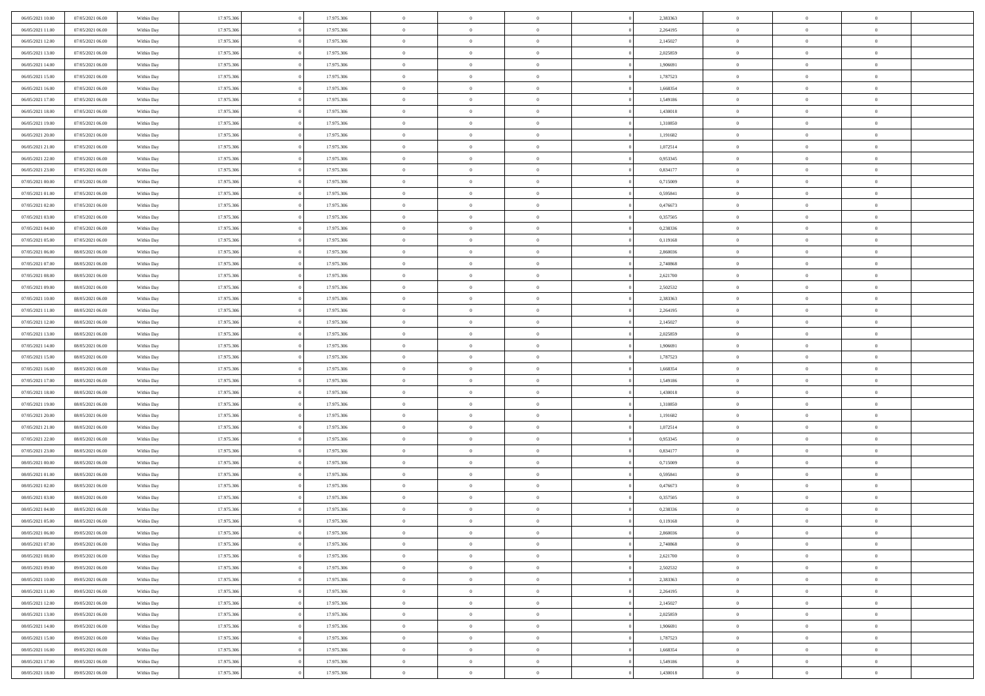| 06/05/2021 10:00 | 07/05/2021 06:00 | Within Day | 17.975.306 | 17.975.306 | $\,$ 0         | $\bf{0}$       | $\theta$       |          | 2,383363 | $\bf{0}$       | $\overline{0}$ | $\,0\,$        |  |
|------------------|------------------|------------|------------|------------|----------------|----------------|----------------|----------|----------|----------------|----------------|----------------|--|
| 06/05/2021 11:00 | 07/05/2021 06:00 | Within Day | 17.975.306 | 17.975.306 | $\overline{0}$ | $\overline{0}$ | $\overline{0}$ |          | 2,264195 | $\overline{0}$ | $\overline{0}$ | $\theta$       |  |
| 06/05/2021 12:00 | 07/05/2021 06:00 | Within Day | 17.975.306 | 17.975.306 | $\mathbf{0}$   | $\overline{0}$ | $\overline{0}$ |          | 2,145027 | $\mathbf{0}$   | $\overline{0}$ | $\overline{0}$ |  |
| 06/05/2021 13:00 | 07/05/2021 06:00 | Within Day | 17.975.306 | 17.975.306 | $\bf{0}$       | $\overline{0}$ | $\overline{0}$ |          | 2,025859 | $\bf{0}$       | $\overline{0}$ | $\bf{0}$       |  |
| 06/05/2021 14:00 | 07/05/2021 06:00 | Within Day | 17.975.306 | 17.975.306 | $\bf{0}$       | $\bf{0}$       | $\overline{0}$ |          | 1,906691 | $\bf{0}$       | $\mathbf{0}$   | $\theta$       |  |
| 06/05/2021 15:00 | 07/05/2021 06:00 | Within Dav | 17.975.306 | 17.975.306 | $\mathbf{0}$   | $\overline{0}$ | $\overline{0}$ |          | 1,787523 | $\mathbf{0}$   | $\overline{0}$ | $\overline{0}$ |  |
| 06/05/2021 16:00 | 07/05/2021 06:00 | Within Day | 17.975.306 | 17.975.306 | $\bf{0}$       | $\bf{0}$       | $\overline{0}$ |          | 1,668354 | $\bf{0}$       | $\overline{0}$ | $\,0\,$        |  |
| 06/05/2021 17:00 | 07/05/2021 06:00 | Within Day | 17.975.306 | 17.975.306 | $\overline{0}$ | $\overline{0}$ | $\overline{0}$ |          | 1,549186 | $\,$ 0 $\,$    | $\overline{0}$ | $\theta$       |  |
| 06/05/2021 18:00 | 07/05/2021 06:00 | Within Day | 17.975.306 | 17.975.306 | $\mathbf{0}$   | $\overline{0}$ | $\overline{0}$ |          | 1,430018 | $\mathbf{0}$   | $\overline{0}$ | $\overline{0}$ |  |
| 06/05/2021 19:00 | 07/05/2021 06:00 |            | 17.975.306 | 17.975.306 | $\bf{0}$       | $\bf{0}$       | $\overline{0}$ |          | 1,310850 | $\bf{0}$       | $\overline{0}$ | $\,0\,$        |  |
|                  |                  | Within Day |            |            | $\overline{0}$ | $\overline{0}$ |                |          |          |                | $\overline{0}$ | $\overline{0}$ |  |
| 06/05/2021 20:00 | 07/05/2021 06:00 | Within Day | 17.975.306 | 17.975.306 |                |                | $\overline{0}$ |          | 1,191682 | $\bf{0}$       |                |                |  |
| 06/05/2021 21:00 | 07/05/2021 06:00 | Within Dav | 17.975.306 | 17.975.306 | $\mathbf{0}$   | $\overline{0}$ | $\overline{0}$ |          | 1,072514 | $\mathbf{0}$   | $\overline{0}$ | $\overline{0}$ |  |
| 06/05/2021 22.00 | 07/05/2021 06:00 | Within Day | 17.975.306 | 17.975.306 | $\bf{0}$       | $\overline{0}$ | $\bf{0}$       |          | 0,953345 | $\bf{0}$       | $\overline{0}$ | $\bf{0}$       |  |
| 06/05/2021 23:00 | 07/05/2021 06:00 | Within Day | 17.975.306 | 17.975.306 | $\bf{0}$       | $\overline{0}$ | $\overline{0}$ |          | 0,834177 | $\bf{0}$       | $\mathbf{0}$   | $\,0\,$        |  |
| 07/05/2021 00:00 | 07/05/2021 06:00 | Within Dav | 17.975.306 | 17.975.306 | $\overline{0}$ | $\overline{0}$ | $\overline{0}$ |          | 0,715009 | $\mathbf{0}$   | $\overline{0}$ | $\overline{0}$ |  |
| 07/05/2021 01:00 | 07/05/2021 06:00 | Within Day | 17.975.306 | 17.975.306 | $\bf{0}$       | $\bf{0}$       | $\overline{0}$ |          | 0,595841 | $\bf{0}$       | $\overline{0}$ | $\bf{0}$       |  |
| 07/05/2021 02:00 | 07/05/2021 06:00 | Within Day | 17.975.306 | 17.975.306 | $\overline{0}$ | $\overline{0}$ | $\overline{0}$ |          | 0,476673 | $\,$ 0 $\,$    | $\overline{0}$ | $\overline{0}$ |  |
| 07/05/2021 03:00 | 07/05/2021 06:00 | Within Day | 17.975.306 | 17.975.306 | $\mathbf{0}$   | $\overline{0}$ | $\overline{0}$ |          | 0,357505 | $\mathbf{0}$   | $\overline{0}$ | $\overline{0}$ |  |
| 07/05/2021 04:00 | 07/05/2021 06:00 | Within Day | 17.975.306 | 17.975.306 | $\,$ 0         | $\bf{0}$       | $\overline{0}$ |          | 0,238336 | $\bf{0}$       | $\overline{0}$ | $\,0\,$        |  |
| 07/05/2021 05:00 | 07/05/2021 06:00 | Within Day | 17.975.306 | 17.975.306 | $\overline{0}$ | $\overline{0}$ | $\overline{0}$ |          | 0,119168 | $\bf{0}$       | $\overline{0}$ | $\overline{0}$ |  |
| 07/05/2021 06:00 | 08/05/2021 06:00 | Within Dav | 17.975.306 | 17.975.306 | $\mathbf{0}$   | $\overline{0}$ | $\overline{0}$ |          | 2,860036 | $\mathbf{0}$   | $\overline{0}$ | $\overline{0}$ |  |
| 07/05/2021 07:00 | 08/05/2021 06:00 | Within Day | 17.975.306 | 17.975.306 | $\bf{0}$       | $\overline{0}$ | $\overline{0}$ |          | 2,740868 | $\bf{0}$       | $\overline{0}$ | $\bf{0}$       |  |
| 07/05/2021 08:00 | 08/05/2021 06:00 | Within Day | 17.975.306 | 17.975.306 | $\bf{0}$       | $\bf{0}$       | $\overline{0}$ |          | 2,621700 | $\bf{0}$       | $\overline{0}$ | $\,0\,$        |  |
| 07/05/2021 09:00 | 08/05/2021 06:00 | Within Dav | 17.975.306 | 17.975.306 | $\mathbf{0}$   | $\overline{0}$ | $\overline{0}$ |          | 2,502532 | $\mathbf{0}$   | $\overline{0}$ | $\overline{0}$ |  |
| 07/05/2021 10:00 | 08/05/2021 06:00 | Within Day | 17.975.306 | 17.975.306 | $\bf{0}$       | $\bf{0}$       | $\overline{0}$ |          | 2,383363 | $\bf{0}$       | $\overline{0}$ | $\,0\,$        |  |
| 07/05/2021 11:00 | 08/05/2021 06:00 | Within Day | 17.975.306 | 17.975.306 | $\overline{0}$ | $\overline{0}$ | $\overline{0}$ |          | 2,264195 | $\bf{0}$       | $\mathbf{0}$   | $\overline{0}$ |  |
| 07/05/2021 12:00 | 08/05/2021 06:00 | Within Day | 17.975.306 | 17.975.306 | $\mathbf{0}$   | $\overline{0}$ | $\overline{0}$ |          | 2,145027 | $\mathbf{0}$   | $\overline{0}$ | $\overline{0}$ |  |
| 07/05/2021 13:00 | 08/05/2021 06:00 | Within Day | 17.975.306 | 17.975.306 | $\bf{0}$       | $\bf{0}$       | $\overline{0}$ |          | 2,025859 | $\bf{0}$       | $\overline{0}$ | $\,0\,$        |  |
| 07/05/2021 14:00 | 08/05/2021 06:00 | Within Day | 17.975.306 | 17.975.306 | $\bf{0}$       | $\overline{0}$ | $\overline{0}$ |          | 1,906691 | $\bf{0}$       | $\mathbf{0}$   | $\overline{0}$ |  |
| 07/05/2021 15:00 | 08/05/2021 06:00 | Within Dav | 17.975.306 | 17.975.306 | $\mathbf{0}$   | $\overline{0}$ | $\overline{0}$ |          | 1,787523 | $\mathbf{0}$   | $\overline{0}$ | $\overline{0}$ |  |
| 07/05/2021 16:00 | 08/05/2021 06:00 | Within Day | 17.975.306 | 17.975.306 | $\bf{0}$       | $\overline{0}$ | $\overline{0}$ |          | 1,668354 | $\,$ 0         | $\overline{0}$ | $\,$ 0 $\,$    |  |
| 07/05/2021 17:00 | 08/05/2021 06:00 | Within Day | 17.975.306 | 17.975.306 | $\bf{0}$       | $\overline{0}$ | $\overline{0}$ |          | 1,549186 | $\bf{0}$       | $\mathbf{0}$   | $\bf{0}$       |  |
| 07/05/2021 18:00 | 08/05/2021 06:00 | Within Dav | 17.975.306 | 17.975.306 | $\overline{0}$ | $\overline{0}$ | $\overline{0}$ |          | 1,430018 | $\mathbf{0}$   | $\overline{0}$ | $\overline{0}$ |  |
| 07/05/2021 19:00 | 08/05/2021 06:00 | Within Day | 17.975.306 | 17.975.306 | $\bf{0}$       | $\overline{0}$ | $\theta$       |          | 1,310850 | $\,$ 0         | $\overline{0}$ | $\theta$       |  |
| 07/05/2021 20:00 | 08/05/2021 06:00 | Within Day | 17.975.306 | 17.975.306 | $\overline{0}$ | $\overline{0}$ | $\overline{0}$ |          | 1,191682 | $\bf{0}$       | $\overline{0}$ | $\overline{0}$ |  |
| 07/05/2021 21:00 | 08/05/2021 06:00 | Within Day | 17.975.306 | 17.975.306 | $\mathbf{0}$   | $\overline{0}$ | $\overline{0}$ |          | 1,072514 | $\mathbf{0}$   | $\overline{0}$ | $\overline{0}$ |  |
| 07/05/2021 22.00 | 08/05/2021 06:00 | Within Day | 17.975.306 | 17.975.306 | $\bf{0}$       | $\overline{0}$ | $\theta$       |          | 0,953345 | $\,$ 0         | $\overline{0}$ | $\theta$       |  |
| 07/05/2021 23.00 | 08/05/2021 06:00 | Within Day | 17.975.306 | 17.975.306 | $\bf{0}$       | $\overline{0}$ | $\overline{0}$ |          | 0,834177 | $\bf{0}$       | $\mathbf{0}$   | $\bf{0}$       |  |
| 08/05/2021 00:00 | 08/05/2021 06:00 | Within Dav | 17.975.306 | 17.975.306 | $\mathbf{0}$   | $\overline{0}$ | $\overline{0}$ |          | 0,715009 | $\mathbf{0}$   | $\overline{0}$ | $\overline{0}$ |  |
| 08/05/2021 01:00 | 08/05/2021 06:00 | Within Day | 17.975.306 | 17.975.306 | $\bf{0}$       | $\overline{0}$ | $\theta$       |          | 0,595841 | $\,$ 0         | $\overline{0}$ | $\theta$       |  |
| 08/05/2021 02:00 | 08/05/2021 06:00 | Within Day | 17.975.306 | 17.975.306 | $\bf{0}$       | $\overline{0}$ | $\overline{0}$ |          | 0,476673 | $\bf{0}$       | $\overline{0}$ | $\bf{0}$       |  |
| 08/05/2021 03:00 | 08/05/2021 06:00 | Within Day | 17.975.306 | 17.975.306 | $\mathbf{0}$   | $\overline{0}$ | $\overline{0}$ |          | 0,357505 | $\mathbf{0}$   | $\overline{0}$ | $\overline{0}$ |  |
| 08/05/2021 04:00 | 08/05/2021 06:00 | Within Day | 17.975.306 | 17.975.306 | $\bf{0}$       | $\overline{0}$ | $\theta$       |          | 0,238336 | $\,$ 0         | $\overline{0}$ | $\theta$       |  |
| 08/05/2021 05:00 | 08/05/2021 06:00 | Within Day | 17.975.306 | 17.975.306 | $\bf{0}$       | $\overline{0}$ | $\overline{0}$ |          | 0,119168 | $\bf{0}$       | $\overline{0}$ | $\bf{0}$       |  |
| 08/05/2021 06:00 | 09/05/2021 06:00 | Within Day | 17.975.306 | 17.975.306 | $\bf{0}$       | $\overline{0}$ | $\Omega$       |          | 2,860036 | $\overline{0}$ | $\theta$       | $\theta$       |  |
| 08/05/2021 07:00 | 09/05/2021 06:00 | Within Day | 17.975.306 | 17.975.306 | $\,0\,$        | $\overline{0}$ | $\theta$       |          | 2,740868 | $\,$ 0 $\,$    | $\bf{0}$       | $\theta$       |  |
| 08/05/2021 08:00 | 09/05/2021 06:00 | Within Day | 17.975.306 | 17.975.306 | $\overline{0}$ | $\overline{0}$ | $\overline{0}$ |          | 2,621700 | $\overline{0}$ | $\overline{0}$ | $\overline{0}$ |  |
|                  |                  |            | 17.975.306 |            |                |                |                |          |          | $\overline{0}$ |                |                |  |
| 08/05/2021 09:00 | 09/05/2021 06:00 | Within Day |            | 17.975.306 | $\bf{0}$       | $\overline{0}$ | $\overline{0}$ |          | 2,502532 |                | $\bf{0}$       | $\mathbf{0}$   |  |
| 08/05/2021 10:00 | 09/05/2021 06:00 | Within Day | 17.975.306 | 17.975.306 | $\bf{0}$       | $\overline{0}$ | $\overline{0}$ | $\theta$ | 2,383363 | $\,$ 0 $\,$    | $\bf{0}$       | $\,$ 0 $\,$    |  |
| 08/05/2021 11:00 | 09/05/2021 06:00 | Within Day | 17.975.306 | 17.975.306 | $\bf{0}$       | $\overline{0}$ | $\overline{0}$ |          | 2,264195 | $\,$ 0 $\,$    | $\overline{0}$ | $\overline{0}$ |  |
| 08/05/2021 12:00 | 09/05/2021 06:00 | Within Day | 17.975.306 | 17.975.306 | $\bf{0}$       | $\overline{0}$ | $\overline{0}$ |          | 2,145027 | $\mathbf{0}$   | $\overline{0}$ | $\overline{0}$ |  |
| 08/05/2021 13:00 | 09/05/2021 06:00 | Within Day | 17.975.306 | 17.975.306 | $\,0\,$        | $\overline{0}$ | $\overline{0}$ | $\theta$ | 2,025859 | $\,$ 0 $\,$    | $\overline{0}$ | $\,$ 0 $\,$    |  |
| 08/05/2021 14:00 | 09/05/2021 06:00 | Within Day | 17.975.306 | 17.975.306 | $\bf{0}$       | $\overline{0}$ | $\overline{0}$ |          | 1,906691 | $\overline{0}$ | $\overline{0}$ | $\overline{0}$ |  |
| 08/05/2021 15:00 | 09/05/2021 06:00 | Within Day | 17.975.306 | 17.975.306 | $\bf{0}$       | $\overline{0}$ | $\overline{0}$ |          | 1,787523 | $\mathbf{0}$   | $\overline{0}$ | $\overline{0}$ |  |
| 08/05/2021 16:00 | 09/05/2021 06:00 | Within Day | 17.975.306 | 17.975.306 | $\,0\,$        | $\overline{0}$ | $\overline{0}$ |          | 1,668354 | $\,$ 0 $\,$    | $\mathbf{0}$   | $\,$ 0 $\,$    |  |
| 08/05/2021 17:00 | 09/05/2021 06:00 | Within Day | 17.975.306 | 17.975.306 | $\overline{0}$ | $\overline{0}$ | $\overline{0}$ |          | 1,549186 | $\bf{0}$       | $\mathbf{0}$   | $\overline{0}$ |  |
| 08/05/2021 18:00 | 09/05/2021 06:00 | Within Day | 17.975.306 | 17.975.306 | $\overline{0}$ | $\overline{0}$ | $\overline{0}$ |          | 1,430018 | $\mathbf{0}$   | $\overline{0}$ | $\overline{0}$ |  |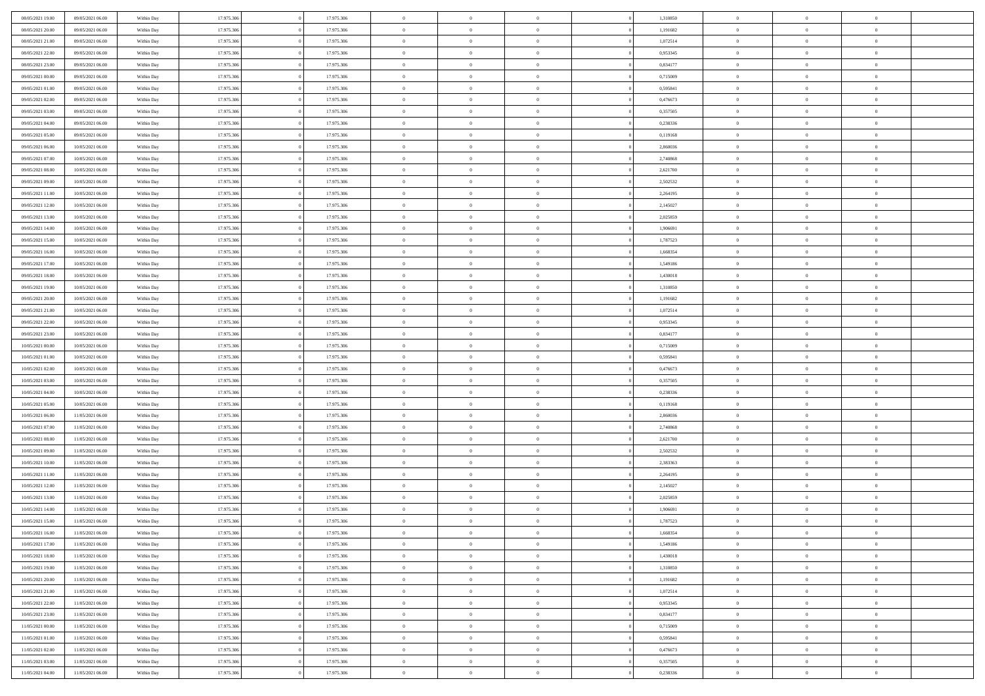| 08/05/2021 19:00 | 09/05/2021 06:00 | Within Day               | 17.975.306 | 17.975.306 | $\,$ 0 $\,$    | $\overline{0}$                    | $\overline{0}$ |          | 1,310850 | $\bf{0}$       | $\overline{0}$ | $\,0\,$        |  |
|------------------|------------------|--------------------------|------------|------------|----------------|-----------------------------------|----------------|----------|----------|----------------|----------------|----------------|--|
| 08/05/2021 20:00 | 09/05/2021 06:00 | Within Day               | 17.975.306 | 17.975.306 | $\overline{0}$ | $\overline{0}$                    | $\mathbf{0}$   |          | 1,191682 | $\theta$       | $\overline{0}$ | $\theta$       |  |
| 08/05/2021 21:00 | 09/05/2021 06:00 | Within Day               | 17.975.306 | 17.975.306 | $\theta$       | $\overline{0}$                    | $\overline{0}$ |          | 1,072514 | $\mathbf{0}$   | $\overline{0}$ | $\overline{0}$ |  |
| 08/05/2021 22:00 | 09/05/2021 06:00 | Within Day               | 17.975.306 | 17.975.306 | $\,$ 0 $\,$    | $\overline{0}$                    | $\overline{0}$ |          | 0,953345 | $\bf{0}$       | $\overline{0}$ | $\bf{0}$       |  |
| 08/05/2021 23:00 | 09/05/2021 06:00 | Within Day               | 17.975.306 | 17.975.306 | $\bf{0}$       | $\overline{0}$                    | $\mathbf{0}$   |          | 0,834177 | $\bf{0}$       | $\mathbf{0}$   | $\,0\,$        |  |
| 09/05/2021 00:00 | 09/05/2021 06:00 | Within Day               | 17.975.306 | 17.975.306 | $\theta$       | $\overline{0}$                    | $\mathbf{0}$   |          | 0,715009 | $\mathbf{0}$   | $\overline{0}$ | $\overline{0}$ |  |
| 09/05/2021 01:00 | 09/05/2021 06:00 | Within Day               | 17.975.306 | 17.975.306 | $\,$ 0 $\,$    | $\overline{0}$                    | $\overline{0}$ |          | 0,595841 | $\bf{0}$       | $\overline{0}$ | $\bf{0}$       |  |
| 09/05/2021 02:00 | 09/05/2021 06:00 | Within Day               | 17.975.306 | 17.975.306 | $\overline{0}$ | $\overline{0}$                    | $\mathbf{0}$   |          | 0,476673 | $\,$ 0 $\,$    | $\overline{0}$ | $\overline{0}$ |  |
| 09/05/2021 03:00 | 09/05/2021 06:00 | Within Day               | 17.975.306 | 17.975.306 | $\theta$       | $\overline{0}$                    | $\mathbf{0}$   |          | 0,357505 | $\mathbf{0}$   | $\overline{0}$ | $\overline{0}$ |  |
|                  | 09/05/2021 06:00 |                          | 17.975.306 | 17.975.306 | $\,$ 0 $\,$    | $\overline{0}$                    | $\Omega$       |          | 0,238336 | $\bf{0}$       | $\overline{0}$ | $\,0\,$        |  |
| 09/05/2021 04:00 |                  | Within Day               |            |            |                |                                   |                |          |          |                |                |                |  |
| 09/05/2021 05:00 | 09/05/2021 06:00 | Within Day               | 17.975.306 | 17.975.306 | $\bf{0}$       | $\overline{0}$                    | $\mathbf{0}$   |          | 0,119168 | $\bf{0}$       | $\overline{0}$ | $\theta$       |  |
| 09/05/2021 06:00 | 10/05/2021 06:00 | Within Day               | 17.975.306 | 17.975.306 | $\theta$       | $\overline{0}$                    | $\overline{0}$ |          | 2,860036 | $\mathbf{0}$   | $\overline{0}$ | $\overline{0}$ |  |
| 09/05/2021 07:00 | 10/05/2021 06:00 | Within Day               | 17.975.306 | 17.975.306 | $\,$ 0 $\,$    | $\overline{0}$                    | $\overline{0}$ |          | 2,740868 | $\bf{0}$       | $\overline{0}$ | $\overline{0}$ |  |
| 09/05/2021 08:00 | 10/05/2021 06:00 | Within Day               | 17.975.306 | 17.975.306 | $\bf{0}$       | $\overline{0}$                    | $\mathbf{0}$   |          | 2,621700 | $\bf{0}$       | $\mathbf{0}$   | $\,0\,$        |  |
| 09/05/2021 09:00 | 10/05/2021 06:00 | Within Day               | 17.975.306 | 17.975.306 | $\theta$       | $\overline{0}$                    | $\overline{0}$ |          | 2,502532 | $\mathbf{0}$   | $\overline{0}$ | $\overline{0}$ |  |
| 09/05/2021 11:00 | 10/05/2021 06:00 | Within Day               | 17.975.306 | 17.975.306 | $\,$ 0 $\,$    | $\overline{0}$                    | $\Omega$       |          | 2,264195 | $\bf{0}$       | $\overline{0}$ | $\bf{0}$       |  |
| 09/05/2021 12:00 | 10/05/2021 06:00 | Within Day               | 17.975.306 | 17.975.306 | $\,$ 0         | $\overline{0}$                    | $\mathbf{0}$   |          | 2,145027 | $\,$ 0 $\,$    | $\overline{0}$ | $\theta$       |  |
| 09/05/2021 13:00 | 10/05/2021 06:00 | Within Day               | 17.975.306 | 17.975.306 | $\theta$       | $\overline{0}$                    | $\mathbf{0}$   |          | 2,025859 | $\mathbf{0}$   | $\overline{0}$ | $\overline{0}$ |  |
| 09/05/2021 14:00 | 10/05/2021 06:00 | Within Day               | 17.975.306 | 17.975.306 | $\,$ 0 $\,$    | $\overline{0}$                    | $\Omega$       |          | 1,906691 | $\bf{0}$       | $\overline{0}$ | $\bf{0}$       |  |
| 09/05/2021 15:00 | 10/05/2021 06:00 | Within Day               | 17.975.306 | 17.975.306 | $\overline{0}$ | $\overline{0}$                    | $\mathbf{0}$   |          | 1,787523 | $\bf{0}$       | $\mathbf{0}$   | $\overline{0}$ |  |
| 09/05/2021 16:00 | 10/05/2021 06:00 | Within Day               | 17.975.306 | 17.975.306 | $\theta$       | $\overline{0}$                    | $\overline{0}$ |          | 1,668354 | $\mathbf{0}$   | $\overline{0}$ | $\overline{0}$ |  |
| 09/05/2021 17:00 | 10/05/2021 06:00 | Within Day               | 17.975.306 | 17.975.306 | $\,$ 0 $\,$    | $\overline{0}$                    | $\overline{0}$ |          | 1,549186 | $\bf{0}$       | $\overline{0}$ | $\bf{0}$       |  |
| 09/05/2021 18:00 | 10/05/2021 06:00 | Within Day               | 17.975.306 | 17.975.306 | $\bf{0}$       | $\overline{0}$                    | $\mathbf{0}$   |          | 1,430018 | $\bf{0}$       | $\bf{0}$       | $\,0\,$        |  |
| 09/05/2021 19:00 | 10/05/2021 06:00 | Within Day               | 17.975.306 | 17.975.306 | $\theta$       | $\overline{0}$                    | $\mathbf{0}$   |          | 1,310850 | $\mathbf{0}$   | $\overline{0}$ | $\overline{0}$ |  |
| 09/05/2021 20:00 | 10/05/2021 06:00 | Within Day               | 17.975.306 | 17.975.306 | $\,$ 0 $\,$    | $\overline{0}$                    | $\overline{0}$ |          | 1,191682 | $\bf{0}$       | $\overline{0}$ | $\bf{0}$       |  |
| 09/05/2021 21:00 | 10/05/2021 06:00 | Within Day               | 17.975.306 | 17.975.306 | $\overline{0}$ | $\overline{0}$                    | $\mathbf{0}$   |          | 1,072514 | $\bf{0}$       | $\overline{0}$ | $\overline{0}$ |  |
| 09/05/2021 22:00 | 10/05/2021 06:00 | Within Day               | 17.975.306 | 17.975.306 | $\theta$       | $\overline{0}$                    | $\mathbf{0}$   |          | 0,953345 | $\mathbf{0}$   | $\overline{0}$ | $\overline{0}$ |  |
| 09/05/2021 23:00 | 10/05/2021 06:00 | Within Day               | 17.975.306 | 17.975.306 | $\,$ 0 $\,$    | $\overline{0}$                    | $\Omega$       |          | 0,834177 | $\bf{0}$       | $\overline{0}$ | $\bf{0}$       |  |
| 10/05/2021 00:00 | 10/05/2021 06:00 | Within Day               | 17.975.306 | 17.975.306 | $\bf{0}$       | $\overline{0}$                    | $\mathbf{0}$   |          | 0,715009 | $\bf{0}$       | $\mathbf{0}$   | $\overline{0}$ |  |
| 10/05/2021 01:00 | 10/05/2021 06:00 | Within Day               | 17.975.306 | 17.975.306 | $\theta$       | $\overline{0}$                    | $\overline{0}$ |          | 0,595841 | $\mathbf{0}$   | $\overline{0}$ | $\overline{0}$ |  |
| 10/05/2021 02:00 | 10/05/2021 06:00 | Within Day               | 17.975.306 | 17.975.306 | $\theta$       | $\overline{0}$                    | $\overline{0}$ |          | 0,476673 | $\,$ 0         | $\overline{0}$ | $\,$ 0 $\,$    |  |
| 10/05/2021 03:00 | 10/05/2021 06:00 | Within Day               | 17.975.306 | 17.975.306 | $\bf{0}$       | $\overline{0}$                    | $\mathbf{0}$   |          | 0,357505 | $\bf{0}$       | $\mathbf{0}$   | $\bf{0}$       |  |
| 10/05/2021 04:00 | 10/05/2021 06:00 | Within Day               | 17.975.306 | 17.975.306 | $\theta$       | $\overline{0}$                    | $\overline{0}$ |          | 0,238336 | $\mathbf{0}$   | $\overline{0}$ | $\overline{0}$ |  |
| 10/05/2021 05:00 | 10/05/2021 06:00 | Within Day               | 17.975.306 | 17.975.306 | $\theta$       | $\overline{0}$                    | $\overline{0}$ |          | 0,119168 | $\,$ 0         | $\overline{0}$ | $\theta$       |  |
| 10/05/2021 06:00 | 11/05/2021 06:00 | Within Day               | 17.975.306 | 17.975.306 | $\bf{0}$       | $\overline{0}$                    | $\mathbf{0}$   |          | 2,860036 | $\mathbf{0}$   | $\overline{0}$ | $\overline{0}$ |  |
| 10/05/2021 07:00 | 11/05/2021 06:00 | Within Day               | 17.975.306 | 17.975.306 | $\theta$       | $\overline{0}$                    | $\mathbf{0}$   |          | 2,740868 | $\mathbf{0}$   | $\overline{0}$ | $\overline{0}$ |  |
| 10/05/2021 08:00 | 11/05/2021 06:00 | Within Day               | 17.975.306 | 17.975.306 | $\theta$       | $\overline{0}$                    | $\overline{0}$ |          | 2,621700 | $\,$ 0         | $\overline{0}$ | $\theta$       |  |
| 10/05/2021 09:00 | 11/05/2021 06:00 | Within Day               | 17.975.306 | 17.975.306 | $\bf{0}$       | $\overline{0}$                    | $\mathbf{0}$   |          | 2,502532 | $\bf{0}$       | $\mathbf{0}$   | $\bf{0}$       |  |
| 10/05/2021 10:00 | 11/05/2021 06:00 | Within Day               | 17.975.306 | 17.975.306 | $\theta$       | $\overline{0}$                    | $\overline{0}$ |          | 2,383363 | $\mathbf{0}$   | $\overline{0}$ | $\overline{0}$ |  |
| 10/05/2021 11:00 | 11/05/2021 06:00 | Within Day               | 17.975.306 | 17.975.306 | $\,$ 0 $\,$    | $\overline{0}$                    | $\overline{0}$ |          | 2,264195 | $\,$ 0         | $\overline{0}$ | $\,$ 0 $\,$    |  |
| 10/05/2021 12:00 | 11/05/2021 06:00 | Within Day               | 17.975.306 | 17.975.306 | $\bf{0}$       | $\,$ 0 $\,$                       | $\mathbf{0}$   |          | 2,145027 | $\,$ 0 $\,$    | $\overline{0}$ | $\bf{0}$       |  |
| 10/05/2021 13:00 | 11/05/2021 06:00 | Within Day               | 17.975.306 | 17.975.306 | $\theta$       | $\overline{0}$                    | $\mathbf{0}$   |          | 2,025859 | $\mathbf{0}$   | $\overline{0}$ | $\overline{0}$ |  |
| 10/05/2021 14:00 | 11/05/2021 06:00 | Within Day               | 17.975.306 | 17.975.306 | $\theta$       | $\overline{0}$                    | $\overline{0}$ |          | 1,906691 | $\,$ 0         | $\overline{0}$ | $\theta$       |  |
| 10/05/2021 15:00 | 11/05/2021 06:00 |                          | 17.975.306 | 17.975.306 | $\bf{0}$       | $\overline{0}$                    | $\mathbf{0}$   |          | 1,787523 | $\,$ 0 $\,$    | $\overline{0}$ | $\bf{0}$       |  |
| 10/05/2021 16:00 | 11/05/2021 06:00 | Within Day<br>Within Day | 17.975.306 | 17.975.306 | $\overline{0}$ | $\theta$                          |                |          | 1,668354 | $\overline{0}$ |                | $\theta$       |  |
|                  |                  |                          |            |            |                |                                   |                |          |          |                | $^{\circ}$     |                |  |
| 10/05/2021 17:00 | 11/05/2021 06:00 | Within Day               | 17.975.306 | 17.975.306 | $\,$ 0 $\,$    | $\overline{0}$                    | $\overline{0}$ |          | 1,549186 | $\,$ 0 $\,$    | $\bf{0}$       | $\,$ 0 $\,$    |  |
| 10/05/2021 18:00 | 11/05/2021 06:00 | Within Day               | 17.975.306 | 17.975.306 | $\bf{0}$       | $\hspace{0.1cm} 0 \hspace{0.1cm}$ | $\overline{0}$ |          | 1,430018 | $\,$ 0 $\,$    | $\overline{0}$ | $\overline{0}$ |  |
| 10/05/2021 19:00 | 11/05/2021 06:00 | Within Day               | 17.975.306 | 17.975.306 | $\,$ 0 $\,$    | $\overline{0}$                    | $\overline{0}$ |          | 1,310850 | $\,$ 0 $\,$    | $\bf{0}$       | $\overline{0}$ |  |
| 10/05/2021 20:00 | 11/05/2021 06:00 | Within Day               | 17.975.306 | 17.975.306 | $\,$ 0 $\,$    | $\overline{0}$                    | $\overline{0}$ | $\theta$ | 1,191682 | $\,$ 0 $\,$    | $\bf{0}$       | $\,$ 0 $\,$    |  |
| 10/05/2021 21:00 | 11/05/2021 06:00 | Within Day               | 17.975.306 | 17.975.306 | $\,$ 0 $\,$    | $\,$ 0 $\,$                       | $\overline{0}$ |          | 1,072514 | $\,$ 0 $\,$    | $\overline{0}$ | $\mathbf{0}$   |  |
| 10/05/2021 22:00 | 11/05/2021 06:00 | Within Day               | 17.975.306 | 17.975.306 | $\mathbf{0}$   | $\overline{0}$                    | $\overline{0}$ |          | 0,953345 | $\mathbf{0}$   | $\bf{0}$       | $\overline{0}$ |  |
| 10/05/2021 23:00 | 11/05/2021 06:00 | Within Day               | 17.975.306 | 17.975.306 | $\,$ 0 $\,$    | $\overline{0}$                    | $\overline{0}$ |          | 0,834177 | $\,$ 0 $\,$    | $\bf{0}$       | $\,$ 0 $\,$    |  |
| 11/05/2021 00:00 | 11/05/2021 06:00 | Within Day               | 17.975.306 | 17.975.306 | $\bf{0}$       | $\overline{0}$                    | $\overline{0}$ |          | 0,715009 | $\,$ 0 $\,$    | $\overline{0}$ | $\overline{0}$ |  |
| 11/05/2021 01:00 | 11/05/2021 06:00 | Within Day               | 17.975.306 | 17.975.306 | $\,$ 0 $\,$    | $\overline{0}$                    | $\overline{0}$ |          | 0,595841 | $\,$ 0 $\,$    | $\bf{0}$       | $\overline{0}$ |  |
| 11/05/2021 02:00 | 11/05/2021 06:00 | Within Day               | 17.975.306 | 17.975.306 | $\,$ 0 $\,$    | $\overline{0}$                    | $\overline{0}$ |          | 0,476673 | $\,$ 0 $\,$    | $\bf{0}$       | $\,$ 0 $\,$    |  |
| 11/05/2021 03:00 | 11/05/2021 06:00 | Within Day               | 17.975.306 | 17.975.306 | $\mathbf{0}$   | $\,$ 0 $\,$                       | $\overline{0}$ |          | 0,357505 | $\,$ 0 $\,$    | $\overline{0}$ | $\overline{0}$ |  |
| 11/05/2021 04:00 | 11/05/2021 06:00 | Within Day               | 17.975.306 | 17.975.306 | $\theta$       | $\overline{0}$                    | $\overline{0}$ |          | 0,238336 | $\,$ 0 $\,$    | $\overline{0}$ | $\overline{0}$ |  |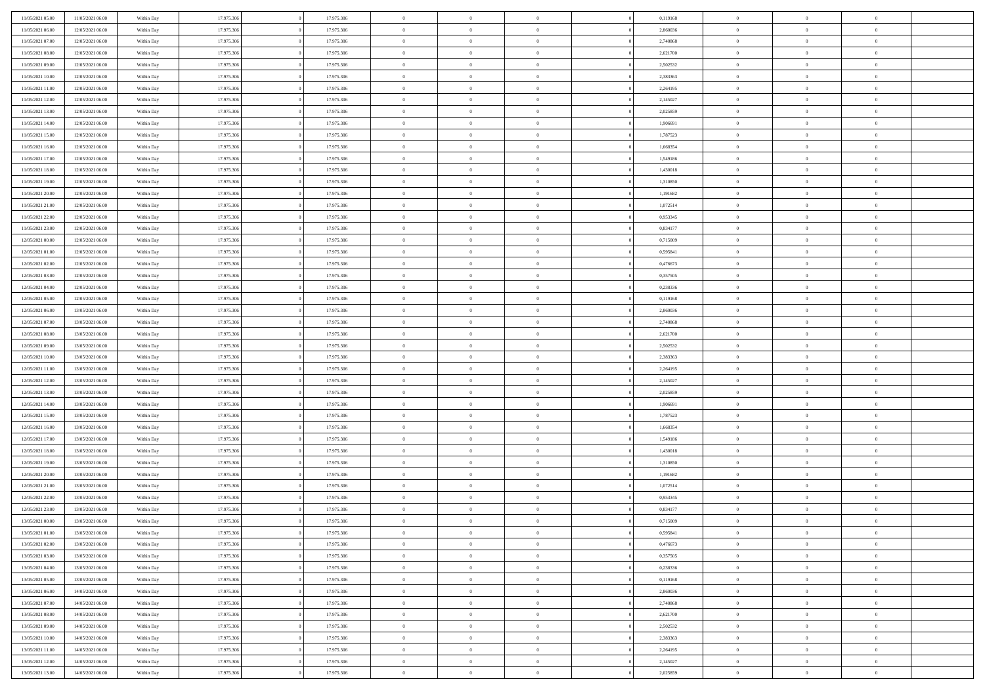| 11/05/2021 05:00 | 11/05/2021 06:00                     | Within Day               | 17.975.306 | 17.975.306 | $\,$ 0 $\,$          | $\overline{0}$                    | $\overline{0}$ |          | 0,119168 | $\bf{0}$                    | $\overline{0}$ | $\,0\,$                   |  |
|------------------|--------------------------------------|--------------------------|------------|------------|----------------------|-----------------------------------|----------------|----------|----------|-----------------------------|----------------|---------------------------|--|
| 11/05/2021 06:00 | 12/05/2021 06:00                     | Within Day               | 17.975.306 | 17.975.306 | $\overline{0}$       | $\overline{0}$                    | $\mathbf{0}$   |          | 2,860036 | $\theta$                    | $\overline{0}$ | $\theta$                  |  |
| 11/05/2021 07:00 | 12/05/2021 06:00                     | Within Day               | 17.975.306 | 17.975.306 | $\theta$             | $\overline{0}$                    | $\overline{0}$ |          | 2,740868 | $\mathbf{0}$                | $\overline{0}$ | $\overline{0}$            |  |
| 11/05/2021 08:00 | 12/05/2021 06:00                     | Within Day               | 17.975.306 | 17.975.306 | $\,$ 0 $\,$          | $\overline{0}$                    | $\overline{0}$ |          | 2,621700 | $\mathbf{0}$                | $\overline{0}$ | $\bf{0}$                  |  |
| 11/05/2021 09:00 | 12/05/2021 06:00                     | Within Day               | 17.975.306 | 17.975.306 | $\bf{0}$             | $\overline{0}$                    | $\mathbf{0}$   |          | 2,502532 | $\bf{0}$                    | $\overline{0}$ | $\,0\,$                   |  |
| 11/05/2021 10:00 | 12/05/2021 06:00                     | Within Day               | 17.975.306 | 17.975.306 | $\theta$             | $\overline{0}$                    | $\mathbf{0}$   |          | 2,383363 | $\mathbf{0}$                | $\overline{0}$ | $\overline{0}$            |  |
| 11/05/2021 11:00 | 12/05/2021 06:00                     | Within Day               | 17.975.306 | 17.975.306 | $\,$ 0 $\,$          | $\overline{0}$                    | $\overline{0}$ |          | 2,264195 | $\bf{0}$                    | $\overline{0}$ | $\bf{0}$                  |  |
| 11/05/2021 12:00 | 12/05/2021 06:00                     | Within Day               | 17.975.306 | 17.975.306 | $\overline{0}$       | $\overline{0}$                    | $\mathbf{0}$   |          | 2,145027 | $\,$ 0 $\,$                 | $\overline{0}$ | $\overline{0}$            |  |
| 11/05/2021 13:00 | 12/05/2021 06:00                     | Within Day               | 17.975.306 | 17.975.306 | $\theta$             | $\overline{0}$                    | $\mathbf{0}$   |          | 2,025859 | $\mathbf{0}$                | $\overline{0}$ | $\overline{0}$            |  |
| 11/05/2021 14:00 | 12/05/2021 06:00                     | Within Day               | 17.975.306 | 17.975.306 | $\,$ 0 $\,$          | $\overline{0}$                    | $\Omega$       |          | 1,906691 | $\bf{0}$                    | $\overline{0}$ | $\bf{0}$                  |  |
| 11/05/2021 15:00 | 12/05/2021 06:00                     | Within Day               | 17.975.306 | 17.975.306 | $\bf{0}$             | $\overline{0}$                    | $\mathbf{0}$   |          | 1,787523 | $\bf{0}$                    | $\overline{0}$ | $\theta$                  |  |
| 11/05/2021 16:00 | 12/05/2021 06:00                     | Within Day               | 17.975.306 | 17.975.306 | $\theta$             | $\overline{0}$                    | $\overline{0}$ |          | 1,668354 | $\mathbf{0}$                | $\overline{0}$ | $\overline{0}$            |  |
| 11/05/2021 17:00 | 12/05/2021 06:00                     | Within Day               | 17.975.306 | 17.975.306 | $\,$ 0 $\,$          | $\overline{0}$                    | $\overline{0}$ |          | 1,549186 | $\bf{0}$                    | $\overline{0}$ | $\overline{0}$            |  |
| 11/05/2021 18:00 | 12/05/2021 06:00                     | Within Day               | 17.975.306 | 17.975.306 | $\bf{0}$             | $\overline{0}$                    | $\mathbf{0}$   |          | 1,430018 | $\bf{0}$                    | $\mathbf{0}$   | $\,0\,$                   |  |
| 11/05/2021 19:00 | 12/05/2021 06:00                     | Within Day               | 17.975.306 | 17.975.306 | $\overline{0}$       | $\overline{0}$                    | $\overline{0}$ |          | 1,310850 | $\mathbf{0}$                | $\overline{0}$ | $\overline{0}$            |  |
| 11/05/2021 20:00 | 12/05/2021 06:00                     | Within Day               | 17.975.306 | 17.975.306 | $\,$ 0 $\,$          | $\overline{0}$                    | $\Omega$       |          | 1,191682 | $\bf{0}$                    | $\overline{0}$ | $\bf{0}$                  |  |
| 11/05/2021 21:00 | 12/05/2021 06:00                     | Within Day               | 17.975.306 | 17.975.306 | $\,$ 0               | $\overline{0}$                    | $\mathbf{0}$   |          | 1,072514 | $\,$ 0 $\,$                 | $\overline{0}$ | $\overline{0}$            |  |
| 11/05/2021 22:00 | 12/05/2021 06:00                     | Within Day               | 17.975.306 | 17.975.306 | $\theta$             | $\overline{0}$                    | $\mathbf{0}$   |          | 0,953345 | $\mathbf{0}$                | $\overline{0}$ | $\overline{0}$            |  |
| 11/05/2021 23:00 | 12/05/2021 06:00                     | Within Day               | 17.975.306 | 17.975.306 | $\,$ 0 $\,$          | $\overline{0}$                    | $\Omega$       |          | 0,834177 | $\bf{0}$                    | $\overline{0}$ | $\bf{0}$                  |  |
| 12/05/2021 00:00 | 12/05/2021 06:00                     |                          | 17.975.306 | 17.975.306 | $\overline{0}$       | $\overline{0}$                    | $\mathbf{0}$   |          | 0,715009 | $\bf{0}$                    | $\overline{0}$ | $\overline{0}$            |  |
| 12/05/2021 01:00 | 12/05/2021 06:00                     | Within Day<br>Within Day | 17.975.306 | 17.975.306 | $\theta$             | $\overline{0}$                    | $\overline{0}$ |          | 0,595841 | $\mathbf{0}$                | $\overline{0}$ | $\overline{0}$            |  |
| 12/05/2021 02:00 |                                      |                          |            |            | $\,$ 0 $\,$          |                                   |                |          |          | $\bf{0}$                    |                | $\bf{0}$                  |  |
|                  | 12/05/2021 06:00                     | Within Day               | 17.975.306 | 17.975.306 |                      | $\overline{0}$                    | $\overline{0}$ |          | 0,476673 |                             | $\overline{0}$ |                           |  |
| 12/05/2021 03:00 | 12/05/2021 06:00<br>12/05/2021 06:00 | Within Day               | 17.975.306 | 17.975.306 | $\bf{0}$<br>$\theta$ | $\overline{0}$                    | $\mathbf{0}$   |          | 0,357505 | $\,$ 0 $\,$<br>$\mathbf{0}$ | $\overline{0}$ | $\,0\,$<br>$\overline{0}$ |  |
| 12/05/2021 04:00 |                                      | Within Day               | 17.975.306 | 17.975.306 |                      | $\overline{0}$                    | $\mathbf{0}$   |          | 0,238336 |                             | $\overline{0}$ |                           |  |
| 12/05/2021 05:00 | 12/05/2021 06:00                     | Within Day               | 17.975.306 | 17.975.306 | $\,$ 0 $\,$          | $\overline{0}$                    | $\overline{0}$ |          | 0,119168 | $\bf{0}$                    | $\overline{0}$ | $\bf{0}$                  |  |
| 12/05/2021 06:00 | 13/05/2021 06:00                     | Within Day               | 17.975.306 | 17.975.306 | $\,$ 0               | $\overline{0}$                    | $\mathbf{0}$   |          | 2,860036 | $\bf{0}$                    | $\overline{0}$ | $\overline{0}$            |  |
| 12/05/2021 07:00 | 13/05/2021 06:00                     | Within Day               | 17.975.306 | 17.975.306 | $\theta$             | $\overline{0}$                    | $\mathbf{0}$   |          | 2,740868 | $\mathbf{0}$                | $\overline{0}$ | $\overline{0}$            |  |
| 12/05/2021 08:00 | 13/05/2021 06:00                     | Within Day               | 17.975.306 | 17.975.306 | $\,$ 0 $\,$          | $\overline{0}$                    | $\Omega$       |          | 2,621700 | $\bf{0}$                    | $\overline{0}$ | $\bf{0}$                  |  |
| 12/05/2021 09:00 | 13/05/2021 06:00                     | Within Day               | 17.975.306 | 17.975.306 | $\bf{0}$             | $\overline{0}$                    | $\mathbf{0}$   |          | 2,502532 | $\bf{0}$                    | $\mathbf{0}$   | $\overline{0}$            |  |
| 12/05/2021 10:00 | 13/05/2021 06:00                     | Within Day               | 17.975.306 | 17.975.306 | $\theta$             | $\overline{0}$                    | $\overline{0}$ |          | 2,383363 | $\mathbf{0}$                | $\overline{0}$ | $\overline{0}$            |  |
| 12/05/2021 11:00 | 13/05/2021 06:00                     | Within Day               | 17.975.306 | 17.975.306 | $\theta$             | $\overline{0}$                    | $\overline{0}$ |          | 2,264195 | $\,$ 0                      | $\overline{0}$ | $\,$ 0 $\,$               |  |
| 12/05/2021 12:00 | 13/05/2021 06:00                     | Within Day               | 17.975.306 | 17.975.306 | $\bf{0}$             | $\overline{0}$                    | $\mathbf{0}$   |          | 2,145027 | $\bf{0}$                    | $\mathbf{0}$   | $\bf{0}$                  |  |
| 12/05/2021 13:00 | 13/05/2021 06:00                     | Within Day               | 17.975.306 | 17.975.306 | $\theta$             | $\overline{0}$                    | $\overline{0}$ |          | 2,025859 | $\mathbf{0}$                | $\overline{0}$ | $\overline{0}$            |  |
| 12/05/2021 14:00 | 13/05/2021 06:00                     | Within Day               | 17.975.306 | 17.975.306 | $\theta$             | $\overline{0}$                    | $\overline{0}$ |          | 1,906691 | $\,$ 0                      | $\overline{0}$ | $\theta$                  |  |
| 12/05/2021 15:00 | 13/05/2021 06:00                     | Within Day               | 17.975.306 | 17.975.306 | $\bf{0}$             | $\overline{0}$                    | $\mathbf{0}$   |          | 1,787523 | $\overline{0}$              | $\overline{0}$ | $\overline{0}$            |  |
| 12/05/2021 16:00 | 13/05/2021 06:00                     | Within Day               | 17.975.306 | 17.975.306 | $\theta$             | $\overline{0}$                    | $\mathbf{0}$   |          | 1,668354 | $\mathbf{0}$                | $\overline{0}$ | $\overline{0}$            |  |
| 12/05/2021 17:00 | 13/05/2021 06:00                     | Within Day               | 17.975.306 | 17.975.306 | $\theta$             | $\overline{0}$                    | $\overline{0}$ |          | 1,549186 | $\,$ 0                      | $\overline{0}$ | $\theta$                  |  |
| 12/05/2021 18:00 | 13/05/2021 06:00                     | Within Day               | 17.975.306 | 17.975.306 | $\bf{0}$             | $\overline{0}$                    | $\mathbf{0}$   |          | 1,430018 | $\bf{0}$                    | $\mathbf{0}$   | $\overline{0}$            |  |
| 12/05/2021 19:00 | 13/05/2021 06:00                     | Within Day               | 17.975.306 | 17.975.306 | $\theta$             | $\overline{0}$                    | $\overline{0}$ |          | 1,310850 | $\mathbf{0}$                | $\overline{0}$ | $\overline{0}$            |  |
| 12/05/2021 20:00 | 13/05/2021 06:00                     | Within Day               | 17.975.306 | 17.975.306 | $\,$ 0 $\,$          | $\overline{0}$                    | $\overline{0}$ |          | 1,191682 | $\,$ 0                      | $\overline{0}$ | $\,$ 0 $\,$               |  |
| 12/05/2021 21:00 | 13/05/2021 06:00                     | Within Day               | 17.975.306 | 17.975.306 | $\bf{0}$             | $\,$ 0 $\,$                       | $\overline{0}$ |          | 1,072514 | $\,$ 0 $\,$                 | $\overline{0}$ | $\overline{0}$            |  |
| 12/05/2021 22:00 | 13/05/2021 06:00                     | Within Day               | 17.975.306 | 17.975.306 | $\theta$             | $\overline{0}$                    | $\mathbf{0}$   |          | 0,953345 | $\mathbf{0}$                | $\overline{0}$ | $\overline{0}$            |  |
| 12/05/2021 23:00 | 13/05/2021 06:00                     | Within Day               | 17.975.306 | 17.975.306 | $\theta$             | $\overline{0}$                    | $\overline{0}$ |          | 0,834177 | $\,$ 0                      | $\overline{0}$ | $\theta$                  |  |
| 13/05/2021 00:00 | 13/05/2021 06:00<br>13/05/2021 06:00 | Within Day               | 17.975.306 | 17.975.306 | $\bf{0}$             | $\overline{0}$                    | $\mathbf{0}$   |          | 0,715009 | $\,$ 0 $\,$                 | $\overline{0}$ | $\overline{0}$            |  |
| 13/05/2021 01:00 |                                      | Within Day               | 17.975.306 | 17.975.306 | $\overline{0}$       | $\theta$                          |                |          | 0,595841 | $\overline{0}$              | $\theta$       | $\theta$                  |  |
| 13/05/2021 02:00 | 13/05/2021 06:00                     | Within Day               | 17.975.306 | 17.975.306 | $\,$ 0 $\,$          | $\overline{0}$                    | $\overline{0}$ |          | 0,476673 | $\,$ 0 $\,$                 | $\bf{0}$       | $\,$ 0 $\,$               |  |
| 13/05/2021 03:00 | 13/05/2021 06:00                     | Within Day               | 17.975.306 | 17.975.306 | $\bf{0}$             | $\hspace{0.1cm} 0 \hspace{0.1cm}$ | $\overline{0}$ |          | 0,357505 | $\,$ 0 $\,$                 | $\overline{0}$ | $\overline{0}$            |  |
| 13/05/2021 04:00 | 13/05/2021 06:00                     | Within Day               | 17.975.306 | 17.975.306 | $\,$ 0 $\,$          | $\overline{0}$                    | $\overline{0}$ |          | 0,238336 | $\,$ 0 $\,$                 | $\bf{0}$       | $\overline{0}$            |  |
| 13/05/2021 05:00 | 13/05/2021 06:00                     | Within Day               | 17.975.306 | 17.975.306 | $\,$ 0 $\,$          | $\overline{0}$                    | $\overline{0}$ | $\theta$ | 0,119168 | $\,$ 0 $\,$                 | $\bf{0}$       | $\,$ 0 $\,$               |  |
| 13/05/2021 06:00 | 14/05/2021 06:00                     | Within Day               | 17.975.306 | 17.975.306 | $\,$ 0 $\,$          | $\,$ 0 $\,$                       | $\overline{0}$ |          | 2,860036 | $\,$ 0 $\,$                 | $\overline{0}$ | $\overline{0}$            |  |
| 13/05/2021 07:00 | 14/05/2021 06:00                     | Within Day               | 17.975.306 | 17.975.306 | $\overline{0}$       | $\overline{0}$                    | $\overline{0}$ |          | 2,740868 | $\mathbf{0}$                | $\bf{0}$       | $\overline{0}$            |  |
| 13/05/2021 08:00 | 14/05/2021 06:00                     | Within Day               | 17.975.306 | 17.975.306 | $\,$ 0 $\,$          | $\overline{0}$                    | $\overline{0}$ |          | 2,621700 | $\,$ 0 $\,$                 | $\bf{0}$       | $\,$ 0 $\,$               |  |
| 13/05/2021 09:00 | 14/05/2021 06:00                     | Within Day               | 17.975.306 | 17.975.306 | $\bf{0}$             | $\overline{0}$                    | $\overline{0}$ |          | 2,502532 | $\,$ 0 $\,$                 | $\overline{0}$ | $\overline{0}$            |  |
| 13/05/2021 10:00 | 14/05/2021 06:00                     | Within Day               | 17.975.306 | 17.975.306 | $\mathbf{0}$         | $\overline{0}$                    | $\overline{0}$ |          | 2,383363 | $\,$ 0 $\,$                 | $\bf{0}$       | $\overline{0}$            |  |
| 13/05/2021 11:00 | 14/05/2021 06:00                     | Within Day               | 17.975.306 | 17.975.306 | $\,$ 0 $\,$          | $\overline{0}$                    | $\overline{0}$ |          | 2,264195 | $\,$ 0 $\,$                 | $\bf{0}$       | $\,$ 0 $\,$               |  |
| 13/05/2021 12:00 | 14/05/2021 06:00                     | Within Day               | 17.975.306 | 17.975.306 | $\mathbf{0}$         | $\,$ 0 $\,$                       | $\overline{0}$ |          | 2,145027 | $\,$ 0 $\,$                 | $\overline{0}$ | $\overline{0}$            |  |
| 13/05/2021 13:00 | 14/05/2021 06:00                     | Within Day               | 17.975.306 | 17.975.306 | $\theta$             | $\overline{0}$                    | $\overline{0}$ |          | 2,025859 | $\mathbf{0}$                | $\overline{0}$ | $\overline{0}$            |  |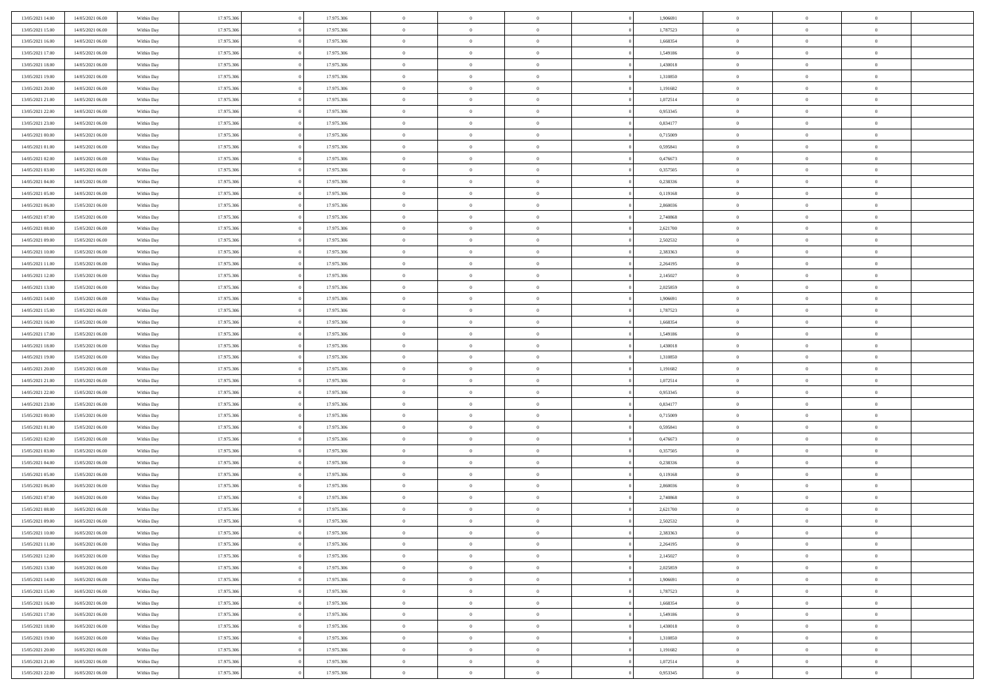| 13/05/2021 14:00                     | 14/05/2021 06:00                     | Within Day | 17.975.306 | 17.975.306 | $\,$ 0 $\,$    | $\overline{0}$                    | $\overline{0}$ |          | 1,906691 | $\bf{0}$       | $\overline{0}$ | $\,0\,$        |  |
|--------------------------------------|--------------------------------------|------------|------------|------------|----------------|-----------------------------------|----------------|----------|----------|----------------|----------------|----------------|--|
| 13/05/2021 15:00                     | 14/05/2021 06:00                     | Within Day | 17.975.306 | 17.975.306 | $\overline{0}$ | $\overline{0}$                    | $\mathbf{0}$   |          | 1,787523 | $\theta$       | $\overline{0}$ | $\theta$       |  |
| 13/05/2021 16:00                     | 14/05/2021 06:00                     | Within Day | 17.975.306 | 17.975.306 | $\theta$       | $\overline{0}$                    | $\overline{0}$ |          | 1,668354 | $\mathbf{0}$   | $\overline{0}$ | $\overline{0}$ |  |
| 13/05/2021 17:00                     | 14/05/2021 06:00                     | Within Day | 17.975.306 | 17.975.306 | $\,$ 0 $\,$    | $\overline{0}$                    | $\overline{0}$ |          | 1,549186 | $\bf{0}$       | $\overline{0}$ | $\bf{0}$       |  |
| 13/05/2021 18:00                     | 14/05/2021 06:00                     | Within Day | 17.975.306 | 17.975.306 | $\bf{0}$       | $\overline{0}$                    | $\mathbf{0}$   |          | 1,430018 | $\bf{0}$       | $\overline{0}$ | $\,0\,$        |  |
| 13/05/2021 19:00                     | 14/05/2021 06:00                     | Within Day | 17.975.306 | 17.975.306 | $\theta$       | $\overline{0}$                    | $\mathbf{0}$   |          | 1,310850 | $\mathbf{0}$   | $\overline{0}$ | $\overline{0}$ |  |
| 13/05/2021 20:00                     | 14/05/2021 06:00                     | Within Day | 17.975.306 | 17.975.306 | $\,$ 0 $\,$    | $\overline{0}$                    | $\overline{0}$ |          | 1,191682 | $\bf{0}$       | $\overline{0}$ | $\bf{0}$       |  |
| 13/05/2021 21:00                     | 14/05/2021 06:00                     | Within Day | 17.975.306 | 17.975.306 | $\overline{0}$ | $\overline{0}$                    | $\mathbf{0}$   |          | 1,072514 | $\,$ 0 $\,$    | $\overline{0}$ | $\overline{0}$ |  |
| 13/05/2021 22:00                     | 14/05/2021 06:00                     | Within Day | 17.975.306 | 17.975.306 | $\theta$       | $\overline{0}$                    | $\mathbf{0}$   |          | 0,953345 | $\mathbf{0}$   | $\overline{0}$ | $\overline{0}$ |  |
|                                      | 14/05/2021 06:00                     |            | 17.975.306 | 17.975.306 | $\,$ 0 $\,$    | $\overline{0}$                    | $\Omega$       |          | 0,834177 | $\bf{0}$       | $\overline{0}$ | $\bf{0}$       |  |
| 13/05/2021 23:00                     |                                      | Within Day |            |            |                |                                   |                |          |          |                | $\overline{0}$ | $\theta$       |  |
| 14/05/2021 00:00<br>14/05/2021 01:00 | 14/05/2021 06:00<br>14/05/2021 06:00 | Within Day | 17.975.306 | 17.975.306 | $\bf{0}$       | $\overline{0}$                    | $\mathbf{0}$   |          | 0,715009 | $\bf{0}$       |                |                |  |
|                                      |                                      | Within Day | 17.975.306 | 17.975.306 | $\theta$       | $\overline{0}$                    | $\overline{0}$ |          | 0,595841 | $\mathbf{0}$   | $\overline{0}$ | $\overline{0}$ |  |
| 14/05/2021 02:00                     | 14/05/2021 06:00                     | Within Day | 17.975.306 | 17.975.306 | $\,$ 0 $\,$    | $\overline{0}$                    | $\overline{0}$ |          | 0,476673 | $\bf{0}$       | $\overline{0}$ | $\bf{0}$       |  |
| 14/05/2021 03:00                     | 14/05/2021 06:00                     | Within Day | 17.975.306 | 17.975.306 | $\bf{0}$       | $\overline{0}$                    | $\mathbf{0}$   |          | 0,357505 | $\bf{0}$       | $\mathbf{0}$   | $\,0\,$        |  |
| 14/05/2021 04:00                     | 14/05/2021 06:00                     | Within Day | 17.975.306 | 17.975.306 | $\theta$       | $\overline{0}$                    | $\overline{0}$ |          | 0,238336 | $\mathbf{0}$   | $\overline{0}$ | $\overline{0}$ |  |
| 14/05/2021 05:00                     | 14/05/2021 06:00                     | Within Day | 17.975.306 | 17.975.306 | $\,$ 0 $\,$    | $\overline{0}$                    | $\Omega$       |          | 0,119168 | $\bf{0}$       | $\overline{0}$ | $\bf{0}$       |  |
| 14/05/2021 06:00                     | 15/05/2021 06:00                     | Within Day | 17.975.306 | 17.975.306 | $\,$ 0         | $\overline{0}$                    | $\mathbf{0}$   |          | 2,860036 | $\,$ 0 $\,$    | $\overline{0}$ | $\overline{0}$ |  |
| 14/05/2021 07:00                     | 15/05/2021 06:00                     | Within Day | 17.975.306 | 17.975.306 | $\theta$       | $\overline{0}$                    | $\mathbf{0}$   |          | 2,740868 | $\mathbf{0}$   | $\overline{0}$ | $\overline{0}$ |  |
| 14/05/2021 08:00                     | 15/05/2021 06:00                     | Within Day | 17.975.306 | 17.975.306 | $\,$ 0 $\,$    | $\overline{0}$                    | $\Omega$       |          | 2,621700 | $\bf{0}$       | $\overline{0}$ | $\bf{0}$       |  |
| 14/05/2021 09:00                     | 15/05/2021 06:00                     | Within Day | 17.975.306 | 17.975.306 | $\overline{0}$ | $\overline{0}$                    | $\mathbf{0}$   |          | 2,502532 | $\bf{0}$       | $\overline{0}$ | $\overline{0}$ |  |
| 14/05/2021 10:00                     | 15/05/2021 06:00                     | Within Day | 17.975.306 | 17.975.306 | $\theta$       | $\overline{0}$                    | $\overline{0}$ |          | 2,383363 | $\mathbf{0}$   | $\overline{0}$ | $\overline{0}$ |  |
| 14/05/2021 11:00                     | 15/05/2021 06:00                     | Within Day | 17.975.306 | 17.975.306 | $\,$ 0 $\,$    | $\overline{0}$                    | $\overline{0}$ |          | 2,264195 | $\bf{0}$       | $\overline{0}$ | $\bf{0}$       |  |
| 14/05/2021 12:00                     | 15/05/2021 06:00                     | Within Day | 17.975.306 | 17.975.306 | $\bf{0}$       | $\overline{0}$                    | $\mathbf{0}$   |          | 2,145027 | $\,$ 0 $\,$    | $\overline{0}$ | $\,0\,$        |  |
| 14/05/2021 13:00                     | 15/05/2021 06:00                     | Within Day | 17.975.306 | 17.975.306 | $\theta$       | $\overline{0}$                    | $\mathbf{0}$   |          | 2,025859 | $\mathbf{0}$   | $\overline{0}$ | $\overline{0}$ |  |
| 14/05/2021 14:00                     | 15/05/2021 06:00                     | Within Day | 17.975.306 | 17.975.306 | $\,$ 0 $\,$    | $\overline{0}$                    | $\overline{0}$ |          | 1,906691 | $\bf{0}$       | $\overline{0}$ | $\bf{0}$       |  |
| 14/05/2021 15:00                     | 15/05/2021 06:00                     | Within Day | 17.975.306 | 17.975.306 | $\,$ 0         | $\overline{0}$                    | $\mathbf{0}$   |          | 1,787523 | $\bf{0}$       | $\overline{0}$ | $\overline{0}$ |  |
| 14/05/2021 16:00                     | 15/05/2021 06:00                     | Within Day | 17.975.306 | 17.975.306 | $\theta$       | $\overline{0}$                    | $\mathbf{0}$   |          | 1,668354 | $\mathbf{0}$   | $\overline{0}$ | $\overline{0}$ |  |
| 14/05/2021 17:00                     | 15/05/2021 06:00                     | Within Day | 17.975.306 | 17.975.306 | $\,$ 0 $\,$    | $\overline{0}$                    | $\Omega$       |          | 1,549186 | $\bf{0}$       | $\overline{0}$ | $\bf{0}$       |  |
| 14/05/2021 18:00                     | 15/05/2021 06:00                     | Within Day | 17.975.306 | 17.975.306 | $\bf{0}$       | $\overline{0}$                    | $\mathbf{0}$   |          | 1,430018 | $\bf{0}$       | $\mathbf{0}$   | $\overline{0}$ |  |
| 14/05/2021 19:00                     | 15/05/2021 06:00                     | Within Day | 17.975.306 | 17.975.306 | $\theta$       | $\overline{0}$                    | $\overline{0}$ |          | 1,310850 | $\mathbf{0}$   | $\overline{0}$ | $\overline{0}$ |  |
| 14/05/2021 20:00                     | 15/05/2021 06:00                     | Within Day | 17.975.306 | 17.975.306 | $\theta$       | $\overline{0}$                    | $\overline{0}$ |          | 1,191682 | $\,$ 0         | $\overline{0}$ | $\,$ 0 $\,$    |  |
| 14/05/2021 21:00                     | 15/05/2021 06:00                     | Within Day | 17.975.306 | 17.975.306 | $\bf{0}$       | $\overline{0}$                    | $\mathbf{0}$   |          | 1,072514 | $\bf{0}$       | $\mathbf{0}$   | $\bf{0}$       |  |
| 14/05/2021 22:00                     | 15/05/2021 06:00                     | Within Day | 17.975.306 | 17.975.306 | $\theta$       | $\overline{0}$                    | $\overline{0}$ |          | 0,953345 | $\mathbf{0}$   | $\overline{0}$ | $\overline{0}$ |  |
| 14/05/2021 23:00                     | 15/05/2021 06:00                     | Within Day | 17.975.306 | 17.975.306 | $\theta$       | $\overline{0}$                    | $\overline{0}$ |          | 0,834177 | $\,$ 0         | $\overline{0}$ | $\theta$       |  |
| 15/05/2021 00:00                     | 15/05/2021 06:00                     | Within Day | 17.975.306 | 17.975.306 | $\bf{0}$       | $\overline{0}$                    | $\mathbf{0}$   |          | 0,715009 | $\overline{0}$ | $\overline{0}$ | $\overline{0}$ |  |
| 15/05/2021 01:00                     | 15/05/2021 06:00                     | Within Day | 17.975.306 | 17.975.306 | $\theta$       | $\overline{0}$                    | $\mathbf{0}$   |          | 0,595841 | $\mathbf{0}$   | $\overline{0}$ | $\overline{0}$ |  |
| 15/05/2021 02:00                     | 15/05/2021 06:00                     | Within Day | 17.975.306 | 17.975.306 | $\theta$       | $\overline{0}$                    | $\overline{0}$ |          | 0,476673 | $\,$ 0         | $\overline{0}$ | $\theta$       |  |
| 15/05/2021 03:00                     | 15/05/2021 06:00                     | Within Day | 17.975.306 | 17.975.306 | $\bf{0}$       | $\overline{0}$                    | $\mathbf{0}$   |          | 0,357505 | $\bf{0}$       | $\mathbf{0}$   | $\bf{0}$       |  |
| 15/05/2021 04:00                     | 15/05/2021 06:00                     | Within Day | 17.975.306 | 17.975.306 | $\theta$       | $\overline{0}$                    | $\overline{0}$ |          | 0,238336 | $\mathbf{0}$   | $\overline{0}$ | $\overline{0}$ |  |
| 15/05/2021 05:00                     | 15/05/2021 06:00                     | Within Day | 17.975.306 | 17.975.306 | $\,$ 0 $\,$    | $\overline{0}$                    | $\overline{0}$ |          | 0,119168 | $\,$ 0         | $\overline{0}$ | $\,$ 0 $\,$    |  |
| 15/05/2021 06:00                     | 16/05/2021 06:00                     | Within Day | 17.975.306 | 17.975.306 | $\bf{0}$       | $\,$ 0 $\,$                       | $\mathbf{0}$   |          | 2,860036 | $\,$ 0 $\,$    | $\overline{0}$ | $\bf{0}$       |  |
| 15/05/2021 07:00                     | 16/05/2021 06:00                     | Within Day | 17.975.306 | 17.975.306 | $\theta$       | $\overline{0}$                    | $\mathbf{0}$   |          | 2,740868 | $\mathbf{0}$   | $\overline{0}$ | $\overline{0}$ |  |
| 15/05/2021 08:00                     | 16/05/2021 06:00                     | Within Day | 17.975.306 | 17.975.306 | $\theta$       | $\overline{0}$                    | $\overline{0}$ |          | 2,621700 | $\,$ 0         | $\overline{0}$ | $\theta$       |  |
| 15/05/2021 09:00                     | 16/05/2021 06:00                     | Within Day | 17.975.306 | 17.975.306 | $\bf{0}$       | $\overline{0}$                    | $\mathbf{0}$   |          | 2,502532 | $\,$ 0 $\,$    | $\overline{0}$ | $\overline{0}$ |  |
| 15/05/2021 10:00                     | 16/05/2021 06:00                     | Within Day | 17.975.306 | 17.975.306 | $\overline{0}$ | $\theta$                          |                |          | 2,383363 | $\overline{0}$ | $\theta$       | $\theta$       |  |
| 15/05/2021 11:00                     | 16/05/2021 06:00                     | Within Day | 17.975.306 | 17.975.306 | $\,$ 0 $\,$    | $\overline{0}$                    | $\overline{0}$ |          | 2,264195 | $\,$ 0 $\,$    | $\bf{0}$       | $\,$ 0 $\,$    |  |
| 15/05/2021 12:00                     | 16/05/2021 06:00                     | Within Day | 17.975.306 | 17.975.306 | $\overline{0}$ | $\hspace{0.1cm} 0 \hspace{0.1cm}$ | $\overline{0}$ |          | 2,145027 | $\,$ 0 $\,$    | $\overline{0}$ | $\overline{0}$ |  |
| 15/05/2021 13:00                     | 16/05/2021 06:00                     | Within Day | 17.975.306 | 17.975.306 | $\mathbf{0}$   | $\overline{0}$                    | $\overline{0}$ |          | 2,025859 | $\,$ 0 $\,$    | $\bf{0}$       | $\mathbf{0}$   |  |
| 15/05/2021 14:00                     | 16/05/2021 06:00                     | Within Day | 17.975.306 | 17.975.306 | $\,$ 0 $\,$    | $\overline{0}$                    | $\overline{0}$ | $\theta$ | 1,906691 | $\,$ 0 $\,$    | $\bf{0}$       | $\,$ 0 $\,$    |  |
| 15/05/2021 15:00                     | 16/05/2021 06:00                     | Within Day | 17.975.306 | 17.975.306 | $\,$ 0 $\,$    | $\,$ 0 $\,$                       | $\overline{0}$ |          | 1,787523 | $\,$ 0 $\,$    | $\overline{0}$ | $\overline{0}$ |  |
| 15/05/2021 16:00                     | 16/05/2021 06:00                     | Within Day | 17.975.306 | 17.975.306 | $\overline{0}$ | $\overline{0}$                    | $\overline{0}$ |          | 1,668354 | $\mathbf{0}$   | $\bf{0}$       | $\overline{0}$ |  |
|                                      |                                      |            |            |            |                |                                   |                |          |          |                |                |                |  |
| 15/05/2021 17:00                     | 16/05/2021 06:00                     | Within Day | 17.975.306 | 17.975.306 | $\,$ 0 $\,$    | $\overline{0}$                    | $\overline{0}$ |          | 1,549186 | $\,$ 0 $\,$    | $\bf{0}$       | $\,$ 0 $\,$    |  |
| 15/05/2021 18:00                     | 16/05/2021 06:00                     | Within Day | 17.975.306 | 17.975.306 | $\bf{0}$       | $\overline{0}$                    | $\overline{0}$ |          | 1,430018 | $\,$ 0 $\,$    | $\overline{0}$ | $\mathbf{0}$   |  |
| 15/05/2021 19:00                     | 16/05/2021 06:00                     | Within Day | 17.975.306 | 17.975.306 | $\mathbf{0}$   | $\overline{0}$                    | $\overline{0}$ |          | 1,310850 | $\,$ 0 $\,$    | $\bf{0}$       | $\overline{0}$ |  |
| 15/05/2021 20:00                     | 16/05/2021 06:00                     | Within Day | 17.975.306 | 17.975.306 | $\,$ 0 $\,$    | $\overline{0}$                    | $\overline{0}$ |          | 1,191682 | $\,$ 0 $\,$    | $\bf{0}$       | $\,$ 0 $\,$    |  |
| 15/05/2021 21:00                     | 16/05/2021 06:00                     | Within Day | 17.975.306 | 17.975.306 | $\,$ 0 $\,$    | $\,$ 0 $\,$                       | $\overline{0}$ |          | 1,072514 | $\,$ 0 $\,$    | $\overline{0}$ | $\overline{0}$ |  |
| 15/05/2021 22:00                     | 16/05/2021 06:00                     | Within Day | 17.975.306 | 17.975.306 | $\theta$       | $\overline{0}$                    | $\overline{0}$ |          | 0,953345 | $\mathbf{0}$   | $\overline{0}$ | $\overline{0}$ |  |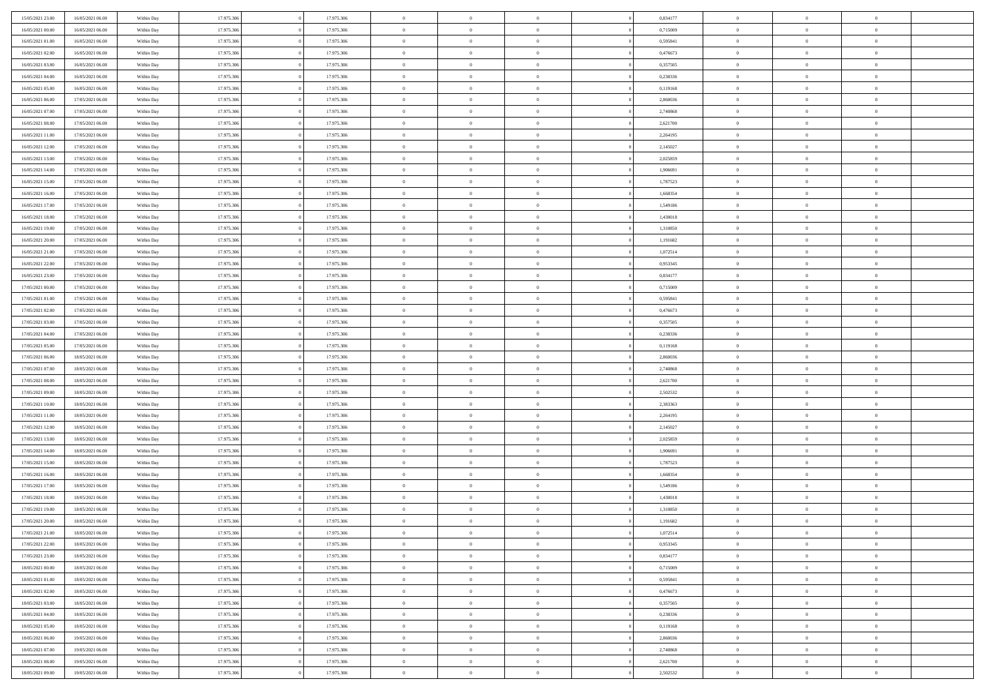| 15/05/2021 23:00                     | 16/05/2021 06:00                     | Within Day | 17.975.306 | 17.975.306 | $\,$ 0 $\,$    | $\overline{0}$                    | $\overline{0}$ |          | 0,834177 | $\bf{0}$       | $\overline{0}$ | $\,0\,$        |  |
|--------------------------------------|--------------------------------------|------------|------------|------------|----------------|-----------------------------------|----------------|----------|----------|----------------|----------------|----------------|--|
| 16/05/2021 00:00                     | 16/05/2021 06:00                     | Within Day | 17.975.306 | 17.975.306 | $\overline{0}$ | $\overline{0}$                    | $\mathbf{0}$   |          | 0,715009 | $\theta$       | $\overline{0}$ | $\theta$       |  |
| 16/05/2021 01:00                     | 16/05/2021 06:00                     | Within Day | 17.975.306 | 17.975.306 | $\theta$       | $\overline{0}$                    | $\overline{0}$ |          | 0,595841 | $\mathbf{0}$   | $\overline{0}$ | $\overline{0}$ |  |
| 16/05/2021 02:00                     | 16/05/2021 06:00                     | Within Day | 17.975.306 | 17.975.306 | $\,$ 0 $\,$    | $\overline{0}$                    | $\overline{0}$ |          | 0,476673 | $\bf{0}$       | $\overline{0}$ | $\bf{0}$       |  |
| 16/05/2021 03:00                     | 16/05/2021 06:00                     | Within Day | 17.975.306 | 17.975.306 | $\bf{0}$       | $\overline{0}$                    | $\mathbf{0}$   |          | 0,357505 | $\bf{0}$       | $\mathbf{0}$   | $\,0\,$        |  |
| 16/05/2021 04:00                     | 16/05/2021 06:00                     | Within Day | 17.975.306 | 17.975.306 | $\theta$       | $\overline{0}$                    | $\mathbf{0}$   |          | 0,238336 | $\mathbf{0}$   | $\overline{0}$ | $\overline{0}$ |  |
| 16/05/2021 05:00                     | 16/05/2021 06:00                     | Within Day | 17.975.306 | 17.975.306 | $\,$ 0 $\,$    | $\overline{0}$                    | $\overline{0}$ |          | 0,119168 | $\bf{0}$       | $\overline{0}$ | $\bf{0}$       |  |
| 16/05/2021 06:00                     | 17/05/2021 06:00                     | Within Day | 17.975.306 | 17.975.306 | $\overline{0}$ | $\overline{0}$                    | $\mathbf{0}$   |          | 2,860036 | $\,$ 0 $\,$    | $\overline{0}$ | $\overline{0}$ |  |
| 16/05/2021 07:00                     | 17/05/2021 06:00                     | Within Day | 17.975.306 | 17.975.306 | $\theta$       | $\overline{0}$                    | $\mathbf{0}$   |          | 2,740868 | $\mathbf{0}$   | $\overline{0}$ | $\overline{0}$ |  |
|                                      |                                      |            | 17.975.306 | 17.975.306 | $\,$ 0 $\,$    | $\overline{0}$                    | $\Omega$       |          | 2,621700 | $\bf{0}$       | $\overline{0}$ | $\bf{0}$       |  |
| 16/05/2021 08:00                     | 17/05/2021 06:00                     | Within Day |            |            |                |                                   |                |          |          |                | $\overline{0}$ | $\theta$       |  |
| 16/05/2021 11:00<br>16/05/2021 12:00 | 17/05/2021 06:00<br>17/05/2021 06:00 | Within Day | 17.975.306 | 17.975.306 | $\bf{0}$       | $\overline{0}$                    | $\mathbf{0}$   |          | 2,264195 | $\bf{0}$       |                |                |  |
|                                      |                                      | Within Day | 17.975.306 | 17.975.306 | $\theta$       | $\overline{0}$                    | $\overline{0}$ |          | 2,145027 | $\mathbf{0}$   | $\overline{0}$ | $\overline{0}$ |  |
| 16/05/2021 13:00                     | 17/05/2021 06:00                     | Within Day | 17.975.306 | 17.975.306 | $\,$ 0 $\,$    | $\overline{0}$                    | $\overline{0}$ |          | 2,025859 | $\bf{0}$       | $\overline{0}$ | $\bf{0}$       |  |
| 16/05/2021 14:00                     | 17/05/2021 06:00                     | Within Day | 17.975.306 | 17.975.306 | $\bf{0}$       | $\overline{0}$                    | $\mathbf{0}$   |          | 1,906691 | $\bf{0}$       | $\mathbf{0}$   | $\,0\,$        |  |
| 16/05/2021 15:00                     | 17/05/2021 06:00                     | Within Day | 17.975.306 | 17.975.306 | $\overline{0}$ | $\overline{0}$                    | $\overline{0}$ |          | 1,787523 | $\mathbf{0}$   | $\overline{0}$ | $\overline{0}$ |  |
| 16/05/2021 16:00                     | 17/05/2021 06:00                     | Within Day | 17.975.306 | 17.975.306 | $\,$ 0 $\,$    | $\overline{0}$                    | $\Omega$       |          | 1,668354 | $\bf{0}$       | $\overline{0}$ | $\bf{0}$       |  |
| 16/05/2021 17:00                     | 17/05/2021 06:00                     | Within Day | 17.975.306 | 17.975.306 | $\,$ 0         | $\overline{0}$                    | $\mathbf{0}$   |          | 1,549186 | $\,$ 0 $\,$    | $\overline{0}$ | $\overline{0}$ |  |
| 16/05/2021 18:00                     | 17/05/2021 06:00                     | Within Day | 17.975.306 | 17.975.306 | $\theta$       | $\overline{0}$                    | $\mathbf{0}$   |          | 1,430018 | $\mathbf{0}$   | $\overline{0}$ | $\overline{0}$ |  |
| 16/05/2021 19:00                     | 17/05/2021 06:00                     | Within Day | 17.975.306 | 17.975.306 | $\,$ 0 $\,$    | $\overline{0}$                    | $\Omega$       |          | 1,310850 | $\bf{0}$       | $\overline{0}$ | $\bf{0}$       |  |
| 16/05/2021 20:00                     | 17/05/2021 06:00                     | Within Day | 17.975.306 | 17.975.306 | $\overline{0}$ | $\overline{0}$                    | $\mathbf{0}$   |          | 1,191682 | $\bf{0}$       | $\overline{0}$ | $\overline{0}$ |  |
| 16/05/2021 21:00                     | 17/05/2021 06:00                     | Within Day | 17.975.306 | 17.975.306 | $\theta$       | $\overline{0}$                    | $\overline{0}$ |          | 1,072514 | $\mathbf{0}$   | $\overline{0}$ | $\overline{0}$ |  |
| 16/05/2021 22:00                     | 17/05/2021 06:00                     | Within Day | 17.975.306 | 17.975.306 | $\,$ 0 $\,$    | $\overline{0}$                    | $\overline{0}$ |          | 0,953345 | $\bf{0}$       | $\overline{0}$ | $\bf{0}$       |  |
| 16/05/2021 23:00                     | 17/05/2021 06:00                     | Within Day | 17.975.306 | 17.975.306 | $\bf{0}$       | $\overline{0}$                    | $\mathbf{0}$   |          | 0,834177 | $\,$ 0 $\,$    | $\overline{0}$ | $\,0\,$        |  |
| 17/05/2021 00:00                     | 17/05/2021 06:00                     | Within Day | 17.975.306 | 17.975.306 | $\theta$       | $\overline{0}$                    | $\mathbf{0}$   |          | 0,715009 | $\mathbf{0}$   | $\overline{0}$ | $\overline{0}$ |  |
| 17/05/2021 01:00                     | 17/05/2021 06:00                     | Within Day | 17.975.306 | 17.975.306 | $\,$ 0 $\,$    | $\overline{0}$                    | $\overline{0}$ |          | 0,595841 | $\bf{0}$       | $\overline{0}$ | $\bf{0}$       |  |
| 17/05/2021 02:00                     | 17/05/2021 06:00                     | Within Day | 17.975.306 | 17.975.306 | $\overline{0}$ | $\overline{0}$                    | $\mathbf{0}$   |          | 0,476673 | $\bf{0}$       | $\overline{0}$ | $\overline{0}$ |  |
| 17/05/2021 03:00                     | 17/05/2021 06:00                     | Within Day | 17.975.306 | 17.975.306 | $\theta$       | $\overline{0}$                    | $\mathbf{0}$   |          | 0,357505 | $\mathbf{0}$   | $\overline{0}$ | $\overline{0}$ |  |
| 17/05/2021 04:00                     | 17/05/2021 06:00                     | Within Day | 17.975.306 | 17.975.306 | $\,$ 0 $\,$    | $\overline{0}$                    | $\Omega$       |          | 0,238336 | $\bf{0}$       | $\overline{0}$ | $\bf{0}$       |  |
| 17/05/2021 05:00                     | 17/05/2021 06:00                     | Within Day | 17.975.306 | 17.975.306 | $\bf{0}$       | $\overline{0}$                    | $\mathbf{0}$   |          | 0,119168 | $\bf{0}$       | $\mathbf{0}$   | $\overline{0}$ |  |
| 17/05/2021 06:00                     | 18/05/2021 06:00                     | Within Day | 17.975.306 | 17.975.306 | $\theta$       | $\overline{0}$                    | $\overline{0}$ |          | 2,860036 | $\mathbf{0}$   | $\overline{0}$ | $\overline{0}$ |  |
| 17/05/2021 07:00                     | 18/05/2021 06:00                     | Within Day | 17.975.306 | 17.975.306 | $\theta$       | $\overline{0}$                    | $\overline{0}$ |          | 2,740868 | $\,$ 0         | $\overline{0}$ | $\,$ 0 $\,$    |  |
| 17/05/2021 08:00                     | 18/05/2021 06:00                     | Within Day | 17.975.306 | 17.975.306 | $\bf{0}$       | $\overline{0}$                    | $\mathbf{0}$   |          | 2,621700 | $\bf{0}$       | $\mathbf{0}$   | $\bf{0}$       |  |
| 17/05/2021 09:00                     | 18/05/2021 06:00                     | Within Day | 17.975.306 | 17.975.306 | $\theta$       | $\overline{0}$                    | $\overline{0}$ |          | 2,502532 | $\mathbf{0}$   | $\overline{0}$ | $\overline{0}$ |  |
| 17/05/2021 10:00                     | 18/05/2021 06:00                     | Within Day | 17.975.306 | 17.975.306 | $\theta$       | $\overline{0}$                    | $\overline{0}$ |          | 2,383363 | $\,$ 0         | $\overline{0}$ | $\theta$       |  |
| 17/05/2021 11:00                     | 18/05/2021 06:00                     | Within Day | 17.975.306 | 17.975.306 | $\overline{0}$ | $\overline{0}$                    | $\mathbf{0}$   |          | 2,264195 | $\overline{0}$ | $\overline{0}$ | $\overline{0}$ |  |
| 17/05/2021 12:00                     | 18/05/2021 06:00                     | Within Day | 17.975.306 | 17.975.306 | $\theta$       | $\overline{0}$                    | $\mathbf{0}$   |          | 2,145027 | $\mathbf{0}$   | $\overline{0}$ | $\overline{0}$ |  |
| 17/05/2021 13:00                     | 18/05/2021 06:00                     | Within Day | 17.975.306 | 17.975.306 | $\theta$       | $\overline{0}$                    | $\overline{0}$ |          | 2,025859 | $\,$ 0         | $\overline{0}$ | $\theta$       |  |
| 17/05/2021 14:00                     | 18/05/2021 06:00                     | Within Day | 17.975.306 | 17.975.306 | $\bf{0}$       | $\overline{0}$                    | $\mathbf{0}$   |          | 1,906691 | $\bf{0}$       | $\mathbf{0}$   | $\bf{0}$       |  |
| 17/05/2021 15:00                     | 18/05/2021 06:00                     | Within Day | 17.975.306 | 17.975.306 | $\theta$       | $\overline{0}$                    | $\overline{0}$ |          | 1,787523 | $\mathbf{0}$   | $\overline{0}$ | $\overline{0}$ |  |
| 17/05/2021 16:00                     | 18/05/2021 06:00                     | Within Day | 17.975.306 | 17.975.306 | $\,$ 0 $\,$    | $\overline{0}$                    | $\overline{0}$ |          | 1,668354 | $\,$ 0         | $\overline{0}$ | $\,$ 0 $\,$    |  |
| 17/05/2021 17:00                     | 18/05/2021 06:00                     | Within Day | 17.975.306 | 17.975.306 | $\bf{0}$       | $\,$ 0 $\,$                       | $\mathbf{0}$   |          | 1,549186 | $\,$ 0 $\,$    | $\overline{0}$ | $\bf{0}$       |  |
| 17/05/2021 18:00                     | 18/05/2021 06:00                     | Within Day | 17.975.306 | 17.975.306 | $\theta$       | $\overline{0}$                    | $\mathbf{0}$   |          | 1,430018 | $\mathbf{0}$   | $\overline{0}$ | $\overline{0}$ |  |
| 17/05/2021 19:00                     | 18/05/2021 06:00                     | Within Day | 17.975.306 | 17.975.306 | $\theta$       | $\overline{0}$                    | $\overline{0}$ |          | 1,310850 | $\,$ 0         | $\overline{0}$ | $\theta$       |  |
| 17/05/2021 20:00                     | 18/05/2021 06:00                     | Within Day | 17.975.306 | 17.975.306 | $\bf{0}$       | $\overline{0}$                    | $\mathbf{0}$   |          | 1,191682 | $\,$ 0 $\,$    | $\overline{0}$ | $\bf{0}$       |  |
| 17/05/2021 21:00                     | 18/05/2021 06:00                     | Within Day | 17.975.306 | 17.975.306 | $\overline{0}$ | $\theta$                          |                |          | 1,072514 | $\overline{0}$ | $^{\circ}$     | $\theta$       |  |
| 17/05/2021 22:00                     | 18/05/2021 06:00                     | Within Day | 17.975.306 | 17.975.306 | $\,$ 0 $\,$    | $\overline{0}$                    | $\overline{0}$ |          | 0,953345 | $\,$ 0 $\,$    | $\bf{0}$       | $\,$ 0 $\,$    |  |
| 17/05/2021 23:00                     | 18/05/2021 06:00                     | Within Day | 17.975.306 | 17.975.306 | $\bf{0}$       | $\hspace{0.1cm} 0 \hspace{0.1cm}$ | $\overline{0}$ |          | 0,834177 | $\,$ 0 $\,$    | $\overline{0}$ | $\overline{0}$ |  |
| 18/05/2021 00:00                     | 18/05/2021 06:00                     | Within Day | 17.975.306 | 17.975.306 | $\,$ 0 $\,$    | $\overline{0}$                    | $\overline{0}$ |          | 0,715009 | $\,$ 0 $\,$    | $\bf{0}$       | $\mathbf{0}$   |  |
| 18/05/2021 01:00                     | 18/05/2021 06:00                     | Within Day | 17.975.306 | 17.975.306 | $\,$ 0 $\,$    | $\overline{0}$                    | $\overline{0}$ | $\theta$ | 0,595841 | $\,$ 0 $\,$    | $\bf{0}$       | $\,$ 0 $\,$    |  |
| 18/05/2021 02:00                     | 18/05/2021 06:00                     | Within Day | 17.975.306 | 17.975.306 | $\,$ 0 $\,$    | $\,$ 0 $\,$                       | $\overline{0}$ |          | 0,476673 | $\,$ 0 $\,$    | $\overline{0}$ | $\overline{0}$ |  |
| 18/05/2021 03:00                     | 18/05/2021 06:00                     | Within Day | 17.975.306 | 17.975.306 | $\overline{0}$ | $\overline{0}$                    | $\overline{0}$ |          | 0,357505 | $\mathbf{0}$   | $\bf{0}$       | $\overline{0}$ |  |
| 18/05/2021 04:00                     | 18/05/2021 06:00                     | Within Day | 17.975.306 | 17.975.306 | $\,$ 0 $\,$    | $\overline{0}$                    | $\overline{0}$ |          | 0,238336 | $\,$ 0 $\,$    | $\bf{0}$       | $\,$ 0 $\,$    |  |
| 18/05/2021 05:00                     | 18/05/2021 06:00                     | Within Day | 17.975.306 | 17.975.306 | $\bf{0}$       | $\overline{0}$                    | $\overline{0}$ |          | 0,119168 | $\,$ 0 $\,$    | $\overline{0}$ | $\overline{0}$ |  |
| 18/05/2021 06:00                     | 19/05/2021 06:00                     | Within Day | 17.975.306 | 17.975.306 | $\,$ 0 $\,$    | $\overline{0}$                    | $\overline{0}$ |          | 2,860036 | $\,$ 0 $\,$    | $\bf{0}$       | $\overline{0}$ |  |
| 18/05/2021 07:00                     | 19/05/2021 06:00                     | Within Day | 17.975.306 | 17.975.306 | $\,$ 0 $\,$    | $\overline{0}$                    | $\overline{0}$ |          | 2,740868 | $\,$ 0 $\,$    | $\bf{0}$       | $\,$ 0 $\,$    |  |
|                                      |                                      |            |            |            |                |                                   |                |          |          |                | $\overline{0}$ |                |  |
| 18/05/2021 08:00                     | 19/05/2021 06:00                     | Within Day | 17.975.306 | 17.975.306 | $\,$ 0 $\,$    | $\,$ 0 $\,$                       | $\overline{0}$ |          | 2,621700 | $\,$ 0 $\,$    |                | $\overline{0}$ |  |
| 18/05/2021 09:00                     | 19/05/2021 06:00                     | Within Day | 17.975.306 | 17.975.306 | $\theta$       | $\overline{0}$                    | $\overline{0}$ |          | 2,502532 | $\,$ 0 $\,$    | $\overline{0}$ | $\overline{0}$ |  |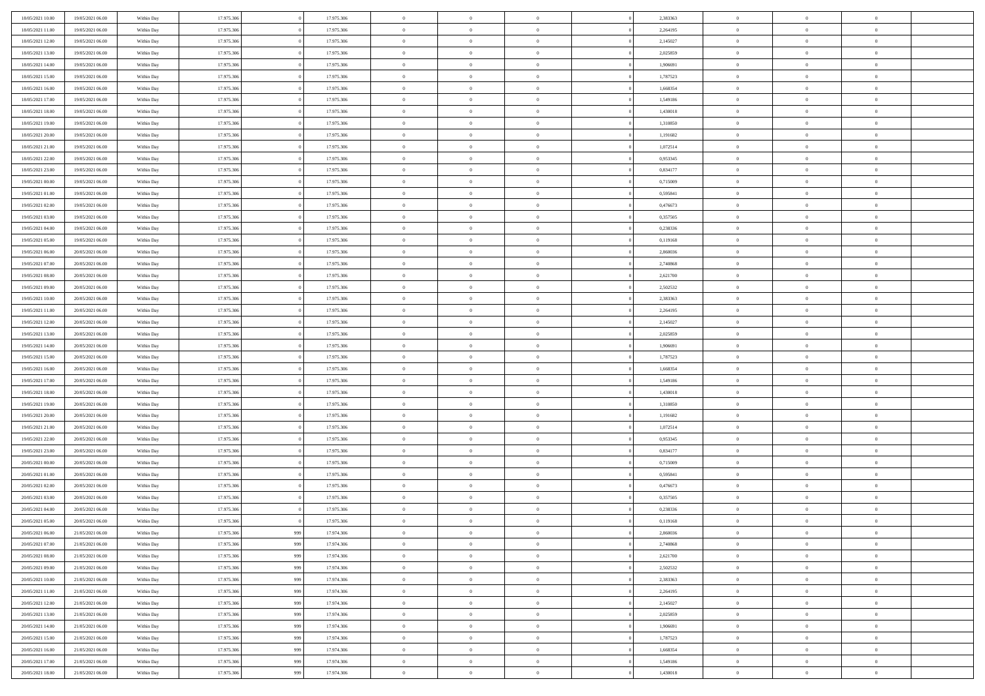| 18/05/2021 10:00<br>19/05/2021 06:00                                         | Within Day | 17.975.306 |     | 17.975.306 | $\,$ 0         | $\overline{0}$ | $\theta$       |          | 2,383363 | $\bf{0}$                 | $\overline{0}$ | $\,0\,$        |  |
|------------------------------------------------------------------------------|------------|------------|-----|------------|----------------|----------------|----------------|----------|----------|--------------------------|----------------|----------------|--|
| 18/05/2021 11:00<br>19/05/2021 06:00                                         | Within Day | 17.975.306 |     | 17.975.306 | $\overline{0}$ | $\overline{0}$ | $\overline{0}$ |          | 2,264195 | $\overline{0}$           | $\overline{0}$ | $\theta$       |  |
| 18/05/2021 12:00<br>19/05/2021 06:00                                         | Within Day | 17.975.306 |     | 17.975.306 | $\mathbf{0}$   | $\overline{0}$ | $\overline{0}$ |          | 2,145027 | $\mathbf{0}$             | $\overline{0}$ | $\overline{0}$ |  |
| 18/05/2021 13:00<br>19/05/2021 06:00                                         | Within Day | 17.975.306 |     | 17.975.306 | $\bf{0}$       | $\overline{0}$ | $\overline{0}$ |          | 2,025859 | $\bf{0}$                 | $\overline{0}$ | $\bf{0}$       |  |
| 18/05/2021 14:00<br>19/05/2021 06:00                                         | Within Day | 17.975.306 |     | 17.975.306 | $\bf{0}$       | $\bf{0}$       | $\overline{0}$ |          | 1,906691 | $\bf{0}$                 | $\mathbf{0}$   | $\,0\,$        |  |
| 18/05/2021 15:00<br>19/05/2021 06:00                                         | Within Dav | 17.975.306 |     | 17.975.306 | $\overline{0}$ | $\overline{0}$ | $\overline{0}$ |          | 1,787523 | $\mathbf{0}$             | $\overline{0}$ | $\overline{0}$ |  |
| 18/05/2021 16:00<br>19/05/2021 06:00                                         | Within Day | 17.975.306 |     | 17.975.306 | $\bf{0}$       | $\bf{0}$       | $\overline{0}$ |          | 1,668354 | $\bf{0}$                 | $\overline{0}$ | $\,0\,$        |  |
| 18/05/2021 17:00<br>19/05/2021 06:00                                         | Within Day | 17.975.306 |     | 17.975.306 | $\overline{0}$ | $\overline{0}$ | $\overline{0}$ |          | 1,549186 | $\,$ 0 $\,$              | $\overline{0}$ | $\theta$       |  |
| 18/05/2021 18:00<br>19/05/2021 06:00                                         | Within Day | 17.975.306 |     | 17.975.306 | $\mathbf{0}$   | $\overline{0}$ | $\overline{0}$ |          | 1,430018 | $\mathbf{0}$             | $\overline{0}$ | $\overline{0}$ |  |
| 19/05/2021 06:00                                                             |            | 17.975.306 |     | 17.975.306 | $\bf{0}$       | $\bf{0}$       | $\overline{0}$ |          | 1,310850 | $\bf{0}$                 | $\overline{0}$ | $\,0\,$        |  |
| 18/05/2021 19:00                                                             | Within Day |            |     |            | $\overline{0}$ | $\overline{0}$ |                |          |          |                          | $\overline{0}$ | $\overline{0}$ |  |
| 18/05/2021 20:00<br>19/05/2021 06:00<br>18/05/2021 21:00<br>19/05/2021 06:00 | Within Day | 17.975.306 |     | 17.975.306 | $\mathbf{0}$   |                | $\overline{0}$ |          | 1,191682 | $\bf{0}$<br>$\mathbf{0}$ |                | $\overline{0}$ |  |
|                                                                              | Within Dav | 17.975.306 |     | 17.975.306 |                | $\overline{0}$ | $\overline{0}$ |          | 1,072514 |                          | $\overline{0}$ |                |  |
| 18/05/2021 22:00<br>19/05/2021 06:00                                         | Within Day | 17.975.306 |     | 17.975.306 | $\bf{0}$       | $\overline{0}$ | $\bf{0}$       |          | 0,953345 | $\bf{0}$                 | $\overline{0}$ | $\bf{0}$       |  |
| 18/05/2021 23:00<br>19/05/2021 06:00                                         | Within Day | 17.975.306 |     | 17.975.306 | $\bf{0}$       | $\overline{0}$ | $\overline{0}$ |          | 0,834177 | $\bf{0}$                 | $\mathbf{0}$   | $\,0\,$        |  |
| 19/05/2021 00:00<br>19/05/2021 06:00                                         | Within Dav | 17.975.306 |     | 17.975.306 | $\overline{0}$ | $\overline{0}$ | $\overline{0}$ |          | 0,715009 | $\mathbf{0}$             | $\overline{0}$ | $\overline{0}$ |  |
| 19/05/2021 01:00<br>19/05/2021 06:00                                         | Within Day | 17.975.306 |     | 17.975.306 | $\bf{0}$       | $\bf{0}$       | $\overline{0}$ |          | 0,595841 | $\bf{0}$                 | $\overline{0}$ | $\bf{0}$       |  |
| 19/05/2021 02:00<br>19/05/2021 06:00                                         | Within Day | 17.975.306 |     | 17.975.306 | $\overline{0}$ | $\overline{0}$ | $\overline{0}$ |          | 0,476673 | $\bf{0}$                 | $\overline{0}$ | $\overline{0}$ |  |
| 19/05/2021 03:00<br>19/05/2021 06:00                                         | Within Day | 17.975.306 |     | 17.975.306 | $\mathbf{0}$   | $\overline{0}$ | $\overline{0}$ |          | 0,357505 | $\mathbf{0}$             | $\overline{0}$ | $\overline{0}$ |  |
| 19/05/2021 04:00<br>19/05/2021 06:00                                         | Within Day | 17.975.306 |     | 17.975.306 | $\,$ 0         | $\bf{0}$       | $\overline{0}$ |          | 0,238336 | $\bf{0}$                 | $\overline{0}$ | $\,0\,$        |  |
| 19/05/2021 05:00<br>19/05/2021 06:00                                         | Within Day | 17.975.306 |     | 17.975.306 | $\overline{0}$ | $\overline{0}$ | $\overline{0}$ |          | 0,119168 | $\bf{0}$                 | $\overline{0}$ | $\overline{0}$ |  |
| 19/05/2021 06:00<br>20/05/2021 06:00                                         | Within Day | 17.975.306 |     | 17.975.306 | $\mathbf{0}$   | $\overline{0}$ | $\overline{0}$ |          | 2,860036 | $\mathbf{0}$             | $\overline{0}$ | $\overline{0}$ |  |
| 19/05/2021 07:00<br>20/05/2021 06:00                                         | Within Day | 17.975.306 |     | 17.975.306 | $\bf{0}$       | $\overline{0}$ | $\overline{0}$ |          | 2,740868 | $\bf{0}$                 | $\overline{0}$ | $\bf{0}$       |  |
| 19/05/2021 08:00<br>20/05/2021 06:00                                         | Within Day | 17.975.306 |     | 17.975.306 | $\bf{0}$       | $\bf{0}$       | $\overline{0}$ |          | 2,621700 | $\bf{0}$                 | $\overline{0}$ | $\,0\,$        |  |
| 19/05/2021 09:00<br>20/05/2021 06:00                                         | Within Dav | 17.975.306 |     | 17.975.306 | $\mathbf{0}$   | $\overline{0}$ | $\overline{0}$ |          | 2,502532 | $\mathbf{0}$             | $\overline{0}$ | $\overline{0}$ |  |
| 19/05/2021 10:00<br>20/05/2021 06:00                                         | Within Day | 17.975.306 |     | 17.975.306 | $\bf{0}$       | $\bf{0}$       | $\overline{0}$ |          | 2,383363 | $\bf{0}$                 | $\overline{0}$ | $\,0\,$        |  |
| 19/05/2021 11:00<br>20/05/2021 06:00                                         | Within Day | 17.975.306 |     | 17.975.306 | $\overline{0}$ | $\overline{0}$ | $\overline{0}$ |          | 2,264195 | $\bf{0}$                 | $\mathbf{0}$   | $\overline{0}$ |  |
| 19/05/2021 12:00<br>20/05/2021 06:00                                         | Within Day | 17.975.306 |     | 17.975.306 | $\mathbf{0}$   | $\overline{0}$ | $\overline{0}$ |          | 2,145027 | $\mathbf{0}$             | $\overline{0}$ | $\overline{0}$ |  |
| 19/05/2021 13:00<br>20/05/2021 06:00                                         | Within Day | 17.975.306 |     | 17.975.306 | $\bf{0}$       | $\bf{0}$       | $\overline{0}$ |          | 2,025859 | $\bf{0}$                 | $\overline{0}$ | $\,0\,$        |  |
| 19/05/2021 14:00<br>20/05/2021 06:00                                         | Within Day | 17.975.306 |     | 17.975.306 | $\bf{0}$       | $\overline{0}$ | $\overline{0}$ |          | 1,906691 | $\bf{0}$                 | $\mathbf{0}$   | $\overline{0}$ |  |
| 19/05/2021 15:00<br>20/05/2021 06:00                                         | Within Dav | 17.975.306 |     | 17.975.306 | $\mathbf{0}$   | $\overline{0}$ | $\overline{0}$ |          | 1,787523 | $\mathbf{0}$             | $\overline{0}$ | $\overline{0}$ |  |
| 19/05/2021 16:00<br>20/05/2021 06:00                                         | Within Day | 17.975.306 |     | 17.975.306 | $\bf{0}$       | $\overline{0}$ | $\overline{0}$ |          | 1,668354 | $\,$ 0                   | $\overline{0}$ | $\theta$       |  |
| 19/05/2021 17:00<br>20/05/2021 06:00                                         | Within Day | 17.975.306 |     | 17.975.306 | $\bf{0}$       | $\overline{0}$ | $\overline{0}$ |          | 1,549186 | $\bf{0}$                 | $\mathbf{0}$   | $\bf{0}$       |  |
| 19/05/2021 18:00<br>20/05/2021 06:00                                         | Within Dav | 17.975.306 |     | 17.975.306 | $\overline{0}$ | $\overline{0}$ | $\overline{0}$ |          | 1,430018 | $\mathbf{0}$             | $\overline{0}$ | $\overline{0}$ |  |
| 19/05/2021 19:00<br>20/05/2021 06:00                                         | Within Day | 17.975.306 |     | 17.975.306 | $\bf{0}$       | $\overline{0}$ | $\theta$       |          | 1,310850 | $\,$ 0                   | $\overline{0}$ | $\theta$       |  |
| 19/05/2021 20:00<br>20/05/2021 06:00                                         | Within Day | 17.975.306 |     | 17.975.306 | $\overline{0}$ | $\overline{0}$ | $\overline{0}$ |          | 1,191682 | $\bf{0}$                 | $\overline{0}$ | $\overline{0}$ |  |
| 19/05/2021 21:00<br>20/05/2021 06:00                                         | Within Day | 17.975.306 |     | 17.975.306 | $\mathbf{0}$   | $\overline{0}$ | $\overline{0}$ |          | 1,072514 | $\mathbf{0}$             | $\overline{0}$ | $\overline{0}$ |  |
| 19/05/2021 22:00<br>20/05/2021 06:00                                         | Within Day | 17.975.306 |     | 17.975.306 | $\bf{0}$       | $\overline{0}$ | $\overline{0}$ |          | 0,953345 | $\,$ 0                   | $\overline{0}$ | $\theta$       |  |
| 19/05/2021 23:00<br>20/05/2021 06:00                                         | Within Day | 17.975.306 |     | 17.975.306 | $\bf{0}$       | $\overline{0}$ | $\overline{0}$ |          | 0,834177 | $\bf{0}$                 | $\mathbf{0}$   | $\bf{0}$       |  |
| 20/05/2021 00:00<br>20/05/2021 06:00                                         | Within Dav | 17.975.306 |     | 17.975.306 | $\mathbf{0}$   | $\overline{0}$ | $\overline{0}$ |          | 0,715009 | $\mathbf{0}$             | $\overline{0}$ | $\overline{0}$ |  |
| 20/05/2021 01:00<br>20/05/2021 06:00                                         | Within Day | 17.975.306 |     | 17.975.306 | $\,0\,$        | $\overline{0}$ | $\overline{0}$ |          | 0,595841 | $\,$ 0                   | $\overline{0}$ | $\theta$       |  |
| 20/05/2021 02:00<br>20/05/2021 06:00                                         | Within Day | 17.975.306 |     | 17.975.306 | $\bf{0}$       | $\overline{0}$ | $\overline{0}$ |          | 0,476673 | $\bf{0}$                 | $\overline{0}$ | $\bf{0}$       |  |
| 20/05/2021 03:00<br>20/05/2021 06:00                                         | Within Dav | 17.975.306 |     | 17.975.306 | $\mathbf{0}$   | $\overline{0}$ | $\overline{0}$ |          | 0,357505 | $\mathbf{0}$             | $\overline{0}$ | $\overline{0}$ |  |
| 20/05/2021 04:00<br>20/05/2021 06:00                                         | Within Day | 17.975.306 |     | 17.975.306 | $\bf{0}$       | $\overline{0}$ | $\overline{0}$ |          | 0,238336 | $\,$ 0                   | $\overline{0}$ | $\theta$       |  |
| 20/05/2021 05:00<br>20/05/2021 06:00                                         | Within Day | 17.975.306 |     | 17.975.306 | $\bf{0}$       | $\overline{0}$ | $\overline{0}$ |          | 0,119168 | $\bf{0}$                 | $\overline{0}$ | $\overline{0}$ |  |
| 20/05/2021 06:00<br>21/05/2021 06:00                                         | Within Day | 17.975.306 | 999 | 17.974.306 | $\bf{0}$       | $\overline{0}$ | $\Omega$       |          | 2,860036 | $\overline{0}$           | $\theta$       | $\theta$       |  |
| 20/05/2021 07:00<br>21/05/2021 06:00                                         | Within Day | 17.975.306 | 999 | 17.974.306 | $\,0\,$        | $\overline{0}$ | $\overline{0}$ |          | 2,740868 | $\,$ 0 $\,$              | $\bf{0}$       | $\theta$       |  |
| 20/05/2021 08:00<br>21/05/2021 06:00                                         | Within Day | 17.975.306 | 999 | 17.974.306 | $\overline{0}$ | $\overline{0}$ | $\overline{0}$ |          | 2,621700 | $\overline{0}$           | $\overline{0}$ | $\overline{0}$ |  |
| 20/05/2021 09:00<br>21/05/2021 06:00                                         | Within Day | 17.975.306 | 999 | 17.974.306 | $\bf{0}$       | $\overline{0}$ | $\overline{0}$ |          | 2,502532 | $\overline{0}$           | $\bf{0}$       | $\mathbf{0}$   |  |
| 21/05/2021 06:00                                                             |            |            |     |            |                |                |                | $\theta$ |          |                          | $\bf{0}$       | $\,$ 0 $\,$    |  |
| 20/05/2021 10:00                                                             | Within Day | 17.975.306 | 999 | 17.974.306 | $\bf{0}$       | $\overline{0}$ | $\overline{0}$ |          | 2,383363 | $\mathbf{0}$             |                |                |  |
| 20/05/2021 11:00<br>21/05/2021 06:00                                         | Within Day | 17.975.306 | 999 | 17.974.306 | $\bf{0}$       | $\overline{0}$ | $\overline{0}$ |          | 2,264195 | $\,$ 0 $\,$              | $\overline{0}$ | $\overline{0}$ |  |
| 20/05/2021 12:00<br>21/05/2021 06:00                                         | Within Day | 17.975.306 | 999 | 17.974.306 | $\bf{0}$       | $\overline{0}$ | $\overline{0}$ |          | 2,145027 | $\mathbf{0}$             | $\overline{0}$ | $\overline{0}$ |  |
| 20/05/2021 13:00<br>21/05/2021 06:00                                         | Within Day | 17.975.306 | 999 | 17.974.306 | $\,$ 0 $\,$    | $\overline{0}$ | $\overline{0}$ | $\theta$ | 2,025859 | $\,$ 0 $\,$              | $\bf{0}$       | $\,$ 0 $\,$    |  |
| 20/05/2021 14:00<br>21/05/2021 06:00                                         | Within Day | 17.975.306 | 999 | 17.974.306 | $\bf{0}$       | $\overline{0}$ | $\overline{0}$ |          | 1,906691 | $\overline{0}$           | $\overline{0}$ | $\overline{0}$ |  |
| 20/05/2021 15:00<br>21/05/2021 06:00                                         | Within Day | 17.975.306 | 999 | 17.974.306 | $\bf{0}$       | $\overline{0}$ | $\overline{0}$ |          | 1,787523 | $\overline{0}$           | $\bf{0}$       | $\overline{0}$ |  |
| 20/05/2021 16:00<br>21/05/2021 06:00                                         | Within Day | 17.975.306 | 999 | 17.974.306 | $\,$ 0 $\,$    | $\overline{0}$ | $\overline{0}$ |          | 1,668354 | $\mathbf{0}$             | $\mathbf{0}$   | $\,$ 0 $\,$    |  |
| 20/05/2021 17:00<br>21/05/2021 06:00                                         | Within Day | 17.975.306 | 999 | 17.974.306 | $\overline{0}$ | $\overline{0}$ | $\overline{0}$ |          | 1,549186 | $\mathbf{0}$             | $\mathbf{0}$   | $\overline{0}$ |  |
| 20/05/2021 18:00<br>21/05/2021 06:00                                         | Within Day | 17.975.306 | 999 | 17.974.306 | $\mathbf{0}$   | $\overline{0}$ | $\overline{0}$ |          | 1,430018 | $\mathbf{0}$             | $\overline{0}$ | $\overline{0}$ |  |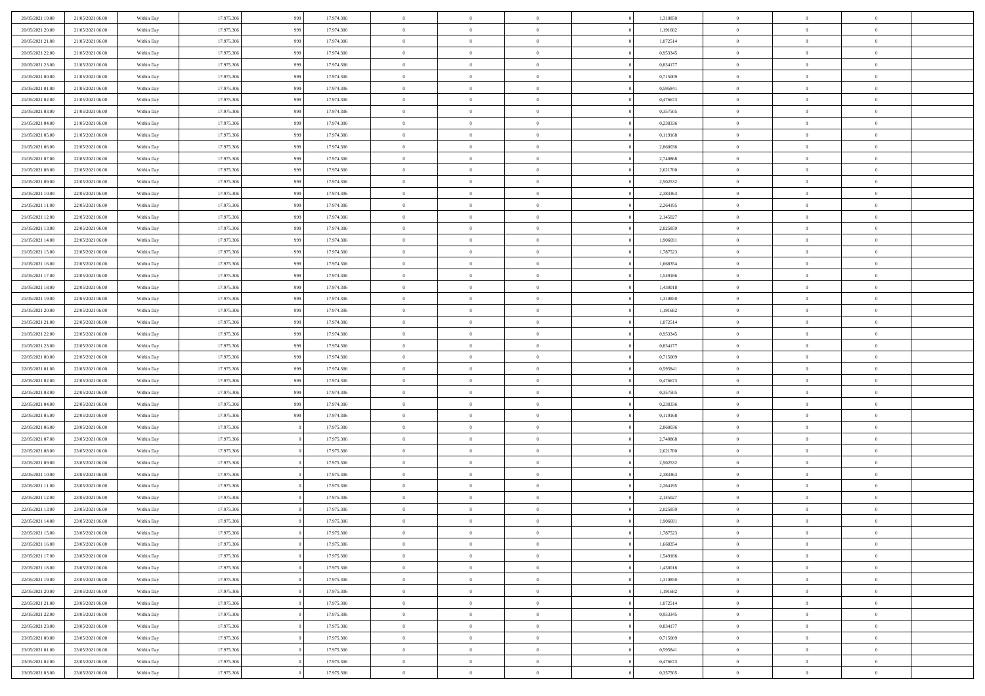| 20/05/2021 19:00 | 21/05/2021 06:00 | Within Day | 17.975.306 | 999 | 17.974.306 | $\,$ 0 $\,$    | $\overline{0}$ | $\overline{0}$ |          | 1,310850 | $\bf{0}$       | $\overline{0}$ | $\,0\,$        |  |
|------------------|------------------|------------|------------|-----|------------|----------------|----------------|----------------|----------|----------|----------------|----------------|----------------|--|
| 20/05/2021 20:00 | 21/05/2021 06:00 | Within Day | 17.975.306 | 999 | 17.974.306 | $\overline{0}$ | $\overline{0}$ | $\mathbf{0}$   |          | 1,191682 | $\theta$       | $\overline{0}$ | $\theta$       |  |
| 20/05/2021 21:00 | 21/05/2021 06:00 | Within Day | 17.975.306 | 999 | 17.974.306 | $\theta$       | $\overline{0}$ | $\overline{0}$ |          | 1,072514 | $\mathbf{0}$   | $\overline{0}$ | $\overline{0}$ |  |
| 20/05/2021 22:00 | 21/05/2021 06:00 | Within Day | 17.975.306 | 999 | 17.974.306 | $\,$ 0 $\,$    | $\overline{0}$ | $\overline{0}$ |          | 0,953345 | $\bf{0}$       | $\overline{0}$ | $\bf{0}$       |  |
| 20/05/2021 23:00 | 21/05/2021 06:00 | Within Day | 17.975.306 | 999 | 17.974.306 | $\bf{0}$       | $\overline{0}$ | $\mathbf{0}$   |          | 0,834177 | $\bf{0}$       | $\overline{0}$ | $\,0\,$        |  |
| 21/05/2021 00:00 | 21/05/2021 06:00 | Within Day | 17.975.306 | 999 | 17.974.306 | $\theta$       | $\overline{0}$ | $\mathbf{0}$   |          | 0,715009 | $\mathbf{0}$   | $\overline{0}$ | $\overline{0}$ |  |
| 21/05/2021 01:00 | 21/05/2021 06:00 | Within Day | 17.975.306 | 999 | 17.974.306 | $\,$ 0 $\,$    | $\overline{0}$ | $\overline{0}$ |          | 0,595841 | $\bf{0}$       | $\overline{0}$ | $\bf{0}$       |  |
|                  |                  |            |            |     |            | $\overline{0}$ |                |                |          |          |                | $\overline{0}$ |                |  |
| 21/05/2021 02:00 | 21/05/2021 06:00 | Within Day | 17.975.306 | 999 | 17.974.306 |                | $\overline{0}$ | $\mathbf{0}$   |          | 0,476673 | $\,$ 0 $\,$    |                | $\theta$       |  |
| 21/05/2021 03:00 | 21/05/2021 06:00 | Within Day | 17.975.306 | 999 | 17.974.306 | $\theta$       | $\overline{0}$ | $\mathbf{0}$   |          | 0,357505 | $\mathbf{0}$   | $\overline{0}$ | $\overline{0}$ |  |
| 21/05/2021 04:00 | 21/05/2021 06:00 | Within Day | 17.975.306 | 999 | 17.974.306 | $\,$ 0 $\,$    | $\overline{0}$ | $\Omega$       |          | 0,238336 | $\bf{0}$       | $\overline{0}$ | $\bf{0}$       |  |
| 21/05/2021 05:00 | 21/05/2021 06:00 | Within Day | 17.975.306 | 999 | 17.974.306 | $\bf{0}$       | $\overline{0}$ | $\mathbf{0}$   |          | 0,119168 | $\bf{0}$       | $\overline{0}$ | $\theta$       |  |
| 21/05/2021 06:00 | 22/05/2021 06:00 | Within Day | 17.975.306 | 999 | 17.974.306 | $\theta$       | $\overline{0}$ | $\overline{0}$ |          | 2,860036 | $\mathbf{0}$   | $\overline{0}$ | $\overline{0}$ |  |
| 21/05/2021 07:00 | 22/05/2021 06:00 | Within Day | 17.975.306 | 999 | 17.974.306 | $\,$ 0 $\,$    | $\overline{0}$ | $\overline{0}$ |          | 2,740868 | $\bf{0}$       | $\overline{0}$ | $\bf{0}$       |  |
| 21/05/2021 08:00 | 22/05/2021 06:00 | Within Day | 17.975.306 | 999 | 17.974.306 | $\bf{0}$       | $\overline{0}$ | $\mathbf{0}$   |          | 2,621700 | $\bf{0}$       | $\mathbf{0}$   | $\,0\,$        |  |
| 21/05/2021 09:00 | 22/05/2021 06:00 | Within Day | 17.975.306 | 999 | 17.974.306 | $\theta$       | $\overline{0}$ | $\mathbf{0}$   |          | 2,502532 | $\mathbf{0}$   | $\overline{0}$ | $\overline{0}$ |  |
| 21/05/2021 10:00 | 22/05/2021 06:00 | Within Day | 17.975.306 | 999 | 17.974.306 | $\,$ 0 $\,$    | $\overline{0}$ | $\Omega$       |          | 2,383363 | $\bf{0}$       | $\overline{0}$ | $\bf{0}$       |  |
| 21/05/2021 11:00 | 22/05/2021 06:00 | Within Day | 17.975.306 | 999 | 17.974.306 | $\,$ 0         | $\overline{0}$ | $\mathbf{0}$   |          | 2,264195 | $\bf{0}$       | $\overline{0}$ | $\theta$       |  |
| 21/05/2021 12:00 | 22/05/2021 06:00 | Within Day | 17.975.306 | 999 | 17.974.306 | $\theta$       | $\overline{0}$ | $\mathbf{0}$   |          | 2,145027 | $\mathbf{0}$   | $\overline{0}$ | $\overline{0}$ |  |
| 21/05/2021 13:00 | 22/05/2021 06:00 | Within Day | 17.975.306 | 999 | 17.974.306 | $\,$ 0 $\,$    | $\overline{0}$ | $\Omega$       |          | 2,025859 | $\bf{0}$       | $\overline{0}$ | $\bf{0}$       |  |
| 21/05/2021 14:00 | 22/05/2021 06:00 | Within Day | 17.975.306 | 999 | 17.974.306 | $\bf{0}$       | $\overline{0}$ | $\mathbf{0}$   |          | 1,906691 | $\bf{0}$       | $\mathbf{0}$   | $\overline{0}$ |  |
| 21/05/2021 15:00 | 22/05/2021 06:00 | Within Day | 17.975.306 | 999 | 17.974.306 | $\theta$       | $\overline{0}$ | $\mathbf{0}$   |          | 1,787523 | $\mathbf{0}$   | $\overline{0}$ | $\overline{0}$ |  |
| 21/05/2021 16:00 | 22/05/2021 06:00 | Within Day | 17.975.306 | 999 | 17.974.306 | $\,$ 0 $\,$    | $\overline{0}$ | $\overline{0}$ |          | 1,668354 | $\bf{0}$       | $\overline{0}$ | $\bf{0}$       |  |
| 21/05/2021 17:00 | 22/05/2021 06:00 | Within Day | 17.975.306 | 999 | 17.974.306 | $\bf{0}$       | $\overline{0}$ | $\mathbf{0}$   |          | 1,549186 | $\bf{0}$       | $\overline{0}$ | $\,0\,$        |  |
| 21/05/2021 18:00 | 22/05/2021 06:00 | Within Day | 17.975.306 | 999 | 17.974.306 | $\theta$       | $\overline{0}$ | $\mathbf{0}$   |          | 1,430018 | $\mathbf{0}$   | $\overline{0}$ | $\overline{0}$ |  |
| 21/05/2021 19:00 | 22/05/2021 06:00 | Within Day | 17.975.306 | 999 | 17.974.306 | $\,$ 0 $\,$    | $\overline{0}$ | $\overline{0}$ |          | 1,310850 | $\bf{0}$       | $\overline{0}$ | $\bf{0}$       |  |
| 21/05/2021 20:00 | 22/05/2021 06:00 | Within Day | 17.975.306 | 999 | 17.974.306 | $\,$ 0         | $\overline{0}$ | $\mathbf{0}$   |          | 1,191682 | $\bf{0}$       | $\overline{0}$ | $\overline{0}$ |  |
| 21/05/2021 21:00 | 22/05/2021 06:00 | Within Day | 17.975.306 | 999 | 17.974.306 | $\theta$       | $\overline{0}$ | $\mathbf{0}$   |          | 1,072514 | $\mathbf{0}$   | $\overline{0}$ | $\overline{0}$ |  |
| 21/05/2021 22:00 | 22/05/2021 06:00 | Within Day | 17.975.306 | 999 | 17.974.306 | $\,$ 0 $\,$    | $\overline{0}$ | $\Omega$       |          | 0,953345 | $\bf{0}$       | $\overline{0}$ | $\bf{0}$       |  |
| 21/05/2021 23:00 | 22/05/2021 06:00 | Within Day | 17.975.306 | 999 | 17.974.306 | $\bf{0}$       | $\overline{0}$ | $\mathbf{0}$   |          | 0,834177 | $\bf{0}$       | $\mathbf{0}$   | $\overline{0}$ |  |
| 22/05/2021 00:00 | 22/05/2021 06:00 | Within Day | 17.975.306 | 999 | 17.974.306 | $\theta$       | $\overline{0}$ | $\overline{0}$ |          | 0,715009 | $\mathbf{0}$   | $\overline{0}$ | $\overline{0}$ |  |
| 22/05/2021 01:00 | 22/05/2021 06:00 | Within Day | 17.975.306 | 999 | 17.974.306 | $\,$ 0 $\,$    | $\overline{0}$ | $\overline{0}$ |          | 0,595841 | $\,$ 0         | $\overline{0}$ | $\,$ 0 $\,$    |  |
| 22/05/2021 02:00 | 22/05/2021 06:00 | Within Day | 17.975.306 | 999 | 17.974.306 | $\bf{0}$       | $\overline{0}$ | $\mathbf{0}$   |          | 0,476673 | $\bf{0}$       | $\mathbf{0}$   | $\overline{0}$ |  |
| 22/05/2021 03:00 | 22/05/2021 06:00 | Within Day | 17.975.306 | 999 | 17.974.306 | $\theta$       | $\overline{0}$ | $\overline{0}$ |          | 0,357505 | $\mathbf{0}$   | $\overline{0}$ | $\overline{0}$ |  |
|                  |                  |            |            |     |            | $\theta$       | $\overline{0}$ | $\overline{0}$ |          |          | $\,$ 0         | $\overline{0}$ | $\theta$       |  |
| 22/05/2021 04:00 | 22/05/2021 06:00 | Within Day | 17.975.306 | 999 | 17.974.306 |                |                |                |          | 0,238336 |                | $\overline{0}$ | $\overline{0}$ |  |
| 22/05/2021 05:00 | 22/05/2021 06:00 | Within Day | 17.975.306 | 999 | 17.974.306 | $\bf{0}$       | $\overline{0}$ | $\mathbf{0}$   |          | 0,119168 | $\mathbf{0}$   |                |                |  |
| 22/05/2021 06:00 | 23/05/2021 06:00 | Within Day | 17.975.306 |     | 17.975.306 | $\theta$       | $\overline{0}$ | $\mathbf{0}$   |          | 2,860036 | $\mathbf{0}$   | $\overline{0}$ | $\overline{0}$ |  |
| 22/05/2021 07:00 | 23/05/2021 06:00 | Within Day | 17.975.306 |     | 17.975.306 | $\theta$       | $\overline{0}$ | $\overline{0}$ |          | 2,740868 | $\,$ 0         | $\overline{0}$ | $\theta$       |  |
| 22/05/2021 08:00 | 23/05/2021 06:00 | Within Day | 17.975.306 |     | 17.975.306 | $\bf{0}$       | $\overline{0}$ | $\mathbf{0}$   |          | 2,621700 | $\bf{0}$       | $\mathbf{0}$   | $\overline{0}$ |  |
| 22/05/2021 09:00 | 23/05/2021 06:00 | Within Day | 17.975.306 |     | 17.975.306 | $\theta$       | $\overline{0}$ | $\overline{0}$ |          | 2,502532 | $\mathbf{0}$   | $\overline{0}$ | $\overline{0}$ |  |
| 22/05/2021 10:00 | 23/05/2021 06:00 | Within Day | 17.975.306 |     | 17.975.306 | $\,$ 0 $\,$    | $\overline{0}$ | $\overline{0}$ |          | 2,383363 | $\,$ 0         | $\overline{0}$ | $\,$ 0 $\,$    |  |
| 22/05/2021 11:00 | 23/05/2021 06:00 | Within Day | 17.975.306 |     | 17.975.306 | $\bf{0}$       | $\,$ 0 $\,$    | $\mathbf{0}$   |          | 2,264195 | $\,$ 0 $\,$    | $\overline{0}$ | $\overline{0}$ |  |
| 22/05/2021 12:00 | 23/05/2021 06:00 | Within Day | 17.975.306 |     | 17.975.306 | $\theta$       | $\overline{0}$ | $\mathbf{0}$   |          | 2,145027 | $\mathbf{0}$   | $\overline{0}$ | $\overline{0}$ |  |
| 22/05/2021 13:00 | 23/05/2021 06:00 | Within Day | 17.975.306 |     | 17.975.306 | $\overline{0}$ | $\overline{0}$ | $\overline{0}$ |          | 2,025859 | $\,$ 0         | $\overline{0}$ | $\theta$       |  |
| 22/05/2021 14:00 | 23/05/2021 06:00 | Within Day | 17.975.306 |     | 17.975.306 | $\bf{0}$       | $\overline{0}$ | $\mathbf{0}$   |          | 1,906691 | $\mathbf{0}$   | $\overline{0}$ | $\overline{0}$ |  |
| 22/05/2021 15:00 | 23/05/2021 06:00 | Within Day | 17.975.306 |     | 17.975.306 | $\overline{0}$ | $\theta$       |                |          | 1,787523 | $\overline{0}$ | $\Omega$       | $\theta$       |  |
| 22/05/2021 16:00 | 23/05/2021 06:00 | Within Day | 17.975.306 |     | 17.975.306 | $\,$ 0 $\,$    | $\overline{0}$ | $\overline{0}$ |          | 1,668354 | $\,$ 0 $\,$    | $\bf{0}$       | $\,$ 0 $\,$    |  |
| 22/05/2021 17:00 | 23/05/2021 06:00 | Within Day | 17.975.306 |     | 17.975.306 | $\overline{0}$ | $\overline{0}$ | $\overline{0}$ |          | 1,549186 | $\,$ 0 $\,$    | $\overline{0}$ | $\overline{0}$ |  |
| 22/05/2021 18:00 | 23/05/2021 06:00 | Within Day | 17.975.306 |     | 17.975.306 | $\,$ 0 $\,$    | $\overline{0}$ | $\overline{0}$ |          | 1,430018 | $\,$ 0 $\,$    | $\bf{0}$       | $\mathbf{0}$   |  |
| 22/05/2021 19:00 | 23/05/2021 06:00 | Within Day | 17.975.306 |     | 17.975.306 | $\,0\,$        | $\overline{0}$ | $\overline{0}$ | $\theta$ | 1,310850 | $\,$ 0 $\,$    | $\bf{0}$       | $\,$ 0 $\,$    |  |
| 22/05/2021 20:00 | 23/05/2021 06:00 | Within Day | 17.975.306 |     | 17.975.306 | $\,$ 0 $\,$    | $\,$ 0 $\,$    | $\overline{0}$ |          | 1,191682 | $\,$ 0 $\,$    | $\overline{0}$ | $\overline{0}$ |  |
| 22/05/2021 21:00 | 23/05/2021 06:00 | Within Day | 17.975.306 |     | 17.975.306 | $\overline{0}$ | $\overline{0}$ | $\overline{0}$ |          | 1,072514 | $\mathbf{0}$   | $\bf{0}$       | $\overline{0}$ |  |
| 22/05/2021 22:00 | 23/05/2021 06:00 | Within Day | 17.975.306 |     | 17.975.306 | $\,$ 0 $\,$    | $\overline{0}$ | $\overline{0}$ |          | 0,953345 | $\,$ 0 $\,$    | $\bf{0}$       | $\,$ 0 $\,$    |  |
| 22/05/2021 23:00 | 23/05/2021 06:00 | Within Day | 17.975.306 |     | 17.975.306 | $\overline{0}$ | $\overline{0}$ | $\overline{0}$ |          | 0,834177 | $\mathbf{0}$   | $\overline{0}$ | $\overline{0}$ |  |
| 23/05/2021 00:00 | 23/05/2021 06:00 | Within Day | 17.975.306 |     | 17.975.306 | $\,$ 0 $\,$    | $\overline{0}$ | $\overline{0}$ |          | 0,715009 | $\,$ 0 $\,$    | $\bf{0}$       | $\overline{0}$ |  |
| 23/05/2021 01:00 | 23/05/2021 06:00 | Within Day | 17.975.306 |     | 17.975.306 | $\,0\,$        | $\overline{0}$ | $\overline{0}$ |          | 0,595841 | $\,$ 0 $\,$    | $\mathbf{0}$   | $\,$ 0 $\,$    |  |
| 23/05/2021 02:00 | 23/05/2021 06:00 | Within Day | 17.975.306 |     | 17.975.306 | $\,$ 0 $\,$    | $\,$ 0 $\,$    | $\overline{0}$ |          | 0,476673 | $\,$ 0 $\,$    | $\overline{0}$ | $\overline{0}$ |  |
| 23/05/2021 03:00 | 23/05/2021 06:00 | Within Day | 17.975.306 |     | 17.975.306 | $\theta$       | $\overline{0}$ | $\overline{0}$ |          | 0,357505 | $\mathbf{0}$   | $\overline{0}$ | $\overline{0}$ |  |
|                  |                  |            |            |     |            |                |                |                |          |          |                |                |                |  |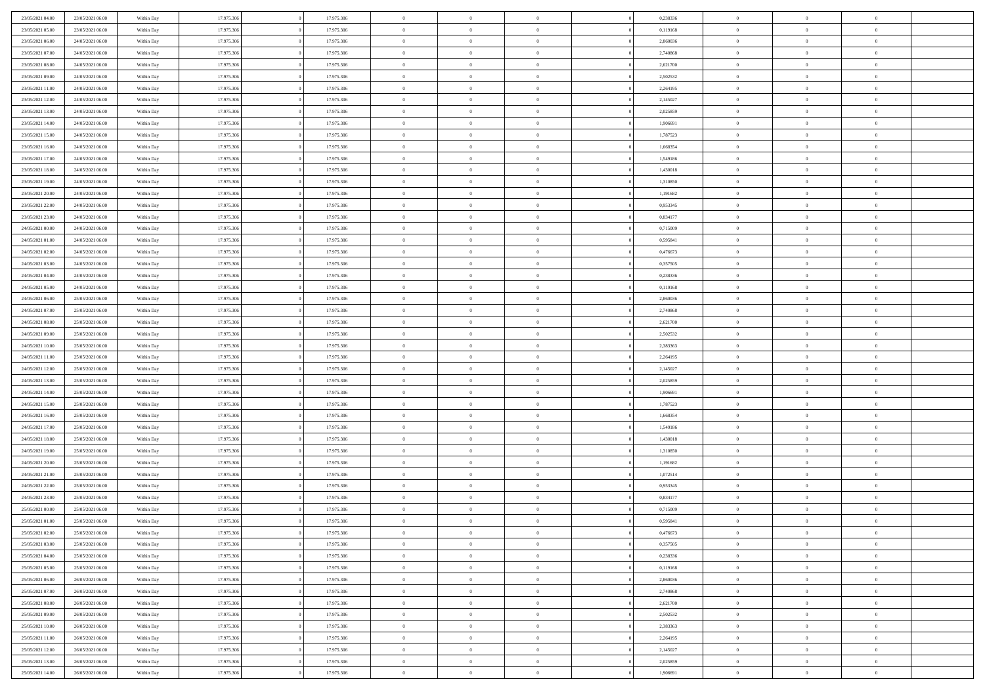| 23/05/2021 04:00                     | 23/05/2021 06:00                     | Within Day               | 17.975.306               | 17.975.306               | $\,$ 0 $\,$    | $\overline{0}$                    | $\overline{0}$ | 0,238336             | $\bf{0}$              | $\overline{0}$                   | $\,0\,$        |  |
|--------------------------------------|--------------------------------------|--------------------------|--------------------------|--------------------------|----------------|-----------------------------------|----------------|----------------------|-----------------------|----------------------------------|----------------|--|
| 23/05/2021 05:00                     | 23/05/2021 06:00                     | Within Day               | 17.975.306               | 17.975.306               | $\overline{0}$ | $\overline{0}$                    | $\mathbf{0}$   | 0,119168             | $\theta$              | $\overline{0}$                   | $\theta$       |  |
| 23/05/2021 06:00                     | 24/05/2021 06:00                     | Within Day               | 17.975.306               | 17.975.306               | $\theta$       | $\overline{0}$                    | $\overline{0}$ | 2,860036             | $\mathbf{0}$          | $\overline{0}$                   | $\overline{0}$ |  |
| 23/05/2021 07:00                     | 24/05/2021 06:00                     | Within Day               | 17.975.306               | 17.975.306               | $\,$ 0 $\,$    | $\overline{0}$                    | $\overline{0}$ | 2,740868             | $\bf{0}$              | $\overline{0}$                   | $\bf{0}$       |  |
| 23/05/2021 08:00                     | 24/05/2021 06:00                     | Within Day               | 17.975.306               | 17.975.306               | $\bf{0}$       | $\overline{0}$                    | $\mathbf{0}$   | 2,621700             | $\bf{0}$              | $\overline{0}$                   | $\,0\,$        |  |
| 23/05/2021 09:00                     | 24/05/2021 06:00                     | Within Day               | 17.975.306               | 17.975.306               | $\theta$       | $\overline{0}$                    | $\mathbf{0}$   | 2,502532             | $\mathbf{0}$          | $\overline{0}$                   | $\overline{0}$ |  |
| 23/05/2021 11:00                     | 24/05/2021 06:00                     | Within Day               | 17.975.306               | 17.975.306               | $\,$ 0 $\,$    | $\overline{0}$                    | $\overline{0}$ | 2,264195             | $\bf{0}$              | $\overline{0}$                   | $\bf{0}$       |  |
| 23/05/2021 12:00                     | 24/05/2021 06:00                     | Within Day               | 17.975.306               | 17.975.306               | $\overline{0}$ | $\overline{0}$                    | $\mathbf{0}$   | 2,145027             | $\,$ 0 $\,$           | $\overline{0}$                   | $\overline{0}$ |  |
| 23/05/2021 13:00                     | 24/05/2021 06:00                     | Within Day               | 17.975.306               | 17.975.306               | $\theta$       | $\overline{0}$                    | $\mathbf{0}$   | 2,025859             | $\mathbf{0}$          | $\overline{0}$                   | $\overline{0}$ |  |
|                                      | 24/05/2021 06:00                     |                          | 17.975.306               | 17.975.306               | $\,$ 0 $\,$    | $\overline{0}$                    | $\Omega$       | 1,906691             | $\bf{0}$              | $\overline{0}$                   | $\bf{0}$       |  |
| 23/05/2021 14:00                     |                                      | Within Day               |                          |                          |                |                                   |                |                      |                       | $\overline{0}$                   |                |  |
| 23/05/2021 15:00                     | 24/05/2021 06:00                     | Within Day               | 17.975.306               | 17.975.306               | $\bf{0}$       | $\overline{0}$                    | $\mathbf{0}$   | 1,787523             | $\bf{0}$              |                                  | $\theta$       |  |
| 23/05/2021 16:00                     | 24/05/2021 06:00                     | Within Day               | 17.975.306               | 17.975.306               | $\theta$       | $\overline{0}$                    | $\overline{0}$ | 1,668354             | $\mathbf{0}$          | $\overline{0}$                   | $\overline{0}$ |  |
| 23/05/2021 17:00                     | 24/05/2021 06:00                     | Within Day               | 17.975.306               | 17.975.306               | $\,$ 0 $\,$    | $\overline{0}$                    | $\overline{0}$ | 1,549186             | $\bf{0}$              | $\overline{0}$                   | $\overline{0}$ |  |
| 23/05/2021 18:00                     | 24/05/2021 06:00                     | Within Day               | 17.975.306               | 17.975.306               | $\bf{0}$       | $\overline{0}$                    | $\mathbf{0}$   | 1,430018             | $\bf{0}$              | $\mathbf{0}$                     | $\,0\,$        |  |
| 23/05/2021 19:00                     | 24/05/2021 06:00                     | Within Day               | 17.975.306               | 17.975.306               | $\theta$       | $\overline{0}$                    | $\overline{0}$ | 1,310850             | $\mathbf{0}$          | $\overline{0}$                   | $\overline{0}$ |  |
| 23/05/2021 20:00                     | 24/05/2021 06:00                     | Within Day               | 17.975.306               | 17.975.306               | $\,$ 0 $\,$    | $\overline{0}$                    | $\Omega$       | 1,191682             | $\bf{0}$              | $\overline{0}$                   | $\bf{0}$       |  |
| 23/05/2021 22:00                     | 24/05/2021 06:00                     | Within Day               | 17.975.306               | 17.975.306               | $\,$ 0         | $\overline{0}$                    | $\mathbf{0}$   | 0,953345             | $\,$ 0 $\,$           | $\overline{0}$                   | $\theta$       |  |
| 23/05/2021 23:00                     | 24/05/2021 06:00                     | Within Day               | 17.975.306               | 17.975.306               | $\theta$       | $\overline{0}$                    | $\mathbf{0}$   | 0,834177             | $\mathbf{0}$          | $\overline{0}$                   | $\overline{0}$ |  |
| 24/05/2021 00:00                     | 24/05/2021 06:00                     | Within Day               | 17.975.306               | 17.975.306               | $\,$ 0 $\,$    | $\overline{0}$                    | $\Omega$       | 0,715009             | $\bf{0}$              | $\overline{0}$                   | $\bf{0}$       |  |
| 24/05/2021 01:00                     | 24/05/2021 06:00                     | Within Day               | 17.975.306               | 17.975.306               | $\overline{0}$ | $\overline{0}$                    | $\mathbf{0}$   | 0,595841             | $\bf{0}$              | $\mathbf{0}$                     | $\overline{0}$ |  |
| 24/05/2021 02:00                     | 24/05/2021 06:00                     | Within Day               | 17.975.306               | 17.975.306               | $\theta$       | $\overline{0}$                    | $\overline{0}$ | 0,476673             | $\mathbf{0}$          | $\overline{0}$                   | $\overline{0}$ |  |
| 24/05/2021 03:00                     | 24/05/2021 06:00                     | Within Day               | 17.975.306               | 17.975.306               | $\,$ 0 $\,$    | $\overline{0}$                    | $\overline{0}$ | 0,357505             | $\bf{0}$              | $\overline{0}$                   | $\bf{0}$       |  |
| 24/05/2021 04:00                     | 24/05/2021 06:00                     | Within Day               | 17.975.306               | 17.975.306               | $\bf{0}$       | $\overline{0}$                    | $\mathbf{0}$   | 0,238336             | $\,$ 0 $\,$           | $\overline{0}$                   | $\,0\,$        |  |
| 24/05/2021 05:00                     | 24/05/2021 06:00                     | Within Day               | 17.975.306               | 17.975.306               | $\theta$       | $\overline{0}$                    | $\mathbf{0}$   | 0,119168             | $\mathbf{0}$          | $\overline{0}$                   | $\overline{0}$ |  |
| 24/05/2021 06:00                     | 25/05/2021 06:00                     | Within Day               | 17.975.306               | 17.975.306               | $\,$ 0 $\,$    | $\overline{0}$                    | $\overline{0}$ | 2,860036             | $\bf{0}$              | $\overline{0}$                   | $\bf{0}$       |  |
| 24/05/2021 07:00                     | 25/05/2021 06:00                     | Within Day               | 17.975.306               | 17.975.306               | $\,$ 0         | $\overline{0}$                    | $\mathbf{0}$   | 2,740868             | $\bf{0}$              | $\overline{0}$                   | $\overline{0}$ |  |
| 24/05/2021 08:00                     | 25/05/2021 06:00                     | Within Day               | 17.975.306               | 17.975.306               | $\theta$       | $\overline{0}$                    | $\mathbf{0}$   | 2,621700             | $\mathbf{0}$          | $\overline{0}$                   | $\overline{0}$ |  |
| 24/05/2021 09:00                     | 25/05/2021 06:00                     | Within Day               | 17.975.306               | 17.975.306               | $\,$ 0 $\,$    | $\overline{0}$                    | $\Omega$       | 2,502532             | $\bf{0}$              | $\overline{0}$                   | $\bf{0}$       |  |
| 24/05/2021 10:00                     | 25/05/2021 06:00                     | Within Day               | 17.975.306               | 17.975.306               | $\bf{0}$       | $\overline{0}$                    | $\mathbf{0}$   | 2,383363             | $\bf{0}$              | $\mathbf{0}$                     | $\overline{0}$ |  |
| 24/05/2021 11:00                     | 25/05/2021 06:00                     | Within Day               | 17.975.306               | 17.975.306               | $\theta$       | $\overline{0}$                    | $\overline{0}$ | 2,264195             | $\mathbf{0}$          | $\overline{0}$                   | $\overline{0}$ |  |
| 24/05/2021 12:00                     | 25/05/2021 06:00                     | Within Day               | 17.975.306               | 17.975.306               | $\theta$       | $\overline{0}$                    | $\overline{0}$ | 2,145027             | $\,$ 0                | $\overline{0}$                   | $\,$ 0 $\,$    |  |
| 24/05/2021 13:00                     | 25/05/2021 06:00                     | Within Day               | 17.975.306               | 17.975.306               | $\bf{0}$       | $\overline{0}$                    | $\mathbf{0}$   | 2,025859             | $\bf{0}$              | $\mathbf{0}$                     | $\bf{0}$       |  |
| 24/05/2021 14:00                     | 25/05/2021 06:00                     | Within Day               | 17.975.306               | 17.975.306               | $\theta$       | $\overline{0}$                    | $\overline{0}$ | 1,906691             | $\mathbf{0}$          | $\overline{0}$                   | $\overline{0}$ |  |
| 24/05/2021 15:00                     | 25/05/2021 06:00                     | Within Day               | 17.975.306               | 17.975.306               | $\theta$       | $\overline{0}$                    | $\overline{0}$ | 1,787523             | $\,$ 0                | $\overline{0}$                   | $\theta$       |  |
| 24/05/2021 16:00                     | 25/05/2021 06:00                     | Within Day               | 17.975.306               | 17.975.306               | $\bf{0}$       | $\overline{0}$                    | $\mathbf{0}$   | 1,668354             | $\overline{0}$        | $\overline{0}$                   | $\overline{0}$ |  |
| 24/05/2021 17:00                     | 25/05/2021 06:00                     | Within Day               | 17.975.306               | 17.975.306               | $\theta$       | $\overline{0}$                    | $\mathbf{0}$   | 1,549186             | $\mathbf{0}$          | $\overline{0}$                   | $\overline{0}$ |  |
| 24/05/2021 18:00                     | 25/05/2021 06:00                     | Within Day               | 17.975.306               | 17.975.306               | $\theta$       | $\overline{0}$                    | $\overline{0}$ | 1,430018             | $\,$ 0                | $\overline{0}$                   | $\theta$       |  |
| 24/05/2021 19:00                     | 25/05/2021 06:00                     | Within Day               | 17.975.306               | 17.975.306               | $\bf{0}$       | $\overline{0}$                    | $\mathbf{0}$   | 1,310850             | $\bf{0}$              | $\mathbf{0}$                     | $\overline{0}$ |  |
| 24/05/2021 20:00                     | 25/05/2021 06:00                     | Within Day               | 17.975.306               | 17.975.306               | $\theta$       | $\overline{0}$                    | $\overline{0}$ | 1,191682             | $\mathbf{0}$          | $\overline{0}$                   | $\overline{0}$ |  |
| 24/05/2021 21:00                     | 25/05/2021 06:00                     |                          | 17.975.306               | 17.975.306               | $\,$ 0 $\,$    | $\overline{0}$                    | $\overline{0}$ | 1,072514             | $\,$ 0                | $\overline{0}$                   | $\,$ 0 $\,$    |  |
| 24/05/2021 22:00                     | 25/05/2021 06:00                     | Within Day               | 17.975.306               | 17.975.306               | $\,$ 0         | $\,$ 0 $\,$                       | $\mathbf{0}$   | 0,953345             | $\,$ 0 $\,$           | $\overline{0}$                   | $\overline{0}$ |  |
| 24/05/2021 23:00                     | 25/05/2021 06:00                     | Within Day<br>Within Day | 17.975.306               | 17.975.306               | $\theta$       | $\overline{0}$                    | $\mathbf{0}$   | 0,834177             | $\mathbf{0}$          | $\overline{0}$                   | $\overline{0}$ |  |
|                                      |                                      |                          |                          |                          |                |                                   |                |                      |                       |                                  | $\theta$       |  |
| 25/05/2021 00:00<br>25/05/2021 01:00 | 25/05/2021 06:00                     | Within Day               | 17.975.306               | 17.975.306               | $\theta$       | $\overline{0}$                    | $\overline{0}$ | 0,715009             | $\,$ 0<br>$\,$ 0 $\,$ | $\overline{0}$<br>$\overline{0}$ |                |  |
| 25/05/2021 02:00                     | 25/05/2021 06:00<br>25/05/2021 06:00 | Within Day               | 17.975.306<br>17.975.306 | 17.975.306<br>17.975.306 | $\bf{0}$       | $\overline{0}$                    | $\mathbf{0}$   | 0,595841<br>0,476673 |                       |                                  | $\overline{0}$ |  |
|                                      |                                      | Within Day               |                          |                          | $\overline{0}$ | $\theta$                          |                |                      | $\overline{0}$        | $\theta$                         | $\theta$       |  |
| 25/05/2021 03:00                     | 25/05/2021 06:00                     | Within Day               | 17.975.306               | 17.975.306               | $\,$ 0 $\,$    | $\overline{0}$                    | $\overline{0}$ | 0,357505             | $\,$ 0 $\,$           | $\bf{0}$                         | $\,$ 0 $\,$    |  |
| 25/05/2021 04:00                     | 25/05/2021 06:00                     | Within Day               | 17.975.306               | 17.975.306               | $\overline{0}$ | $\hspace{0.1cm} 0 \hspace{0.1cm}$ | $\overline{0}$ | 0,238336             | $\,$ 0 $\,$           | $\overline{0}$                   | $\overline{0}$ |  |
| 25/05/2021 05:00                     | 25/05/2021 06:00                     | Within Day               | 17.975.306               | 17.975.306               | $\,$ 0 $\,$    | $\overline{0}$                    | $\overline{0}$ | 0,119168             | $\,$ 0 $\,$           | $\bf{0}$                         | $\mathbf{0}$   |  |
| 25/05/2021 06:00                     | 26/05/2021 06:00                     | Within Day               | 17.975.306               | 17.975.306               | $\,$ 0 $\,$    | $\overline{0}$                    | $\overline{0}$ | 2,860036             | $\,$ 0 $\,$           | $\bf{0}$                         | $\,$ 0 $\,$    |  |
| 25/05/2021 07:00                     | 26/05/2021 06:00                     | Within Day               | 17.975.306               | 17.975.306               | $\,$ 0 $\,$    | $\,$ 0 $\,$                       | $\overline{0}$ | 2,740868             | $\,$ 0 $\,$           | $\overline{0}$                   | $\overline{0}$ |  |
| 25/05/2021 08:00                     | 26/05/2021 06:00                     | Within Day               | 17.975.306               | 17.975.306               | $\mathbf{0}$   | $\overline{0}$                    | $\overline{0}$ | 2,621700             | $\mathbf{0}$          | $\bf{0}$                         | $\overline{0}$ |  |
| 25/05/2021 09:00                     | 26/05/2021 06:00                     | Within Day               | 17.975.306               | 17.975.306               | $\,$ 0 $\,$    | $\overline{0}$                    | $\overline{0}$ | 2,502532             | $\,$ 0 $\,$           | $\bf{0}$                         | $\,$ 0 $\,$    |  |
| 25/05/2021 10:00                     | 26/05/2021 06:00                     | Within Day               | 17.975.306               | 17.975.306               | $\bf{0}$       | $\overline{0}$                    | $\overline{0}$ | 2,383363             | $\,$ 0 $\,$           | $\overline{0}$                   | $\overline{0}$ |  |
| 25/05/2021 11:00                     | 26/05/2021 06:00                     | Within Day               | 17.975.306               | 17.975.306               | $\,$ 0 $\,$    | $\overline{0}$                    | $\overline{0}$ | 2,264195             | $\,$ 0 $\,$           | $\bf{0}$                         | $\overline{0}$ |  |
| 25/05/2021 12:00                     | 26/05/2021 06:00                     | Within Day               | 17.975.306               | 17.975.306               | $\,$ 0 $\,$    | $\overline{0}$                    | $\overline{0}$ | 2,145027             | $\,$ 0 $\,$           | $\bf{0}$                         | $\,$ 0 $\,$    |  |
| 25/05/2021 13:00                     | 26/05/2021 06:00                     | Within Day               | 17.975.306               | 17.975.306               | $\,$ 0 $\,$    | $\,$ 0 $\,$                       | $\overline{0}$ | 2,025859             | $\,$ 0 $\,$           | $\overline{0}$                   | $\overline{0}$ |  |
| 25/05/2021 14:00                     | 26/05/2021 06:00                     | Within Day               | 17.975.306               | 17.975.306               | $\theta$       | $\overline{0}$                    | $\overline{0}$ | 1,906691             | $\mathbf{0}$          | $\mathbf{0}$                     | $\overline{0}$ |  |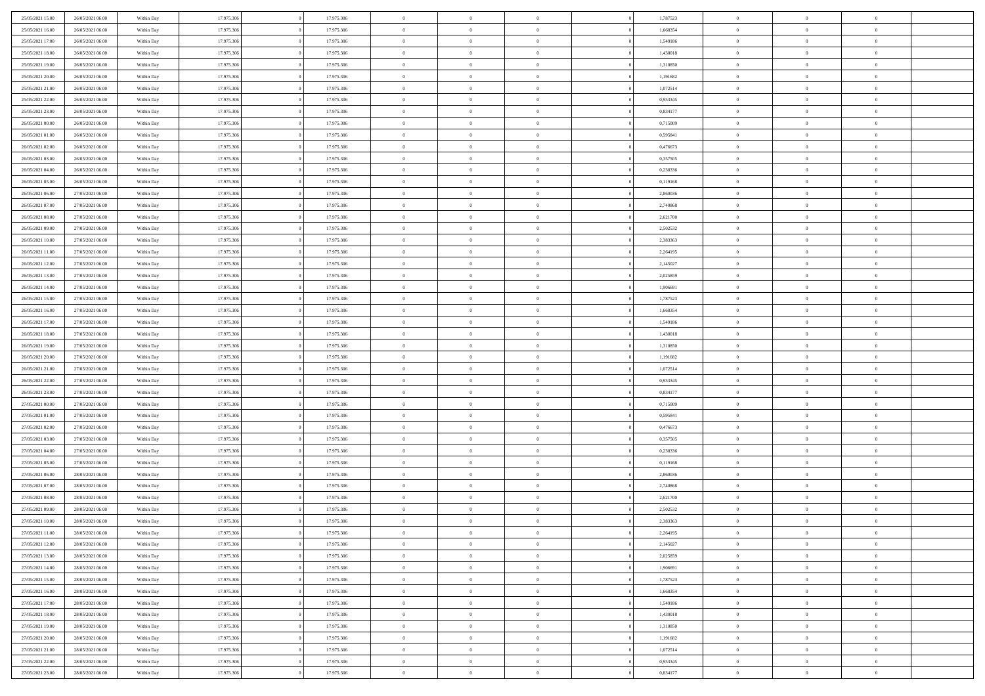| 25/05/2021 15:00 | 26/05/2021 06:00 | Within Day | 17.975.306 | 17.975.306 | $\,0\,$                | $\overline{0}$ | $\bf{0}$       |                | 1,787523 | $\,$ 0 $\,$    | $\overline{0}$ | $\bf{0}$       |  |
|------------------|------------------|------------|------------|------------|------------------------|----------------|----------------|----------------|----------|----------------|----------------|----------------|--|
| 25/05/2021 16:00 | 26/05/2021 06:00 | Within Day | 17.975.306 | 17.975.306 | $\overline{0}$         | $\mathbf{0}$   | $\overline{0}$ |                | 1,668354 | $\theta$       | $\overline{0}$ | $\theta$       |  |
| 25/05/2021 17:00 | 26/05/2021 06:00 | Within Day | 17.975.306 | 17.975.306 | $\mathbf{0}$           | $\overline{0}$ | $\overline{0}$ |                | 1,549186 | $\theta$       | $\overline{0}$ | $\overline{0}$ |  |
| 25/05/2021 18:00 | 26/05/2021 06:00 | Within Day | 17.975.306 | 17.975.306 | $\bf{0}$               | $\overline{0}$ | $\bf{0}$       |                | 1,430018 | $\bf{0}$       | $\overline{0}$ | $\bf{0}$       |  |
| 25/05/2021 19:00 | 26/05/2021 06:00 | Within Day | 17.975.306 | 17.975.306 | $\bf{0}$               | $\overline{0}$ | $\overline{0}$ |                | 1,310850 | $\,$ 0 $\,$    | $\overline{0}$ | $\bf{0}$       |  |
| 25/05/2021 20:00 | 26/05/2021 06:00 | Within Day | 17.975.306 | 17.975.306 | $\mathbf{0}$           | $\overline{0}$ | $\overline{0}$ |                | 1,191682 | $\theta$       | $\overline{0}$ | $\theta$       |  |
| 25/05/2021 21:00 | 26/05/2021 06:00 |            | 17.975.306 |            | $\mathbf{0}$           | $\overline{0}$ | $\overline{0}$ |                | 1,072514 | $\bf{0}$       | $\overline{0}$ | $\theta$       |  |
|                  |                  | Within Day |            | 17.975.306 |                        |                |                |                |          |                |                |                |  |
| 25/05/2021 22:00 | 26/05/2021 06:00 | Within Day | 17.975.306 | 17.975.306 | $\overline{0}$         | $\mathbf{0}$   | $\overline{0}$ |                | 0,953345 | $\,$ 0 $\,$    | $\overline{0}$ | $\overline{0}$ |  |
| 25/05/2021 23:00 | 26/05/2021 06:00 | Within Day | 17.975.306 | 17.975.306 | $\mathbf{0}$           | $\overline{0}$ | $\overline{0}$ |                | 0,834177 | $\theta$       | $\overline{0}$ | $\overline{0}$ |  |
| 26/05/2021 00:00 | 26/05/2021 06:00 | Within Day | 17.975.306 | 17.975.306 | $\bf{0}$               | $\overline{0}$ | $\overline{0}$ |                | 0,715009 | $\bf{0}$       | $\overline{0}$ | $\bf{0}$       |  |
| 26/05/2021 01:00 | 26/05/2021 06:00 | Within Day | 17.975.306 | 17.975.306 | $\bf{0}$               | $\overline{0}$ | $\overline{0}$ |                | 0,595841 | $\,$ 0         | $\mathbf{0}$   | $\theta$       |  |
| 26/05/2021 02:00 | 26/05/2021 06:00 | Within Day | 17.975.306 | 17.975.306 | $\mathbf{0}$           | $\overline{0}$ | $\overline{0}$ |                | 0,476673 | $\theta$       | $\overline{0}$ | $\theta$       |  |
| 26/05/2021 03:00 | 26/05/2021 06:00 | Within Day | 17.975.306 | 17.975.306 | $\,0\,$                | $\overline{0}$ | $\overline{0}$ |                | 0,357505 | $\bf{0}$       | $\overline{0}$ | $\bf{0}$       |  |
| 26/05/2021 04:00 | 26/05/2021 06:00 | Within Day | 17.975.306 | 17.975.306 | $\bf{0}$               | $\mathbf{0}$   | $\overline{0}$ |                | 0,238336 | $\,$ 0 $\,$    | $\overline{0}$ | $\overline{0}$ |  |
| 26/05/2021 05:00 | 26/05/2021 06:00 | Within Day | 17.975.306 | 17.975.306 | $\mathbf{0}$           | $\overline{0}$ | $\overline{0}$ |                | 0,119168 | $\theta$       | $\bf{0}$       | $\overline{0}$ |  |
| 26/05/2021 06:00 | 27/05/2021 06:00 | Within Day | 17.975.306 | 17.975.306 | $\mathbf{0}$           | $\overline{0}$ | $\overline{0}$ |                | 2,860036 | $\bf{0}$       | $\overline{0}$ | $\bf{0}$       |  |
| 26/05/2021 07:00 | 27/05/2021 06:00 | Within Day | 17.975.306 | 17.975.306 | $\bf{0}$               | $\overline{0}$ | $\overline{0}$ |                | 2,740868 | $\,$ 0 $\,$    | $\mathbf{0}$   | $\overline{0}$ |  |
| 26/05/2021 08:00 | 27/05/2021 06:00 | Within Day | 17.975.306 | 17.975.306 | $\mathbf{0}$           | $\overline{0}$ | $\overline{0}$ |                | 2,621700 | $\theta$       | $\overline{0}$ | $\theta$       |  |
| 26/05/2021 09:00 | 27/05/2021 06:00 | Within Day | 17.975.306 | 17.975.306 | $\bf{0}$               | $\overline{0}$ | $\bf{0}$       |                | 2,502532 | $\bf{0}$       | $\overline{0}$ | $\bf{0}$       |  |
| 26/05/2021 10:00 | 27/05/2021 06:00 | Within Day | 17.975.306 | 17.975.306 | $\bf{0}$               | $\overline{0}$ | $\overline{0}$ |                | 2,383363 | $\,$ 0         | $\mathbf{0}$   | $\bf{0}$       |  |
| 26/05/2021 11:00 | 27/05/2021 06:00 | Within Day | 17.975.306 | 17.975.306 | $\overline{0}$         | $\overline{0}$ | $\overline{0}$ |                | 2,264195 | $\theta$       | $\bf{0}$       | $\overline{0}$ |  |
| 26/05/2021 12:00 | 27/05/2021 06:00 | Within Day | 17.975.306 | 17.975.306 | $\mathbf{0}$           | $\theta$       | $\overline{0}$ |                | 2,145027 | $\bf{0}$       | $\theta$       | $\theta$       |  |
| 26/05/2021 13:00 | 27/05/2021 06:00 | Within Day | 17.975.306 | 17.975.306 | $\overline{0}$         | $\mathbf{0}$   | $\overline{0}$ |                | 2,025859 | $\,$ 0 $\,$    | $\overline{0}$ | $\overline{0}$ |  |
| 26/05/2021 14:00 | 27/05/2021 06:00 | Within Day | 17.975.306 | 17.975.306 | $\mathbf{0}$           | $\overline{0}$ | $\overline{0}$ |                | 1,906691 | $\theta$       | $\overline{0}$ | $\overline{0}$ |  |
| 26/05/2021 15:00 | 27/05/2021 06:00 | Within Day | 17.975.306 | 17.975.306 | $\bf{0}$               | $\overline{0}$ | $\overline{0}$ |                | 1,787523 | $\bf{0}$       | $\overline{0}$ | $\bf{0}$       |  |
| 26/05/2021 16:00 | 27/05/2021 06:00 | Within Day | 17.975.306 | 17.975.306 | $\bf{0}$               | $\overline{0}$ | $\overline{0}$ |                | 1,668354 | $\,$ 0         | $\mathbf{0}$   | $\bf{0}$       |  |
| 26/05/2021 17:00 | 27/05/2021 06:00 | Within Day | 17.975.306 | 17.975.306 | $\mathbf{0}$           | $\overline{0}$ | $\overline{0}$ |                | 1,549186 | $\theta$       | $\overline{0}$ | $\overline{0}$ |  |
| 26/05/2021 18:00 | 27/05/2021 06:00 | Within Day | 17.975.306 | 17.975.306 | $\,0\,$                | $\overline{0}$ | $\bf{0}$       |                | 1,430018 | $\bf{0}$       | $\overline{0}$ | $\bf{0}$       |  |
|                  |                  |            | 17.975.306 |            | $\bf{0}$               | $\overline{0}$ |                |                |          | $\,$ 0 $\,$    | $\overline{0}$ | $\overline{0}$ |  |
| 26/05/2021 19:00 | 27/05/2021 06:00 | Within Day |            | 17.975.306 |                        |                | $\overline{0}$ |                | 1,310850 |                |                |                |  |
| 26/05/2021 20:00 | 27/05/2021 06:00 | Within Day | 17.975.306 | 17.975.306 | $\mathbf{0}$           | $\overline{0}$ | $\overline{0}$ |                | 1,191682 | $\theta$       | $\overline{0}$ | $\overline{0}$ |  |
| 26/05/2021 21:00 | 27/05/2021 06:00 | Within Day | 17.975.306 | 17.975.306 | $\mathbf{0}$           | $\overline{0}$ | $\overline{0}$ |                | 1,072514 | $\,$ 0 $\,$    | $\overline{0}$ | $\theta$       |  |
| 26/05/2021 22:00 | 27/05/2021 06:00 | Within Day | 17.975.306 | 17.975.306 | $\bf{0}$               | $\overline{0}$ | $\overline{0}$ |                | 0,953345 | $\bf{0}$       | $\mathbf{0}$   | $\bf{0}$       |  |
| 26/05/2021 23:00 | 27/05/2021 06:00 | Within Day | 17.975.306 | 17.975.306 | $\mathbf{0}$           | $\overline{0}$ | $\overline{0}$ |                | 0,834177 | $\theta$       | $\overline{0}$ | $\overline{0}$ |  |
| 27/05/2021 00:00 | 27/05/2021 06:00 | Within Day | 17.975.306 | 17.975.306 | $\mathbf{0}$           | $\overline{0}$ | $\overline{0}$ |                | 0,715009 | $\,$ 0 $\,$    | $\overline{0}$ | $\theta$       |  |
| 27/05/2021 01:00 | 27/05/2021 06:00 | Within Day | 17.975.306 | 17.975.306 | $\bf{0}$               | $\overline{0}$ | $\overline{0}$ |                | 0,595841 | $\,$ 0 $\,$    | $\overline{0}$ | $\bf{0}$       |  |
| 27/05/2021 02:00 | 27/05/2021 06:00 | Within Day | 17.975.306 | 17.975.306 | $\mathbf{0}$           | $\overline{0}$ | $\overline{0}$ |                | 0,476673 | $\theta$       | $\overline{0}$ | $\overline{0}$ |  |
| 27/05/2021 03:00 | 27/05/2021 06:00 | Within Day | 17.975.306 | 17.975.306 | $\mathbf{0}$           | $\overline{0}$ | $\theta$       |                | 0,357505 | $\,$ 0 $\,$    | $\overline{0}$ | $\theta$       |  |
| 27/05/2021 04:00 | 27/05/2021 06:00 | Within Day | 17.975.306 | 17.975.306 | $\overline{0}$         | $\mathbf{0}$   | $\overline{0}$ |                | 0,238336 | $\,$ 0 $\,$    | $\mathbf{0}$   | $\overline{0}$ |  |
| 27/05/2021 05:00 | 27/05/2021 06:00 | Within Day | 17.975.306 | 17.975.306 | $\mathbf{0}$           | $\overline{0}$ | $\overline{0}$ |                | 0,119168 | $\theta$       | $\overline{0}$ | $\overline{0}$ |  |
| 27/05/2021 06:00 | 28/05/2021 06:00 | Within Day | 17.975.306 | 17.975.306 | $\mathbf{0}$           | $\overline{0}$ | $\bf{0}$       |                | 2,860036 | $\,$ 0 $\,$    | $\overline{0}$ | $\,$ 0 $\,$    |  |
| 27/05/2021 07:00 | 28/05/2021 06:00 | Within Day | 17.975.306 | 17.975.306 | $\bf{0}$               | $\overline{0}$ | $\overline{0}$ |                | 2,740868 | $\bf{0}$       | $\overline{0}$ | $\bf{0}$       |  |
| 27/05/2021 08:00 | 28/05/2021 06:00 | Within Day | 17.975.306 | 17.975.306 | $\mathbf{0}$           | $\overline{0}$ | $\overline{0}$ |                | 2,621700 | $\theta$       | $\overline{0}$ | $\overline{0}$ |  |
| 27/05/2021 09:00 | 28/05/2021 06:00 | Within Day | 17.975.306 | 17.975.306 | $\mathbf{0}$           | $\overline{0}$ | $\overline{0}$ |                | 2,502532 | $\,$ 0 $\,$    | $\overline{0}$ | $\theta$       |  |
| 27/05/2021 10:00 | 28/05/2021 06:00 | Within Day | 17.975.306 | 17.975.306 | $\bf{0}$               | $\overline{0}$ | $\overline{0}$ |                | 2,383363 | $\,$ 0 $\,$    | $\overline{0}$ | $\bf{0}$       |  |
| 27/05/2021 11:00 | 28/05/2021 06:00 | Within Day | 17.975.306 | 17.975.306 | $\mathbf{0}$           | $\overline{0}$ | $\overline{0}$ |                | 2,264195 | $\overline{0}$ | $^{\circ}$     | $\theta$       |  |
| 27/05/2021 12:00 | 28/05/2021 06:00 | Within Day | 17.975.306 | 17.975.306 | $\,$ 0                 | $\overline{0}$ | $\bf{0}$       |                | 2,145027 | $\,$ 0 $\,$    | $\overline{0}$ | $\theta$       |  |
| 27/05/2021 13:00 | 28/05/2021 06:00 | Within Day | 17.975.306 | 17.975.306 | $\bf{0}$               | $\overline{0}$ | $\overline{0}$ |                | 2,025859 | $\mathbf{0}$   | $\overline{0}$ | $\overline{0}$ |  |
| 27/05/2021 14:00 | 28/05/2021 06:00 | Within Day | 17.975.306 | 17.975.306 | $\mathbf{0}$           | $\overline{0}$ | $\overline{0}$ |                | 1,906691 | $\mathbf{0}$   | $\overline{0}$ | $\overline{0}$ |  |
| 27/05/2021 15:00 | 28/05/2021 06:00 | Within Day | 17.975.306 | 17.975.306 | $\,$ 0                 | $\overline{0}$ | $\overline{0}$ | $\overline{0}$ | 1,787523 | $\,$ 0 $\,$    | $\overline{0}$ | $\,$ 0 $\,$    |  |
| 27/05/2021 16:00 | 28/05/2021 06:00 | Within Day | 17.975.306 | 17.975.306 | $\hspace{0.1mm}\bm{0}$ | $\overline{0}$ | $\overline{0}$ |                | 1,668354 | $\,$ 0 $\,$    | $\overline{0}$ | $\overline{0}$ |  |
| 27/05/2021 17:00 | 28/05/2021 06:00 | Within Day | 17.975.306 | 17.975.306 | $\mathbf{0}$           | $\overline{0}$ | $\overline{0}$ |                | 1,549186 | $\overline{0}$ | $\overline{0}$ | $\overline{0}$ |  |
| 27/05/2021 18:00 | 28/05/2021 06:00 | Within Day | 17.975.306 | 17.975.306 | $\,$ 0 $\,$            | $\overline{0}$ | $\overline{0}$ |                | 1,430018 | $\,$ 0 $\,$    | $\overline{0}$ | $\,$ 0 $\,$    |  |
| 27/05/2021 19:00 | 28/05/2021 06:00 | Within Day | 17.975.306 | 17.975.306 | $\overline{0}$         | $\overline{0}$ | $\overline{0}$ |                | 1,310850 | $\overline{0}$ | $\overline{0}$ | $\overline{0}$ |  |
| 27/05/2021 20:00 | 28/05/2021 06:00 | Within Day | 17.975.306 | 17.975.306 | $\mathbf{0}$           | $\overline{0}$ | $\overline{0}$ |                | 1,191682 | $\mathbf{0}$   | $\overline{0}$ | $\overline{0}$ |  |
| 27/05/2021 21:00 | 28/05/2021 06:00 | Within Day | 17.975.306 | 17.975.306 | $\,$ 0 $\,$            | $\overline{0}$ | $\overline{0}$ | $\overline{0}$ | 1,072514 | $\,$ 0 $\,$    | $\overline{0}$ | $\,$ 0 $\,$    |  |
| 27/05/2021 22:00 | 28/05/2021 06:00 | Within Day | 17.975.306 | 17.975.306 | $\bf{0}$               | $\overline{0}$ | $\overline{0}$ |                | 0,953345 | $\,$ 0 $\,$    | $\overline{0}$ | $\bf{0}$       |  |
| 27/05/2021 23:00 | 28/05/2021 06:00 | Within Day | 17.975.306 | 17.975.306 | $\mathbf{0}$           | $\overline{0}$ | $\overline{0}$ |                | 0,834177 | $\mathbf{0}$   | $\overline{0}$ | $\overline{0}$ |  |
|                  |                  |            |            |            |                        |                |                |                |          |                |                |                |  |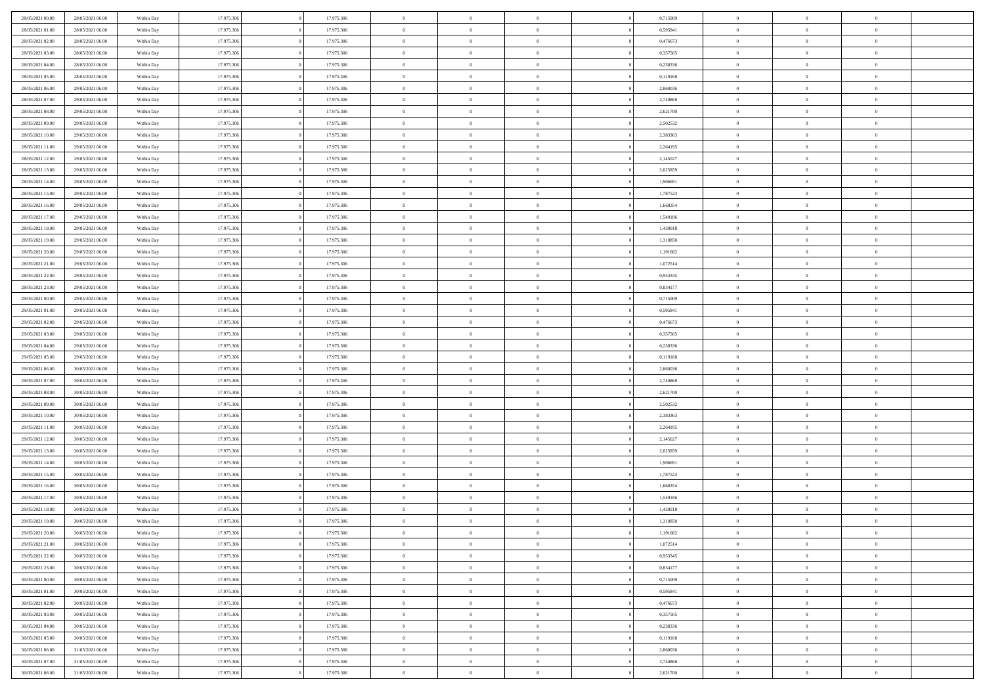| 28/05/2021 00:00 | 28/05/2021 06:00 | Within Day               | 17.975.306 | 17.975.306 | $\,0\,$                | $\overline{0}$ | $\overline{0}$ |                | 0,715009 | $\,$ 0 $\,$    | $\overline{0}$ | $\,$ 0 $\,$    |  |
|------------------|------------------|--------------------------|------------|------------|------------------------|----------------|----------------|----------------|----------|----------------|----------------|----------------|--|
| 28/05/2021 01:00 | 28/05/2021 06:00 | Within Day               | 17.975.306 | 17.975.306 | $\overline{0}$         | $\mathbf{0}$   | $\overline{0}$ |                | 0,595841 | $\theta$       | $\overline{0}$ | $\theta$       |  |
| 28/05/2021 02:00 | 28/05/2021 06:00 | Within Day               | 17.975.306 | 17.975.306 | $\mathbf{0}$           | $\overline{0}$ | $\overline{0}$ |                | 0,476673 | $\theta$       | $\overline{0}$ | $\overline{0}$ |  |
| 28/05/2021 03:00 | 28/05/2021 06:00 | Within Day               | 17.975.306 | 17.975.306 | $\bf{0}$               | $\overline{0}$ | $\bf{0}$       |                | 0,357505 | $\bf{0}$       | $\overline{0}$ | $\bf{0}$       |  |
| 28/05/2021 04:00 | 28/05/2021 06:00 |                          | 17.975.306 | 17.975.306 | $\bf{0}$               | $\overline{0}$ | $\overline{0}$ |                | 0,238336 | $\,$ 0 $\,$    | $\overline{0}$ | $\bf{0}$       |  |
| 28/05/2021 05:00 | 28/05/2021 06:00 | Within Day<br>Within Day | 17.975.306 | 17.975.306 | $\mathbf{0}$           | $\overline{0}$ | $\overline{0}$ |                | 0,119168 | $\theta$       |                | $\theta$       |  |
|                  |                  |                          |            |            |                        |                |                |                |          |                | $\overline{0}$ |                |  |
| 28/05/2021 06:00 | 29/05/2021 06:00 | Within Day               | 17.975.306 | 17.975.306 | $\mathbf{0}$           | $\overline{0}$ | $\overline{0}$ |                | 2,860036 | $\bf{0}$       | $\overline{0}$ | $\theta$       |  |
| 28/05/2021 07:00 | 29/05/2021 06:00 | Within Day               | 17.975.306 | 17.975.306 | $\overline{0}$         | $\mathbf{0}$   | $\overline{0}$ |                | 2,740868 | $\,$ 0 $\,$    | $\overline{0}$ | $\overline{0}$ |  |
| 28/05/2021 08:00 | 29/05/2021 06:00 | Within Day               | 17.975.306 | 17.975.306 | $\mathbf{0}$           | $\overline{0}$ | $\overline{0}$ |                | 2,621700 | $\theta$       | $\overline{0}$ | $\overline{0}$ |  |
| 28/05/2021 09:00 | 29/05/2021 06:00 | Within Day               | 17.975.306 | 17.975.306 | $\bf{0}$               | $\overline{0}$ | $\overline{0}$ |                | 2,502532 | $\bf{0}$       | $\overline{0}$ | $\bf{0}$       |  |
| 28/05/2021 10:00 | 29/05/2021 06:00 | Within Day               | 17.975.306 | 17.975.306 | $\bf{0}$               | $\overline{0}$ | $\overline{0}$ |                | 2,383363 | $\,$ 0         | $\mathbf{0}$   | $\theta$       |  |
| 28/05/2021 11:00 | 29/05/2021 06:00 | Within Day               | 17.975.306 | 17.975.306 | $\mathbf{0}$           | $\overline{0}$ | $\overline{0}$ |                | 2,264195 | $\theta$       | $\overline{0}$ | $\theta$       |  |
| 28/05/2021 12:00 | 29/05/2021 06:00 | Within Day               | 17.975.306 | 17.975.306 | $\,0\,$                | $\overline{0}$ | $\overline{0}$ |                | 2,145027 | $\bf{0}$       | $\overline{0}$ | $\bf{0}$       |  |
| 28/05/2021 13:00 | 29/05/2021 06:00 | Within Day               | 17.975.306 | 17.975.306 | $\overline{0}$         | $\mathbf{0}$   | $\overline{0}$ |                | 2,025859 | $\,$ 0 $\,$    | $\overline{0}$ | $\overline{0}$ |  |
| 28/05/2021 14:00 | 29/05/2021 06:00 | Within Day               | 17.975.306 | 17.975.306 | $\mathbf{0}$           | $\overline{0}$ | $\overline{0}$ |                | 1,906691 | $\theta$       | $\overline{0}$ | $\overline{0}$ |  |
| 28/05/2021 15:00 | 29/05/2021 06:00 | Within Day               | 17.975.306 | 17.975.306 | $\mathbf{0}$           | $\overline{0}$ | $\overline{0}$ |                | 1,787523 | $\bf{0}$       | $\overline{0}$ | $\bf{0}$       |  |
| 28/05/2021 16:00 | 29/05/2021 06:00 | Within Day               | 17.975.306 | 17.975.306 | $\bf{0}$               | $\overline{0}$ | $\overline{0}$ |                | 1,668354 | $\bf{0}$       | $\mathbf{0}$   | $\overline{0}$ |  |
| 28/05/2021 17:00 | 29/05/2021 06:00 | Within Day               | 17.975.306 | 17.975.306 | $\mathbf{0}$           | $\overline{0}$ | $\overline{0}$ |                | 1,549186 | $\theta$       | $\overline{0}$ | $\theta$       |  |
| 28/05/2021 18:00 | 29/05/2021 06:00 | Within Day               | 17.975.306 | 17.975.306 | $\bf{0}$               | $\overline{0}$ | $\bf{0}$       |                | 1,430018 | $\bf{0}$       | $\overline{0}$ | $\bf{0}$       |  |
| 28/05/2021 19:00 | 29/05/2021 06:00 | Within Day               | 17.975.306 | 17.975.306 | $\bf{0}$               | $\overline{0}$ | $\overline{0}$ |                | 1,310850 | $\,$ 0         | $\overline{0}$ | $\bf{0}$       |  |
| 28/05/2021 20:00 | 29/05/2021 06:00 | Within Day               | 17.975.306 | 17.975.306 | $\mathbf{0}$           | $\overline{0}$ | $\overline{0}$ |                | 1,191682 | $\theta$       | $\overline{0}$ | $\overline{0}$ |  |
| 28/05/2021 21:00 | 29/05/2021 06:00 | Within Day               | 17.975.306 | 17.975.306 | $\mathbf{0}$           | $\theta$       | $\overline{0}$ |                | 1,072514 | $\bf{0}$       | $\overline{0}$ | $\theta$       |  |
| 28/05/2021 22:00 | 29/05/2021 06:00 | Within Day               | 17.975.306 | 17.975.306 | $\overline{0}$         | $\mathbf{0}$   | $\overline{0}$ |                | 0,953345 | $\,$ 0 $\,$    | $\overline{0}$ | $\overline{0}$ |  |
| 28/05/2021 23:00 | 29/05/2021 06:00 | Within Day               | 17.975.306 | 17.975.306 | $\mathbf{0}$           | $\overline{0}$ | $\overline{0}$ |                | 0,834177 | $\theta$       | $\overline{0}$ | $\overline{0}$ |  |
| 29/05/2021 00:00 | 29/05/2021 06:00 | Within Day               | 17.975.306 | 17.975.306 | $\bf{0}$               | $\overline{0}$ | $\overline{0}$ |                | 0,715009 | $\bf{0}$       | $\overline{0}$ | $\bf{0}$       |  |
| 29/05/2021 01:00 | 29/05/2021 06:00 | Within Day               | 17.975.306 | 17.975.306 | $\bf{0}$               | $\overline{0}$ | $\overline{0}$ |                | 0,595841 | $\,$ 0         | $\mathbf{0}$   | $\bf{0}$       |  |
| 29/05/2021 02:00 | 29/05/2021 06:00 | Within Day               | 17.975.306 | 17.975.306 | $\mathbf{0}$           | $\overline{0}$ | $\overline{0}$ |                | 0,476673 | $\theta$       | $\overline{0}$ | $\overline{0}$ |  |
| 29/05/2021 03:00 | 29/05/2021 06:00 | Within Day               | 17.975.306 | 17.975.306 | $\,0\,$                | $\overline{0}$ | $\bf{0}$       |                | 0,357505 | $\bf{0}$       | $\overline{0}$ | $\bf{0}$       |  |
| 29/05/2021 04:00 | 29/05/2021 06:00 | Within Day               | 17.975.306 | 17.975.306 | $\bf{0}$               | $\overline{0}$ | $\overline{0}$ |                | 0,238336 | $\,$ 0 $\,$    | $\overline{0}$ | $\overline{0}$ |  |
| 29/05/2021 05:00 | 29/05/2021 06:00 | Within Day               | 17.975.306 | 17.975.306 | $\mathbf{0}$           | $\overline{0}$ | $\overline{0}$ |                | 0,119168 | $\theta$       | $\overline{0}$ | $\overline{0}$ |  |
|                  |                  |                          |            |            | $\mathbf{0}$           | $\overline{0}$ | $\overline{0}$ |                |          | $\,$ 0 $\,$    | $\overline{0}$ | $\theta$       |  |
| 29/05/2021 06:00 | 30/05/2021 06:00 | Within Day               | 17.975.306 | 17.975.306 |                        | $\overline{0}$ |                |                | 2,860036 |                | $\mathbf{0}$   |                |  |
| 29/05/2021 07:00 | 30/05/2021 06:00 | Within Day               | 17.975.306 | 17.975.306 | $\bf{0}$               |                | $\overline{0}$ |                | 2,740868 | $\bf{0}$       |                | $\overline{0}$ |  |
| 29/05/2021 08:00 | 30/05/2021 06:00 | Within Day               | 17.975.306 | 17.975.306 | $\mathbf{0}$           | $\overline{0}$ | $\overline{0}$ |                | 2,621700 | $\theta$       | $\overline{0}$ | $\overline{0}$ |  |
| 29/05/2021 09:00 | 30/05/2021 06:00 | Within Day               | 17.975.306 | 17.975.306 | $\mathbf{0}$           | $\overline{0}$ | $\overline{0}$ |                | 2,502532 | $\,$ 0 $\,$    | $\overline{0}$ | $\theta$       |  |
| 29/05/2021 10:00 | 30/05/2021 06:00 | Within Day               | 17.975.306 | 17.975.306 | $\bf{0}$               | $\overline{0}$ | $\overline{0}$ |                | 2,383363 | $\,$ 0 $\,$    | $\overline{0}$ | $\bf{0}$       |  |
| 29/05/2021 11:00 | 30/05/2021 06:00 | Within Day               | 17.975.306 | 17.975.306 | $\mathbf{0}$           | $\overline{0}$ | $\overline{0}$ |                | 2,264195 | $\theta$       | $\bf{0}$       | $\overline{0}$ |  |
| 29/05/2021 12:00 | 30/05/2021 06:00 | Within Day               | 17.975.306 | 17.975.306 | $\mathbf{0}$           | $\overline{0}$ | $\overline{0}$ |                | 2,145027 | $\,$ 0 $\,$    | $\overline{0}$ | $\theta$       |  |
| 29/05/2021 13:00 | 30/05/2021 06:00 | Within Day               | 17.975.306 | 17.975.306 | $\overline{0}$         | $\mathbf{0}$   | $\overline{0}$ |                | 2,025859 | $\,$ 0 $\,$    | $\mathbf{0}$   | $\overline{0}$ |  |
| 29/05/2021 14:00 | 30/05/2021 06:00 | Within Day               | 17.975.306 | 17.975.306 | $\mathbf{0}$           | $\overline{0}$ | $\overline{0}$ |                | 1,906691 | $\theta$       | $\overline{0}$ | $\overline{0}$ |  |
| 29/05/2021 15:00 | 30/05/2021 06:00 | Within Day               | 17.975.306 | 17.975.306 | $\mathbf{0}$           | $\overline{0}$ | $\bf{0}$       |                | 1,787523 | $\,$ 0 $\,$    | $\overline{0}$ | $\,$ 0 $\,$    |  |
| 29/05/2021 16:00 | 30/05/2021 06:00 | Within Day               | 17.975.306 | 17.975.306 | $\bf{0}$               | $\overline{0}$ | $\overline{0}$ |                | 1,668354 | $\bf{0}$       | $\bf{0}$       | $\bf{0}$       |  |
| 29/05/2021 17:00 | 30/05/2021 06:00 | Within Day               | 17.975.306 | 17.975.306 | $\mathbf{0}$           | $\overline{0}$ | $\overline{0}$ |                | 1,549186 | $\theta$       | $\overline{0}$ | $\overline{0}$ |  |
| 29/05/2021 18:00 | 30/05/2021 06:00 | Within Day               | 17.975.306 | 17.975.306 | $\mathbf{0}$           | $\overline{0}$ | $\overline{0}$ |                | 1,430018 | $\,$ 0 $\,$    | $\overline{0}$ | $\theta$       |  |
| 29/05/2021 19:00 | 30/05/2021 06:00 | Within Day               | 17.975.306 | 17.975.306 | $\bf{0}$               | $\overline{0}$ | $\overline{0}$ |                | 1,310850 | $\,$ 0 $\,$    | $\overline{0}$ | $\bf{0}$       |  |
| 29/05/2021 20:00 | 30/05/2021 06:00 | Within Day               | 17.975.306 | 17.975.306 | $\mathbf{0}$           | $\overline{0}$ | $\overline{0}$ |                | 1,191682 | $\overline{0}$ | $^{\circ}$     | $\theta$       |  |
| 29/05/2021 21:00 | 30/05/2021 06:00 | Within Day               | 17.975.306 | 17.975.306 | $\,$ 0                 | $\overline{0}$ | $\bf{0}$       |                | 1,072514 | $\,$ 0 $\,$    | $\overline{0}$ | $\theta$       |  |
| 29/05/2021 22:00 | 30/05/2021 06:00 | Within Day               | 17.975.306 | 17.975.306 | $\mathbf{0}$           | $\overline{0}$ | $\overline{0}$ |                | 0,953345 | $\,$ 0 $\,$    | $\overline{0}$ | $\overline{0}$ |  |
| 29/05/2021 23:00 | 30/05/2021 06:00 | Within Day               | 17.975.306 | 17.975.306 | $\mathbf{0}$           | $\overline{0}$ | $\overline{0}$ |                | 0,834177 | $\mathbf{0}$   | $\overline{0}$ | $\mathbf{0}$   |  |
| 30/05/2021 00:00 | 30/05/2021 06:00 | Within Day               | 17.975.306 | 17.975.306 | $\,$ 0                 | $\overline{0}$ | $\overline{0}$ | $\overline{0}$ | 0,715009 | $\,$ 0 $\,$    | $\overline{0}$ | $\,$ 0 $\,$    |  |
| 30/05/2021 01:00 | 30/05/2021 06:00 | Within Day               | 17.975.306 | 17.975.306 | $\hspace{0.1mm}\bm{0}$ | $\overline{0}$ | $\overline{0}$ |                | 0,595841 | $\,$ 0 $\,$    | $\overline{0}$ | $\overline{0}$ |  |
| 30/05/2021 02:00 | 30/05/2021 06:00 | Within Day               | 17.975.306 | 17.975.306 | $\mathbf{0}$           | $\overline{0}$ | $\overline{0}$ |                | 0,476673 | $\overline{0}$ | $\overline{0}$ | $\overline{0}$ |  |
| 30/05/2021 03:00 | 30/05/2021 06:00 | Within Day               | 17.975.306 | 17.975.306 | $\,$ 0 $\,$            | $\overline{0}$ | $\overline{0}$ |                | 0,357505 | $\,$ 0 $\,$    | $\overline{0}$ | $\,$ 0 $\,$    |  |
| 30/05/2021 04:00 | 30/05/2021 06:00 | Within Day               | 17.975.306 | 17.975.306 | $\overline{0}$         | $\overline{0}$ | $\overline{0}$ |                | 0,238336 | $\overline{0}$ | $\overline{0}$ | $\bf{0}$       |  |
| 30/05/2021 05:00 | 30/05/2021 06:00 | Within Day               | 17.975.306 | 17.975.306 | $\mathbf{0}$           | $\overline{0}$ | $\overline{0}$ |                | 0,119168 | $\mathbf{0}$   | $\overline{0}$ | $\overline{0}$ |  |
| 30/05/2021 06:00 | 31/05/2021 06:00 | Within Day               | 17.975.306 | 17.975.306 | $\,$ 0 $\,$            | $\overline{0}$ | $\overline{0}$ |                | 2,860036 | $\,$ 0 $\,$    | $\overline{0}$ | $\,$ 0 $\,$    |  |
| 30/05/2021 07:00 | 31/05/2021 06:00 | Within Day               | 17.975.306 | 17.975.306 | $\,$ 0 $\,$            | $\overline{0}$ | $\overline{0}$ |                | 2,740868 | $\,$ 0 $\,$    | $\mathbf{0}$   | $\bf{0}$       |  |
| 30/05/2021 08:00 | 31/05/2021 06:00 | Within Day               | 17.975.306 | 17.975.306 | $\mathbf{0}$           | $\overline{0}$ | $\overline{0}$ |                | 2,621700 | $\,$ 0 $\,$    | $\overline{0}$ | $\overline{0}$ |  |
|                  |                  |                          |            |            |                        |                |                |                |          |                |                |                |  |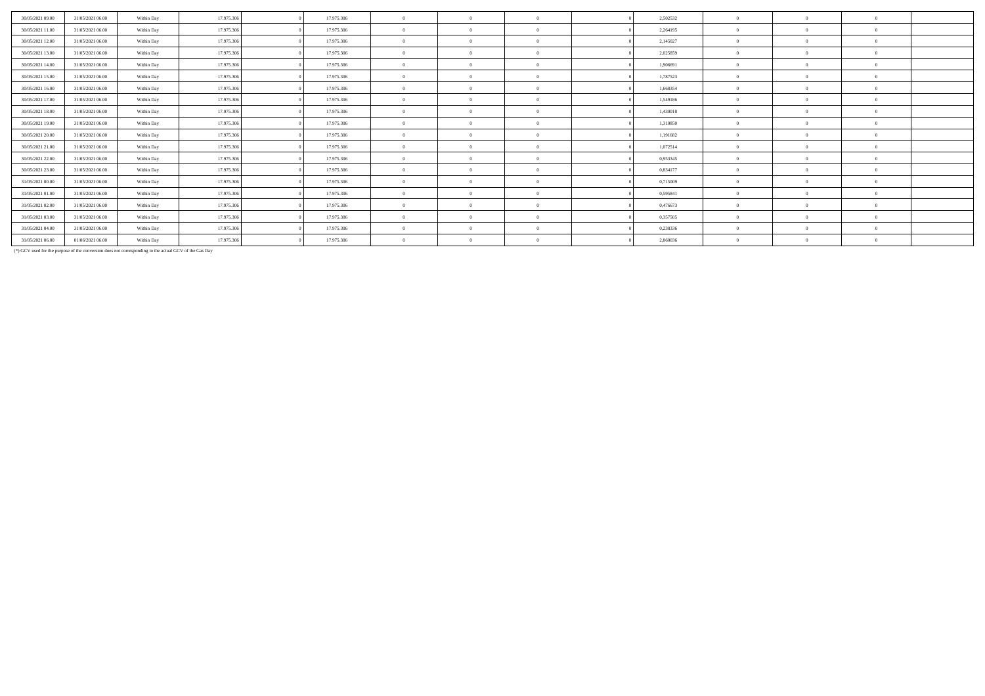| 30/05/2021 09:00 | 31/05/2021 06:00 | Within Day | 17.975.306 | 17.975.306 | $\theta$       | $\Omega$       | 2,502532 | $\theta$       | $\Omega$   | $\Omega$       |  |
|------------------|------------------|------------|------------|------------|----------------|----------------|----------|----------------|------------|----------------|--|
| 30/05/2021 11:00 | 31/05/2021 06:00 | Within Day | 17.975.306 | 17.975.306 | $\theta$       | $\Omega$       | 2,264195 | $\Omega$       | $\sqrt{2}$ | $\Omega$       |  |
| 30/05/2021 12:00 | 31/05/2021 06:00 | Within Day | 17.975.306 | 17.975.306 | $\theta$       | $\Omega$       | 2,145027 | $\Omega$       |            | $\Omega$       |  |
| 30/05/2021 13:00 | 31/05/2021 06:00 | Within Day | 17.975.306 | 17.975.306 | $\theta$       | $\Omega$       | 2,025859 | $\Omega$       |            | $\Omega$       |  |
| 30/05/2021 14:00 | 31/05/2021 06:00 | Within Day | 17.975.306 | 17.975.306 | $\theta$       | $\Omega$       | 1.906691 | $\theta$       | $\sqrt{2}$ | $\Omega$       |  |
| 30/05/2021 15:00 | 31/05/2021 06:00 | Within Day | 17.975.306 | 17.975.306 | $\theta$       | $^{\circ}$     | 1,787523 | $\Omega$       |            | $\Omega$       |  |
| 30/05/2021 16:00 | 31/05/2021 06:00 | Within Day | 17.975.306 | 17.975.306 | $\overline{0}$ | $\overline{0}$ | 1,668354 | $\overline{0}$ | $\Omega$   | $\Omega$       |  |
| 30/05/2021 17:00 | 31/05/2021 06:00 | Within Day | 17.975.306 | 17.975.306 | $\theta$       | $\Omega$       | 1,549186 | $\Omega$       | $\sqrt{2}$ | $\Omega$       |  |
| 30/05/2021 18:00 | 31/05/2021 06:00 | Within Day | 17.975.306 | 17.975.306 | $\theta$       | $\Omega$       | 1,430018 | $\sqrt{2}$     |            | $\Omega$       |  |
| 30/05/2021 19:00 | 31/05/2021 06:00 | Within Day | 17.975.306 | 17.975.306 | $\overline{0}$ | $\Omega$       | 1,310850 | $\overline{0}$ |            | $\Omega$       |  |
| 30/05/2021 20:00 | 31/05/2021 06:00 | Within Day | 17.975.306 | 17.975.306 | $\theta$       | $\Omega$       | 1.191682 | $\Omega$       |            | $\Omega$       |  |
| 30/05/2021 21:00 | 31/05/2021 06:00 | Within Day | 17.975.306 | 17.975.306 | $\mathbf{0}$   | $\Omega$       | 1,072514 | $\Omega$       | $\Omega$   | $\Omega$       |  |
| 30/05/2021 22.00 | 31/05/2021 06:00 | Within Day | 17.975.306 | 17.975.306 | $\overline{0}$ | $\Omega$       | 0,953345 | $\theta$       | $\Omega$   | $\Omega$       |  |
| 30/05/2021 23:00 | 31/05/2021 06:00 | Within Day | 17.975.306 | 17.975.306 | $\theta$       | $\Omega$       | 0,834177 | $\Omega$       |            | $\Omega$       |  |
| 31/05/2021 00:00 | 31/05/2021 06:00 | Within Day | 17.975.306 | 17.975.306 | $\theta$       | $\Omega$       | 0,715009 | $\Omega$       |            | $\Omega$       |  |
| 31/05/2021 01:00 | 31/05/2021 06:00 | Within Day | 17.975.306 | 17.975.306 | $\overline{0}$ | $\Omega$       | 0,595841 | $\overline{0}$ | $\Omega$   | $\overline{0}$ |  |
| 31/05/2021 02:00 | 31/05/2021 06:00 | Within Day | 17.975.306 | 17.975.306 | $\theta$       | $\Omega$       | 0.476673 | $\Omega$       |            | $\Omega$       |  |
| 31/05/2021 03:00 | 31/05/2021 06:00 | Within Day | 17.975.306 | 17.975.306 | $\mathbf{0}$   | $\Omega$       | 0,357505 | $\overline{0}$ | $\Omega$   | $\Omega$       |  |
| 31/05/2021 04:00 | 31/05/2021 06:00 | Within Day | 17.975.306 | 17.975.306 | $\overline{0}$ | $\Omega$       | 0,238336 | $\Omega$       | $\Omega$   | $\Omega$       |  |
| 31/05/2021 06:00 | 01/06/2021 06:00 | Within Day | 17.975.306 | 17.975.306 | $\theta$       | $\Omega$       | 2.860036 | $\Omega$       | $\Omega$   | $\Omega$       |  |

(\*) GCV used for the purpose of the conversion does not corresponding to the actual GCV of the Gas Day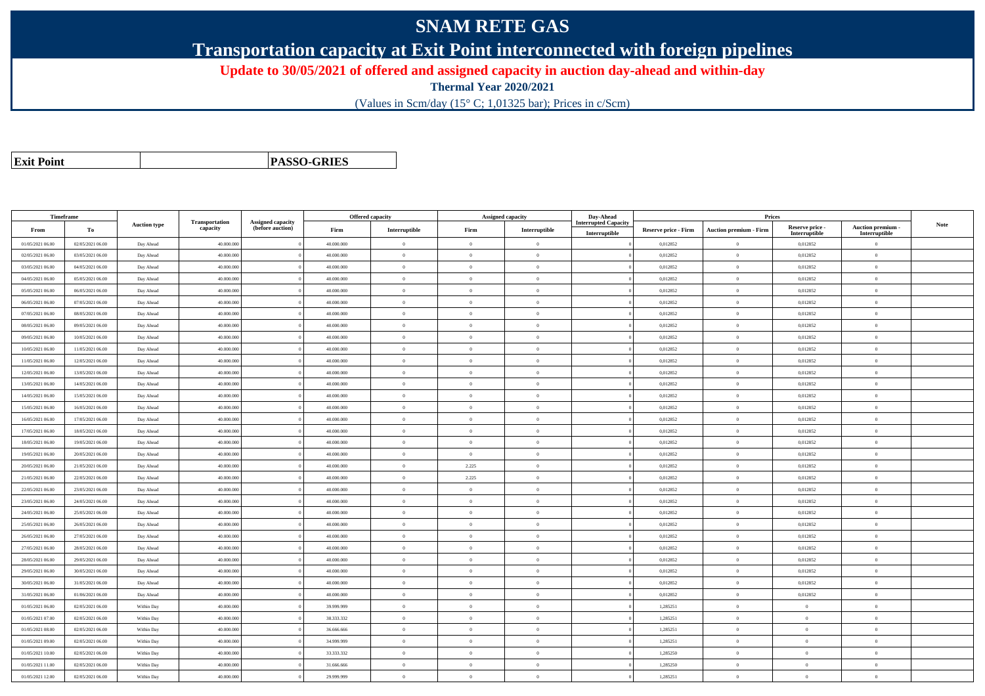## **SNAM RETE GAS**

**Transportation capacity at Exit Point interconnected with foreign pipelines**

**Update to 30/05/2021 of offered and assigned capacity in auction day-ahead and within-day**

**Thermal Year 2020/2021**

(Values in Scm/day (15° C; 1,01325 bar); Prices in c/Scm)

| <b>Exit Point</b> |
|-------------------|
|                   |

**PASSO-GRIES**

| Timeframe        |                  |                     |                            |                                              |            | Offered capacity |                | <b>Assigned capacity</b> | Day-Ahead                                    |                             | Prices                        |                                  |                                    |      |
|------------------|------------------|---------------------|----------------------------|----------------------------------------------|------------|------------------|----------------|--------------------------|----------------------------------------------|-----------------------------|-------------------------------|----------------------------------|------------------------------------|------|
| From             | To               | <b>Auction type</b> | Transportation<br>capacity | <b>Assigned capacity</b><br>(before auction) | Firm       | Interruptible    | Firm           | Interruptible            | <b>Interrupted Capacity</b><br>Interruptible | <b>Reserve price - Firm</b> | <b>Auction premium - Firm</b> | Reserve price -<br>Interruptible | Auction premium -<br>Interruptible | Note |
| 01/05/2021 06:00 | 02/05/2021 06:00 | Day Ahead           | 40.000.000                 |                                              | 40.000.000 | $\mathbf{0}$     | $\overline{0}$ | $\Omega$                 |                                              | 0,012852                    | $\overline{0}$                | 0,012852                         | $\Omega$                           |      |
| 02/05/2021 06:00 | 03/05/2021 06:00 | Day Ahead           | 40.000.000                 |                                              | 40.000.000 | $\Omega$         | $\theta$       | $\Omega$                 |                                              | 0,012852                    | $\overline{0}$                | 0,012852                         | $\theta$                           |      |
| 03/05/2021 06:00 | 04/05/2021 06:00 | Day Ahead           | 40.000.000                 |                                              | 40.000.000 | $\theta$         | $\overline{0}$ | $\overline{0}$           |                                              | 0,012852                    | $\mathbf{0}$                  | 0,012852                         | $\theta$                           |      |
| 04/05/2021 06:00 | 05/05/2021 06:00 | Day Ahead           | 40,000,000                 |                                              | 40,000,000 | $\mathbf{0}$     | $\overline{0}$ | $\overline{0}$           |                                              | 0.012852                    | $\mathbf{0}$                  | 0,012852                         | $\Omega$                           |      |
| 05/05/2021 06:00 | 06/05/2021 06:00 | Day Ahead           | 40.000.000                 |                                              | 40.000.000 | $\bf{0}$         | $\overline{0}$ | $\overline{0}$           |                                              | 0,012852                    | $\mathbf{0}$                  | 0,012852                         | $\theta$                           |      |
| 06/05/2021 06:00 | 07/05/2021 06:00 | Day Ahead           | 40.000.000                 |                                              | 40.000.000 | $\Omega$         | $\overline{0}$ | $\overline{0}$           |                                              | 0,012852                    | $\mathbf{0}$                  | 0,012852                         | $\theta$                           |      |
| 07/05/2021 06:00 | 08/05/2021 06:00 | Day Ahead           | 40.000.000                 |                                              | 40,000,000 | $\theta$         | $\theta$       | $\overline{0}$           |                                              | 0,012852                    | $\overline{0}$                | 0,012852                         | $\Omega$                           |      |
| 08/05/2021 06:00 | 09/05/2021 06:00 | Day Ahead           | 40.000.000                 |                                              | 40.000.000 | $\theta$         | $\overline{0}$ | $\overline{0}$           |                                              | 0,012852                    | $\mathbf{0}$                  | 0,012852                         | $\Omega$                           |      |
| 09/05/2021 06:00 | 10/05/2021 06:00 | Day Ahead           | 40.000.000                 |                                              | 40.000.000 | $\theta$         | $\overline{0}$ | $\overline{0}$           |                                              | 0,012852                    | $\mathbf{0}$                  | 0,012852                         | $\theta$                           |      |
| 10/05/2021 06:00 | 11/05/2021 06:00 | Day Ahead           | 40,000,000                 |                                              | 40,000,000 | $\theta$         | $\theta$       | $\theta$                 |                                              | 0.012852                    | $\theta$                      | 0,012852                         | $\theta$                           |      |
| 11/05/2021 06:00 | 12/05/2021 06:00 | Day Ahead           | 40.000.000                 |                                              | 40.000.000 | $\Omega$         | $\overline{0}$ | $\overline{0}$           |                                              | 0,012852                    | $\overline{0}$                | 0,012852                         | $\theta$                           |      |
| 12/05/2021 06:00 | 13/05/2021 06:00 | Day Ahead           | 40.000.000                 |                                              | 40.000.000 | $\Omega$         | $\theta$       | $\theta$                 |                                              | 0,012852                    | $\overline{0}$                | 0,012852                         | $\theta$                           |      |
| 13/05/2021 06:00 | 14/05/2021 06:00 | Day Ahead           | 40.000.000                 |                                              | 40.000.000 | $\theta$         | $\overline{0}$ | $\Omega$                 |                                              | 0,012852                    | $\overline{0}$                | 0,012852                         | $\Omega$                           |      |
| 14/05/2021 06:00 | 15/05/2021 06:00 | Day Ahead           | 40,000,000                 |                                              | 40,000,000 | $\theta$         | $\overline{0}$ | $\overline{0}$           |                                              | 0.012852                    | $\mathbf{0}$                  | 0,012852                         | $\theta$                           |      |
| 15/05/2021 06:00 | 16/05/2021 06:00 | Day Ahead           | 40.000.000                 |                                              | 40.000.000 | $\overline{0}$   | $\overline{0}$ | $\overline{0}$           |                                              | 0,012852                    | $\mathbf{0}$                  | 0,012852                         | $\theta$                           |      |
| 16/05/2021 06:00 | 17/05/2021 06:00 | Day Ahead           | 40.000.000                 |                                              | 40.000.000 | $\theta$         | $\overline{0}$ | $\overline{0}$           |                                              | 0,012852                    | $\,$ 0 $\,$                   | 0,012852                         | $\theta$                           |      |
| 17/05/2021 06:00 | 18/05/2021 06:00 | Day Ahead           | 40,000,000                 |                                              | 40,000,000 | $\Omega$         | $\theta$       | $\overline{0}$           |                                              | 0,012852                    | $\overline{0}$                | 0,012852                         | $\theta$                           |      |
| 18/05/2021 06:00 | 19/05/2021 06:00 | Day Ahead           | 40.000.000                 |                                              | 40.000.000 | $\theta$         | $\overline{0}$ | $\overline{0}$           |                                              | 0,012852                    | $\mathbf{0}$                  | 0,012852                         | $\theta$                           |      |
| 19/05/2021 06:00 | 20/05/2021 06:00 | Day Ahead           | 40.000.000                 |                                              | 40.000.000 | $\Omega$         | $\overline{0}$ | $\overline{0}$           |                                              | 0,012852                    | $\mathbf{0}$                  | 0,012852                         | $\theta$                           |      |
| 20/05/2021 06:00 | 21/05/2021 06:00 | Day Ahead           | 40.000.000                 |                                              | 40.000.000 | $\theta$         | 2.225          | $\overline{0}$           |                                              | 0,012852                    | $\mathbf{0}$                  | 0,012852                         | $\theta$                           |      |
| 21/05/2021 06:00 | 22/05/2021 06:00 | Day Ahead           | 40,000,000                 |                                              | 40,000,000 | $\mathbf{0}$     | 2.225          | $\overline{0}$           |                                              | 0,012852                    | $\,$ 0 $\,$                   | 0,012852                         | $\Omega$                           |      |
| 22/05/2021 06:00 | 23/05/2021 06:00 | Day Ahead           | 40.000.000                 |                                              | 40.000.000 | $\Omega$         | $\overline{0}$ | $\overline{0}$           |                                              | 0,012852                    | $\overline{0}$                | 0,012852                         | $\theta$                           |      |
| 23/05/2021 06:00 | 24/05/2021 06:00 | Day Ahead           | 40.000.000                 |                                              | 40.000.000 | $\Omega$         | $\theta$       | $\Omega$                 |                                              | 0,012852                    | $\overline{0}$                | 0,012852                         | $\theta$                           |      |
| 24/05/2021 06:00 | 25/05/2021 06:00 | Day Ahead           | 40.000.000                 |                                              | 40,000,000 | $\Omega$         | $\theta$       | $\overline{0}$           |                                              | 0,012852                    | $\theta$                      | 0,012852                         | $\Omega$                           |      |
| 25/05/2021 06:00 | 26/05/2021 06:00 | Day Ahead           | 40,000,000                 |                                              | 40,000,000 | $\Omega$         | $\theta$       | $\overline{0}$           |                                              | 0,012852                    | $\mathbf{0}$                  | 0,012852                         | $\theta$                           |      |
| 26/05/2021 06:00 | 27/05/2021 06:00 | Day Ahead           | 40.000.000                 |                                              | 40.000.000 | $\theta$         | $\overline{0}$ | $\overline{0}$           |                                              | 0,012852                    | $\mathbf{0}$                  | 0,012852                         | $\theta$                           |      |
| 27/05/2021 06:00 | 28/05/2021 06:00 | Day Ahead           | 40,000,000                 |                                              | 40,000,000 | $\Omega$         | $\theta$       | $\theta$                 |                                              | 0.012852                    | $\theta$                      | 0,012852                         | $\theta$                           |      |
| 28/05/2021 06:00 | 29/05/2021 06:00 | Day Ahead           | 40.000.000                 |                                              | 40.000.000 | $\theta$         | $\overline{0}$ | $\overline{0}$           |                                              | 0,012852                    | $\mathbf{0}$                  | 0,012852                         | $\overline{0}$                     |      |
| 29/05/2021 06:00 | 30/05/2021 06:00 | Day Ahead           | 40.000.000                 |                                              | 40.000.000 | $\Omega$         | $\overline{0}$ | $\overline{0}$           |                                              | 0,012852                    | $\mathbf{0}$                  | 0,012852                         | $\Omega$                           |      |
| 30/05/2021 06:00 | 31/05/2021 06:00 | Day Ahead           | 40.000.000                 |                                              | 40.000.000 | $\Omega$         | $\overline{0}$ | $\Omega$                 |                                              | 0,012852                    | $\overline{0}$                | 0,012852                         | $\Omega$                           |      |
| 31/05/2021 06:00 | 01/06/2021 06:00 | Day Ahead           | 40,000,000                 |                                              | 40,000,000 | $\overline{0}$   | $\theta$       | $\overline{0}$           |                                              | 0.012852                    | $\mathbf{0}$                  | 0.012852                         | $\Omega$                           |      |
| 01/05/2021 06:00 | 02/05/2021 06:00 | Within Day          | 40,000,000                 |                                              | 39.999.999 | $\mathbf{0}$     | $\overline{0}$ | $\overline{0}$           |                                              | 1,285251                    | $\mathbf{0}$                  | $\overline{0}$                   | $\theta$                           |      |
| 01/05/2021 07:00 | 02/05/2021 06:00 | Within Day          | 40.000.000                 |                                              | 38.333.332 | $\Omega$         | $\overline{0}$ | $\overline{0}$           |                                              | 1,285251                    | $\overline{0}$                | $\theta$                         | $\theta$                           |      |
| 01/05/2021 08:00 | 02/05/2021 06:00 | Within Day          | 40.000.000                 |                                              | 36.666.666 | $\Omega$         | $\overline{0}$ | $\overline{0}$           |                                              | 1,285251                    | $\overline{0}$                | $\theta$                         | $\theta$                           |      |
| 01/05/2021 09:00 | 02/05/2021 06:00 | Within Day          | 40.000.000                 |                                              | 34,999,999 | $\theta$         | $\theta$       | $\overline{0}$           |                                              | 1,285251                    | $\theta$                      | $\theta$                         | $\theta$                           |      |
| 01/05/2021 10:00 | 02/05/2021 06:00 | Within Day          | 40.000.000                 |                                              | 33.333.332 | $\theta$         | $\overline{0}$ | $\Omega$                 |                                              | 1,285250                    | $\overline{0}$                | $\theta$                         | $\theta$                           |      |
| 01/05/2021 11:00 | 02/05/2021 06:00 | Within Day          | 40.000.000                 |                                              | 31.666.666 | $\theta$         | $\overline{0}$ | $\overline{0}$           |                                              | 1,285250                    | $\mathbf{0}$                  | $\overline{0}$                   | $\theta$                           |      |
| 01/05/2021 12:00 | 02/05/2021 06:00 | Within Day          | 40.000.000                 |                                              | 29.999.999 | $\theta$         | $\theta$       | $\overline{0}$           |                                              | 1,285251                    | $\theta$                      | $\theta$                         | $\Omega$                           |      |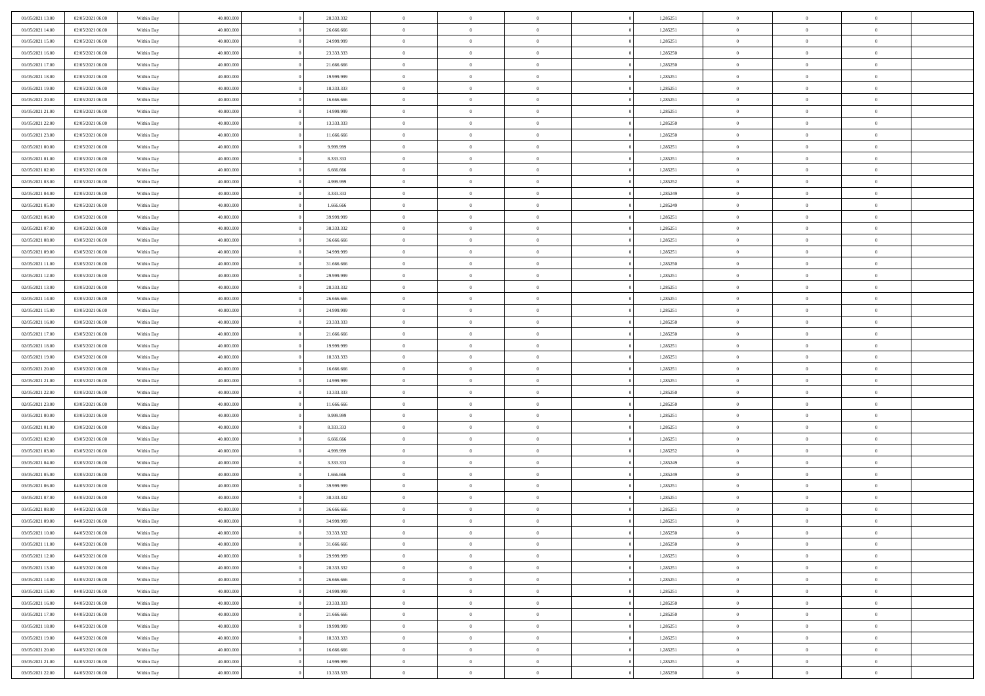| 01/05/2021 13:00 | 02/05/2021 06:00                     | Within Day | 40,000,00  | 28.333.332 | $\bf{0}$       | $\overline{0}$ | $\overline{0}$ | 1,285251 | $\bf{0}$       | $\bf{0}$       | $\bf{0}$       |  |
|------------------|--------------------------------------|------------|------------|------------|----------------|----------------|----------------|----------|----------------|----------------|----------------|--|
| 01/05/2021 14:00 | 02/05/2021 06:00                     | Within Day | 40.000.000 | 26.666.666 | $\overline{0}$ | $\overline{0}$ | $\overline{0}$ | 1,285251 | $\bf{0}$       | $\overline{0}$ | $\overline{0}$ |  |
| 01/05/2021 15:00 | 02/05/2021 06:00                     | Within Day | 40.000.000 | 24.999.999 | $\overline{0}$ | $\overline{0}$ | $\bf{0}$       | 1,285251 | $\bf{0}$       | $\overline{0}$ | $\,$ 0         |  |
| 01/05/2021 16:00 | 02/05/2021 06:00                     | Within Day | 40,000,00  | 23.333.333 | $\overline{0}$ | $\overline{0}$ | $\Omega$       | 1,285250 | $\overline{0}$ | $\mathbf{0}$   | $\overline{0}$ |  |
| 01/05/2021 17:00 | 02/05/2021 06:00                     | Within Day | 40.000.000 | 21.666.666 | $\mathbf{0}$   | $\overline{0}$ | $\overline{0}$ | 1,285250 | $\overline{0}$ | $\overline{0}$ | $\mathbf{0}$   |  |
| 01/05/2021 18:00 | 02/05/2021 06:00                     | Within Day | 40.000.000 | 19.999.999 | $\overline{0}$ | $\overline{0}$ | $\overline{0}$ | 1,285251 | $\bf{0}$       | $\overline{0}$ | $\,$ 0         |  |
| 01/05/2021 19:00 | 02/05/2021 06:00                     | Within Day | 40,000,00  | 18.333.333 | $\bf{0}$       | $\overline{0}$ | $\Omega$       | 1,285251 | $\bf{0}$       | $\mathbf{0}$   | $\bf{0}$       |  |
| 01/05/2021 20:00 | 02/05/2021 06:00                     | Within Day | 40.000.000 | 16.666.666 | $\overline{0}$ | $\overline{0}$ | $\overline{0}$ | 1,285251 | $\bf{0}$       | $\overline{0}$ | $\overline{0}$ |  |
| 01/05/2021 21:00 | 02/05/2021 06:00                     |            | 40.000.000 | 14.999.999 | $\overline{0}$ | $\overline{0}$ | $\overline{0}$ | 1,285251 | $\bf{0}$       | $\overline{0}$ | $\,$ 0         |  |
|                  |                                      | Within Day | 40,000,000 | 13.333.333 | $\overline{0}$ | $\overline{0}$ | $\Omega$       |          | $\overline{0}$ | $\mathbf{0}$   | $\theta$       |  |
| 01/05/2021 22.00 | 02/05/2021 06:00<br>02/05/2021 06:00 | Within Day |            |            | $\overline{0}$ |                |                | 1,285250 |                |                | $\overline{0}$ |  |
| 01/05/2021 23:00 |                                      | Within Day | 40.000.000 | 11.666.666 |                | $\overline{0}$ | $\overline{0}$ | 1,285250 | $\bf{0}$       | $\overline{0}$ |                |  |
| 02/05/2021 00:00 | 02/05/2021 06:00                     | Within Day | 40.000.000 | 9.999.999  | $\overline{0}$ | $\overline{0}$ | $\overline{0}$ | 1,285251 | $\bf{0}$       | $\overline{0}$ | $\,$ 0         |  |
| 02/05/2021 01:00 | 02/05/2021 06:00                     | Within Day | 40.000.000 | 8.333.333  | $\overline{0}$ | $\overline{0}$ | $\Omega$       | 1,285251 | $\overline{0}$ | $\mathbf{0}$   | $\overline{0}$ |  |
| 02/05/2021 02:00 | 02/05/2021 06:00                     | Within Day | 40.000.000 | 6.666.666  | $\overline{0}$ | $\overline{0}$ | $\overline{0}$ | 1,285251 | $\bf{0}$       | $\overline{0}$ | $\mathbf{0}$   |  |
| 02/05/2021 03:00 | 02/05/2021 06:00                     | Within Day | 40.000.000 | 4.999.999  | $\overline{0}$ | $\overline{0}$ | $\overline{0}$ | 1,285252 | $\bf{0}$       | $\overline{0}$ | $\,$ 0         |  |
| 02/05/2021 04:00 | 02/05/2021 06:00                     | Within Day | 40,000,00  | 3.333.333  | $\bf{0}$       | $\overline{0}$ | $\Omega$       | 1,285249 | $\bf{0}$       | $\mathbf{0}$   | $\bf{0}$       |  |
| 02/05/2021 05:00 | 02/05/2021 06:00                     | Within Day | 40.000.000 | 1.666.666  | $\overline{0}$ | $\overline{0}$ | $\overline{0}$ | 1,285249 | $\bf{0}$       | $\overline{0}$ | $\overline{0}$ |  |
| 02/05/2021 06:00 | 03/05/2021 06:00                     | Within Day | 40.000.000 | 39.999.999 | $\overline{0}$ | $\overline{0}$ | $\overline{0}$ | 1,285251 | $\bf{0}$       | $\overline{0}$ | $\,$ 0         |  |
| 02/05/2021 07:00 | 03/05/2021 06:00                     | Within Day | 40,000,000 | 38.333.332 | $\overline{0}$ | $\overline{0}$ | $\overline{0}$ | 1,285251 | $\overline{0}$ | $\mathbf{0}$   | $\theta$       |  |
| 02/05/2021 08:00 | 03/05/2021 06:00                     | Within Day | 40.000.000 | 36.666.666 | $\overline{0}$ | $\overline{0}$ | $\overline{0}$ | 1,285251 | $\bf{0}$       | $\overline{0}$ | $\overline{0}$ |  |
| 02/05/2021 09:00 | 03/05/2021 06:00                     | Within Day | 40.000.000 | 34.999.999 | $\overline{0}$ | $\overline{0}$ | $\bf{0}$       | 1,285251 | $\bf{0}$       | $\overline{0}$ | $\,$ 0         |  |
| 02/05/2021 11:00 | 03/05/2021 06:00                     | Within Day | 40.000.000 | 31,666,666 | $\overline{0}$ | $\overline{0}$ | $\Omega$       | 1,285250 | $\overline{0}$ | $\mathbf{0}$   | $\overline{0}$ |  |
| 02/05/2021 12:00 | 03/05/2021 06:00                     | Within Day | 40.000.000 | 29.999.999 | $\overline{0}$ | $\overline{0}$ | $\overline{0}$ | 1,285251 | $\bf{0}$       | $\overline{0}$ | $\overline{0}$ |  |
| 02/05/2021 13:00 | 03/05/2021 06:00                     | Within Day | 40.000.000 | 28.333.332 | $\overline{0}$ | $\overline{0}$ | $\overline{0}$ | 1,285251 | $\bf{0}$       | $\overline{0}$ | $\,$ 0         |  |
| 02/05/2021 14:00 | 03/05/2021 06:00                     | Within Day | 40,000,00  | 26.666.666 | $\bf{0}$       | $\overline{0}$ | $\Omega$       | 1,285251 | $\bf{0}$       | $\bf{0}$       | $\bf{0}$       |  |
| 02/05/2021 15:00 | 03/05/2021 06:00                     | Within Day | 40.000.000 | 24.999.999 | $\overline{0}$ | $\overline{0}$ | $\overline{0}$ | 1,285251 | $\bf{0}$       | $\overline{0}$ | $\overline{0}$ |  |
| 02/05/2021 16:00 | 03/05/2021 06:00                     | Within Day | 40.000.000 | 23.333.333 | $\overline{0}$ | $\overline{0}$ | $\overline{0}$ | 1,285250 | $\bf{0}$       | $\overline{0}$ | $\,$ 0         |  |
| 02/05/2021 17:00 | 03/05/2021 06:00                     | Within Day | 40,000,00  | 21,666,666 | $\overline{0}$ | $\overline{0}$ | $\Omega$       | 1,285250 | $\overline{0}$ | $\mathbf{0}$   | $\theta$       |  |
| 02/05/2021 18:00 | 03/05/2021 06:00                     | Within Day | 40.000.000 | 19.999.999 | $\overline{0}$ | $\overline{0}$ | $\overline{0}$ | 1,285251 | $\bf{0}$       | $\bf{0}$       | $\overline{0}$ |  |
| 02/05/2021 19:00 | 03/05/2021 06:00                     | Within Day | 40.000.000 | 18.333.333 | $\overline{0}$ | $\overline{0}$ | $\overline{0}$ | 1,285251 | $\bf{0}$       | $\overline{0}$ | $\,$ 0         |  |
| 02/05/2021 20:00 | 03/05/2021 06:00                     | Within Day | 40.000.000 | 16.666.666 | $\overline{0}$ | $\overline{0}$ | $\Omega$       | 1,285251 | $\bf{0}$       | $\overline{0}$ | $\bf{0}$       |  |
| 02/05/2021 21:00 | 03/05/2021 06:00                     | Within Day | 40.000.000 | 14.999.999 | $\overline{0}$ | $\overline{0}$ | $\overline{0}$ | 1,285251 | $\bf{0}$       | $\bf{0}$       | $\overline{0}$ |  |
| 02/05/2021 22:00 | 03/05/2021 06:00                     | Within Day | 40.000.000 | 13.333.333 | $\overline{0}$ | $\overline{0}$ | $\overline{0}$ | 1,285250 | $\bf{0}$       | $\overline{0}$ | $\,$ 0         |  |
| 02/05/2021 23:00 | 03/05/2021 06:00                     | Within Day | 40.000.000 | 11.666.666 | $\bf{0}$       | $\overline{0}$ | $\overline{0}$ | 1,285250 | $\bf{0}$       | $\overline{0}$ | $\bf{0}$       |  |
| 03/05/2021 00:00 | 03/05/2021 06:00                     | Within Day | 40.000.000 | 9.999.999  | $\overline{0}$ | $\overline{0}$ | $\overline{0}$ | 1,285251 | $\bf{0}$       | $\bf{0}$       | $\overline{0}$ |  |
| 03/05/2021 01:00 | 03/05/2021 06:00                     | Within Day | 40.000.000 | 8.333.333  | $\overline{0}$ | $\overline{0}$ | $\overline{0}$ | 1,285251 | $\bf{0}$       | $\overline{0}$ | $\,$ 0         |  |
| 03/05/2021 02:00 | 03/05/2021 06:00                     | Within Day | 40.000.000 | 6.666.666  | $\bf{0}$       | $\overline{0}$ | $\Omega$       | 1,285251 | $\bf{0}$       | $\overline{0}$ | $\bf{0}$       |  |
| 03/05/2021 03:00 | 03/05/2021 06:00                     | Within Day | 40.000.000 | 4.999.999  | $\overline{0}$ | $\overline{0}$ | $\overline{0}$ | 1,285252 | $\bf{0}$       | $\bf{0}$       | $\overline{0}$ |  |
| 03/05/2021 04:00 | 03/05/2021 06:00                     | Within Day | 40.000.000 | 3.333.333  | $\overline{0}$ | $\overline{0}$ | $\overline{0}$ | 1,285249 | $\bf{0}$       | $\overline{0}$ | $\,$ 0         |  |
| 03/05/2021 05:00 | 03/05/2021 06:00                     | Within Day | 40.000.000 | 1.666.666  | $\bf{0}$       | $\overline{0}$ | $\Omega$       | 1,285249 | $\bf{0}$       | $\overline{0}$ | $\bf{0}$       |  |
| 03/05/2021 06:00 | 04/05/2021 06:00                     | Within Day | 40.000.000 | 39.999.999 | $\overline{0}$ | $\overline{0}$ | $\overline{0}$ | 1,285251 | $\bf{0}$       | $\bf{0}$       | $\overline{0}$ |  |
| 03/05/2021 07:00 | 04/05/2021 06:00                     | Within Day | 40.000.000 | 38.333.332 | $\overline{0}$ | $\overline{0}$ | $\overline{0}$ | 1,285251 | $\bf{0}$       | $\overline{0}$ | $\,$ 0         |  |
| 03/05/2021 08:00 | 04/05/2021 06:00                     | Within Day | 40.000.000 | 36.666.666 | $\bf{0}$       | $\overline{0}$ | $\overline{0}$ | 1,285251 | $\bf{0}$       | $\overline{0}$ | $\bf{0}$       |  |
| 03/05/2021 09:00 | 04/05/2021 06:00                     | Within Day | 40.000.000 | 34.999.999 | $\overline{0}$ | $\overline{0}$ | $\overline{0}$ | 1,285251 | $\bf{0}$       | $\bf{0}$       | $\overline{0}$ |  |
| 03/05/2021 10:00 | 04/05/2021 06:00                     | Within Day | 40.000.000 | 33.333.332 | $\overline{0}$ | $\overline{0}$ | $\overline{0}$ | 1,285250 | $\overline{0}$ | $\overline{0}$ | $\overline{0}$ |  |
| 03/05/2021 11:00 | 04/05/2021 06:00                     | Within Day | 40.000.000 | 31.666.666 | $\bf{0}$       | $\overline{0}$ | $\overline{0}$ | 1,285250 | $\mathbf{0}$   | $\mathbf{0}$   | $\bf{0}$       |  |
| 03/05/2021 12:00 | 04/05/2021 06:00                     | Within Day | 40.000.000 | 29.999.999 | $\overline{0}$ | $\overline{0}$ | $\overline{0}$ | 1,285251 | $\mathbf{0}$   | $\overline{0}$ | $\mathbf{0}$   |  |
| 03/05/2021 13:00 | 04/05/2021 06:00                     | Within Day | 40.000.000 | 28.333.332 | $\,$ 0 $\,$    | $\overline{0}$ | $\overline{0}$ | 1,285251 | $\,$ 0 $\,$    | $\overline{0}$ | $\,0\,$        |  |
| 03/05/2021 14:00 | 04/05/2021 06:00                     | Within Day | 40.000.000 | 26.666.666 | $\bf{0}$       | $\overline{0}$ | $\overline{0}$ | 1,285251 | $\mathbf{0}$   | $\overline{0}$ | $\mathbf{0}$   |  |
| 03/05/2021 15:00 | 04/05/2021 06:00                     | Within Day | 40.000.000 | 24.999.999 | $\overline{0}$ | $\overline{0}$ | $\overline{0}$ | 1,285251 | $\mathbf{0}$   | $\overline{0}$ | $\mathbf{0}$   |  |
| 03/05/2021 16:00 | 04/05/2021 06:00                     | Within Day | 40.000.000 | 23.333.333 | $\,$ 0 $\,$    | $\overline{0}$ | $\overline{0}$ | 1,285250 | $\,$ 0 $\,$    | $\overline{0}$ | $\,0\,$        |  |
| 03/05/2021 17:00 | 04/05/2021 06:00                     | Within Day | 40.000.000 | 21.666.666 | $\bf{0}$       | $\overline{0}$ | $\overline{0}$ | 1,285250 | $\bf{0}$       | $\mathbf{0}$   | $\mathbf{0}$   |  |
| 03/05/2021 18:00 | 04/05/2021 06:00                     | Within Day | 40.000.000 | 19.999.999 | $\overline{0}$ | $\overline{0}$ | $\overline{0}$ | 1,285251 | $\mathbf{0}$   | $\overline{0}$ | $\mathbf{0}$   |  |
| 03/05/2021 19:00 | 04/05/2021 06:00                     | Within Day | 40.000.000 | 18.333.333 | $\,$ 0         | $\overline{0}$ | $\overline{0}$ | 1,285251 | $\,$ 0 $\,$    | $\overline{0}$ | $\,0\,$        |  |
| 03/05/2021 20:00 | 04/05/2021 06:00                     | Within Day | 40.000.000 | 16.666.666 | $\bf{0}$       | $\overline{0}$ | $\overline{0}$ | 1,285251 | $\mathbf{0}$   | $\overline{0}$ | $\mathbf{0}$   |  |
| 03/05/2021 21:00 | 04/05/2021 06:00                     | Within Day | 40.000.000 | 14.999.999 | $\overline{0}$ | $\overline{0}$ | $\overline{0}$ | 1,285251 | $\overline{0}$ | $\overline{0}$ | $\overline{0}$ |  |
| 03/05/2021 22:00 | 04/05/2021 06:00                     | Within Day | 40.000.000 | 13.333.333 | $\,$ 0         | $\overline{0}$ | $\overline{0}$ | 1,285250 | $\bf{0}$       | $\overline{0}$ | $\,0\,$        |  |
|                  |                                      |            |            |            |                |                |                |          |                |                |                |  |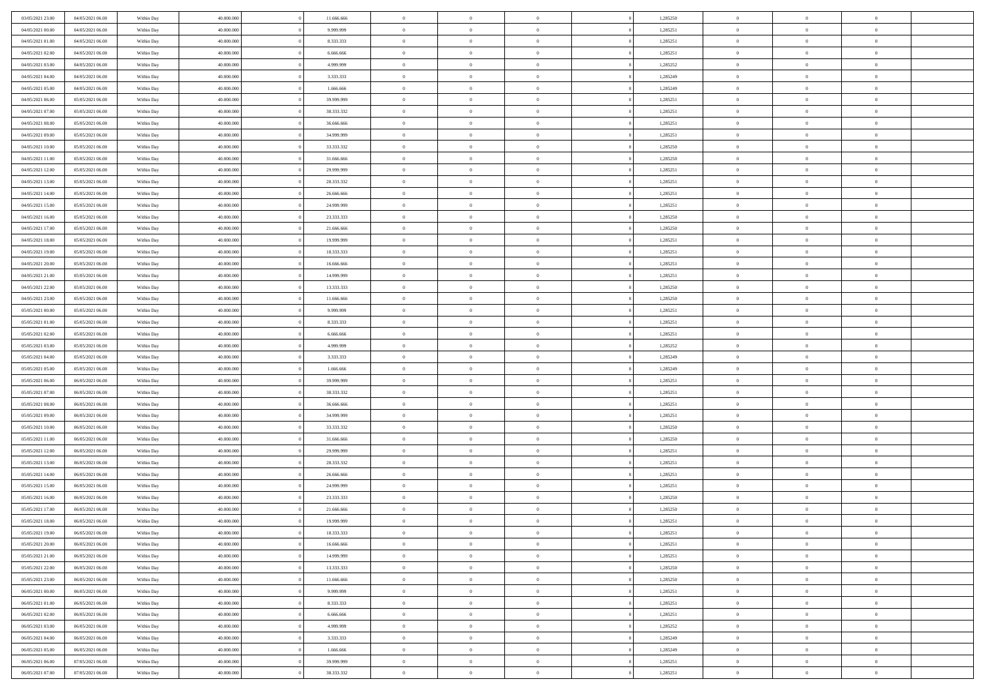| 03/05/2021 23:00 | 04/05/2021 06:00                     | Within Day               | 40.000.000               | 11.666.666 | $\,$ 0 $\,$    | $\overline{0}$                    | $\overline{0}$             |          | 1,285250 | $\bf{0}$       | $\overline{0}$                   | $\,0\,$        |  |
|------------------|--------------------------------------|--------------------------|--------------------------|------------|----------------|-----------------------------------|----------------------------|----------|----------|----------------|----------------------------------|----------------|--|
| 04/05/2021 00:00 | 04/05/2021 06:00                     | Within Day               | 40,000,000               | 9.999.999  | $\overline{0}$ | $\overline{0}$                    | $\mathbf{0}$               |          | 1,285251 | $\theta$       | $\overline{0}$                   | $\theta$       |  |
| 04/05/2021 01:00 | 04/05/2021 06:00                     | Within Day               | 40.000.000               | 8.333.333  | $\theta$       | $\overline{0}$                    | $\overline{0}$             |          | 1,285251 | $\mathbf{0}$   | $\overline{0}$                   | $\overline{0}$ |  |
| 04/05/2021 02:00 | 04/05/2021 06:00                     | Within Day               | 40.000.000               | 6.666.666  | $\,$ 0 $\,$    | $\overline{0}$                    | $\overline{0}$             |          | 1,285251 | $\bf{0}$       | $\overline{0}$                   | $\bf{0}$       |  |
| 04/05/2021 03:00 | 04/05/2021 06:00                     | Within Day               | 40,000,000               | 4.999.999  | $\bf{0}$       | $\overline{0}$                    | $\mathbf{0}$               |          | 1,285252 | $\bf{0}$       | $\bf{0}$                         | $\,0\,$        |  |
| 04/05/2021 04:00 | 04/05/2021 06:00                     | Within Day               | 40.000.000               | 3.333.333  | $\theta$       | $\overline{0}$                    | $\mathbf{0}$               |          | 1,285249 | $\mathbf{0}$   | $\overline{0}$                   | $\overline{0}$ |  |
| 04/05/2021 05:00 | 04/05/2021 06:00                     | Within Day               | 40.000.000               | 1.666.666  | $\,$ 0 $\,$    | $\overline{0}$                    | $\overline{0}$             |          | 1,285249 | $\bf{0}$       | $\overline{0}$                   | $\bf{0}$       |  |
| 04/05/2021 06:00 |                                      |                          | 40,000,000               |            | $\overline{0}$ | $\overline{0}$                    | $\mathbf{0}$               |          |          | $\,$ 0 $\,$    | $\overline{0}$                   | $\overline{0}$ |  |
|                  | 05/05/2021 06:00                     | Within Day               |                          | 39.999.999 | $\theta$       |                                   |                            |          | 1,285251 | $\mathbf{0}$   |                                  | $\overline{0}$ |  |
| 04/05/2021 07:00 | 05/05/2021 06:00                     | Within Day               | 40.000.000               | 38.333.332 |                | $\overline{0}$                    | $\overline{0}$<br>$\Omega$ |          | 1,285251 |                | $\overline{0}$                   |                |  |
| 04/05/2021 08:00 | 05/05/2021 06:00                     | Within Day               | 40.000.000               | 36.666.666 | $\,$ 0 $\,$    | $\overline{0}$                    |                            |          | 1,285251 | $\bf{0}$       | $\overline{0}$                   | $\bf{0}$       |  |
| 04/05/2021 09:00 | 05/05/2021 06:00                     | Within Day               | 40,000,000               | 34.999.999 | $\bf{0}$       | $\overline{0}$                    | $\mathbf{0}$               |          | 1,285251 | $\bf{0}$       | $\overline{0}$                   | $\theta$       |  |
| 04/05/2021 10:00 | 05/05/2021 06:00                     | Within Day               | 40.000.000               | 33.333.332 | $\theta$       | $\overline{0}$                    | $\overline{0}$             |          | 1,285250 | $\mathbf{0}$   | $\overline{0}$                   | $\overline{0}$ |  |
| 04/05/2021 11:00 | 05/05/2021 06:00                     | Within Day               | 40.000.000               | 31.666.666 | $\,$ 0 $\,$    | $\overline{0}$                    | $\overline{0}$             |          | 1,285250 | $\bf{0}$       | $\overline{0}$                   | $\overline{0}$ |  |
| 04/05/2021 12:00 | 05/05/2021 06:00                     | Within Day               | 40,000,000               | 29.999.999 | $\bf{0}$       | $\overline{0}$                    | $\mathbf{0}$               |          | 1,285251 | $\bf{0}$       | $\mathbf{0}$                     | $\,0\,$        |  |
| 04/05/2021 13:00 | 05/05/2021 06:00                     | Within Day               | 40.000.000               | 28.333.332 | $\overline{0}$ | $\overline{0}$                    | $\overline{0}$             |          | 1,285251 | $\mathbf{0}$   | $\overline{0}$                   | $\overline{0}$ |  |
| 04/05/2021 14:00 | 05/05/2021 06:00                     | Within Day               | 40.000.000               | 26.666.666 | $\,$ 0 $\,$    | $\overline{0}$                    | $\Omega$                   |          | 1,285251 | $\bf{0}$       | $\overline{0}$                   | $\bf{0}$       |  |
| 04/05/2021 15:00 | 05/05/2021 06:00                     | Within Day               | 40,000,000               | 24.999.999 | $\,$ 0         | $\overline{0}$                    | $\mathbf{0}$               |          | 1,285251 | $\,$ 0 $\,$    | $\overline{0}$                   | $\overline{0}$ |  |
| 04/05/2021 16:00 | 05/05/2021 06:00                     | Within Day               | 40.000.000               | 23.333.333 | $\theta$       | $\overline{0}$                    | $\mathbf{0}$               |          | 1,285250 | $\mathbf{0}$   | $\overline{0}$                   | $\overline{0}$ |  |
| 04/05/2021 17:00 | 05/05/2021 06:00                     | Within Day               | 40.000.000               | 21.666.666 | $\,$ 0 $\,$    | $\overline{0}$                    | $\Omega$                   |          | 1,285250 | $\bf{0}$       | $\overline{0}$                   | $\bf{0}$       |  |
| 04/05/2021 18:00 | 05/05/2021 06:00                     | Within Day               | 40,000,000               | 19.999.999 | $\overline{0}$ | $\overline{0}$                    | $\mathbf{0}$               |          | 1,285251 | $\bf{0}$       | $\mathbf{0}$                     | $\overline{0}$ |  |
| 04/05/2021 19:00 | 05/05/2021 06:00                     | Within Day               | 40.000.000               | 18.333.333 | $\theta$       | $\overline{0}$                    | $\overline{0}$             |          | 1,285251 | $\mathbf{0}$   | $\overline{0}$                   | $\overline{0}$ |  |
| 04/05/2021 20:00 | 05/05/2021 06:00                     | Within Day               | 40.000.000               | 16.666.666 | $\,$ 0 $\,$    | $\overline{0}$                    | $\overline{0}$             |          | 1,285251 | $\bf{0}$       | $\overline{0}$                   | $\bf{0}$       |  |
| 04/05/2021 21:00 | 05/05/2021 06:00                     | Within Day               | 40,000,000               | 14.999.999 | $\bf{0}$       | $\overline{0}$                    | $\mathbf{0}$               |          | 1,285251 | $\,$ 0 $\,$    | $\bf{0}$                         | $\,0\,$        |  |
| 04/05/2021 22:00 | 05/05/2021 06:00                     | Within Day               | 40.000.000               | 13.333.333 | $\theta$       | $\overline{0}$                    | $\mathbf{0}$               |          | 1,285250 | $\mathbf{0}$   | $\overline{0}$                   | $\overline{0}$ |  |
| 04/05/2021 23:00 | 05/05/2021 06:00                     | Within Day               | 40.000.000               | 11.666.666 | $\,$ 0 $\,$    | $\overline{0}$                    | $\overline{0}$             |          | 1,285250 | $\bf{0}$       | $\overline{0}$                   | $\bf{0}$       |  |
| 05/05/2021 00:00 | 05/05/2021 06:00                     | Within Day               | 40,000,000               | 9.999.999  | $\,$ 0         | $\overline{0}$                    | $\mathbf{0}$               |          | 1,285251 | $\bf{0}$       | $\overline{0}$                   | $\overline{0}$ |  |
| 05/05/2021 01:00 | 05/05/2021 06:00                     | Within Day               | 40.000.000               | 8.333.333  | $\theta$       | $\overline{0}$                    | $\mathbf{0}$               |          | 1,285251 | $\mathbf{0}$   | $\overline{0}$                   | $\overline{0}$ |  |
| 05/05/2021 02:00 | 05/05/2021 06:00                     | Within Day               | 40.000.000               | 6.666.666  | $\,$ 0 $\,$    | $\overline{0}$                    | $\Omega$                   |          | 1,285251 | $\bf{0}$       | $\overline{0}$                   | $\bf{0}$       |  |
| 05/05/2021 03:00 | 05/05/2021 06:00                     | Within Day               | 40,000,000               | 4.999.999  | $\bf{0}$       | $\overline{0}$                    | $\mathbf{0}$               |          | 1,285252 | $\bf{0}$       | $\mathbf{0}$                     | $\overline{0}$ |  |
| 05/05/2021 04:00 | 05/05/2021 06:00                     | Within Day               | 40.000.000               | 3.333.333  | $\theta$       | $\overline{0}$                    | $\overline{0}$             |          | 1,285249 | $\mathbf{0}$   | $\overline{0}$                   | $\overline{0}$ |  |
| 05/05/2021 05:00 | 05/05/2021 06:00                     | Within Day               | 40.000.000               | 1.666.666  | $\,$ 0 $\,$    | $\overline{0}$                    | $\overline{0}$             |          | 1,285249 | $\,$ 0         | $\overline{0}$                   | $\,$ 0 $\,$    |  |
| 05/05/2021 06:00 | 06/05/2021 06:00                     | Within Day               | 40,000,000               | 39.999.999 | $\bf{0}$       | $\overline{0}$                    | $\mathbf{0}$               |          | 1,285251 | $\bf{0}$       | $\mathbf{0}$                     | $\bf{0}$       |  |
| 05/05/2021 07:00 | 06/05/2021 06:00                     | Within Day               | 40.000.000               | 38.333.332 | $\theta$       | $\overline{0}$                    | $\overline{0}$             |          | 1,285251 | $\mathbf{0}$   | $\overline{0}$                   | $\overline{0}$ |  |
| 05/05/2021 08:00 | 06/05/2021 06:00                     | Within Day               | 40.000.000               | 36.666.666 | $\theta$       | $\overline{0}$                    | $\overline{0}$             |          | 1,285251 | $\,$ 0         | $\overline{0}$                   | $\theta$       |  |
| 05/05/2021 09:00 | 06/05/2021 06:00                     | Within Day               | 40,000,000               | 34.999.999 | $\bf{0}$       | $\overline{0}$                    | $\mathbf{0}$               |          | 1,285251 | $\mathbf{0}$   | $\overline{0}$                   | $\overline{0}$ |  |
| 05/05/2021 10:00 | 06/05/2021 06:00                     | Within Day               | 40.000.000               | 33.333.332 | $\theta$       | $\overline{0}$                    | $\mathbf{0}$               |          | 1,285250 | $\mathbf{0}$   | $\overline{0}$                   | $\overline{0}$ |  |
| 05/05/2021 11:00 | 06/05/2021 06:00                     | Within Day               | 40.000.000               | 31.666.666 | $\theta$       | $\overline{0}$                    | $\overline{0}$             |          | 1,285250 | $\,$ 0         | $\overline{0}$                   | $\,$ 0 $\,$    |  |
| 05/05/2021 12:00 | 06/05/2021 06:00                     | Within Day               | 40,000,000               | 29.999.999 | $\bf{0}$       | $\overline{0}$                    | $\mathbf{0}$               |          | 1,285251 | $\bf{0}$       | $\mathbf{0}$                     | $\bf{0}$       |  |
| 05/05/2021 13:00 | 06/05/2021 06:00                     | Within Day               | 40.000.000               | 28.333.332 | $\theta$       | $\overline{0}$                    | $\overline{0}$             |          | 1,285251 | $\mathbf{0}$   | $\overline{0}$                   | $\overline{0}$ |  |
| 05/05/2021 14:00 | 06/05/2021 06:00                     | Within Day               | 40.000.000               | 26.666.666 | $\,$ 0 $\,$    | $\overline{0}$                    | $\overline{0}$             |          | 1,285251 | $\,$ 0         | $\overline{0}$                   | $\,$ 0 $\,$    |  |
| 05/05/2021 15:00 | 06/05/2021 06:00                     |                          | 40,000,000               | 24.999.999 | $\,$ 0         | $\,$ 0 $\,$                       | $\overline{0}$             |          | 1,285251 | $\,$ 0 $\,$    | $\overline{0}$                   | $\bf{0}$       |  |
| 05/05/2021 16:00 | 06/05/2021 06:00                     | Within Day<br>Within Day | 40.000.000               | 23.333.333 | $\theta$       | $\overline{0}$                    | $\mathbf{0}$               |          | 1,285250 | $\mathbf{0}$   | $\overline{0}$                   | $\overline{0}$ |  |
|                  |                                      |                          |                          |            |                |                                   |                            |          |          |                |                                  |                |  |
| 05/05/2021 17:00 | 06/05/2021 06:00                     | Within Day               | 40.000.000<br>40,000,000 | 21.666.666 | $\theta$       | $\overline{0}$                    | $\overline{0}$             |          | 1,285250 | $\,$ 0         | $\overline{0}$<br>$\overline{0}$ | $\,$ 0 $\,$    |  |
| 05/05/2021 18:00 | 06/05/2021 06:00<br>06/05/2021 06:00 | Within Day               |                          | 19.999.999 | $\bf{0}$       | $\,$ 0 $\,$                       | $\mathbf{0}$               |          | 1,285251 | $\,$ 0 $\,$    |                                  | $\bf{0}$       |  |
| 05/05/2021 19:00 |                                      | Within Day               | 40.000.000               | 18.333.333 | $\overline{0}$ | $\theta$                          |                            |          | 1,285251 | $\overline{0}$ | $\theta$                         | $\theta$       |  |
| 05/05/2021 20:00 | 06/05/2021 06:00                     | Within Day               | 40.000.000               | 16.666.666 | $\,$ 0 $\,$    | $\overline{0}$                    | $\overline{0}$             |          | 1,285251 | $\,$ 0 $\,$    | $\bf{0}$                         | $\,$ 0 $\,$    |  |
| 05/05/2021 21:00 | 06/05/2021 06:00                     | Within Day               | 40,000,000               | 14.999.999 | $\overline{0}$ | $\hspace{0.1cm} 0 \hspace{0.1cm}$ | $\overline{0}$             |          | 1,285251 | $\,$ 0 $\,$    | $\overline{0}$                   | $\overline{0}$ |  |
| 05/05/2021 22:00 | 06/05/2021 06:00                     | Within Day               | 40.000.000               | 13.333.333 | $\,$ 0 $\,$    | $\overline{0}$                    | $\overline{0}$             |          | 1,285250 | $\,$ 0 $\,$    | $\bf{0}$                         | $\mathbf{0}$   |  |
| 05/05/2021 23:00 | 06/05/2021 06:00                     | Within Day               | 40.000.000               | 11.666.666 | $\,$ 0 $\,$    | $\overline{0}$                    | $\overline{0}$             | $\theta$ | 1,285250 | $\,$ 0 $\,$    | $\bf{0}$                         | $\,$ 0 $\,$    |  |
| 06/05/2021 00:00 | 06/05/2021 06:00                     | Within Day               | 40.000.000               | 9.999.999  | $\,$ 0 $\,$    | $\,$ 0 $\,$                       | $\overline{0}$             |          | 1,285251 | $\,$ 0 $\,$    | $\overline{0}$                   | $\overline{0}$ |  |
| 06/05/2021 01:00 | 06/05/2021 06:00                     | Within Day               | 40.000.000               | 8.333.333  | $\mathbf{0}$   | $\overline{0}$                    | $\overline{0}$             |          | 1,285251 | $\mathbf{0}$   | $\bf{0}$                         | $\overline{0}$ |  |
| 06/05/2021 02:00 | 06/05/2021 06:00                     | Within Day               | 40.000.000               | 6.666.666  | $\,$ 0 $\,$    | $\overline{0}$                    | $\overline{0}$             |          | 1,285251 | $\,$ 0 $\,$    | $\bf{0}$                         | $\,$ 0 $\,$    |  |
| 06/05/2021 03:00 | 06/05/2021 06:00                     | Within Day               | 40.000.000               | 4.999.999  | $\bf{0}$       | $\overline{0}$                    | $\overline{0}$             |          | 1,285252 | $\,$ 0 $\,$    | $\overline{0}$                   | $\overline{0}$ |  |
| 06/05/2021 04:00 | 06/05/2021 06:00                     | Within Day               | 40.000.000               | 3.333.333  | $\,$ 0 $\,$    | $\overline{0}$                    | $\overline{0}$             |          | 1,285249 | $\,$ 0 $\,$    | $\bf{0}$                         | $\overline{0}$ |  |
| 06/05/2021 05:00 | 06/05/2021 06:00                     | Within Day               | 40.000.000               | 1.666.666  | $\,$ 0 $\,$    | $\overline{0}$                    | $\overline{0}$             |          | 1,285249 | $\,$ 0 $\,$    | $\bf{0}$                         | $\,$ 0 $\,$    |  |
| 06/05/2021 06:00 | 07/05/2021 06:00                     | Within Day               | 40.000.000               | 39.999.999 | $\,$ 0 $\,$    | $\,$ 0 $\,$                       | $\overline{0}$             |          | 1,285251 | $\,$ 0 $\,$    | $\overline{0}$                   | $\overline{0}$ |  |
| 06/05/2021 07:00 | 07/05/2021 06:00                     | Within Day               | 40.000.000               | 38.333.332 | $\theta$       | $\overline{0}$                    | $\overline{0}$             |          | 1,285251 | $\,$ 0 $\,$    | $\mathbf{0}$                     | $\overline{0}$ |  |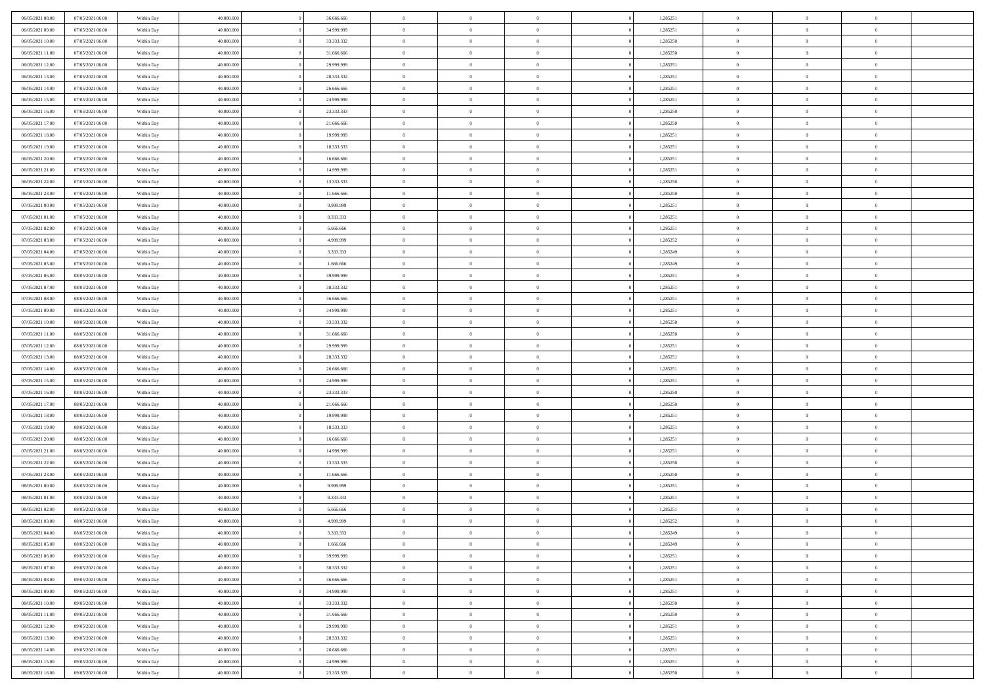| 06/05/2021 08:00                     | 07/05/2021 06:00                     | Within Day               | 40,000,000               | 36,666,666               | $\bf{0}$                      | $\overline{0}$                   | $\Omega$                         | 1,285251             | $\mathbf{0}$             | $\overline{0}$             | $\bf{0}$                   |  |
|--------------------------------------|--------------------------------------|--------------------------|--------------------------|--------------------------|-------------------------------|----------------------------------|----------------------------------|----------------------|--------------------------|----------------------------|----------------------------|--|
| 06/05/2021 09:00                     | 07/05/2021 06:00                     | Within Day               | 40.000.000               | 34.999.999               | $\theta$                      | $\overline{0}$                   | $\overline{0}$                   | 1,285251             | $\mathbf{0}$             | $\bf{0}$                   | $\overline{0}$             |  |
| 06/05/2021 10:00                     | 07/05/2021 06:00                     | Within Day               | 40.000.000               | 33.333.332               | $\theta$                      | $\overline{0}$                   | $\overline{0}$                   | 1,285250             | $\,$ 0                   | $\overline{0}$             | $\,$ 0 $\,$                |  |
| 06/05/2021 11:00                     | 07/05/2021 06:00                     | Within Day               | 40.000.000               | 31,666,666               | $\mathbf{0}$                  | $\overline{0}$                   | $\mathbf{0}$                     | 1,285250             | $\bf{0}$                 | $\mathbf{0}$               | $\theta$                   |  |
| 06/05/2021 12:00                     | 07/05/2021 06:00                     | Within Day               | 40.000.000               | 29.999.999               | $\mathbf{0}$                  | $\overline{0}$                   | $\overline{0}$                   | 1,285251             | $\mathbf{0}$             | $\bf{0}$                   | $\overline{0}$             |  |
| 06/05/2021 13:00                     | 07/05/2021 06:00                     | Within Day               | 40.000.000               | 28.333.332               | $\theta$                      | $\overline{0}$                   | $\overline{0}$                   | 1,285251             | $\,$ 0                   | $\overline{0}$             | $\,$ 0 $\,$                |  |
| 06/05/2021 14:00                     | 07/05/2021 06:00                     | Within Day               | 40.000.000               | 26,666,666               | $\,$ 0 $\,$                   | $\overline{0}$                   | $\mathbf{0}$                     | 1,285251             | $\bf{0}$                 | $\overline{0}$             | $\theta$                   |  |
| 06/05/2021 15:00                     | 07/05/2021 06:00                     | Within Day               | 40.000.000               | 24.999.999               | $\overline{0}$                | $\overline{0}$                   | $\overline{0}$                   | 1,285251             | $\mathbf{0}$             | $\bf{0}$                   | $\overline{0}$             |  |
| 06/05/2021 16:00                     | 07/05/2021 06:00                     | Within Day               | 40.000.000               | 23.333.333               | $\theta$                      | $\overline{0}$                   | $\overline{0}$                   | 1,285250             | $\,$ 0                   | $\overline{0}$             | $\,$ 0 $\,$                |  |
| 06/05/2021 17:00                     | 07/05/2021 06:00                     | Within Day               | 40.000.000               | 21,666,666               | $\mathbf{0}$                  | $\overline{0}$                   | $\mathbf{0}$                     | 1,285250             | $\theta$                 | $\mathbf{0}$               | $\theta$                   |  |
| 06/05/2021 18:00                     | 07/05/2021 06:00                     | Within Day               | 40.000.000               | 19.999.999               | $\overline{0}$                | $\overline{0}$                   | $\overline{0}$                   | 1,285251             | $\mathbf{0}$             | $\bf{0}$                   | $\overline{0}$             |  |
| 06/05/2021 19:00                     | 07/05/2021 06:00                     | Within Day               | 40.000.000               | 18.333.333               | $\theta$                      | $\overline{0}$                   | $\overline{0}$                   | 1,285251             | $\,$ 0                   | $\overline{0}$             | $\,$ 0 $\,$                |  |
| 06/05/2021 20:00                     | 07/05/2021 06:00                     | Within Day               | 40.000.000               | 16,666,666               | $\theta$                      | $\overline{0}$                   | $\mathbf{0}$                     | 1,285251             | $\bf{0}$                 | $\mathbf{0}$               | $\theta$                   |  |
| 06/05/2021 21:00                     | 07/05/2021 06:00                     | Within Day               | 40.000.000               | 14.999.999               | $\overline{0}$                | $\overline{0}$                   | $\overline{0}$                   | 1,285251             | $\mathbf{0}$             | $\bf{0}$                   | $\overline{0}$             |  |
| 06/05/2021 22:00                     | 07/05/2021 06:00                     | Within Day               | 40.000.000               | 13.333.333               | $\theta$                      | $\overline{0}$                   | $\overline{0}$                   | 1,285250             | $\,$ 0                   | $\overline{0}$             | $\,$ 0 $\,$                |  |
| 06/05/2021 23:00                     | 07/05/2021 06:00                     | Within Day               | 40,000,000               | 11.666.666               | $\bf{0}$                      | $\overline{0}$                   | $\mathbf{0}$                     | 1,285250             | $\bf{0}$                 | $\mathbf{0}$               | $\theta$                   |  |
| 07/05/2021 00:00                     | 07/05/2021 06:00                     | Within Day               | 40.000.000               | 9.999.999                | $\overline{0}$                | $\overline{0}$                   | $\overline{0}$                   | 1,285251             | $\mathbf{0}$             | $\bf{0}$                   | $\overline{0}$             |  |
| 07/05/2021 01:00                     | 07/05/2021 06:00                     | Within Day               | 40.000.000               | 8.333.333                | $\theta$                      | $\overline{0}$                   | $\overline{0}$                   | 1,285251             | $\,$ 0                   | $\overline{0}$             | $\,$ 0 $\,$                |  |
| 07/05/2021 02:00                     | 07/05/2021 06:00                     | Within Day               | 40.000.000               | 6.666.666                | $\overline{0}$                | $\overline{0}$                   | $\mathbf{0}$                     | 1,285251             | $\theta$                 | $\mathbf{0}$               | $\theta$                   |  |
| 07/05/2021 03:00                     | 07/05/2021 06:00                     | Within Day               | 40.000.000               | 4.999.999                | $\overline{0}$                | $\overline{0}$                   | $\overline{0}$                   | 1,285252             | $\mathbf{0}$             | $\bf{0}$                   | $\overline{0}$             |  |
| 07/05/2021 04:00                     | 07/05/2021 06:00                     | Within Day               | 40.000.000               | 3.333.333                | $\theta$                      | $\overline{0}$                   | $\overline{0}$                   | 1,285249             | $\,$ 0                   | $\overline{0}$             | $\,$ 0 $\,$                |  |
| 07/05/2021 05:00                     | 07/05/2021 06:00                     | Within Day               | 40.000.000               | 1.666.666                | $\mathbf{0}$                  | $\overline{0}$                   | $\mathbf{0}$                     | 1,285249             | $\bf{0}$                 | $\mathbf{0}$               | $\theta$                   |  |
| 07/05/2021 06:00                     | 08/05/2021 06:00                     | Within Day               | 40.000.000               | 39.999.999               | $\overline{0}$                | $\overline{0}$                   | $\overline{0}$                   | 1,285251             | $\mathbf{0}$             | $\bf{0}$                   | $\overline{0}$             |  |
| 07/05/2021 07:00                     | 08/05/2021 06:00                     | Within Day               | 40.000.000               | 38.333.332               | $\theta$                      | $\overline{0}$                   | $\overline{0}$                   | 1,285251             | $\,$ 0                   | $\overline{0}$             | $\,$ 0 $\,$                |  |
| 07/05/2021 08:00                     | 08/05/2021 06:00                     | Within Day               | 40,000,000               | 36,666,666               | $\bf{0}$                      | $\overline{0}$                   | $\mathbf{0}$                     | 1,285251             | $\bf{0}$                 | $\overline{0}$             | $\bf{0}$                   |  |
| 07/05/2021 09:00                     | 08/05/2021 06:00                     | Within Day               | 40.000.000               | 34.999.999               | $\overline{0}$                | $\overline{0}$                   | $\overline{0}$                   | 1,285251             | $\mathbf{0}$             | $\bf{0}$                   | $\overline{0}$             |  |
| 07/05/2021 10:00                     | 08/05/2021 06:00                     | Within Day               | 40.000.000               | 33.333.332               | $\theta$                      | $\overline{0}$                   | $\overline{0}$                   | 1,285250             | $\,$ 0                   | $\overline{0}$             | $\,$ 0 $\,$                |  |
| 07/05/2021 11:00                     | 08/05/2021 06:00                     | Within Day               | 40.000.000               | 31,666,666               | $\mathbf{0}$                  | $\overline{0}$                   | $\mathbf{0}$                     | 1.285250             | $\theta$                 | $\mathbf{0}$               | $\theta$                   |  |
| 07/05/2021 12:00                     | 08/05/2021 06:00                     | Within Day               | 40.000.000               | 29.999.999               | $\overline{0}$                | $\overline{0}$                   | $\overline{0}$                   | 1,285251             | $\mathbf{0}$             | $\bf{0}$                   | $\overline{0}$             |  |
| 07/05/2021 13:00                     | 08/05/2021 06:00                     | Within Day               | 40.000.000               | 28.333.332               | $\theta$                      | $\overline{0}$                   | $\overline{0}$                   | 1,285251             | $\,$ 0                   | $\overline{0}$             | $\,$ 0 $\,$                |  |
| 07/05/2021 14:00                     | 08/05/2021 06:00                     | Within Day               | 40.000.000               | 26.666.666               | $\bf{0}$                      | $\overline{0}$                   | $\overline{0}$                   | 1,285251             | $\bf{0}$                 | $\overline{0}$             | $\,0\,$                    |  |
| 07/05/2021 15:00                     | 08/05/2021 06:00                     | Within Day               | 40.000.000               | 24.999.999               | $\overline{0}$                | $\overline{0}$                   | $\overline{0}$                   | 1,285251             | $\mathbf{0}$             | $\bf{0}$                   | $\overline{0}$             |  |
| 07/05/2021 16:00                     | 08/05/2021 06:00                     | Within Day               | 40.000.000               | 23.333.333               | $\theta$                      | $\overline{0}$                   | $\bf{0}$                         | 1,285250             | $\,$ 0                   | $\overline{0}$             | $\,$ 0 $\,$                |  |
| 07/05/2021 17:00<br>07/05/2021 18:00 | 08/05/2021 06:00<br>08/05/2021 06:00 | Within Day<br>Within Day | 40.000.000<br>40.000.000 | 21.666.666<br>19.999.999 | $\,$ 0 $\,$<br>$\overline{0}$ | $\overline{0}$<br>$\overline{0}$ | $\overline{0}$<br>$\overline{0}$ | 1,285250<br>1,285251 | $\bf{0}$<br>$\mathbf{0}$ | $\overline{0}$<br>$\bf{0}$ | $\bf{0}$<br>$\overline{0}$ |  |
| 07/05/2021 19:00                     | 08/05/2021 06:00                     | Within Day               | 40.000.000               | 18.333.333               | $\theta$                      | $\overline{0}$                   | $\overline{0}$                   | 1,285251             | $\,$ 0                   | $\overline{0}$             | $\,$ 0 $\,$                |  |
| 07/05/2021 20:00                     | 08/05/2021 06:00                     | Within Day               | 40.000.000               | 16.666.666               | $\bf{0}$                      | $\overline{0}$                   | $\overline{0}$                   | 1,285251             | $\bf{0}$                 | $\overline{0}$             | $\,0\,$                    |  |
| 07/05/2021 21:00                     | 08/05/2021 06:00                     | Within Day               | 40.000.000               | 14.999.999               | $\overline{0}$                | $\overline{0}$                   | $\overline{0}$                   | 1,285251             | $\mathbf{0}$             | $\bf{0}$                   | $\overline{0}$             |  |
| 07/05/2021 22:00                     | 08/05/2021 06:00                     | Within Day               | 40.000.000               | 13.333.333               | $\theta$                      | $\overline{0}$                   | $\overline{0}$                   | 1,285250             | $\,$ 0                   | $\overline{0}$             | $\,$ 0 $\,$                |  |
| 07/05/2021 23:00                     | 08/05/2021 06:00                     | Within Day               | 40.000.000               | 11.666.666               | $\,$ 0 $\,$                   | $\overline{0}$                   | $\overline{0}$                   | 1,285250             | $\bf{0}$                 | $\overline{0}$             | $\,0\,$                    |  |
| 08/05/2021 00:00                     | 08/05/2021 06:00                     | Within Day               | 40.000.000               | 9.999.999                | $\overline{0}$                | $\overline{0}$                   | $\overline{0}$                   | 1,285251             | $\mathbf{0}$             | $\bf{0}$                   | $\overline{0}$             |  |
| 08/05/2021 01:00                     | 08/05/2021 06:00                     | Within Day               | 40.000.000               | 8.333.333                | $\theta$                      | $\overline{0}$                   | $\overline{0}$                   | 1,285251             | $\,$ 0                   | $\overline{0}$             | $\,$ 0 $\,$                |  |
| 08/05/2021 02:00                     | 08/05/2021 06:00                     | Within Day               | 40.000.000               | 6.666.666                | $\,$ 0 $\,$                   | $\overline{0}$                   | $\overline{0}$                   | 1,285251             | $\bf{0}$                 | $\overline{0}$             | $\bf{0}$                   |  |
| 08/05/2021 03:00                     | 08/05/2021 06:00                     | Within Day               | 40.000.000               | 4.999.999                | $\theta$                      | $\overline{0}$                   | $\overline{0}$                   | 1,285252             | $\mathbf{0}$             | $\bf{0}$                   | $\overline{0}$             |  |
| 08/05/2021 04:00                     | 08/05/2021 06:00                     | Within Day               | 40.000.000               | 3.333.333                | $\overline{0}$                | $\overline{0}$                   | $\overline{0}$                   | 1,285249             | $\overline{0}$           | $\overline{0}$             | $\theta$                   |  |
| 08/05/2021 05:00                     | 08/05/2021 06:00                     | Within Day               | 40.000.000               | 1.666.666                | $\bf{0}$                      | $\overline{0}$                   | $\overline{0}$                   | 1,285249             | $\mathbf{0}$             | $\overline{0}$             | $\bf{0}$                   |  |
| 08/05/2021 06:00                     | 09/05/2021 06:00                     | Within Day               | 40.000.000               | 39.999.999               | $\overline{0}$                | $\overline{0}$                   | $\overline{0}$                   | 1,285251             | $\overline{0}$           | $\overline{0}$             | $\overline{0}$             |  |
| 08/05/2021 07:00                     | 09/05/2021 06:00                     | Within Day               | 40.000.000               | 38.333.332               | $\,$ 0 $\,$                   | $\overline{0}$                   | $\overline{0}$                   | 1,285251             | $\,$ 0 $\,$              | $\,$ 0 $\,$                | $\,$ 0 $\,$                |  |
| 08/05/2021 08:00                     | 09/05/2021 06:00                     | Within Day               | 40.000.000               | 36.666.666               | $\bf{0}$                      | $\overline{0}$                   | $\overline{0}$                   | 1,285251             | $\mathbf{0}$             | $\overline{0}$             | $\bf{0}$                   |  |
| 08/05/2021 09:00                     | 09/05/2021 06:00                     | Within Day               | 40.000.000               | 34.999.999               | $\,$ 0 $\,$                   | $\overline{0}$                   | $\overline{0}$                   | 1,285251             | $\,$ 0 $\,$              | $\bf{0}$                   | $\overline{0}$             |  |
| 08/05/2021 10:00                     | 09/05/2021 06:00                     | Within Day               | 40.000.000               | 33.333.332               | $\,$ 0                        | $\overline{0}$                   | $\overline{0}$                   | 1,285250             | $\,$ 0 $\,$              | $\overline{0}$             | $\,$ 0 $\,$                |  |
| 08/05/2021 11:00                     | 09/05/2021 06:00                     | Within Day               | 40.000.000               | 31.666.666               | $\bf{0}$                      | $\overline{0}$                   | $\overline{0}$                   | 1,285250             | $\overline{0}$           | $\overline{0}$             | $\overline{0}$             |  |
| 08/05/2021 12:00                     | 09/05/2021 06:00                     | Within Day               | 40.000.000               | 29.999.999               | $\,$ 0 $\,$                   | $\overline{0}$                   | $\overline{0}$                   | 1,285251             | $\,$ 0 $\,$              | $\overline{0}$             | $\overline{0}$             |  |
| 08/05/2021 13:00                     | 09/05/2021 06:00                     | Within Day               | 40.000.000               | 28.333.332               | $\,$ 0                        | $\overline{0}$                   | $\overline{0}$                   | 1,285251             | $\,$ 0 $\,$              | $\,$ 0 $\,$                | $\,$ 0 $\,$                |  |
| 08/05/2021 14:00                     | 09/05/2021 06:00                     | Within Day               | 40.000.000               | 26.666.666               | $\bf{0}$                      | $\overline{0}$                   | $\overline{0}$                   | 1,285251             | $\mathbf{0}$             | $\overline{0}$             | $\bf{0}$                   |  |
| 08/05/2021 15:00                     | 09/05/2021 06:00                     | Within Day               | 40.000.000               | 24.999.999               | $\mathbf{0}$                  | $\overline{0}$                   | $\overline{0}$                   | 1,285251             | $\overline{0}$           | $\bf{0}$                   | $\overline{0}$             |  |
| 08/05/2021 16:00                     | 09/05/2021 06:00                     | Within Day               | 40.000.000               | 23.333.333               | $\,$ 0 $\,$                   | $\overline{0}$                   | $\overline{0}$                   | 1,285250             | $\,$ 0 $\,$              | $\overline{0}$             | $\,$ 0 $\,$                |  |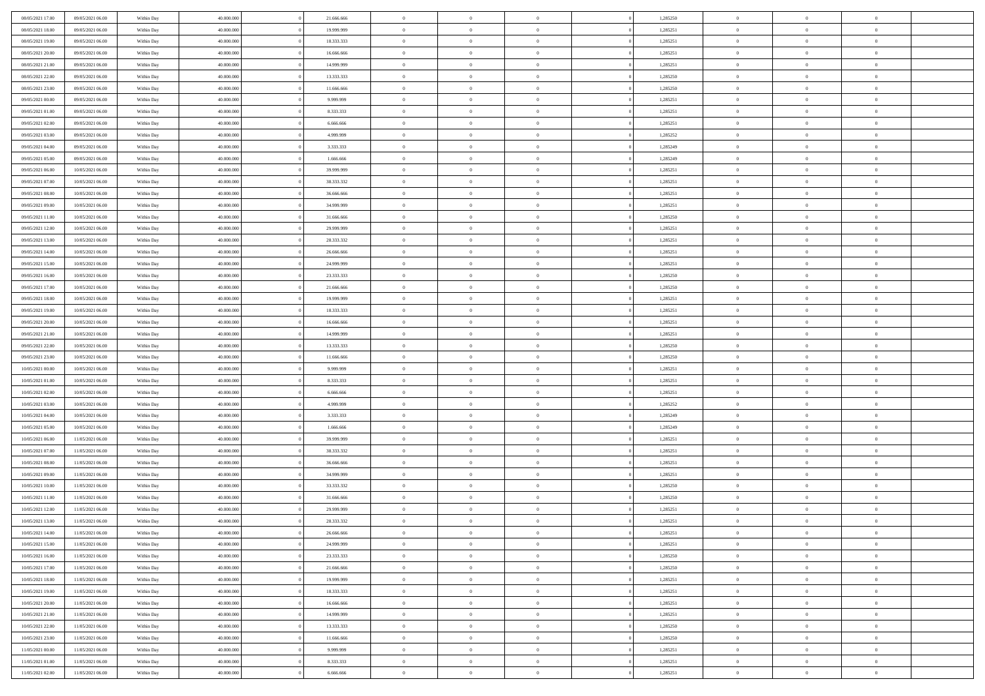| 08/05/2021 17:00                     | 09/05/2021 06:00 | Within Day               | 40.000.000 | 21.666.666 | $\,$ 0 $\,$    | $\overline{0}$                    | $\overline{0}$           |          | 1,285250 | $\bf{0}$       | $\overline{0}$ | $\,0\,$        |  |
|--------------------------------------|------------------|--------------------------|------------|------------|----------------|-----------------------------------|--------------------------|----------|----------|----------------|----------------|----------------|--|
| 08/05/2021 18:00                     | 09/05/2021 06:00 | Within Day               | 40,000,000 | 19.999.999 | $\theta$       | $\overline{0}$                    | $\mathbf{0}$             |          | 1,285251 | $\theta$       | $\overline{0}$ | $\theta$       |  |
| 08/05/2021 19:00                     | 09/05/2021 06:00 | Within Day               | 40.000.000 | 18.333.333 | $\theta$       | $\overline{0}$                    | $\overline{0}$           |          | 1,285251 | $\mathbf{0}$   | $\overline{0}$ | $\overline{0}$ |  |
| 08/05/2021 20:00                     | 09/05/2021 06:00 | Within Day               | 40.000.000 | 16.666.666 | $\,$ 0 $\,$    | $\overline{0}$                    | $\overline{0}$           |          | 1,285251 | $\bf{0}$       | $\overline{0}$ | $\bf{0}$       |  |
| 08/05/2021 21:00                     | 09/05/2021 06:00 | Within Day               | 40,000,000 | 14.999.999 | $\bf{0}$       | $\overline{0}$                    | $\mathbf{0}$             |          | 1,285251 | $\bf{0}$       | $\overline{0}$ | $\,0\,$        |  |
| 08/05/2021 22:00                     | 09/05/2021 06:00 | Within Day               | 40.000.000 | 13.333.333 | $\theta$       | $\overline{0}$                    | $\mathbf{0}$             |          | 1,285250 | $\mathbf{0}$   | $\overline{0}$ | $\overline{0}$ |  |
| 08/05/2021 23:00                     | 09/05/2021 06:00 | Within Day               | 40.000.000 | 11.666.666 | $\,$ 0 $\,$    | $\overline{0}$                    | $\overline{0}$           |          | 1,285250 | $\bf{0}$       | $\overline{0}$ | $\bf{0}$       |  |
|                                      |                  |                          | 40,000,000 |            | $\overline{0}$ | $\overline{0}$                    | $\mathbf{0}$             |          |          | $\,$ 0 $\,$    | $\overline{0}$ | $\overline{0}$ |  |
| 09/05/2021 00:00                     | 09/05/2021 06:00 | Within Day               |            | 9.999.999  | $\theta$       |                                   |                          |          | 1,285251 | $\mathbf{0}$   |                | $\overline{0}$ |  |
| 09/05/2021 01:00                     | 09/05/2021 06:00 | Within Day               | 40.000.000 | 8.333.333  |                | $\overline{0}$                    | $\mathbf{0}$<br>$\Omega$ |          | 1,285251 |                | $\overline{0}$ |                |  |
| 09/05/2021 02:00                     | 09/05/2021 06:00 | Within Day               | 40.000.000 | 6.666.666  | $\,$ 0 $\,$    | $\overline{0}$                    |                          |          | 1,285251 | $\bf{0}$       | $\overline{0}$ | $\bf{0}$       |  |
| 09/05/2021 03:00                     | 09/05/2021 06:00 | Within Day               | 40,000,000 | 4.999.999  | $\bf{0}$       | $\overline{0}$                    | $\mathbf{0}$             |          | 1,285252 | $\bf{0}$       | $\overline{0}$ | $\overline{0}$ |  |
| 09/05/2021 04:00                     | 09/05/2021 06:00 | Within Day               | 40.000.000 | 3.333.333  | $\theta$       | $\overline{0}$                    | $\overline{0}$           |          | 1,285249 | $\mathbf{0}$   | $\overline{0}$ | $\overline{0}$ |  |
| 09/05/2021 05:00                     | 09/05/2021 06:00 | Within Day               | 40.000.000 | 1.666.666  | $\,$ 0 $\,$    | $\overline{0}$                    | $\overline{0}$           |          | 1,285249 | $\bf{0}$       | $\overline{0}$ | $\overline{0}$ |  |
| 09/05/2021 06:00                     | 10/05/2021 06:00 | Within Day               | 40,000,000 | 39.999.999 | $\bf{0}$       | $\overline{0}$                    | $\mathbf{0}$             |          | 1,285251 | $\bf{0}$       | $\mathbf{0}$   | $\,0\,$        |  |
| 09/05/2021 07:00                     | 10/05/2021 06:00 | Within Day               | 40.000.000 | 38.333.332 | $\overline{0}$ | $\overline{0}$                    | $\overline{0}$           |          | 1,285251 | $\mathbf{0}$   | $\overline{0}$ | $\overline{0}$ |  |
| 09/05/2021 08:00                     | 10/05/2021 06:00 | Within Day               | 40.000.000 | 36.666.666 | $\,$ 0 $\,$    | $\overline{0}$                    | $\Omega$                 |          | 1,285251 | $\bf{0}$       | $\overline{0}$ | $\bf{0}$       |  |
| 09/05/2021 09:00                     | 10/05/2021 06:00 | Within Day               | 40,000,000 | 34.999.999 | $\,$ 0         | $\overline{0}$                    | $\mathbf{0}$             |          | 1,285251 | $\,$ 0 $\,$    | $\overline{0}$ | $\overline{0}$ |  |
| 09/05/2021 11:00                     | 10/05/2021 06:00 | Within Day               | 40.000.000 | 31.666.666 | $\theta$       | $\overline{0}$                    | $\mathbf{0}$             |          | 1,285250 | $\mathbf{0}$   | $\overline{0}$ | $\overline{0}$ |  |
| 09/05/2021 12:00                     | 10/05/2021 06:00 | Within Day               | 40.000.000 | 29.999.999 | $\,$ 0 $\,$    | $\overline{0}$                    | $\Omega$                 |          | 1,285251 | $\bf{0}$       | $\overline{0}$ | $\bf{0}$       |  |
| 09/05/2021 13:00                     | 10/05/2021 06:00 | Within Day               | 40,000,000 | 28.333.332 | $\bf{0}$       | $\overline{0}$                    | $\mathbf{0}$             |          | 1,285251 | $\bf{0}$       | $\mathbf{0}$   | $\overline{0}$ |  |
| 09/05/2021 14:00                     | 10/05/2021 06:00 | Within Day               | 40.000.000 | 26.666.666 | $\theta$       | $\overline{0}$                    | $\overline{0}$           |          | 1,285251 | $\mathbf{0}$   | $\overline{0}$ | $\overline{0}$ |  |
| 09/05/2021 15:00                     | 10/05/2021 06:00 | Within Day               | 40.000.000 | 24.999.999 | $\,$ 0 $\,$    | $\overline{0}$                    | $\overline{0}$           |          | 1,285251 | $\bf{0}$       | $\overline{0}$ | $\bf{0}$       |  |
| 09/05/2021 16:00                     | 10/05/2021 06:00 | Within Day               | 40,000,000 | 23.333.333 | $\bf{0}$       | $\overline{0}$                    | $\mathbf{0}$             |          | 1,285250 | $\,$ 0 $\,$    | $\overline{0}$ | $\,0\,$        |  |
| 09/05/2021 17:00                     | 10/05/2021 06:00 | Within Day               | 40.000.000 | 21.666.666 | $\theta$       | $\overline{0}$                    | $\mathbf{0}$             |          | 1,285250 | $\mathbf{0}$   | $\overline{0}$ | $\overline{0}$ |  |
| 09/05/2021 18:00                     | 10/05/2021 06:00 | Within Day               | 40.000.000 | 19.999.999 | $\,$ 0 $\,$    | $\overline{0}$                    | $\overline{0}$           |          | 1,285251 | $\bf{0}$       | $\overline{0}$ | $\bf{0}$       |  |
| 09/05/2021 19:00                     | 10/05/2021 06:00 | Within Day               | 40,000,000 | 18.333.333 | $\,$ 0         | $\overline{0}$                    | $\mathbf{0}$             |          | 1,285251 | $\bf{0}$       | $\overline{0}$ | $\overline{0}$ |  |
| 09/05/2021 20:00                     | 10/05/2021 06:00 | Within Day               | 40.000.000 | 16.666.666 | $\theta$       | $\overline{0}$                    | $\mathbf{0}$             |          | 1,285251 | $\mathbf{0}$   | $\overline{0}$ | $\overline{0}$ |  |
| 09/05/2021 21:00                     | 10/05/2021 06:00 | Within Day               | 40.000.000 | 14.999.999 | $\,$ 0 $\,$    | $\overline{0}$                    | $\Omega$                 |          | 1,285251 | $\bf{0}$       | $\overline{0}$ | $\bf{0}$       |  |
| 09/05/2021 22:00                     | 10/05/2021 06:00 | Within Day               | 40,000,000 | 13.333.333 | $\bf{0}$       | $\overline{0}$                    | $\mathbf{0}$             |          | 1,285250 | $\bf{0}$       | $\mathbf{0}$   | $\overline{0}$ |  |
| 09/05/2021 23:00                     | 10/05/2021 06:00 | Within Day               | 40.000.000 | 11.666.666 | $\theta$       | $\overline{0}$                    | $\overline{0}$           |          | 1,285250 | $\mathbf{0}$   | $\overline{0}$ | $\overline{0}$ |  |
| 10/05/2021 00:00                     | 10/05/2021 06:00 | Within Day               | 40.000.000 | 9.999.999  | $\,$ 0 $\,$    | $\overline{0}$                    | $\overline{0}$           |          | 1,285251 | $\,$ 0         | $\overline{0}$ | $\,$ 0 $\,$    |  |
| 10/05/2021 01:00                     | 10/05/2021 06:00 | Within Day               | 40,000,000 | 8.333.333  | $\bf{0}$       | $\overline{0}$                    | $\mathbf{0}$             |          | 1,285251 | $\bf{0}$       | $\mathbf{0}$   | $\overline{0}$ |  |
| 10/05/2021 02:00                     | 10/05/2021 06:00 | Within Day               | 40.000.000 | 6.666.666  | $\theta$       | $\overline{0}$                    | $\overline{0}$           |          | 1,285251 | $\mathbf{0}$   | $\overline{0}$ | $\overline{0}$ |  |
| 10/05/2021 03:00                     | 10/05/2021 06:00 | Within Day               | 40.000.000 | 4.999.999  | $\theta$       | $\overline{0}$                    | $\overline{0}$           |          | 1,285252 | $\,$ 0         | $\overline{0}$ | $\theta$       |  |
| 10/05/2021 04:00                     | 10/05/2021 06:00 | Within Day               | 40,000,000 | 3.333.333  | $\bf{0}$       | $\overline{0}$                    | $\mathbf{0}$             |          | 1,285249 | $\overline{0}$ | $\overline{0}$ | $\overline{0}$ |  |
| 10/05/2021 05:00                     | 10/05/2021 06:00 | Within Day               | 40.000.000 | 1.666.666  | $\theta$       | $\overline{0}$                    | $\mathbf{0}$             |          | 1,285249 | $\mathbf{0}$   | $\overline{0}$ | $\overline{0}$ |  |
| 10/05/2021 06:00                     | 11/05/2021 06:00 | Within Day               | 40.000.000 | 39.999.999 | $\theta$       | $\overline{0}$                    | $\overline{0}$           |          | 1,285251 | $\,$ 0         | $\overline{0}$ | $\theta$       |  |
| 10/05/2021 07:00                     | 11/05/2021 06:00 | Within Day               | 40,000,000 | 38.333.332 | $\bf{0}$       | $\overline{0}$                    | $\mathbf{0}$             |          | 1,285251 | $\bf{0}$       | $\mathbf{0}$   | $\overline{0}$ |  |
| 10/05/2021 08:00                     | 11/05/2021 06:00 | Within Day               | 40.000.000 | 36.666.666 | $\theta$       | $\overline{0}$                    | $\overline{0}$           |          | 1,285251 | $\mathbf{0}$   | $\overline{0}$ | $\overline{0}$ |  |
| 10/05/2021 09:00                     | 11/05/2021 06:00 | Within Day               | 40.000.000 | 34.999.999 | $\,$ 0 $\,$    | $\overline{0}$                    | $\overline{0}$           |          | 1,285251 | $\,$ 0         | $\overline{0}$ | $\,$ 0 $\,$    |  |
| 10/05/2021 10:00                     | 11/05/2021 06:00 | Within Day               | 40,000,000 | 33.333.332 | $\,$ 0         | $\,$ 0 $\,$                       | $\overline{0}$           |          | 1,285250 | $\,$ 0 $\,$    | $\overline{0}$ | $\overline{0}$ |  |
| 10/05/2021 11:00                     | 11/05/2021 06:00 | Within Day               | 40.000.000 | 31.666.666 | $\theta$       | $\overline{0}$                    | $\mathbf{0}$             |          | 1,285250 | $\mathbf{0}$   | $\overline{0}$ | $\overline{0}$ |  |
| 10/05/2021 12:00                     | 11/05/2021 06:00 | Within Day               | 40.000.000 | 29.999.999 | $\theta$       | $\overline{0}$                    | $\overline{0}$           |          | 1,285251 | $\,$ 0         | $\overline{0}$ | $\theta$       |  |
| 10/05/2021 13:00                     | 11/05/2021 06:00 | Within Day               | 40,000,000 | 28.333.332 | $\bf{0}$       | $\,$ 0 $\,$                       | $\mathbf{0}$             |          | 1,285251 | $\mathbf{0}$   | $\overline{0}$ | $\overline{0}$ |  |
| 10/05/2021 14:00                     | 11/05/2021 06:00 | Within Day               | 40.000.000 | 26.666.666 | $\overline{0}$ | $\theta$                          |                          |          | 1,285251 | $\overline{0}$ | $\theta$       | $\theta$       |  |
| 10/05/2021 15:00                     | 11/05/2021 06:00 | Within Day               | 40.000.000 | 24.999.999 | $\,$ 0 $\,$    | $\overline{0}$                    | $\overline{0}$           |          | 1,285251 | $\,$ 0 $\,$    | $\bf{0}$       | $\,$ 0 $\,$    |  |
| 10/05/2021 16:00                     | 11/05/2021 06:00 | Within Day               | 40,000,000 | 23.333.333 | $\bf{0}$       | $\hspace{0.1cm} 0 \hspace{0.1cm}$ | $\overline{0}$           |          | 1,285250 | $\,$ 0 $\,$    | $\overline{0}$ | $\overline{0}$ |  |
| 10/05/2021 17:00                     | 11/05/2021 06:00 | Within Day               | 40.000.000 | 21.666.666 | $\,$ 0 $\,$    | $\overline{0}$                    | $\overline{0}$           |          | 1,285250 | $\,$ 0 $\,$    | $\bf{0}$       | $\overline{0}$ |  |
| 10/05/2021 18:00                     | 11/05/2021 06:00 | Within Day               | 40.000.000 | 19.999.999 | $\,$ 0 $\,$    | $\overline{0}$                    | $\overline{0}$           | $\theta$ | 1,285251 | $\,$ 0 $\,$    | $\bf{0}$       | $\,$ 0 $\,$    |  |
| 10/05/2021 19:00                     | 11/05/2021 06:00 | Within Day               | 40,000,000 | 18.333.333 | $\,$ 0 $\,$    | $\,$ 0 $\,$                       | $\overline{0}$           |          | 1,285251 | $\,$ 0 $\,$    | $\overline{0}$ | $\overline{0}$ |  |
| 10/05/2021 20:00                     | 11/05/2021 06:00 | Within Day               | 40.000.000 | 16.666.666 | $\overline{0}$ | $\overline{0}$                    | $\overline{0}$           |          | 1,285251 | $\mathbf{0}$   | $\bf{0}$       | $\overline{0}$ |  |
| 10/05/2021 21:00                     | 11/05/2021 06:00 | Within Day               | 40.000.000 | 14.999.999 | $\,$ 0 $\,$    | $\overline{0}$                    | $\overline{0}$           |          | 1,285251 | $\,$ 0 $\,$    | $\bf{0}$       | $\,$ 0 $\,$    |  |
|                                      | 11/05/2021 06:00 |                          | 40.000.000 | 13.333.333 | $\bf{0}$       | $\overline{0}$                    | $\overline{0}$           |          | 1,285250 | $\,$ 0 $\,$    | $\overline{0}$ | $\overline{0}$ |  |
| 10/05/2021 22:00<br>10/05/2021 23:00 | 11/05/2021 06:00 | Within Day<br>Within Day | 40.000.000 | 11.666.666 | $\,$ 0 $\,$    | $\overline{0}$                    | $\overline{0}$           |          | 1,285250 | $\,$ 0 $\,$    | $\bf{0}$       | $\overline{0}$ |  |
|                                      |                  |                          |            |            |                |                                   |                          |          |          |                |                |                |  |
| 11/05/2021 00:00                     | 11/05/2021 06:00 | Within Day               | 40.000.000 | 9.999.999  | $\,$ 0 $\,$    | $\overline{0}$                    | $\overline{0}$           |          | 1,285251 | $\,$ 0 $\,$    | $\bf{0}$       | $\,$ 0 $\,$    |  |
| 11/05/2021 01:00                     | 11/05/2021 06:00 | Within Day               | 40,000,000 | 8.333.333  | $\,$ 0 $\,$    | $\,$ 0 $\,$                       | $\overline{0}$           |          | 1,285251 | $\,$ 0 $\,$    | $\overline{0}$ | $\overline{0}$ |  |
| 11/05/2021 02:00                     | 11/05/2021 06:00 | Within Day               | 40.000.000 | 6.666.666  | $\theta$       | $\overline{0}$                    | $\overline{0}$           |          | 1,285251 | $\,$ 0 $\,$    | $\overline{0}$ | $\overline{0}$ |  |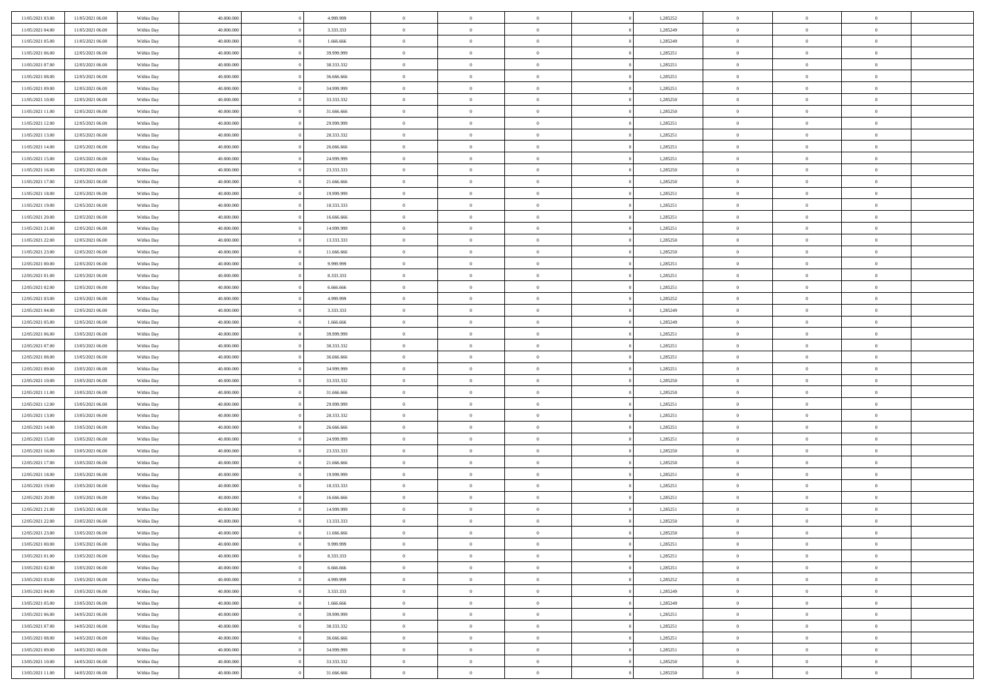| 11/05/2021 03:00 | 11/05/2021 06:00 | Within Day | 40.000.000 | 4.999.999  | $\,$ 0 $\,$    | $\overline{0}$                    | $\overline{0}$           |          | 1,285252 | $\bf{0}$       | $\overline{0}$ | $\,0\,$        |  |
|------------------|------------------|------------|------------|------------|----------------|-----------------------------------|--------------------------|----------|----------|----------------|----------------|----------------|--|
| 11/05/2021 04:00 | 11/05/2021 06:00 | Within Day | 40,000,000 | 3.333.333  | $\overline{0}$ | $\overline{0}$                    | $\mathbf{0}$             |          | 1,285249 | $\theta$       | $\overline{0}$ | $\theta$       |  |
| 11/05/2021 05:00 | 11/05/2021 06:00 | Within Day | 40.000.000 | 1.666.666  | $\theta$       | $\overline{0}$                    | $\overline{0}$           |          | 1,285249 | $\mathbf{0}$   | $\overline{0}$ | $\overline{0}$ |  |
| 11/05/2021 06:00 | 12/05/2021 06:00 | Within Day | 40.000.000 | 39.999.999 | $\bf{0}$       | $\overline{0}$                    | $\overline{0}$           |          | 1,285251 | $\mathbf{0}$   | $\overline{0}$ | $\bf{0}$       |  |
| 11/05/2021 07:00 | 12/05/2021 06:00 | Within Day | 40,000,000 | 38.333.332 | $\bf{0}$       | $\overline{0}$                    | $\mathbf{0}$             |          | 1,285251 | $\bf{0}$       | $\overline{0}$ | $\bf{0}$       |  |
| 11/05/2021 08:00 | 12/05/2021 06:00 | Within Day | 40.000.000 | 36.666.666 | $\theta$       | $\overline{0}$                    | $\overline{0}$           |          | 1,285251 | $\mathbf{0}$   | $\overline{0}$ | $\overline{0}$ |  |
| 11/05/2021 09:00 | 12/05/2021 06:00 | Within Day | 40.000.000 | 34.999.999 | $\,$ 0 $\,$    | $\overline{0}$                    | $\overline{0}$           |          | 1,285251 | $\bf{0}$       | $\overline{0}$ | $\bf{0}$       |  |
|                  |                  |            | 40,000,000 | 33.333.332 | $\overline{0}$ | $\overline{0}$                    | $\mathbf{0}$             |          |          | $\,$ 0 $\,$    | $\overline{0}$ | $\overline{0}$ |  |
| 11/05/2021 10:00 | 12/05/2021 06:00 | Within Day |            |            | $\theta$       |                                   |                          |          | 1,285250 | $\mathbf{0}$   |                | $\overline{0}$ |  |
| 11/05/2021 11:00 | 12/05/2021 06:00 | Within Day | 40.000.000 | 31.666.666 |                | $\overline{0}$                    | $\mathbf{0}$<br>$\Omega$ |          | 1,285250 |                | $\overline{0}$ |                |  |
| 11/05/2021 12:00 | 12/05/2021 06:00 | Within Day | 40.000.000 | 29.999.999 | $\,$ 0 $\,$    | $\overline{0}$                    |                          |          | 1,285251 | $\bf{0}$       | $\overline{0}$ | $\bf{0}$       |  |
| 11/05/2021 13:00 | 12/05/2021 06:00 | Within Day | 40,000,000 | 28.333.332 | $\bf{0}$       | $\overline{0}$                    | $\mathbf{0}$             |          | 1,285251 | $\bf{0}$       | $\overline{0}$ | $\overline{0}$ |  |
| 11/05/2021 14:00 | 12/05/2021 06:00 | Within Day | 40.000.000 | 26.666.666 | $\theta$       | $\overline{0}$                    | $\overline{0}$           |          | 1,285251 | $\mathbf{0}$   | $\overline{0}$ | $\overline{0}$ |  |
| 11/05/2021 15:00 | 12/05/2021 06:00 | Within Day | 40.000.000 | 24.999.999 | $\,$ 0 $\,$    | $\overline{0}$                    | $\overline{0}$           |          | 1,285251 | $\bf{0}$       | $\overline{0}$ | $\overline{0}$ |  |
| 11/05/2021 16:00 | 12/05/2021 06:00 | Within Day | 40,000,000 | 23.333.333 | $\bf{0}$       | $\overline{0}$                    | $\mathbf{0}$             |          | 1,285250 | $\bf{0}$       | $\mathbf{0}$   | $\bf{0}$       |  |
| 11/05/2021 17:00 | 12/05/2021 06:00 | Within Day | 40.000.000 | 21.666.666 | $\overline{0}$ | $\overline{0}$                    | $\overline{0}$           |          | 1,285250 | $\mathbf{0}$   | $\overline{0}$ | $\overline{0}$ |  |
| 11/05/2021 18:00 | 12/05/2021 06:00 | Within Day | 40.000.000 | 19.999.999 | $\,$ 0 $\,$    | $\overline{0}$                    | $\Omega$                 |          | 1,285251 | $\bf{0}$       | $\overline{0}$ | $\bf{0}$       |  |
| 11/05/2021 19:00 | 12/05/2021 06:00 | Within Day | 40,000,000 | 18.333.333 | $\,$ 0         | $\overline{0}$                    | $\mathbf{0}$             |          | 1,285251 | $\,$ 0 $\,$    | $\overline{0}$ | $\overline{0}$ |  |
| 11/05/2021 20:00 | 12/05/2021 06:00 | Within Day | 40.000.000 | 16.666.666 | $\theta$       | $\overline{0}$                    | $\mathbf{0}$             |          | 1,285251 | $\mathbf{0}$   | $\overline{0}$ | $\overline{0}$ |  |
| 11/05/2021 21:00 | 12/05/2021 06:00 | Within Day | 40.000.000 | 14.999.999 | $\,$ 0 $\,$    | $\overline{0}$                    | $\Omega$                 |          | 1,285251 | $\bf{0}$       | $\overline{0}$ | $\bf{0}$       |  |
| 11/05/2021 22:00 | 12/05/2021 06:00 | Within Day | 40,000,000 | 13.333.333 | $\bf{0}$       | $\overline{0}$                    | $\mathbf{0}$             |          | 1,285250 | $\bf{0}$       | $\overline{0}$ | $\overline{0}$ |  |
| 11/05/2021 23:00 | 12/05/2021 06:00 | Within Day | 40.000.000 | 11.666.666 | $\theta$       | $\overline{0}$                    | $\overline{0}$           |          | 1,285250 | $\mathbf{0}$   | $\overline{0}$ | $\overline{0}$ |  |
| 12/05/2021 00:00 | 12/05/2021 06:00 | Within Day | 40.000.000 | 9.999.999  | $\,$ 0 $\,$    | $\overline{0}$                    | $\overline{0}$           |          | 1,285251 | $\bf{0}$       | $\overline{0}$ | $\bf{0}$       |  |
| 12/05/2021 01:00 | 12/05/2021 06:00 | Within Day | 40,000,000 | 8.333.333  | $\bf{0}$       | $\overline{0}$                    | $\mathbf{0}$             |          | 1,285251 | $\,$ 0 $\,$    | $\overline{0}$ | $\bf{0}$       |  |
| 12/05/2021 02:00 | 12/05/2021 06:00 | Within Day | 40.000.000 | 6.666.666  | $\theta$       | $\overline{0}$                    | $\mathbf{0}$             |          | 1,285251 | $\mathbf{0}$   | $\overline{0}$ | $\overline{0}$ |  |
| 12/05/2021 03:00 | 12/05/2021 06:00 | Within Day | 40.000.000 | 4.999.999  | $\,$ 0 $\,$    | $\overline{0}$                    | $\overline{0}$           |          | 1,285252 | $\bf{0}$       | $\overline{0}$ | $\bf{0}$       |  |
| 12/05/2021 04:00 | 12/05/2021 06:00 | Within Day | 40,000,000 | 3.333.333  | $\,$ 0         | $\overline{0}$                    | $\mathbf{0}$             |          | 1,285249 | $\mathbf{0}$   | $\overline{0}$ | $\overline{0}$ |  |
| 12/05/2021 05:00 | 12/05/2021 06:00 | Within Day | 40.000.000 | 1.666.666  | $\theta$       | $\overline{0}$                    | $\mathbf{0}$             |          | 1,285249 | $\mathbf{0}$   | $\overline{0}$ | $\overline{0}$ |  |
| 12/05/2021 06:00 | 13/05/2021 06:00 | Within Day | 40.000.000 | 39.999.999 | $\,$ 0 $\,$    | $\overline{0}$                    | $\Omega$                 |          | 1,285251 | $\bf{0}$       | $\overline{0}$ | $\bf{0}$       |  |
| 12/05/2021 07:00 | 13/05/2021 06:00 | Within Day | 40,000,000 | 38.333.332 | $\bf{0}$       | $\overline{0}$                    | $\mathbf{0}$             |          | 1,285251 | $\bf{0}$       | $\overline{0}$ | $\overline{0}$ |  |
| 12/05/2021 08:00 | 13/05/2021 06:00 | Within Day | 40.000.000 | 36.666.666 | $\theta$       | $\overline{0}$                    | $\overline{0}$           |          | 1,285251 | $\mathbf{0}$   | $\overline{0}$ | $\overline{0}$ |  |
| 12/05/2021 09:00 | 13/05/2021 06:00 | Within Day | 40.000.000 | 34.999.999 | $\,$ 0 $\,$    | $\overline{0}$                    | $\overline{0}$           |          | 1,285251 | $\,$ 0         | $\overline{0}$ | $\,$ 0 $\,$    |  |
| 12/05/2021 10:00 | 13/05/2021 06:00 | Within Day | 40,000,000 | 33.333.332 | $\bf{0}$       | $\overline{0}$                    | $\mathbf{0}$             |          | 1,285250 | $\bf{0}$       | $\bf{0}$       | $\bf{0}$       |  |
| 12/05/2021 11:00 | 13/05/2021 06:00 | Within Day | 40.000.000 | 31.666.666 | $\theta$       | $\overline{0}$                    | $\overline{0}$           |          | 1,285250 | $\mathbf{0}$   | $\overline{0}$ | $\overline{0}$ |  |
| 12/05/2021 12:00 | 13/05/2021 06:00 | Within Day | 40.000.000 | 29.999.999 | $\theta$       | $\overline{0}$                    | $\overline{0}$           |          | 1,285251 | $\,$ 0         | $\overline{0}$ | $\theta$       |  |
| 12/05/2021 13:00 | 13/05/2021 06:00 | Within Day | 40,000,000 | 28.333.332 | $\overline{0}$ | $\overline{0}$                    | $\mathbf{0}$             |          | 1,285251 | $\overline{0}$ | $\overline{0}$ | $\overline{0}$ |  |
| 12/05/2021 14:00 | 13/05/2021 06:00 | Within Day | 40.000.000 | 26.666.666 | $\theta$       | $\overline{0}$                    | $\mathbf{0}$             |          | 1,285251 | $\mathbf{0}$   | $\overline{0}$ | $\overline{0}$ |  |
| 12/05/2021 15:00 | 13/05/2021 06:00 | Within Day | 40.000.000 | 24.999.999 | $\theta$       | $\overline{0}$                    | $\overline{0}$           |          | 1,285251 | $\,$ 0         | $\overline{0}$ | $\,$ 0 $\,$    |  |
| 12/05/2021 16:00 | 13/05/2021 06:00 | Within Day | 40,000,000 | 23.333.333 | $\bf{0}$       | $\overline{0}$                    | $\mathbf{0}$             |          | 1,285250 | $\bf{0}$       | $\overline{0}$ | $\bf{0}$       |  |
| 12/05/2021 17:00 | 13/05/2021 06:00 | Within Day | 40.000.000 | 21.666.666 | $\theta$       | $\overline{0}$                    | $\overline{0}$           |          | 1,285250 | $\mathbf{0}$   | $\overline{0}$ | $\overline{0}$ |  |
| 12/05/2021 18:00 | 13/05/2021 06:00 | Within Day | 40.000.000 | 19.999.999 | $\,$ 0 $\,$    | $\overline{0}$                    | $\overline{0}$           |          | 1,285251 | $\,$ 0         | $\overline{0}$ | $\,$ 0 $\,$    |  |
| 12/05/2021 19:00 | 13/05/2021 06:00 | Within Day | 40,000,000 | 18.333.333 | $\bf{0}$       | $\,$ 0 $\,$                       | $\overline{0}$           |          | 1,285251 | $\,$ 0 $\,$    | $\overline{0}$ | $\bf{0}$       |  |
| 12/05/2021 20:00 | 13/05/2021 06:00 | Within Day | 40.000.000 | 16.666.666 | $\theta$       | $\overline{0}$                    | $\mathbf{0}$             |          | 1,285251 | $\mathbf{0}$   | $\overline{0}$ | $\overline{0}$ |  |
| 12/05/2021 21:00 | 13/05/2021 06:00 | Within Day | 40.000.000 | 14.999.999 | $\theta$       | $\overline{0}$                    | $\overline{0}$           |          | 1,285251 | $\,$ 0         | $\overline{0}$ | $\theta$       |  |
| 12/05/2021 22:00 | 13/05/2021 06:00 | Within Day | 40,000,000 | 13.333.333 | $\bf{0}$       | $\,$ 0 $\,$                       | $\mathbf{0}$             |          | 1,285250 | $\mathbf{0}$   | $\overline{0}$ | $\bf{0}$       |  |
| 12/05/2021 23:00 | 13/05/2021 06:00 | Within Day | 40.000.000 | 11.666.666 | $\overline{0}$ | $\theta$                          |                          |          | 1,285250 | $\overline{0}$ | $\theta$       | $\theta$       |  |
| 13/05/2021 00:00 | 13/05/2021 06:00 | Within Day | 40.000.000 | 9.999.999  | $\,$ 0 $\,$    | $\overline{0}$                    | $\overline{0}$           |          | 1,285251 | $\,$ 0 $\,$    | $\bf{0}$       | $\,$ 0 $\,$    |  |
| 13/05/2021 01:00 | 13/05/2021 06:00 | Within Day | 40,000,000 | 8.333.333  | $\bf{0}$       | $\hspace{0.1cm} 0 \hspace{0.1cm}$ | $\overline{0}$           |          | 1,285251 | $\,$ 0 $\,$    | $\overline{0}$ | $\overline{0}$ |  |
| 13/05/2021 02:00 | 13/05/2021 06:00 | Within Day | 40.000.000 | 6.666.666  | $\,$ 0 $\,$    | $\overline{0}$                    | $\overline{0}$           |          | 1,285251 | $\,$ 0 $\,$    | $\bf{0}$       | $\mathbf{0}$   |  |
| 13/05/2021 03:00 | 13/05/2021 06:00 | Within Day | 40.000.000 | 4.999.999  | $\,$ 0 $\,$    | $\overline{0}$                    | $\overline{0}$           | $\theta$ | 1,285252 | $\,$ 0 $\,$    | $\bf{0}$       | $\,$ 0 $\,$    |  |
| 13/05/2021 04:00 | 13/05/2021 06:00 | Within Day | 40,000,000 | 3.333.333  | $\,$ 0 $\,$    | $\,$ 0 $\,$                       | $\overline{0}$           |          | 1,285249 | $\,$ 0 $\,$    | $\overline{0}$ | $\overline{0}$ |  |
| 13/05/2021 05:00 | 13/05/2021 06:00 | Within Day | 40.000.000 | 1.666.666  | $\mathbf{0}$   | $\overline{0}$                    | $\overline{0}$           |          | 1,285249 | $\mathbf{0}$   | $\bf{0}$       | $\overline{0}$ |  |
| 13/05/2021 06:00 | 14/05/2021 06:00 | Within Day | 40.000.000 | 39.999.999 | $\,$ 0 $\,$    | $\overline{0}$                    | $\overline{0}$           |          | 1,285251 | $\,$ 0 $\,$    | $\bf{0}$       | $\,$ 0 $\,$    |  |
| 13/05/2021 07:00 | 14/05/2021 06:00 | Within Day | 40.000.000 | 38.333.332 | $\overline{0}$ | $\overline{0}$                    | $\overline{0}$           |          | 1,285251 | $\,$ 0 $\,$    | $\overline{0}$ | $\overline{0}$ |  |
| 13/05/2021 08:00 | 14/05/2021 06:00 | Within Day | 40.000.000 | 36.666.666 | $\,$ 0 $\,$    | $\overline{0}$                    | $\overline{0}$           |          | 1,285251 | $\,$ 0 $\,$    | $\bf{0}$       | $\overline{0}$ |  |
|                  |                  |            |            |            | $\,$ 0 $\,$    |                                   | $\overline{0}$           |          |          |                | $\bf{0}$       | $\,$ 0 $\,$    |  |
| 13/05/2021 09:00 | 14/05/2021 06:00 | Within Day | 40.000.000 | 34.999.999 |                | $\overline{0}$                    |                          |          | 1,285251 | $\,$ 0 $\,$    |                |                |  |
| 13/05/2021 10:00 | 14/05/2021 06:00 | Within Day | 40,000,000 | 33.333.332 | $\mathbf{0}$   | $\,$ 0 $\,$                       | $\overline{0}$           |          | 1,285250 | $\,$ 0 $\,$    | $\overline{0}$ | $\overline{0}$ |  |
| 13/05/2021 11:00 | 14/05/2021 06:00 | Within Day | 40.000.000 | 31.666.666 | $\theta$       | $\overline{0}$                    | $\overline{0}$           |          | 1,285250 | $\,$ 0 $\,$    | $\mathbf{0}$   | $\overline{0}$ |  |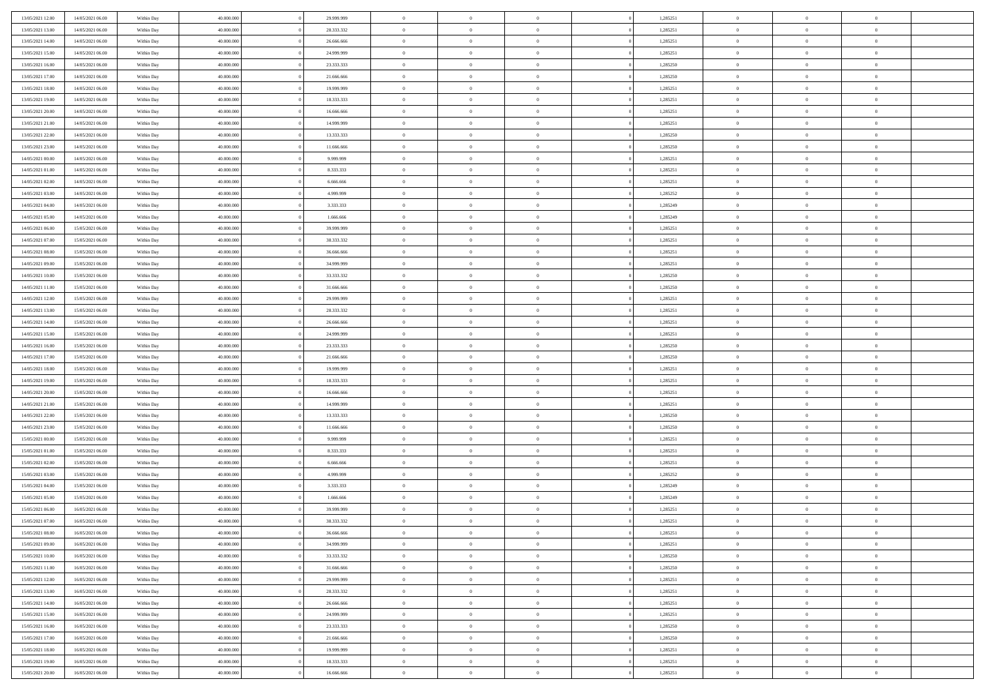| 13/05/2021 12:00 | 14/05/2021 06:00 | Within Day               | 40.000.000 | 29.999.999 | $\,$ 0 $\,$    | $\overline{0}$                    | $\overline{0}$           |          | 1,285251 | $\bf{0}$       | $\overline{0}$ | $\,0\,$        |  |
|------------------|------------------|--------------------------|------------|------------|----------------|-----------------------------------|--------------------------|----------|----------|----------------|----------------|----------------|--|
| 13/05/2021 13:00 | 14/05/2021 06:00 | Within Day               | 40,000,000 | 28.333.332 | $\overline{0}$ | $\overline{0}$                    | $\mathbf{0}$             |          | 1,285251 | $\theta$       | $\overline{0}$ | $\theta$       |  |
| 13/05/2021 14:00 | 14/05/2021 06:00 | Within Day               | 40.000.000 | 26.666.666 | $\theta$       | $\overline{0}$                    | $\overline{0}$           |          | 1,285251 | $\mathbf{0}$   | $\overline{0}$ | $\overline{0}$ |  |
| 13/05/2021 15:00 | 14/05/2021 06:00 | Within Day               | 40.000.000 | 24.999.999 | $\,$ 0 $\,$    | $\overline{0}$                    | $\overline{0}$           |          | 1,285251 | $\mathbf{0}$   | $\overline{0}$ | $\bf{0}$       |  |
| 13/05/2021 16:00 | 14/05/2021 06:00 | Within Day               | 40,000,000 | 23.333.333 | $\bf{0}$       | $\overline{0}$                    | $\mathbf{0}$             |          | 1,285250 | $\bf{0}$       | $\bf{0}$       | $\,0\,$        |  |
| 13/05/2021 17:00 | 14/05/2021 06:00 | Within Day               | 40.000.000 | 21.666.666 | $\theta$       | $\overline{0}$                    | $\overline{0}$           |          | 1,285250 | $\mathbf{0}$   | $\overline{0}$ | $\overline{0}$ |  |
| 13/05/2021 18:00 | 14/05/2021 06:00 | Within Day               | 40.000.000 | 19.999.999 | $\,$ 0 $\,$    | $\overline{0}$                    | $\overline{0}$           |          | 1,285251 | $\bf{0}$       | $\overline{0}$ | $\bf{0}$       |  |
|                  |                  |                          | 40,000,000 | 18.333.333 | $\overline{0}$ | $\overline{0}$                    | $\mathbf{0}$             |          |          | $\,$ 0 $\,$    | $\overline{0}$ | $\overline{0}$ |  |
| 13/05/2021 19:00 | 14/05/2021 06:00 | Within Day               |            |            | $\theta$       |                                   |                          |          | 1,285251 | $\mathbf{0}$   |                | $\overline{0}$ |  |
| 13/05/2021 20:00 | 14/05/2021 06:00 | Within Day               | 40.000.000 | 16.666.666 |                | $\overline{0}$                    | $\mathbf{0}$<br>$\Omega$ |          | 1,285251 |                | $\overline{0}$ |                |  |
| 13/05/2021 21:00 | 14/05/2021 06:00 | Within Day               | 40.000.000 | 14.999.999 | $\,$ 0 $\,$    | $\overline{0}$                    |                          |          | 1,285251 | $\bf{0}$       | $\overline{0}$ | $\bf{0}$       |  |
| 13/05/2021 22:00 | 14/05/2021 06:00 | Within Day               | 40,000,000 | 13.333.333 | $\bf{0}$       | $\overline{0}$                    | $\mathbf{0}$             |          | 1,285250 | $\bf{0}$       | $\overline{0}$ | $\overline{0}$ |  |
| 13/05/2021 23:00 | 14/05/2021 06:00 | Within Day               | 40.000.000 | 11.666.666 | $\theta$       | $\overline{0}$                    | $\overline{0}$           |          | 1,285250 | $\mathbf{0}$   | $\overline{0}$ | $\overline{0}$ |  |
| 14/05/2021 00:00 | 14/05/2021 06:00 | Within Day               | 40.000.000 | 9.999.999  | $\,$ 0 $\,$    | $\overline{0}$                    | $\overline{0}$           |          | 1,285251 | $\bf{0}$       | $\overline{0}$ | $\bf{0}$       |  |
| 14/05/2021 01:00 | 14/05/2021 06:00 | Within Day               | 40,000,000 | 8.333.333  | $\bf{0}$       | $\overline{0}$                    | $\mathbf{0}$             |          | 1,285251 | $\bf{0}$       | $\mathbf{0}$   | $\bf{0}$       |  |
| 14/05/2021 02:00 | 14/05/2021 06:00 | Within Day               | 40.000.000 | 6.666.666  | $\overline{0}$ | $\overline{0}$                    | $\overline{0}$           |          | 1,285251 | $\mathbf{0}$   | $\overline{0}$ | $\overline{0}$ |  |
| 14/05/2021 03:00 | 14/05/2021 06:00 | Within Day               | 40.000.000 | 4.999.999  | $\,$ 0 $\,$    | $\overline{0}$                    | $\Omega$                 |          | 1,285252 | $\bf{0}$       | $\overline{0}$ | $\bf{0}$       |  |
| 14/05/2021 04:00 | 14/05/2021 06:00 | Within Day               | 40,000,000 | 3.333.333  | $\,$ 0 $\,$    | $\overline{0}$                    | $\mathbf{0}$             |          | 1,285249 | $\,$ 0 $\,$    | $\overline{0}$ | $\overline{0}$ |  |
| 14/05/2021 05:00 | 14/05/2021 06:00 | Within Day               | 40.000.000 | 1.666.666  | $\theta$       | $\overline{0}$                    | $\mathbf{0}$             |          | 1,285249 | $\mathbf{0}$   | $\overline{0}$ | $\overline{0}$ |  |
| 14/05/2021 06:00 | 15/05/2021 06:00 | Within Day               | 40.000.000 | 39.999.999 | $\,$ 0 $\,$    | $\overline{0}$                    | $\Omega$                 |          | 1,285251 | $\bf{0}$       | $\overline{0}$ | $\bf{0}$       |  |
| 14/05/2021 07:00 | 15/05/2021 06:00 | Within Day               | 40,000,000 | 38.333.332 | $\bf{0}$       | $\overline{0}$                    | $\mathbf{0}$             |          | 1,285251 | $\bf{0}$       | $\overline{0}$ | $\overline{0}$ |  |
| 14/05/2021 08:00 | 15/05/2021 06:00 | Within Day               | 40.000.000 | 36.666.666 | $\theta$       | $\overline{0}$                    | $\overline{0}$           |          | 1,285251 | $\mathbf{0}$   | $\overline{0}$ | $\overline{0}$ |  |
| 14/05/2021 09:00 | 15/05/2021 06:00 | Within Day               | 40.000.000 | 34.999.999 | $\,$ 0 $\,$    | $\overline{0}$                    | $\overline{0}$           |          | 1,285251 | $\bf{0}$       | $\overline{0}$ | $\bf{0}$       |  |
| 14/05/2021 10:00 | 15/05/2021 06:00 | Within Day               | 40,000,000 | 33.333.332 | $\bf{0}$       | $\overline{0}$                    | $\mathbf{0}$             |          | 1,285250 | $\,$ 0 $\,$    | $\bf{0}$       | $\bf{0}$       |  |
| 14/05/2021 11:00 | 15/05/2021 06:00 | Within Day               | 40.000.000 | 31.666.666 | $\theta$       | $\overline{0}$                    | $\mathbf{0}$             |          | 1,285250 | $\mathbf{0}$   | $\overline{0}$ | $\overline{0}$ |  |
| 14/05/2021 12:00 | 15/05/2021 06:00 | Within Day               | 40.000.000 | 29.999.999 | $\,$ 0 $\,$    | $\overline{0}$                    | $\overline{0}$           |          | 1,285251 | $\bf{0}$       | $\overline{0}$ | $\bf{0}$       |  |
| 14/05/2021 13:00 | 15/05/2021 06:00 | Within Day               | 40,000,000 | 28.333.332 | $\,$ 0         | $\overline{0}$                    | $\mathbf{0}$             |          | 1,285251 | $\mathbf{0}$   | $\overline{0}$ | $\overline{0}$ |  |
| 14/05/2021 14:00 | 15/05/2021 06:00 | Within Day               | 40.000.000 | 26.666.666 | $\theta$       | $\overline{0}$                    | $\mathbf{0}$             |          | 1,285251 | $\mathbf{0}$   | $\overline{0}$ | $\overline{0}$ |  |
| 14/05/2021 15:00 | 15/05/2021 06:00 | Within Day               | 40.000.000 | 24.999.999 | $\,$ 0 $\,$    | $\overline{0}$                    | $\Omega$                 |          | 1,285251 | $\bf{0}$       | $\overline{0}$ | $\bf{0}$       |  |
| 14/05/2021 16:00 | 15/05/2021 06:00 | Within Day               | 40,000,000 | 23.333.333 | $\bf{0}$       | $\overline{0}$                    | $\mathbf{0}$             |          | 1,285250 | $\bf{0}$       | $\overline{0}$ | $\overline{0}$ |  |
| 14/05/2021 17:00 | 15/05/2021 06:00 | Within Day               | 40.000.000 | 21.666.666 | $\theta$       | $\overline{0}$                    | $\overline{0}$           |          | 1,285250 | $\mathbf{0}$   | $\overline{0}$ | $\overline{0}$ |  |
| 14/05/2021 18:00 | 15/05/2021 06:00 | Within Day               | 40.000.000 | 19.999.999 | $\,$ 0 $\,$    | $\overline{0}$                    | $\overline{0}$           |          | 1,285251 | $\,$ 0         | $\overline{0}$ | $\,$ 0 $\,$    |  |
| 14/05/2021 19:00 | 15/05/2021 06:00 | Within Day               | 40,000,000 | 18.333.333 | $\bf{0}$       | $\overline{0}$                    | $\mathbf{0}$             |          | 1,285251 | $\bf{0}$       | $\bf{0}$       | $\overline{0}$ |  |
| 14/05/2021 20:00 | 15/05/2021 06:00 | Within Day               | 40.000.000 | 16.666.666 | $\theta$       | $\overline{0}$                    | $\overline{0}$           |          | 1,285251 | $\mathbf{0}$   | $\overline{0}$ | $\overline{0}$ |  |
| 14/05/2021 21:00 | 15/05/2021 06:00 | Within Day               | 40.000.000 | 14.999.999 | $\theta$       | $\overline{0}$                    | $\overline{0}$           |          | 1,285251 | $\,$ 0         | $\overline{0}$ | $\theta$       |  |
| 14/05/2021 22:00 | 15/05/2021 06:00 | Within Day               | 40,000,000 | 13.333.333 | $\overline{0}$ | $\overline{0}$                    | $\mathbf{0}$             |          | 1,285250 | $\overline{0}$ | $\overline{0}$ | $\overline{0}$ |  |
| 14/05/2021 23:00 | 15/05/2021 06:00 | Within Day               | 40.000.000 | 11.666.666 | $\theta$       | $\overline{0}$                    | $\mathbf{0}$             |          | 1,285250 | $\mathbf{0}$   | $\overline{0}$ | $\overline{0}$ |  |
| 15/05/2021 00:00 | 15/05/2021 06:00 | Within Day               | 40.000.000 | 9.999.999  | $\theta$       | $\overline{0}$                    | $\overline{0}$           |          | 1,285251 | $\,$ 0 $\,$    | $\overline{0}$ | $\,$ 0 $\,$    |  |
| 15/05/2021 01:00 | 15/05/2021 06:00 | Within Day               | 40,000,000 | 8.333.333  | $\bf{0}$       | $\overline{0}$                    | $\mathbf{0}$             |          | 1,285251 | $\bf{0}$       | $\overline{0}$ | $\overline{0}$ |  |
| 15/05/2021 02:00 | 15/05/2021 06:00 | Within Day               | 40.000.000 | 6.666.666  | $\theta$       | $\overline{0}$                    | $\overline{0}$           |          | 1,285251 | $\mathbf{0}$   | $\overline{0}$ | $\overline{0}$ |  |
| 15/05/2021 03:00 | 15/05/2021 06:00 | Within Day               | 40.000.000 | 4.999.999  | $\,$ 0 $\,$    | $\overline{0}$                    | $\overline{0}$           |          | 1,285252 | $\,$ 0         | $\overline{0}$ | $\,$ 0 $\,$    |  |
| 15/05/2021 04:00 | 15/05/2021 06:00 | Within Day               | 40,000,000 | 3.333.333  | $\bf{0}$       | $\,$ 0 $\,$                       | $\overline{0}$           |          | 1,285249 | $\,$ 0 $\,$    | $\overline{0}$ | $\overline{0}$ |  |
| 15/05/2021 05:00 | 15/05/2021 06:00 | Within Day               | 40.000.000 | 1.666.666  | $\theta$       | $\overline{0}$                    | $\mathbf{0}$             |          | 1,285249 | $\mathbf{0}$   | $\overline{0}$ | $\overline{0}$ |  |
| 15/05/2021 06:00 | 16/05/2021 06:00 | Within Day               | 40.000.000 | 39.999.999 | $\theta$       | $\overline{0}$                    | $\overline{0}$           |          | 1,285251 | $\,$ 0         | $\overline{0}$ | $\theta$       |  |
| 15/05/2021 07:00 | 16/05/2021 06:00 | Within Day               | 40,000,000 | 38.333.332 | $\bf{0}$       | $\,$ 0 $\,$                       | $\mathbf{0}$             |          | 1,285251 | $\mathbf{0}$   | $\overline{0}$ | $\overline{0}$ |  |
| 15/05/2021 08:00 | 16/05/2021 06:00 | Within Day               | 40.000.000 | 36.666.666 | $\overline{0}$ | $\theta$                          |                          |          | 1,285251 | $\overline{0}$ | $\theta$       | $\theta$       |  |
| 15/05/2021 09:00 | 16/05/2021 06:00 | Within Day               | 40.000.000 | 34.999.999 | $\,$ 0 $\,$    | $\overline{0}$                    | $\overline{0}$           |          | 1,285251 | $\,$ 0 $\,$    | $\bf{0}$       | $\,$ 0 $\,$    |  |
| 15/05/2021 10:00 | 16/05/2021 06:00 | Within Day               | 40,000,000 | 33.333.332 | $\bf{0}$       | $\hspace{0.1cm} 0 \hspace{0.1cm}$ | $\overline{0}$           |          | 1,285250 | $\,$ 0 $\,$    | $\overline{0}$ | $\overline{0}$ |  |
| 15/05/2021 11:00 | 16/05/2021 06:00 | Within Day               | 40.000.000 | 31.666.666 | $\mathbf{0}$   | $\overline{0}$                    | $\overline{0}$           |          | 1,285250 | $\,$ 0 $\,$    | $\bf{0}$       | $\mathbf{0}$   |  |
| 15/05/2021 12:00 | 16/05/2021 06:00 | Within Day               | 40.000.000 | 29.999.999 | $\,$ 0 $\,$    | $\overline{0}$                    | $\overline{0}$           | $\theta$ | 1,285251 | $\,$ 0 $\,$    | $\bf{0}$       | $\,$ 0 $\,$    |  |
| 15/05/2021 13:00 | 16/05/2021 06:00 | Within Day               | 40.000.000 | 28.333.332 | $\,$ 0 $\,$    | $\,$ 0 $\,$                       | $\overline{0}$           |          | 1,285251 | $\,$ 0 $\,$    | $\overline{0}$ | $\overline{0}$ |  |
| 15/05/2021 14:00 | 16/05/2021 06:00 | Within Day               | 40.000.000 | 26.666.666 | $\overline{0}$ | $\overline{0}$                    | $\overline{0}$           |          | 1,285251 | $\mathbf{0}$   | $\bf{0}$       | $\overline{0}$ |  |
| 15/05/2021 15:00 | 16/05/2021 06:00 | Within Day               | 40.000.000 | 24.999.999 | $\,$ 0 $\,$    | $\overline{0}$                    | $\overline{0}$           |          | 1,285251 | $\,$ 0 $\,$    | $\bf{0}$       | $\,$ 0 $\,$    |  |
| 15/05/2021 16:00 | 16/05/2021 06:00 |                          | 40.000.000 | 23.333.333 | $\bf{0}$       | $\overline{0}$                    | $\overline{0}$           |          | 1,285250 | $\,$ 0 $\,$    | $\overline{0}$ | $\overline{0}$ |  |
| 15/05/2021 17:00 | 16/05/2021 06:00 | Within Day<br>Within Day | 40.000.000 | 21.666.666 | $\,$ 0 $\,$    | $\overline{0}$                    | $\overline{0}$           |          | 1,285250 | $\,$ 0 $\,$    | $\bf{0}$       | $\overline{0}$ |  |
|                  |                  |                          |            |            |                |                                   |                          |          |          |                |                |                |  |
| 15/05/2021 18:00 | 16/05/2021 06:00 | Within Day               | 40.000.000 | 19.999.999 | $\,$ 0 $\,$    | $\overline{0}$                    | $\overline{0}$           |          | 1,285251 | $\,$ 0 $\,$    | $\bf{0}$       | $\,$ 0 $\,$    |  |
| 15/05/2021 19:00 | 16/05/2021 06:00 | Within Day               | 40.000.000 | 18.333.333 | $\,$ 0 $\,$    | $\,$ 0 $\,$                       | $\overline{0}$           |          | 1,285251 | $\,$ 0 $\,$    | $\overline{0}$ | $\overline{0}$ |  |
| 15/05/2021 20:00 | 16/05/2021 06:00 | Within Day               | 40.000.000 | 16.666.666 | $\theta$       | $\overline{0}$                    | $\overline{0}$           |          | 1,285251 | $\,$ 0 $\,$    | $\mathbf{0}$   | $\overline{0}$ |  |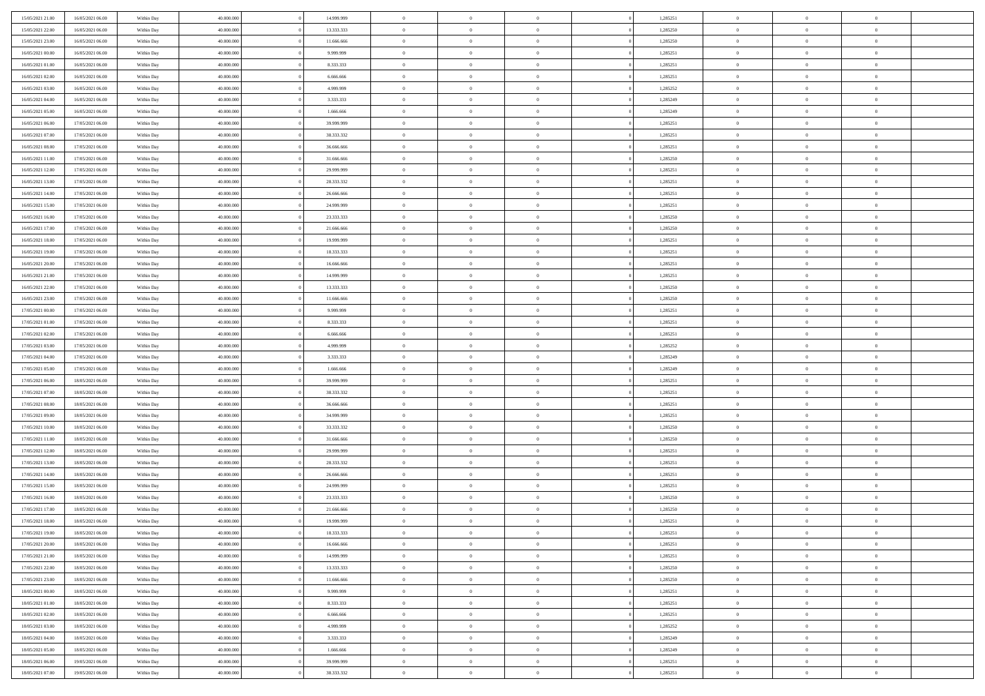| 15/05/2021 21:00                     | 16/05/2021 06:00                     | Within Day | 40,000,000               | 14.999.999              | $\bf{0}$       | $\overline{0}$                   | $\Omega$                       | 1,285251 | $\bf{0}$       | $\overline{0}$ | $\bf{0}$                   |  |
|--------------------------------------|--------------------------------------|------------|--------------------------|-------------------------|----------------|----------------------------------|--------------------------------|----------|----------------|----------------|----------------------------|--|
| 15/05/2021 22:00                     | 16/05/2021 06:00                     | Within Day | 40.000.000               | 13.333.333              | $\overline{0}$ | $\overline{0}$                   | $\overline{0}$                 | 1,285250 | $\mathbf{0}$   | $\bf{0}$       | $\overline{0}$             |  |
| 15/05/2021 23:00                     | 16/05/2021 06:00                     | Within Day | 40.000.000               | 11.666.666              | $\theta$       | $\overline{0}$                   | $\overline{0}$                 | 1,285250 | $\,$ 0         | $\overline{0}$ | $\,$ 0 $\,$                |  |
| 16/05/2021 00:00                     | 16/05/2021 06:00                     | Within Day | 40.000.000               | 9.999.999               | $\mathbf{0}$   | $\overline{0}$                   | $\mathbf{0}$                   | 1,285251 | $\bf{0}$       | $\mathbf{0}$   | $\theta$                   |  |
| 16/05/2021 01:00                     | 16/05/2021 06:00                     | Within Day | 40.000.000               | 8.333.333               | $\mathbf{0}$   | $\overline{0}$                   | $\overline{0}$                 | 1,285251 | $\mathbf{0}$   | $\bf{0}$       | $\overline{0}$             |  |
| 16/05/2021 02:00                     | 16/05/2021 06:00                     | Within Day | 40.000.000               | 6.666.666               | $\theta$       | $\overline{0}$                   | $\overline{0}$                 | 1,285251 | $\,$ 0         | $\overline{0}$ | $\,$ 0 $\,$                |  |
| 16/05/2021 03:00                     | 16/05/2021 06:00                     | Within Day | 40,000,000               | 4.999.999               | $\,$ 0 $\,$    | $\overline{0}$                   | $\mathbf{0}$                   | 1,285252 | $\bf{0}$       | $\bf{0}$       | $\theta$                   |  |
| 16/05/2021 04:00                     | 16/05/2021 06:00                     | Within Day | 40.000.000               | 3.333.333               | $\overline{0}$ | $\overline{0}$                   | $\overline{0}$                 | 1,285249 | $\mathbf{0}$   | $\bf{0}$       | $\overline{0}$             |  |
|                                      |                                      |            |                          |                         | $\theta$       |                                  |                                |          | $\,$ 0         | $\overline{0}$ | $\,$ 0 $\,$                |  |
| 16/05/2021 05:00                     | 16/05/2021 06:00                     | Within Day | 40.000.000<br>40.000.000 | 1.666.666<br>39,999,999 |                | $\overline{0}$                   | $\overline{0}$<br>$\mathbf{0}$ | 1,285249 | $\theta$       | $\mathbf{0}$   |                            |  |
| 16/05/2021 06:00<br>16/05/2021 07:00 | 17/05/2021 06:00<br>17/05/2021 06:00 | Within Day |                          |                         | $\overline{0}$ | $\overline{0}$<br>$\overline{0}$ |                                | 1,285251 | $\mathbf{0}$   |                | $\theta$<br>$\overline{0}$ |  |
|                                      |                                      | Within Day | 40.000.000               | 38.333.332              | $\mathbf{0}$   |                                  | $\overline{0}$                 | 1,285251 |                | $\bf{0}$       |                            |  |
| 16/05/2021 08:00                     | 17/05/2021 06:00                     | Within Day | 40.000.000               | 36.666.666              | $\theta$       | $\overline{0}$                   | $\overline{0}$                 | 1,285251 | $\,$ 0         | $\overline{0}$ | $\,$ 0 $\,$                |  |
| 16/05/2021 11:00                     | 17/05/2021 06:00                     | Within Day | 40.000.000               | 31,666,666              | $\theta$       | $\overline{0}$                   | $\mathbf{0}$                   | 1,285250 | $\bf{0}$       | $\mathbf{0}$   | $\theta$                   |  |
| 16/05/2021 12:00                     | 17/05/2021 06:00                     | Within Day | 40.000.000               | 29.999.999              | $\overline{0}$ | $\overline{0}$                   | $\overline{0}$                 | 1,285251 | $\mathbf{0}$   | $\bf{0}$       | $\overline{0}$             |  |
| 16/05/2021 13:00                     | 17/05/2021 06:00                     | Within Day | 40.000.000               | 28.333.332              | $\theta$       | $\overline{0}$                   | $\overline{0}$                 | 1,285251 | $\,$ 0         | $\overline{0}$ | $\,$ 0 $\,$                |  |
| 16/05/2021 14:00                     | 17/05/2021 06:00                     | Within Day | 40,000,000               | 26,666,666              | $\bf{0}$       | $\overline{0}$                   | $\mathbf{0}$                   | 1,285251 | $\bf{0}$       | $\overline{0}$ | $\bf{0}$                   |  |
| 16/05/2021 15:00                     | 17/05/2021 06:00                     | Within Day | 40.000.000               | 24.999.999              | $\overline{0}$ | $\overline{0}$                   | $\overline{0}$                 | 1,285251 | $\mathbf{0}$   | $\bf{0}$       | $\overline{0}$             |  |
| 16/05/2021 16:00                     | 17/05/2021 06:00                     | Within Day | 40.000.000               | 23.333.333              | $\theta$       | $\overline{0}$                   | $\overline{0}$                 | 1,285250 | $\,$ 0         | $\overline{0}$ | $\,$ 0 $\,$                |  |
| 16/05/2021 17:00                     | 17/05/2021 06:00                     | Within Day | 40.000.000               | 21,666,666              | $\overline{0}$ | $\overline{0}$                   | $\mathbf{0}$                   | 1,285250 | $\theta$       | $\mathbf{0}$   | $\theta$                   |  |
| 16/05/2021 18:00                     | 17/05/2021 06:00                     | Within Day | 40.000.000               | 19.999.999              | $\overline{0}$ | $\overline{0}$                   | $\overline{0}$                 | 1,285251 | $\mathbf{0}$   | $\bf{0}$       | $\overline{0}$             |  |
| 16/05/2021 19:00                     | 17/05/2021 06:00                     | Within Day | 40.000.000               | 18.333.333              | $\theta$       | $\overline{0}$                   | $\overline{0}$                 | 1,285251 | $\,$ 0         | $\overline{0}$ | $\,$ 0 $\,$                |  |
| 16/05/2021 20:00                     | 17/05/2021 06:00                     | Within Day | 40.000.000               | 16,666,666              | $\mathbf{0}$   | $\overline{0}$                   | $\mathbf{0}$                   | 1,285251 | $\bf{0}$       | $\mathbf{0}$   | $\theta$                   |  |
| 16/05/2021 21:00                     | 17/05/2021 06:00                     | Within Day | 40.000.000               | 14.999.999              | $\overline{0}$ | $\overline{0}$                   | $\overline{0}$                 | 1,285251 | $\mathbf{0}$   | $\bf{0}$       | $\overline{0}$             |  |
| 16/05/2021 22:00                     | 17/05/2021 06:00                     | Within Day | 40.000.000               | 13.333.333              | $\theta$       | $\overline{0}$                   | $\overline{0}$                 | 1,285250 | $\,$ 0         | $\overline{0}$ | $\,$ 0 $\,$                |  |
| 16/05/2021 23:00                     | 17/05/2021 06:00                     | Within Day | 40,000,000               | 11.666.666              | $\bf{0}$       | $\overline{0}$                   | $\mathbf{0}$                   | 1,285250 | $\bf{0}$       | $\overline{0}$ | $\bf{0}$                   |  |
| 17/05/2021 00:00                     | 17/05/2021 06:00                     | Within Day | 40.000.000               | 9.999.999               | $\overline{0}$ | $\overline{0}$                   | $\overline{0}$                 | 1,285251 | $\mathbf{0}$   | $\bf{0}$       | $\overline{0}$             |  |
| 17/05/2021 01:00                     | 17/05/2021 06:00                     | Within Day | 40.000.000               | 8.333.333               | $\theta$       | $\overline{0}$                   | $\overline{0}$                 | 1,285251 | $\,$ 0         | $\overline{0}$ | $\,$ 0 $\,$                |  |
| 17/05/2021 02:00                     | 17/05/2021 06:00                     | Within Day | 40,000,000               | 6.666.666               | $\mathbf{0}$   | $\overline{0}$                   | $\mathbf{0}$                   | 1,285251 | $\theta$       | $\mathbf{0}$   | $\theta$                   |  |
| 17/05/2021 03:00                     | 17/05/2021 06:00                     | Within Day | 40.000.000               | 4.999.999               | $\mathbf{0}$   | $\overline{0}$                   | $\overline{0}$                 | 1,285252 | $\mathbf{0}$   | $\bf{0}$       | $\overline{0}$             |  |
| 17/05/2021 04:00                     | 17/05/2021 06:00                     | Within Day | 40.000.000               | 3.333.333               | $\theta$       | $\overline{0}$                   | $\overline{0}$                 | 1,285249 | $\,$ 0         | $\overline{0}$ | $\,$ 0 $\,$                |  |
| 17/05/2021 05:00                     | 17/05/2021 06:00                     | Within Day | 40.000.000               | 1.666.666               | $\,$ 0 $\,$    | $\overline{0}$                   | $\overline{0}$                 | 1,285249 | $\bf{0}$       | $\overline{0}$ | $\,0\,$                    |  |
| 17/05/2021 06:00                     | 18/05/2021 06:00                     | Within Day | 40.000.000               | 39.999.999              | $\overline{0}$ | $\overline{0}$                   | $\overline{0}$                 | 1,285251 | $\mathbf{0}$   | $\bf{0}$       | $\overline{0}$             |  |
| 17/05/2021 07:00                     | 18/05/2021 06:00                     | Within Day | 40.000.000               | 38.333.332              | $\theta$       | $\overline{0}$                   | $\bf{0}$                       | 1,285251 | $\,$ 0         | $\overline{0}$ | $\,$ 0 $\,$                |  |
| 17/05/2021 08:00                     | 18/05/2021 06:00                     | Within Day | 40.000.000               | 36.666.666              | $\,$ 0 $\,$    | $\overline{0}$                   | $\overline{0}$                 | 1,285251 | $\bf{0}$       | $\overline{0}$ | $\bf{0}$                   |  |
| 17/05/2021 09:00                     | 18/05/2021 06:00                     | Within Day | 40.000.000               | 34.999.999              | $\overline{0}$ | $\overline{0}$                   | $\overline{0}$                 | 1,285251 | $\mathbf{0}$   | $\bf{0}$       | $\overline{0}$             |  |
| 17/05/2021 10:00                     | 18/05/2021 06:00                     | Within Day | 40.000.000               | 33.333.332              | $\theta$       | $\overline{0}$                   | $\overline{0}$                 | 1,285250 | $\,$ 0         | $\overline{0}$ | $\,$ 0 $\,$                |  |
| 17/05/2021 11:00                     | 18/05/2021 06:00                     | Within Day | 40.000.000               | 31.666.666              | $\,$ 0 $\,$    | $\overline{0}$                   | $\overline{0}$                 | 1,285250 | $\bf{0}$       | $\overline{0}$ | $\,0\,$                    |  |
| 17/05/2021 12:00                     | 18/05/2021 06:00                     | Within Day | 40.000.000               | 29.999.999              | $\overline{0}$ | $\overline{0}$                   | $\overline{0}$                 | 1,285251 | $\mathbf{0}$   | $\bf{0}$       | $\overline{0}$             |  |
| 17/05/2021 13:00                     | 18/05/2021 06:00                     | Within Day | 40.000.000               | 28.333.332              | $\theta$       | $\overline{0}$                   | $\overline{0}$                 | 1,285251 | $\,$ 0         | $\overline{0}$ | $\,$ 0 $\,$                |  |
| 17/05/2021 14:00                     | 18/05/2021 06:00                     | Within Day | 40.000.000               | 26.666.666              | $\,$ 0 $\,$    | $\overline{0}$                   | $\overline{0}$                 | 1,285251 | $\bf{0}$       | $\overline{0}$ | $\,0\,$                    |  |
| 17/05/2021 15:00                     | 18/05/2021 06:00                     | Within Day | 40.000.000               | 24.999.999              | $\overline{0}$ | $\overline{0}$                   | $\overline{0}$                 | 1,285251 | $\mathbf{0}$   | $\bf{0}$       | $\overline{0}$             |  |
| 17/05/2021 16:00                     | 18/05/2021 06:00                     | Within Day | 40.000.000               | 23.333.333              | $\theta$       | $\overline{0}$                   | $\overline{0}$                 | 1,285250 | $\,$ 0         | $\overline{0}$ | $\,$ 0 $\,$                |  |
| 17/05/2021 17:00                     | 18/05/2021 06:00                     | Within Day | 40.000.000               | 21.666.666              | $\,$ 0 $\,$    | $\overline{0}$                   | $\overline{0}$                 | 1,285250 | $\bf{0}$       | $\overline{0}$ | $\bf{0}$                   |  |
| 17/05/2021 18:00                     | 18/05/2021 06:00                     | Within Day | 40.000.000               | 19.999.999              | $\theta$       | $\overline{0}$                   | $\overline{0}$                 | 1,285251 | $\mathbf{0}$   | $\bf{0}$       | $\overline{0}$             |  |
| 17/05/2021 19:00                     | 18/05/2021 06:00                     | Within Day | 40.000.000               | 18.333.333              | $\theta$       | $\overline{0}$                   | $\overline{0}$                 | 1,285251 | $\overline{0}$ | $\overline{0}$ | $\theta$                   |  |
| 17/05/2021 20:00                     | 18/05/2021 06:00                     | Within Day | 40.000.000               | 16.666.666              | $\bf{0}$       | $\overline{0}$                   | $\overline{0}$                 | 1,285251 | $\mathbf{0}$   | $\overline{0}$ | $\bf{0}$                   |  |
| 17/05/2021 21:00                     | 18/05/2021 06:00                     | Within Day | 40.000.000               | 14.999.999              | $\overline{0}$ | $\overline{0}$                   | $\overline{0}$                 | 1,285251 | $\overline{0}$ | $\overline{0}$ | $\overline{0}$             |  |
| 17/05/2021 22:00                     | 18/05/2021 06:00                     | Within Day | 40.000.000               | 13.333.333              | $\,$ 0 $\,$    | $\overline{0}$                   | $\overline{0}$                 | 1,285250 | $\,$ 0 $\,$    | $\,$ 0 $\,$    | $\,$ 0 $\,$                |  |
| 17/05/2021 23:00                     | 18/05/2021 06:00                     | Within Day | 40.000.000               | 11.666.666              | $\bf{0}$       | $\overline{0}$                   | $\overline{0}$                 | 1,285250 | $\mathbf{0}$   | $\overline{0}$ | $\bf{0}$                   |  |
| 18/05/2021 00:00                     | 18/05/2021 06:00                     | Within Day | 40.000.000               | 9.999.999               | $\,$ 0 $\,$    | $\overline{0}$                   | $\overline{0}$                 | 1,285251 | $\,$ 0 $\,$    | $\bf{0}$       | $\overline{0}$             |  |
| 18/05/2021 01:00                     | 18/05/2021 06:00                     | Within Day | 40.000.000               | 8.333.333               | $\,$ 0         | $\overline{0}$                   | $\overline{0}$                 | 1,285251 | $\,$ 0 $\,$    | $\overline{0}$ | $\,$ 0 $\,$                |  |
| 18/05/2021 02:00                     | 18/05/2021 06:00                     | Within Day | 40.000.000               | 6.666.666               | $\bf{0}$       | $\overline{0}$                   | $\overline{0}$                 | 1,285251 | $\overline{0}$ | $\overline{0}$ | $\overline{0}$             |  |
| 18/05/2021 03:00                     | 18/05/2021 06:00                     | Within Day | 40.000.000               | 4.999.999               | $\,$ 0 $\,$    | $\overline{0}$                   | $\overline{0}$                 | 1,285252 | $\,$ 0 $\,$    | $\bf{0}$       | $\overline{0}$             |  |
| 18/05/2021 04:00                     | 18/05/2021 06:00                     | Within Day | 40.000.000               | 3.333.333               | $\,$ 0 $\,$    | $\overline{0}$                   | $\overline{0}$                 | 1,285249 | $\,$ 0 $\,$    | $\,$ 0 $\,$    | $\,$ 0 $\,$                |  |
| 18/05/2021 05:00                     | 18/05/2021 06:00                     | Within Day | 40.000.000               | 1.666.666               | $\bf{0}$       | $\overline{0}$                   | $\overline{0}$                 | 1,285249 | $\mathbf{0}$   | $\overline{0}$ | $\bf{0}$                   |  |
| 18/05/2021 06:00                     | 19/05/2021 06:00                     | Within Day | 40.000.000               | 39.999.999              | $\mathbf{0}$   | $\overline{0}$                   | $\overline{0}$                 | 1,285251 | $\overline{0}$ | $\bf{0}$       | $\overline{0}$             |  |
| 18/05/2021 07:00                     | 19/05/2021 06:00                     | Within Day | 40.000.000               | 38.333.332              | $\,$ 0 $\,$    | $\overline{0}$                   | $\overline{0}$                 | 1,285251 | $\,$ 0 $\,$    | $\overline{0}$ | $\,$ 0 $\,$                |  |
|                                      |                                      |            |                          |                         |                |                                  |                                |          |                |                |                            |  |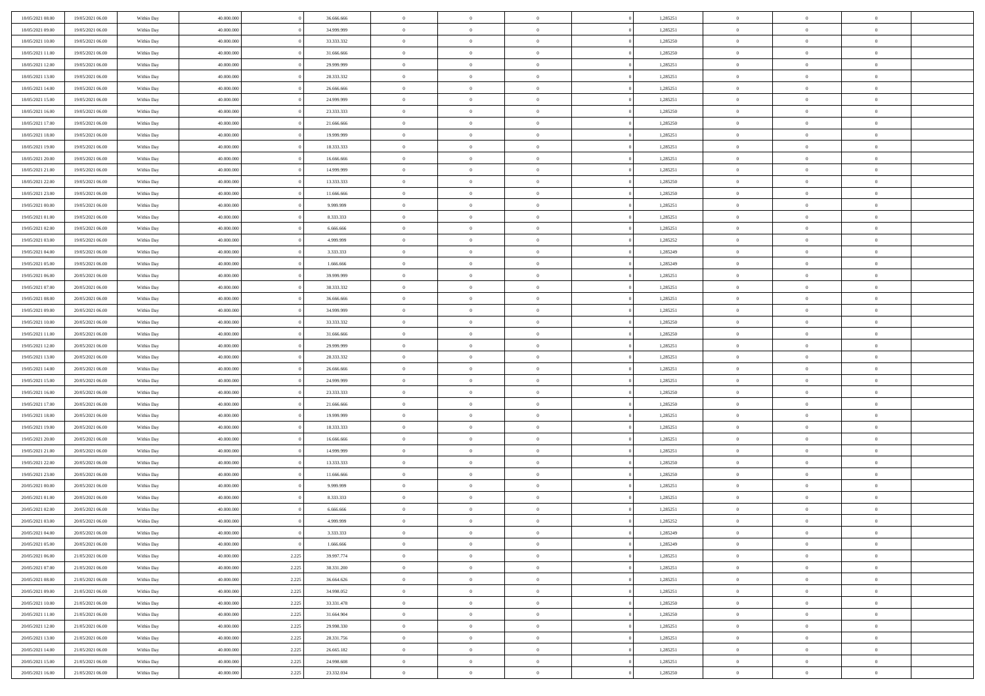| 18/05/2021 08:00                     | 19/05/2021 06:00                     | Within Day | 40,000,000               |                | 36,666,666               | $\overline{0}$             | $\overline{0}$                   | $\Omega$                         |          | 1,285251             | $\bf{0}$                 | $\mathbf{0}$               | $\bf{0}$                   |  |
|--------------------------------------|--------------------------------------|------------|--------------------------|----------------|--------------------------|----------------------------|----------------------------------|----------------------------------|----------|----------------------|--------------------------|----------------------------|----------------------------|--|
| 18/05/2021 09:00                     | 19/05/2021 06:00                     | Within Day | 40.000.000               |                | 34.999.999               | $\mathbf{0}$               | $\overline{0}$                   | $\overline{0}$                   |          | 1,285251             | $\overline{0}$           | $\overline{0}$             | $\theta$                   |  |
| 18/05/2021 10:00                     | 19/05/2021 06:00                     | Within Day | 40.000.000               |                | 33.333.332               | $\,$ 0                     | $\overline{0}$                   | $\bf{0}$                         |          | 1,285250             | $\,$ 0                   | $\overline{0}$             | $\,$ 0 $\,$                |  |
| 18/05/2021 11:00                     | 19/05/2021 06:00                     | Within Day | 40.000.000               |                | 31,666,666               | $\bf{0}$                   | $\overline{0}$                   | $\Omega$                         |          | 1,285250             | $\bf{0}$                 | $\mathbf{0}$               | $\theta$                   |  |
| 18/05/2021 12:00                     | 19/05/2021 06:00                     | Within Day | 40.000.000               |                | 29.999.999               | $\bf{0}$                   | $\overline{0}$                   | $\overline{0}$                   |          | 1,285251             | $\overline{0}$           | $\bf{0}$                   | $\overline{0}$             |  |
| 18/05/2021 13:00                     | 19/05/2021 06:00                     | Within Day | 40.000.000               |                | 28.333.332               | $\bf{0}$                   | $\overline{0}$                   | $\bf{0}$                         |          | 1,285251             | $\,$ 0                   | $\overline{0}$             | $\,$ 0 $\,$                |  |
| 18/05/2021 14:00                     | 19/05/2021 06:00                     | Within Day | 40.000.000               |                | 26.666.666               | $\bf{0}$                   | $\overline{0}$                   | $\overline{0}$                   |          | 1,285251             | $\theta$                 | $\mathbf{0}$               | $\theta$                   |  |
| 18/05/2021 15:00                     | 19/05/2021 06:00                     | Within Day | 40.000.000               |                | 24.999.999               | $\overline{0}$             | $\overline{0}$                   | $\overline{0}$                   |          | 1,285251             | $\mathbf{0}$             | $\overline{0}$             | $\overline{0}$             |  |
| 18/05/2021 16:00                     | 19/05/2021 06:00                     | Within Day | 40.000.000               |                | 23.333.333               | $\bf{0}$                   | $\overline{0}$                   | $\bf{0}$                         |          | 1,285250             | $\,$ 0                   | $\overline{0}$             | $\,$ 0 $\,$                |  |
| 18/05/2021 17:00                     | 19/05/2021 06:00                     | Within Day | 40.000.000               |                | 21,666,666               | $\bf{0}$                   | $\overline{0}$                   | $\Omega$                         |          | 1,285250             | $\theta$                 | $\mathbf{0}$               | $\theta$                   |  |
| 18/05/2021 18:00                     | 19/05/2021 06:00                     | Within Day | 40.000.000               |                | 19.999.999               | $\overline{0}$             | $\overline{0}$                   | $\overline{0}$                   |          | 1,285251             | $\mathbf{0}$             | $\overline{0}$             | $\overline{0}$             |  |
| 18/05/2021 19:00                     | 19/05/2021 06:00                     | Within Day | 40.000.000               |                | 18.333.333               | $\bf{0}$                   | $\overline{0}$                   | $\bf{0}$                         |          | 1,285251             | $\,$ 0                   | $\overline{0}$             | $\,$ 0 $\,$                |  |
| 18/05/2021 20:00                     | 19/05/2021 06:00                     | Within Day | 40.000.000               |                | 16,666,666               | $\bf{0}$                   | $\overline{0}$                   | $\Omega$                         |          | 1,285251             | $\theta$                 | $\mathbf{0}$               | $\theta$                   |  |
| 18/05/2021 21:00                     | 19/05/2021 06:00                     | Within Day | 40.000.000               |                | 14.999.999               | $\overline{0}$             | $\overline{0}$                   | $\overline{0}$                   |          | 1,285251             | $\overline{0}$           | $\overline{0}$             | $\overline{0}$             |  |
| 18/05/2021 22:00                     | 19/05/2021 06:00                     | Within Day | 40.000.000               |                | 13.333.333               | $\bf{0}$                   | $\overline{0}$                   | $\bf{0}$                         |          | 1,285250             | $\,$ 0                   | $\overline{0}$             | $\,$ 0 $\,$                |  |
| 18/05/2021 23:00                     | 19/05/2021 06:00                     | Within Day | 40.000.000               |                | 11.666.666               | $\bf{0}$                   | $\overline{0}$                   | $\overline{0}$                   |          | 1,285250             | $\theta$                 | $\mathbf{0}$               | $\theta$                   |  |
| 19/05/2021 00:00                     | 19/05/2021 06:00                     | Within Day | 40.000.000               |                | 9.999.999                | $\overline{0}$             | $\overline{0}$                   | $\overline{0}$                   |          | 1,285251             | $\mathbf{0}$             | $\overline{0}$             | $\overline{0}$             |  |
| 19/05/2021 01:00                     | 19/05/2021 06:00                     | Within Day | 40.000.000               |                | 8.333.333                | $\bf{0}$                   | $\overline{0}$                   | $\bf{0}$                         |          | 1,285251             | $\,$ 0                   | $\overline{0}$             | $\,$ 0 $\,$                |  |
| 19/05/2021 02:00                     | 19/05/2021 06:00                     | Within Day | 40.000.000               |                | 6.666.666                | $\bf{0}$                   | $\overline{0}$                   | $\Omega$                         |          | 1,285251             | $\theta$                 | $\mathbf{0}$               | $\theta$                   |  |
| 19/05/2021 03:00                     | 19/05/2021 06:00                     | Within Day | 40.000.000               |                | 4.999.999                | $\overline{0}$             | $\overline{0}$                   | $\overline{0}$                   |          | 1,285252             | $\mathbf{0}$             | $\overline{0}$             | $\overline{0}$             |  |
| 19/05/2021 04:00                     | 19/05/2021 06:00                     | Within Day | 40.000.000               |                | 3.333.333                | $\bf{0}$                   | $\overline{0}$                   | $\bf{0}$                         |          | 1,285249             | $\,$ 0                   | $\overline{0}$             | $\,$ 0 $\,$                |  |
| 19/05/2021 05:00                     | 19/05/2021 06:00                     | Within Day | 40.000.000               |                | 1.666.666                | $\bf{0}$                   | $\overline{0}$                   | $\Omega$                         |          | 1,285249             | $\bf{0}$                 | $\mathbf{0}$               | $\theta$                   |  |
| 19/05/2021 06:00                     | 20/05/2021 06:00                     | Within Day | 40.000.000               |                | 39.999.999               | $\overline{0}$             | $\overline{0}$                   | $\overline{0}$                   |          | 1,285251             | $\overline{0}$           | $\overline{0}$             | $\overline{0}$             |  |
| 19/05/2021 07:00                     | 20/05/2021 06:00                     | Within Day | 40.000.000               |                | 38.333.332               | $\bf{0}$                   | $\overline{0}$                   | $\bf{0}$                         |          | 1,285251             | $\,$ 0                   | $\overline{0}$             | $\,$ 0 $\,$                |  |
| 19/05/2021 08:00                     | 20/05/2021 06:00                     | Within Day | 40.000.000               |                | 36,666,666               | $\bf{0}$                   | $\overline{0}$                   | $\overline{0}$                   |          | 1,285251             | $\bf{0}$                 | $\overline{0}$             | $\theta$                   |  |
| 19/05/2021 09:00                     | 20/05/2021 06:00                     | Within Day | 40.000.000               |                | 34.999.999               | $\overline{0}$             | $\overline{0}$                   | $\overline{0}$                   |          | 1,285251             | $\mathbf{0}$             | $\overline{0}$             | $\overline{0}$             |  |
| 19/05/2021 10:00                     | 20/05/2021 06:00                     | Within Day | 40.000.000               |                | 33.333.332               | $\bf{0}$                   | $\overline{0}$                   | $\bf{0}$                         |          | 1,285250             | $\,$ 0                   | $\overline{0}$             | $\,$ 0 $\,$                |  |
| 19/05/2021 11:00                     | 20/05/2021 06:00                     | Within Day | 40.000.000               |                | 31,666,666               | $\bf{0}$                   | $\overline{0}$                   | $\Omega$                         |          | 1.285250             | $\theta$                 | $\mathbf{0}$               | $\theta$                   |  |
| 19/05/2021 12:00                     | 20/05/2021 06:00                     | Within Day | 40.000.000               |                | 29.999.999               | $\overline{0}$             | $\overline{0}$                   | $\overline{0}$                   |          | 1,285251             | $\overline{0}$           | $\overline{0}$             | $\overline{0}$             |  |
| 19/05/2021 13:00                     | 20/05/2021 06:00                     | Within Day | 40.000.000               |                | 28.333.332               | $\bf{0}$                   | $\overline{0}$                   | $\bf{0}$                         |          | 1,285251             | $\,$ 0                   | $\overline{0}$             | $\,$ 0 $\,$                |  |
| 19/05/2021 14:00                     | 20/05/2021 06:00                     | Within Day | 40.000.000               |                | 26.666.666               | $\,$ 0                     | $\bf{0}$                         | $\overline{0}$                   |          | 1,285251             | $\bf{0}$                 | $\overline{0}$             | $\,0\,$                    |  |
| 19/05/2021 15:00                     | 20/05/2021 06:00                     | Within Day | 40.000.000               |                | 24.999.999               | $\overline{0}$             | $\overline{0}$                   | $\overline{0}$                   |          | 1,285251             | $\mathbf{0}$             | $\overline{0}$             | $\overline{0}$             |  |
| 19/05/2021 16:00                     | 20/05/2021 06:00                     | Within Day | 40.000.000               |                | 23.333.333               | $\bf{0}$                   | $\overline{0}$                   | $\bf{0}$                         |          | 1,285250             | $\,$ 0                   | $\overline{0}$             | $\,$ 0 $\,$                |  |
| 19/05/2021 17:00                     | 20/05/2021 06:00                     | Within Day | 40.000.000               |                | 21.666.666               | $\bf{0}$                   | $\overline{0}$                   | $\bf{0}$                         |          | 1,285250             | $\bf{0}$                 | $\overline{0}$             | $\,0\,$                    |  |
| 19/05/2021 18:00                     | 20/05/2021 06:00                     | Within Day | 40.000.000               |                | 19.999.999               | $\overline{0}$             | $\overline{0}$                   | $\overline{0}$                   |          | 1,285251             | $\overline{0}$           | $\overline{0}$             | $\overline{0}$             |  |
| 19/05/2021 19:00                     | 20/05/2021 06:00                     | Within Day | 40.000.000               |                | 18.333.333               | $\bf{0}$                   | $\overline{0}$                   | $\bf{0}$                         |          | 1,285251             | $\,$ 0                   | $\overline{0}$             | $\,$ 0 $\,$                |  |
| 19/05/2021 20:00                     | 20/05/2021 06:00                     | Within Day | 40.000.000               |                | 16.666.666               | $\,$ 0                     | $\bf{0}$                         | $\overline{0}$                   |          | 1,285251             | $\bf{0}$                 | $\overline{0}$             | $\,0\,$                    |  |
| 19/05/2021 21:00                     | 20/05/2021 06:00                     | Within Day | 40.000.000               |                | 14.999.999               | $\overline{0}$             | $\overline{0}$                   | $\overline{0}$                   |          | 1,285251             | $\mathbf{0}$             | $\overline{0}$             | $\overline{0}$             |  |
| 19/05/2021 22:00                     | 20/05/2021 06:00                     | Within Day | 40.000.000               |                | 13.333.333               | $\bf{0}$                   | $\overline{0}$                   | $\bf{0}$                         |          | 1,285250             | $\,$ 0                   | $\overline{0}$             | $\,$ 0 $\,$                |  |
| 19/05/2021 23:00                     | 20/05/2021 06:00                     | Within Day | 40.000.000               |                | 11.666.666               | $\bf{0}$                   | $\overline{0}$                   | $\overline{0}$                   |          | 1,285250             | $\bf{0}$                 | $\overline{0}$             | $\,0\,$                    |  |
| 20/05/2021 00:00                     | 20/05/2021 06:00                     | Within Day | 40.000.000               |                | 9.999.999                | $\overline{0}$             | $\overline{0}$                   | $\overline{0}$                   |          | 1,285251             | $\overline{0}$           | $\overline{0}$             | $\overline{0}$             |  |
| 20/05/2021 01:00                     | 20/05/2021 06:00                     | Within Day | 40.000.000               |                | 8.333.333                | $\bf{0}$                   | $\overline{0}$                   | $\bf{0}$                         |          | 1,285251             | $\,$ 0                   | $\overline{0}$             | $\,$ 0 $\,$                |  |
| 20/05/2021 02:00                     | 20/05/2021 06:00                     | Within Day | 40.000.000               |                | 6.666.666                | $\bf{0}$                   | $\overline{0}$                   | $\bf{0}$                         |          | 1,285251             | $\bf{0}$                 | $\overline{0}$             | $\bf{0}$                   |  |
| 20/05/2021 03:00                     | 20/05/2021 06:00                     | Within Day | 40.000.000               |                | 4.999.999                | $\mathbf{0}$               | $\overline{0}$                   | $\overline{0}$                   |          | 1,285252             | $\overline{0}$           | $\overline{0}$             | $\overline{0}$             |  |
| 20/05/2021 04:00                     | 20/05/2021 06:00                     | Within Day | 40.000.000               |                | 3.333.333                | $\bf{0}$                   | $\overline{0}$                   | $\theta$                         |          | 1,285249             | $\overline{0}$           | $\overline{0}$             | $\theta$                   |  |
| 20/05/2021 05:00                     | 20/05/2021 06:00                     | Within Day | 40.000.000               |                | 1.666.666                | $\bf{0}$                   | $\overline{0}$                   | $\overline{0}$                   |          | 1,285249             | $\bf{0}$                 | $\overline{0}$             | $\bf{0}$                   |  |
| 20/05/2021 06:00                     | 21/05/2021 06:00                     | Within Day | 40.000.000               | 2.225          | 39.997.774               | $\overline{0}$             | $\overline{0}$                   | $\overline{0}$                   |          | 1,285251             | $\overline{0}$           | $\overline{0}$             | $\overline{0}$             |  |
| 20/05/2021 07:00                     | 21/05/2021 06:00                     | Within Day | 40.000.000               | 2.225          | 38.331.200               | $\,$ 0 $\,$                | $\overline{0}$                   | $\overline{0}$                   |          | 1,285251             | $\mathbf{0}$             | $\,$ 0 $\,$                | $\,$ 0 $\,$                |  |
| 20/05/2021 08:00                     | 21/05/2021 06:00                     | Within Day | 40.000.000               | 2.225          | 36.664.626               | $\bf{0}$                   | $\overline{0}$                   | $\overline{0}$                   |          | 1,285251             | $\bf{0}$                 | $\overline{0}$             | $\mathbf{0}$               |  |
| 20/05/2021 09:00                     | 21/05/2021 06:00                     | Within Day | 40.000.000               | 2.225          | 34.998.052               | $\overline{0}$             | $\overline{0}$                   | $\overline{0}$                   |          | 1,285251             | $\overline{0}$           | $\bf{0}$                   | $\mathbf{0}$               |  |
| 20/05/2021 10:00                     | 21/05/2021 06:00                     | Within Day | 40.000.000               | 2.225          | 33.331.478               | $\,$ 0 $\,$                | $\overline{0}$                   | $\overline{0}$                   |          | 1,285250             | $\mathbf{0}$             | $\overline{0}$             | $\,$ 0 $\,$                |  |
| 20/05/2021 11:00                     | 21/05/2021 06:00                     | Within Day | 40.000.000               | 2.225          | 31.664.904               | $\overline{0}$             | $\overline{0}$                   | $\overline{0}$                   | $\Omega$ | 1,285250             | $\bf{0}$                 | $\overline{0}$             | $\overline{0}$             |  |
| 20/05/2021 12:00                     | 21/05/2021 06:00                     | Within Day | 40.000.000               | 2.225          | 29.998.330               | $\overline{0}$             | $\overline{0}$                   | $\overline{0}$                   |          | 1,285251             | $\overline{0}$           | $\bf{0}$                   | $\overline{0}$             |  |
| 20/05/2021 13:00                     | 21/05/2021 06:00                     | Within Day | 40.000.000               | 2.225          | 28.331.756               | $\,$ 0 $\,$                | $\overline{0}$                   | $\overline{0}$                   |          | 1,285251             | $\,$ 0 $\,$              | $\,$ 0 $\,$                | $\,$ 0 $\,$                |  |
| 20/05/2021 14:00<br>20/05/2021 15:00 | 21/05/2021 06:00<br>21/05/2021 06:00 | Within Day | 40.000.000<br>40.000.000 | 2.225<br>2.225 | 26.665.182<br>24.998.608 | $\bf{0}$<br>$\overline{0}$ | $\overline{0}$<br>$\overline{0}$ | $\overline{0}$<br>$\overline{0}$ |          | 1,285251<br>1,285251 | $\bf{0}$<br>$\mathbf{0}$ | $\overline{0}$<br>$\bf{0}$ | $\bf{0}$<br>$\overline{0}$ |  |
|                                      |                                      | Within Day |                          |                |                          |                            |                                  |                                  |          |                      |                          |                            |                            |  |
| 20/05/2021 16:00                     | 21/05/2021 06:00                     | Within Day | 40.000.000               | 2.225          | 23.332.034               | $\,0\,$                    | $\overline{0}$                   | $\overline{0}$                   |          | 1,285250             | $\,$ 0 $\,$              | $\overline{0}$             | $\,$ 0 $\,$                |  |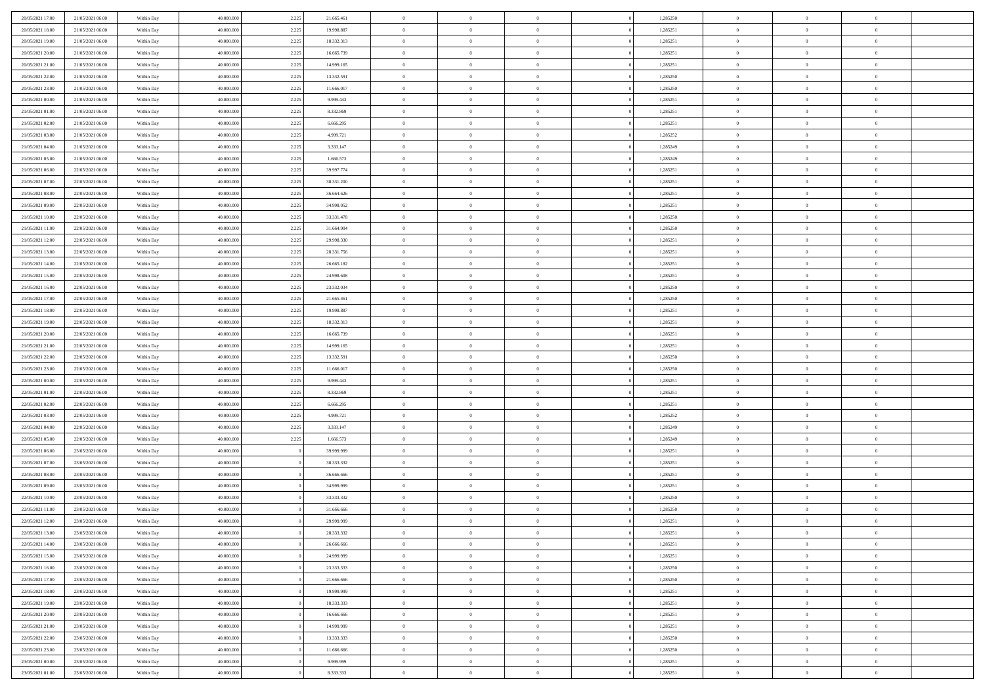| 20/05/2021 17:00                     | 21/05/2021 06:00                     | Within Day               | 40.000.000               | 2.225 | 21.665.461               | $\,$ 0               | $\overline{0}$                   | $\theta$                         |          | 1,285250             | $\bf{0}$                       | $\overline{0}$                   | $\,0\,$                          |  |
|--------------------------------------|--------------------------------------|--------------------------|--------------------------|-------|--------------------------|----------------------|----------------------------------|----------------------------------|----------|----------------------|--------------------------------|----------------------------------|----------------------------------|--|
| 20/05/2021 18:00                     | 21/05/2021 06:00                     | Within Day               | 40,000,000               | 2.225 | 19.998.887               | $\overline{0}$       | $\overline{0}$                   | $\overline{0}$                   |          | 1,285251             | $\overline{0}$                 | $\overline{0}$                   | $\theta$                         |  |
| 20/05/2021 19:00                     | 21/05/2021 06:00                     | Within Day               | 40.000.000               | 2.225 | 18.332.313               | $\mathbf{0}$         | $\overline{0}$                   | $\overline{0}$                   |          | 1,285251             | $\mathbf{0}$                   | $\overline{0}$                   | $\overline{0}$                   |  |
| 20/05/2021 20:00                     | 21/05/2021 06:00                     | Within Day               | 40.000.000               | 2.225 | 16.665.739               | $\bf{0}$             | $\overline{0}$                   | $\overline{0}$                   |          | 1,285251             | $\bf{0}$                       | $\overline{0}$                   | $\bf{0}$                         |  |
| 20/05/2021 21:00                     | 21/05/2021 06:00                     | Within Day               | 40,000,000               | 2.225 | 14.999.165               | $\bf{0}$             | $\overline{0}$                   | $\overline{0}$                   |          | 1,285251             | $\bf{0}$                       | $\theta$                         | $\,0\,$                          |  |
| 20/05/2021 22:00                     | 21/05/2021 06:00                     | Within Dav               | 40.000.000               | 2.225 | 13.332.591               | $\overline{0}$       | $\overline{0}$                   | $\overline{0}$                   |          | 1,285250             | $\mathbf{0}$                   | $\overline{0}$                   | $\overline{0}$                   |  |
| 20/05/2021 23:00                     | 21/05/2021 06:00                     | Within Day               | 40.000.000               | 2.225 | 11.666.017               | $\bf{0}$             | $\overline{0}$                   | $\overline{0}$                   |          | 1,285250             | $\bf{0}$                       | $\overline{0}$                   | $\,0\,$                          |  |
| 21/05/2021 00:00                     | 21/05/2021 06:00                     | Within Day               | 40.000.000               | 2.225 | 9.999.443                | $\overline{0}$       | $\overline{0}$                   | $\overline{0}$                   |          | 1,285251             | $\,$ 0 $\,$                    | $\overline{0}$                   | $\theta$                         |  |
| 21/05/2021 01:00                     | 21/05/2021 06:00                     | Within Day               | 40.000.000               | 2.225 | 8.332.869                | $\mathbf{0}$         | $\overline{0}$                   | $\overline{0}$                   |          | 1,285251             | $\mathbf{0}$                   | $\overline{0}$                   | $\overline{0}$                   |  |
| 21/05/2021 02:00                     | 21/05/2021 06:00                     | Within Day               | 40.000.000               | 2.225 | 6.666.295                | $\bf{0}$             | $\bf{0}$                         | $\overline{0}$                   |          | 1,285251             | $\bf{0}$                       | $\overline{0}$                   | $\,0\,$                          |  |
| 21/05/2021 03:00                     | 21/05/2021 06:00                     | Within Day               | 40,000,000               | 2.225 | 4.999.721                | $\bf{0}$             | $\overline{0}$                   | $\overline{0}$                   |          | 1,285252             | $\bf{0}$                       | $\mathbf{0}$                     | $\theta$                         |  |
| 21/05/2021 04:00                     | 21/05/2021 06:00                     | Within Day               | 40.000.000               | 2.225 | 3.333.147                | $\mathbf{0}$         | $\overline{0}$                   | $\overline{0}$                   |          | 1,285249             | $\mathbf{0}$                   | $\overline{0}$                   | $\overline{0}$                   |  |
| 21/05/2021 05:00                     | 21/05/2021 06:00                     | Within Day               | 40.000.000               | 2.225 | 1.666.573                | $\bf{0}$             | $\overline{0}$                   | $\bf{0}$                         |          | 1,285249             | $\bf{0}$                       | $\overline{0}$                   | $\bf{0}$                         |  |
| 21/05/2021 06:00                     | 22/05/2021 06:00                     | Within Day               | 40.000.000               | 2.225 | 39.997.774               | $\bf{0}$             | $\overline{0}$                   | $\overline{0}$                   |          | 1,285251             | $\bf{0}$                       | $\mathbf{0}$                     | $\,0\,$                          |  |
| 21/05/2021 07:00                     | 22/05/2021 06:00                     | Within Dav               | 40.000.000               | 2.225 | 38.331.200               | $\overline{0}$       | $\overline{0}$                   | $\overline{0}$                   |          | 1,285251             | $\mathbf{0}$                   | $\overline{0}$                   | $\overline{0}$                   |  |
| 21/05/2021 08:00                     | 22/05/2021 06:00                     | Within Day               | 40.000.000               | 2.225 | 36.664.626               | $\bf{0}$             | $\bf{0}$                         | $\overline{0}$                   |          | 1,285251             | $\bf{0}$                       | $\overline{0}$                   | $\bf{0}$                         |  |
| 21/05/2021 09:00                     | 22/05/2021 06:00                     | Within Day               | 40,000,000               | 2.225 | 34.998.052               | $\overline{0}$       | $\overline{0}$                   | $\overline{0}$                   |          | 1,285251             | $\bf{0}$                       | $\overline{0}$                   | $\overline{0}$                   |  |
| 21/05/2021 10:00                     | 22/05/2021 06:00                     | Within Day               | 40.000.000               | 2.225 | 33.331.478               | $\mathbf{0}$         | $\overline{0}$                   | $\overline{0}$                   |          | 1,285250             | $\mathbf{0}$                   | $\overline{0}$                   | $\overline{0}$                   |  |
| 21/05/2021 11:00                     | 22/05/2021 06:00                     | Within Day               | 40.000.000               | 2.225 | 31.664.904               | $\bf{0}$             | $\bf{0}$                         | $\overline{0}$                   |          | 1,285250             | $\bf{0}$                       | $\overline{0}$                   | $\,0\,$                          |  |
| 21/05/2021 12:00                     | 22/05/2021 06:00                     | Within Day               | 40,000,000               | 2.225 | 29.998.330               | $\bf{0}$             | $\overline{0}$                   | $\overline{0}$                   |          | 1,285251             | $\bf{0}$                       | $\mathbf{0}$                     | $\overline{0}$                   |  |
| 21/05/2021 13:00                     | 22/05/2021 06:00                     | Within Day               | 40.000.000               | 2.225 | 28.331.756               | $\mathbf{0}$         | $\overline{0}$                   | $\overline{0}$                   |          | 1,285251             | $\mathbf{0}$                   | $\overline{0}$                   | $\overline{0}$                   |  |
| 21/05/2021 14:00                     | 22/05/2021 06:00                     | Within Day               | 40.000.000               | 2.225 | 26.665.182               | $\bf{0}$             | $\overline{0}$                   | $\overline{0}$                   |          | 1,285251             | $\bf{0}$                       | $\overline{0}$                   | $\bf{0}$                         |  |
| 21/05/2021 15:00                     | 22/05/2021 06:00                     | Within Day               | 40,000,000               | 2.225 | 24.998.608               | $\bf{0}$             | $\bf{0}$                         | $\overline{0}$                   |          | 1,285251             | $\bf{0}$                       | $\bf{0}$                         | $\,0\,$                          |  |
| 21/05/2021 16:00                     | 22/05/2021 06:00                     | Within Dav               | 40.000.000               | 2.225 | 23.332.034               | $\mathbf{0}$         | $\overline{0}$                   | $\overline{0}$                   |          | 1,285250             | $\mathbf{0}$                   | $\overline{0}$                   | $\overline{0}$                   |  |
| 21/05/2021 17:00                     | 22/05/2021 06:00                     | Within Day               | 40.000.000               | 2.225 | 21.665.461               | $\bf{0}$             | $\bf{0}$                         | $\overline{0}$                   |          | 1,285250             | $\bf{0}$                       | $\overline{0}$                   | $\bf{0}$                         |  |
| 21/05/2021 18:00                     | 22/05/2021 06:00                     | Within Day               | 40,000,000               | 2.225 | 19.998.887               | $\overline{0}$       | $\overline{0}$                   | $\overline{0}$                   |          | 1,285251             | $\bf{0}$                       | $\mathbf{0}$                     | $\overline{0}$                   |  |
| 21/05/2021 19:00                     | 22/05/2021 06:00                     | Within Day               | 40.000.000               | 2.225 | 18.332.313               | $\mathbf{0}$         | $\overline{0}$                   | $\overline{0}$                   |          | 1,285251             | $\mathbf{0}$                   | $\bf{0}$                         | $\overline{0}$                   |  |
| 21/05/2021 20:00                     | 22/05/2021 06:00                     | Within Day               | 40.000.000               | 2.225 | 16.665.739               | $\bf{0}$             | $\bf{0}$                         | $\overline{0}$                   |          | 1,285251             | $\bf{0}$                       | $\overline{0}$                   | $\bf{0}$                         |  |
| 21/05/2021 21:00                     | 22/05/2021 06:00                     | Within Day               | 40,000,000               | 2.225 | 14.999.165               | $\bf{0}$             | $\overline{0}$                   | $\overline{0}$                   |          | 1,285251             | $\bf{0}$                       | $\mathbf{0}$                     | $\overline{0}$                   |  |
| 21/05/2021 22:00                     | 22/05/2021 06:00                     | Within Day               | 40.000.000               | 2.225 | 13.332.591               | $\mathbf{0}$         | $\overline{0}$                   | $\overline{0}$                   |          | 1,285250             | $\mathbf{0}$                   | $\overline{0}$                   | $\overline{0}$                   |  |
| 21/05/2021 23:00                     | 22/05/2021 06:00                     | Within Day               | 40.000.000               | 2.225 | 11.666.017               | $\bf{0}$             | $\overline{0}$                   | $\theta$                         |          | 1,285250             | $\,$ 0                         | $\overline{0}$                   | $\,$ 0 $\,$                      |  |
| 22/05/2021 00:00                     | 22/05/2021 06:00                     | Within Day               | 40.000.000               | 2.225 | 9.999.443                | $\bf{0}$             | $\bf{0}$                         | $\overline{0}$                   |          | 1,285251             | $\bf{0}$                       | $\bf{0}$                         | $\overline{0}$                   |  |
| 22/05/2021 01:00                     | 22/05/2021 06:00                     | Within Dav               | 40.000.000               | 2.225 | 8.332.869                | $\overline{0}$       | $\overline{0}$                   | $\overline{0}$                   |          | 1,285251             | $\mathbf{0}$                   | $\overline{0}$                   | $\overline{0}$                   |  |
| 22/05/2021 02:00                     | 22/05/2021 06:00                     | Within Day               | 40.000.000               | 2.225 | 6.666.295                | $\bf{0}$             | $\overline{0}$                   | $\theta$                         |          | 1,285251             | $\,$ 0                         | $\overline{0}$                   | $\theta$                         |  |
| 22/05/2021 03:00                     | 22/05/2021 06:00                     | Within Day               | 40,000,000               | 2.225 | 4.999.721                | $\bf{0}$             | $\overline{0}$                   | $\overline{0}$                   |          | 1,285252             | $\bf{0}$                       | $\mathbf{0}$                     | $\overline{0}$                   |  |
| 22/05/2021 04:00                     | 22/05/2021 06:00                     | Within Day               | 40.000.000               | 2.225 | 3.333.147                | $\mathbf{0}$         | $\overline{0}$                   | $\overline{0}$                   |          | 1,285249             | $\mathbf{0}$                   | $\overline{0}$                   | $\overline{0}$                   |  |
| 22/05/2021 05:00                     | 22/05/2021 06:00                     | Within Day               | 40.000.000               | 2.225 | 1.666.573                | $\bf{0}$             | $\overline{0}$                   | $\theta$                         |          | 1,285249             | $\,$ 0                         | $\overline{0}$                   | $\theta$                         |  |
| 22/05/2021 06:00                     | 23/05/2021 06:00                     | Within Day               | 40,000,000               |       | 39.999.999               | $\bf{0}$             | $\overline{0}$                   | $\overline{0}$                   |          | 1,285251             | $\bf{0}$                       | $\mathbf{0}$                     | $\overline{0}$                   |  |
| 22/05/2021 07:00                     | 23/05/2021 06:00                     | Within Day               | 40.000.000               |       | 38.333.332               | $\mathbf{0}$         | $\overline{0}$                   | $\overline{0}$                   |          | 1,285251             | $\mathbf{0}$                   | $\overline{0}$                   | $\overline{0}$                   |  |
| 22/05/2021 08:00                     | 23/05/2021 06:00                     | Within Day               | 40.000.000               |       | 36.666.666               | $\bf{0}$             | $\overline{0}$                   | $\theta$                         |          | 1,285251             | $\,$ 0                         | $\overline{0}$                   | $\theta$                         |  |
| 22/05/2021 09:00                     | 23/05/2021 06:00                     | Within Day               | 40,000,000               |       | 34.999.999               | $\bf{0}$             | $\overline{0}$                   | $\overline{0}$                   |          | 1,285251             | $\bf{0}$                       | $\overline{0}$                   | $\overline{0}$                   |  |
| 22/05/2021 10:00                     | 23/05/2021 06:00                     | Within Dav               | 40.000.000               |       | 33.333.332               | $\mathbf{0}$         | $\overline{0}$                   | $\overline{0}$                   |          | 1,285250             | $\mathbf{0}$                   | $\overline{0}$                   | $\theta$                         |  |
| 22/05/2021 11:00                     | 23/05/2021 06:00                     | Within Day               | 40.000.000               |       | 31.666.666               | $\bf{0}$             | $\overline{0}$                   | $\theta$                         |          | 1,285250             | $\,$ 0                         | $\overline{0}$                   | $\theta$                         |  |
| 22/05/2021 12:00                     | 23/05/2021 06:00                     | Within Day               | 40,000,000               |       | 29.999.999               | $\bf{0}$             | $\overline{0}$                   | $\overline{0}$                   |          | 1,285251             | $\,$ 0 $\,$                    | $\overline{0}$                   | $\overline{0}$                   |  |
| 22/05/2021 13:00                     | 23/05/2021 06:00                     | Within Day               | 40.000.000               |       | 28.333.332               | $\bf{0}$             | $\overline{0}$                   |                                  |          | 1,285251             | $\overline{0}$                 | $\theta$                         | $\theta$                         |  |
| 22/05/2021 14:00                     | 23/05/2021 06:00                     | Within Day               | 40.000.000               |       | 26.666.666               | $\,0\,$              | $\overline{0}$                   | $\theta$                         |          | 1,285251             | $\,$ 0 $\,$                    | $\bf{0}$                         | $\theta$                         |  |
| 22/05/2021 15:00                     | 23/05/2021 06:00                     | Within Day               | 40.000.000               |       | 24.999.999               | $\overline{0}$       | $\overline{0}$                   | $\overline{0}$                   |          | 1,285251             | $\overline{0}$                 | $\overline{0}$                   | $\overline{0}$                   |  |
| 22/05/2021 16:00                     | 23/05/2021 06:00                     | Within Day               | 40.000.000               |       | 23.333.333               | $\bf{0}$             | $\overline{0}$                   | $\overline{0}$                   |          | 1,285250             | $\overline{0}$                 | $\bf{0}$                         | $\mathbf{0}$                     |  |
| 22/05/2021 17:00                     | 23/05/2021 06:00                     | Within Day               | 40.000.000               |       | 21.666.666               | $\bf{0}$             | $\overline{0}$                   | $\overline{0}$                   | $\theta$ | 1,285250             | $\,$ 0 $\,$                    | $\bf{0}$                         | $\,$ 0 $\,$                      |  |
| 22/05/2021 18:00                     | 23/05/2021 06:00                     | Within Day               | 40,000,000               |       | 19.999.999               | $\bf{0}$             | $\overline{0}$                   | $\overline{0}$                   |          | 1,285251             | $\,$ 0 $\,$                    | $\overline{0}$                   | $\overline{0}$                   |  |
| 22/05/2021 19:00                     | 23/05/2021 06:00                     | Within Day               | 40.000.000               |       | 18.333.333               | $\bf{0}$             | $\overline{0}$                   | $\overline{0}$                   |          | 1,285251             | $\mathbf{0}$                   | $\overline{0}$                   | $\overline{0}$                   |  |
| 22/05/2021 20:00                     | 23/05/2021 06:00                     | Within Day               | 40.000.000               |       | 16.666.666               | $\,0\,$              | $\overline{0}$                   | $\overline{0}$                   | $\theta$ | 1,285251             | $\,$ 0 $\,$                    | $\overline{0}$                   | $\,$ 0 $\,$                      |  |
| 22/05/2021 21:00<br>22/05/2021 22:00 | 23/05/2021 06:00<br>23/05/2021 06:00 | Within Day               | 40.000.000<br>40.000.000 |       | 14.999.999<br>13.333.333 | $\bf{0}$<br>$\bf{0}$ | $\overline{0}$<br>$\overline{0}$ | $\overline{0}$<br>$\overline{0}$ |          | 1,285251<br>1,285250 | $\overline{0}$<br>$\mathbf{0}$ | $\overline{0}$<br>$\overline{0}$ | $\overline{0}$<br>$\overline{0}$ |  |
|                                      |                                      | Within Day               |                          |       |                          | $\,$ 0 $\,$          |                                  |                                  |          |                      | $\,$ 0 $\,$                    | $\mathbf{0}$                     | $\,$ 0 $\,$                      |  |
| 22/05/2021 23:00                     | 23/05/2021 06:00                     | Within Day<br>Within Day | 40.000.000<br>40,000,000 |       | 11.666.666               |                      | $\overline{0}$                   | $\overline{0}$                   |          | 1,285250             |                                | $\mathbf{0}$                     |                                  |  |
| 23/05/2021 00:00                     | 23/05/2021 06:00                     |                          |                          |       | 9.999.999<br>8.333.333   | $\overline{0}$       | $\overline{0}$                   | $\overline{0}$                   |          | 1,285251             | $\bf{0}$<br>$\mathbf{0}$       | $\overline{0}$                   | $\overline{0}$                   |  |
| 23/05/2021 01:00                     | 23/05/2021 06:00                     | Within Day               | 40.000.000               |       |                          | $\bf{0}$             | $\overline{0}$                   | $\overline{0}$                   |          | 1,285251             |                                |                                  | $\overline{0}$                   |  |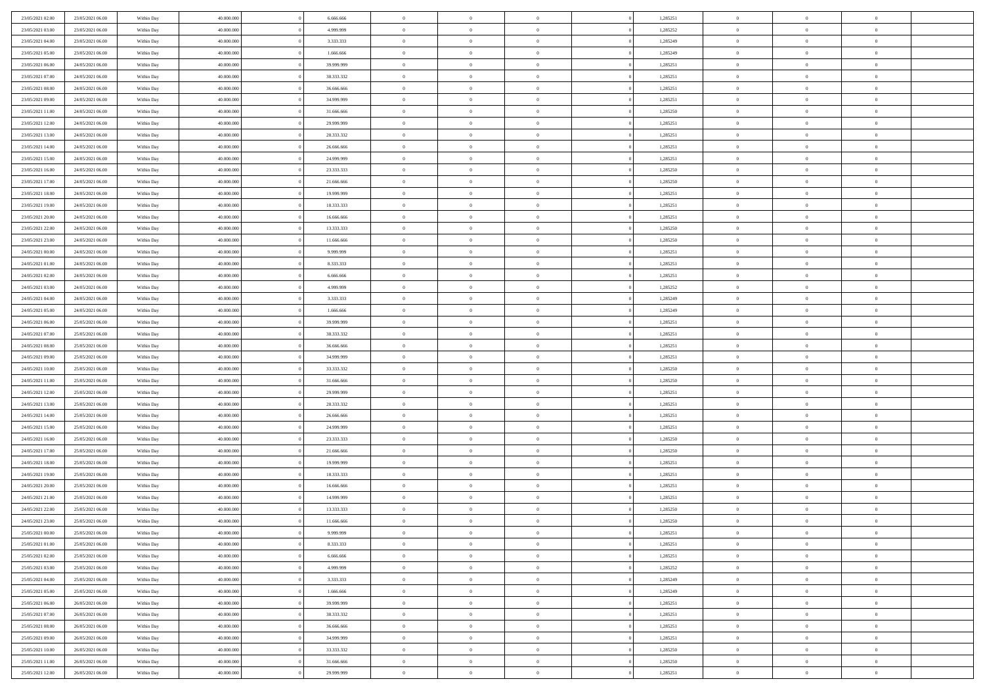| 23/05/2021 02:00                     | 23/05/2021 06:00                     | Within Day               | 40,000,000               | 6.666.666                | $\bf{0}$                | $\overline{0}$                   | $\Omega$                         | 1,285251             | $\bf{0}$                      | $\overline{0}$                   | $\bf{0}$                         |  |
|--------------------------------------|--------------------------------------|--------------------------|--------------------------|--------------------------|-------------------------|----------------------------------|----------------------------------|----------------------|-------------------------------|----------------------------------|----------------------------------|--|
| 23/05/2021 03:00                     | 23/05/2021 06:00                     | Within Day               | 40.000.000               | 4.999.999                | $\theta$                | $\overline{0}$                   | $\overline{0}$                   | 1,285252             | $\mathbf{0}$                  | $\bf{0}$                         | $\overline{0}$                   |  |
| 23/05/2021 04:00                     | 23/05/2021 06:00                     | Within Day               | 40.000.000               | 3.333.333                | $\theta$                | $\overline{0}$                   | $\overline{0}$                   | 1,285249             | $\,$ 0                        | $\overline{0}$                   | $\,$ 0 $\,$                      |  |
| 23/05/2021 05:00                     | 23/05/2021 06:00                     | Within Day               | 40.000.000               | 1.666.666                | $\mathbf{0}$            | $\overline{0}$                   | $\mathbf{0}$                     | 1,285249             | $\bf{0}$                      | $\mathbf{0}$                     | $\theta$                         |  |
| 23/05/2021 06:00                     | 24/05/2021 06:00                     | Within Day               | 40.000.000               | 39.999.999               | $\mathbf{0}$            | $\overline{0}$                   | $\overline{0}$                   | 1,285251             | $\mathbf{0}$                  | $\bf{0}$                         | $\overline{0}$                   |  |
| 23/05/2021 07:00                     | 24/05/2021 06:00                     | Within Day               | 40.000.000               | 38.333.332               | $\theta$                | $\overline{0}$                   | $\overline{0}$                   | 1,285251             | $\,$ 0                        | $\overline{0}$                   | $\,$ 0 $\,$                      |  |
| 23/05/2021 08:00                     | 24/05/2021 06:00                     | Within Day               | 40,000,000               | 36,666,666               | $\,$ 0 $\,$             | $\overline{0}$                   | $\mathbf{0}$                     | 1,285251             | $\bf{0}$                      | $\bf{0}$                         | $\theta$                         |  |
| 23/05/2021 09:00                     | 24/05/2021 06:00                     | Within Day               | 40.000.000               | 34.999.999               | $\overline{0}$          | $\overline{0}$                   | $\overline{0}$                   | 1,285251             | $\mathbf{0}$                  | $\bf{0}$                         | $\overline{0}$                   |  |
|                                      |                                      |                          |                          |                          | $\theta$                |                                  |                                  |                      | $\,$ 0                        | $\overline{0}$                   | $\,$ 0 $\,$                      |  |
| 23/05/2021 11:00                     | 24/05/2021 06:00                     | Within Day               | 40.000.000<br>40,000,000 | 31.666.666<br>29,999,999 | $\mathbf{0}$            | $\overline{0}$                   | $\overline{0}$<br>$\mathbf{0}$   | 1,285250             | $\theta$                      | $\mathbf{0}$                     | $\theta$                         |  |
| 23/05/2021 12:00                     | 24/05/2021 06:00<br>24/05/2021 06:00 | Within Day               |                          |                          |                         | $\overline{0}$<br>$\overline{0}$ |                                  | 1,285251             | $\mathbf{0}$                  |                                  | $\overline{0}$                   |  |
| 23/05/2021 13:00                     |                                      | Within Day               | 40.000.000               | 28.333.332               | $\mathbf{0}$            |                                  | $\overline{0}$                   | 1,285251             |                               | $\bf{0}$                         |                                  |  |
| 23/05/2021 14:00                     | 24/05/2021 06:00                     | Within Day               | 40.000.000               | 26.666.666               | $\theta$                | $\overline{0}$                   | $\overline{0}$                   | 1,285251             | $\,$ 0                        | $\overline{0}$                   | $\,$ 0 $\,$                      |  |
| 23/05/2021 15:00                     | 24/05/2021 06:00                     | Within Day               | 40.000.000               | 24,999,999               | $\theta$                | $\overline{0}$                   | $\mathbf{0}$                     | 1,285251             | $\bf{0}$                      | $\mathbf{0}$                     | $\theta$                         |  |
| 23/05/2021 16:00                     | 24/05/2021 06:00                     | Within Day               | 40.000.000               | 23.333.333               | $\overline{0}$          | $\overline{0}$                   | $\overline{0}$                   | 1,285250             | $\mathbf{0}$                  | $\bf{0}$                         | $\overline{0}$                   |  |
| 23/05/2021 17:00                     | 24/05/2021 06:00                     | Within Day               | 40.000.000               | 21.666.666               | $\theta$                | $\overline{0}$                   | $\overline{0}$                   | 1,285250             | $\,$ 0                        | $\overline{0}$                   | $\,$ 0 $\,$                      |  |
| 23/05/2021 18:00                     | 24/05/2021 06:00                     | Within Day               | 40,000,000               | 19,999,999               | $\bf{0}$                | $\overline{0}$                   | $\mathbf{0}$                     | 1,285251             | $\bf{0}$                      | $\overline{0}$                   | $\bf{0}$                         |  |
| 23/05/2021 19:00                     | 24/05/2021 06:00                     | Within Day               | 40.000.000               | 18.333.333               | $\overline{0}$          | $\overline{0}$                   | $\overline{0}$                   | 1,285251             | $\mathbf{0}$                  | $\bf{0}$                         | $\overline{0}$                   |  |
| 23/05/2021 20:00                     | 24/05/2021 06:00                     | Within Day               | 40.000.000               | 16.666.666               | $\theta$                | $\overline{0}$                   | $\overline{0}$                   | 1,285251             | $\,$ 0                        | $\overline{0}$                   | $\,$ 0 $\,$                      |  |
| 23/05/2021 22.00                     | 24/05/2021 06:00                     | Within Day               | 40,000,000               | 13.333.333               | $\overline{0}$          | $\overline{0}$                   | $\mathbf{0}$                     | 1,285250             | $\theta$                      | $\mathbf{0}$                     | $\theta$                         |  |
| 23/05/2021 23:00                     | 24/05/2021 06:00                     | Within Day               | 40.000.000               | 11.666.666               | $\overline{0}$          | $\overline{0}$                   | $\overline{0}$                   | 1,285250             | $\mathbf{0}$                  | $\bf{0}$                         | $\overline{0}$                   |  |
| 24/05/2021 00:00                     | 24/05/2021 06:00                     | Within Day               | 40.000.000               | 9.999.999                | $\theta$                | $\overline{0}$                   | $\overline{0}$                   | 1,285251             | $\,$ 0                        | $\overline{0}$                   | $\,$ 0 $\,$                      |  |
| 24/05/2021 01:00                     | 24/05/2021 06:00                     | Within Day               | 40.000.000               | 8.333.333                | $\theta$                | $\overline{0}$                   | $\mathbf{0}$                     | 1,285251             | $\bf{0}$                      | $\mathbf{0}$                     | $\theta$                         |  |
| 24/05/2021 02:00                     | 24/05/2021 06:00                     | Within Day               | 40.000.000               | 6.666.666                | $\overline{0}$          | $\overline{0}$                   | $\overline{0}$                   | 1,285251             | $\mathbf{0}$                  | $\bf{0}$                         | $\overline{0}$                   |  |
| 24/05/2021 03:00                     | 24/05/2021 06:00                     | Within Day               | 40.000.000               | 4.999.999                | $\theta$                | $\overline{0}$                   | $\overline{0}$                   | 1,285252             | $\,$ 0                        | $\overline{0}$                   | $\,$ 0 $\,$                      |  |
| 24/05/2021 04:00                     | 24/05/2021 06:00                     | Within Day               | 40,000,000               | 3.333.333                | $\bf{0}$                | $\overline{0}$                   | $\mathbf{0}$                     | 1,285249             | $\bf{0}$                      | $\overline{0}$                   | $\bf{0}$                         |  |
| 24/05/2021 05:00                     | 24/05/2021 06:00                     | Within Day               | 40.000.000               | 1.666.666                | $\overline{0}$          | $\overline{0}$                   | $\overline{0}$                   | 1,285249             | $\mathbf{0}$                  | $\bf{0}$                         | $\overline{0}$                   |  |
| 24/05/2021 06:00                     | 25/05/2021 06:00                     | Within Day               | 40.000.000               | 39.999.999               | $\theta$                | $\overline{0}$                   | $\overline{0}$                   | 1,285251             | $\,$ 0                        | $\overline{0}$                   | $\,$ 0 $\,$                      |  |
| 24/05/2021 07:00                     | 25/05/2021 06:00                     | Within Day               | 40,000,000               | 38.333.332               | $\mathbf{0}$            | $\overline{0}$                   | $\mathbf{0}$                     | 1,285251             | $\theta$                      | $\mathbf{0}$                     | $\theta$                         |  |
| 24/05/2021 08:00                     | 25/05/2021 06:00                     | Within Day               | 40.000.000               | 36.666.666               | $\overline{0}$          | $\overline{0}$                   | $\overline{0}$                   | 1,285251             | $\mathbf{0}$                  | $\bf{0}$                         | $\overline{0}$                   |  |
| 24/05/2021 09:00                     | 25/05/2021 06:00                     | Within Day               | 40.000.000               | 34.999.999               | $\theta$                | $\overline{0}$                   | $\overline{0}$                   | 1,285251             | $\,$ 0                        | $\overline{0}$                   | $\,$ 0 $\,$                      |  |
| 24/05/2021 10:00                     | 25/05/2021 06:00                     | Within Day               | 40.000.000               | 33.333.332               | $\,$ 0 $\,$             | $\overline{0}$                   | $\overline{0}$                   | 1,285250             | $\bf{0}$                      | $\overline{0}$                   | $\,0\,$                          |  |
| 24/05/2021 11:00                     | 25/05/2021 06:00                     | Within Day               | 40.000.000               | 31.666.666               | $\overline{0}$          | $\overline{0}$                   | $\overline{0}$                   | 1,285250             | $\mathbf{0}$                  | $\bf{0}$                         | $\overline{0}$                   |  |
| 24/05/2021 12:00                     | 25/05/2021 06:00                     | Within Day               | 40.000.000               | 29.999.999               | $\theta$                | $\overline{0}$                   | $\bf{0}$                         | 1,285251             | $\,$ 0                        | $\overline{0}$                   | $\,$ 0 $\,$                      |  |
| 24/05/2021 13:00                     | 25/05/2021 06:00                     | Within Day               | 40.000.000               | 28.333.332               | $\,$ 0 $\,$             | $\overline{0}$                   | $\overline{0}$                   | 1,285251             | $\bf{0}$                      | $\overline{0}$                   | $\bf{0}$                         |  |
| 24/05/2021 14:00                     | 25/05/2021 06:00                     | Within Day               | 40.000.000               | 26.666.666               | $\overline{0}$          | $\overline{0}$                   | $\overline{0}$                   | 1,285251             | $\mathbf{0}$                  | $\bf{0}$                         | $\overline{0}$                   |  |
| 24/05/2021 15:00                     | 25/05/2021 06:00                     | Within Day               | 40.000.000               | 24.999.999               | $\theta$                | $\overline{0}$                   | $\overline{0}$                   | 1,285251             | $\,$ 0                        | $\overline{0}$                   | $\,$ 0 $\,$                      |  |
| 24/05/2021 16:00                     | 25/05/2021 06:00                     | Within Day               | 40.000.000               | 23.333.333               | $\,$ 0 $\,$             | $\overline{0}$                   | $\overline{0}$                   | 1,285250             | $\bf{0}$                      | $\overline{0}$                   | $\,0\,$                          |  |
| 24/05/2021 17:00                     | 25/05/2021 06:00                     | Within Day               | 40.000.000               | 21.666.666               | $\overline{0}$          | $\overline{0}$                   | $\overline{0}$                   | 1,285250             | $\mathbf{0}$                  | $\bf{0}$                         | $\overline{0}$                   |  |
| 24/05/2021 18:00                     | 25/05/2021 06:00                     | Within Day               | 40.000.000               | 19.999.999               | $\theta$                | $\overline{0}$                   | $\overline{0}$                   | 1,285251             | $\,$ 0                        | $\overline{0}$                   | $\,$ 0 $\,$                      |  |
| 24/05/2021 19:00                     | 25/05/2021 06:00                     | Within Day               | 40.000.000               | 18.333.333               | $\,$ 0 $\,$             | $\overline{0}$                   | $\overline{0}$                   | 1,285251             | $\bf{0}$                      | $\overline{0}$                   | $\,0\,$                          |  |
| 24/05/2021 20:00                     | 25/05/2021 06:00                     | Within Day               | 40.000.000               | 16.666.666               | $\overline{0}$          | $\overline{0}$                   | $\overline{0}$                   | 1,285251             | $\mathbf{0}$                  | $\bf{0}$                         | $\overline{0}$                   |  |
| 24/05/2021 21:00                     | 25/05/2021 06:00                     | Within Day               | 40.000.000               | 14.999.999               | $\theta$                | $\overline{0}$                   | $\overline{0}$                   | 1,285251             | $\,$ 0                        | $\overline{0}$                   | $\,$ 0 $\,$                      |  |
| 24/05/2021 22:00                     | 25/05/2021 06:00                     | Within Day               | 40.000.000               | 13.333.333               | $\,$ 0 $\,$             | $\overline{0}$                   | $\overline{0}$                   | 1,285250             | $\bf{0}$                      | $\overline{0}$                   | $\bf{0}$                         |  |
| 24/05/2021 23:00                     | 25/05/2021 06:00                     | Within Day               | 40.000.000               | 11.666.666               | $\theta$                | $\overline{0}$                   | $\overline{0}$                   | 1,285250             | $\mathbf{0}$                  | $\bf{0}$                         | $\overline{0}$                   |  |
| 25/05/2021 00:00                     | 25/05/2021 06:00                     | Within Day               | 40.000.000               | 9.999.999                | $\overline{0}$          | $\overline{0}$                   | $\overline{0}$                   | 1,285251             | $\overline{0}$                | $\overline{0}$                   | $\theta$                         |  |
| 25/05/2021 01:00                     | 25/05/2021 06:00                     | Within Day               | 40.000.000               | 8.333.333                | $\bf{0}$                | $\overline{0}$                   | $\overline{0}$                   | 1,285251             | $\mathbf{0}$                  | $\overline{0}$                   | $\bf{0}$                         |  |
| 25/05/2021 02:00                     | 25/05/2021 06:00                     | Within Day               | 40.000.000               | 6.666.666                | $\overline{0}$          | $\overline{0}$                   | $\overline{0}$                   | 1,285251             | $\overline{0}$                | $\overline{0}$                   | $\overline{0}$                   |  |
| 25/05/2021 03:00                     | 25/05/2021 06:00                     | Within Day               | 40.000.000               | 4.999.999                | $\,$ 0                  | $\overline{0}$                   | $\overline{0}$                   | 1,285252             | $\,$ 0 $\,$                   | $\,$ 0 $\,$                      | $\,$ 0 $\,$                      |  |
| 25/05/2021 04:00                     | 25/05/2021 06:00                     | Within Day               | 40.000.000               | 3.333.333                | $\bf{0}$                | $\overline{0}$                   | $\overline{0}$                   | 1,285249             | $\mathbf{0}$                  | $\overline{0}$                   | $\bf{0}$                         |  |
| 25/05/2021 05:00                     | 25/05/2021 06:00                     | Within Day               | 40.000.000               | 1.666.666                | $\,$ 0 $\,$             | $\overline{0}$                   | $\overline{0}$                   | 1,285249             | $\,$ 0 $\,$                   | $\bf{0}$                         | $\mathbf{0}$                     |  |
| 25/05/2021 06:00                     | 26/05/2021 06:00                     | Within Day               | 40.000.000               | 39.999.999               | $\,$ 0                  | $\overline{0}$                   | $\overline{0}$                   | 1,285251             | $\,$ 0 $\,$                   | $\,$ 0 $\,$                      | $\,$ 0 $\,$                      |  |
|                                      |                                      |                          |                          |                          |                         |                                  |                                  |                      |                               |                                  |                                  |  |
| 25/05/2021 07:00<br>25/05/2021 08:00 | 26/05/2021 06:00<br>26/05/2021 06:00 | Within Day<br>Within Day | 40.000.000<br>40.000.000 | 38.333.332<br>36.666.666 | $\bf{0}$<br>$\,$ 0 $\,$ | $\overline{0}$<br>$\overline{0}$ | $\overline{0}$<br>$\overline{0}$ | 1,285251<br>1,285251 | $\overline{0}$<br>$\,$ 0 $\,$ | $\overline{0}$<br>$\overline{0}$ | $\overline{0}$<br>$\overline{0}$ |  |
|                                      |                                      |                          |                          |                          |                         |                                  |                                  |                      |                               |                                  |                                  |  |
| 25/05/2021 09:00                     | 26/05/2021 06:00                     | Within Day               | 40.000.000               | 34.999.999               | $\,$ 0                  | $\overline{0}$                   | $\overline{0}$                   | 1,285251             | $\,$ 0 $\,$                   | $\,$ 0 $\,$                      | $\,$ 0 $\,$                      |  |
| 25/05/2021 10:00                     | 26/05/2021 06:00                     | Within Day               | 40.000.000               | 33.333.332               | $\bf{0}$                | $\overline{0}$                   | $\overline{0}$                   | 1,285250             | $\mathbf{0}$                  | $\overline{0}$                   | $\bf{0}$                         |  |
| 25/05/2021 11:00                     | 26/05/2021 06:00                     | Within Day               | 40.000.000               | 31.666.666               | $\mathbf{0}$            | $\overline{0}$                   | $\overline{0}$                   | 1,285250             | $\overline{0}$                | $\bf{0}$                         | $\overline{0}$                   |  |
| 25/05/2021 12:00                     | 26/05/2021 06:00                     | Within Day               | 40.000.000               | 29.999.999               | $\,$ 0 $\,$             | $\overline{0}$                   | $\overline{0}$                   | 1,285251             | $\,$ 0 $\,$                   | $\overline{0}$                   | $\,$ 0 $\,$                      |  |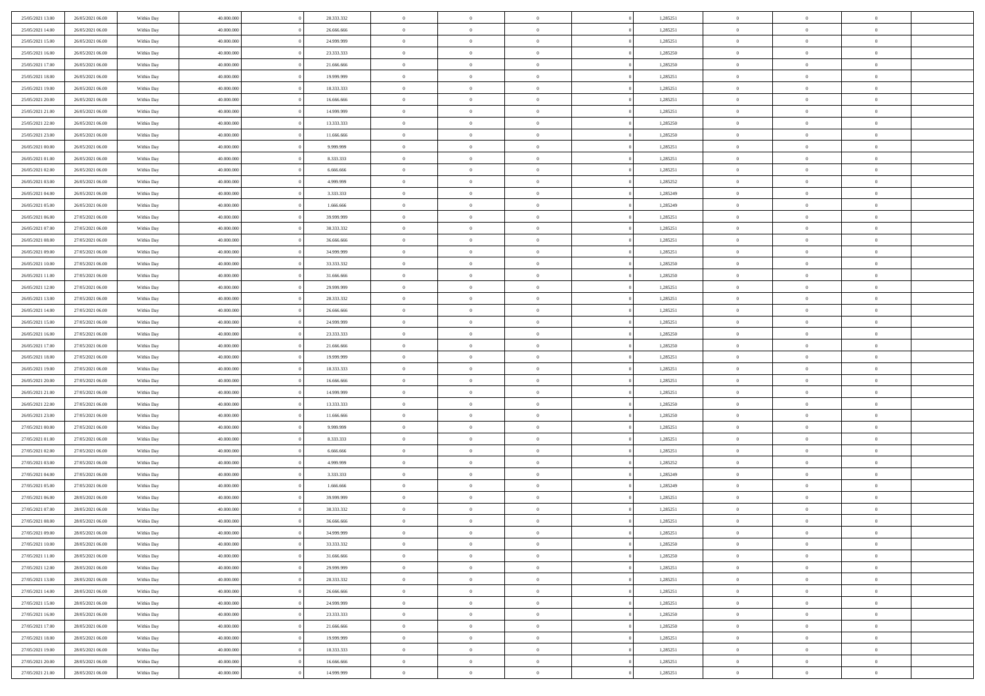| 25/05/2021 13:00                     | 26/05/2021 06:00                     | Within Day               | 40,000,000               | 28.333.332             | $\overline{0}$             | $\overline{0}$             | $\Omega$                         |          | 1,285251             | $\bf{0}$                   | $\mathbf{0}$                     | $\overline{0}$            |  |
|--------------------------------------|--------------------------------------|--------------------------|--------------------------|------------------------|----------------------------|----------------------------|----------------------------------|----------|----------------------|----------------------------|----------------------------------|---------------------------|--|
| 25/05/2021 14:00                     | 26/05/2021 06:00                     | Within Day               | 40.000.000               | 26.666.666             | $\mathbf{0}$               | $\overline{0}$             | $\overline{0}$                   |          | 1,285251             | $\mathbf{0}$               | $\overline{0}$                   | $\overline{0}$            |  |
| 25/05/2021 15:00                     | 26/05/2021 06:00                     | Within Day               | 40.000.000               | 24.999.999             | $\bf{0}$                   | $\overline{0}$             | $\bf{0}$                         |          | 1,285251             | $\,$ 0                     | $\overline{0}$                   | $\,$ 0 $\,$               |  |
| 25/05/2021 16:00                     | 26/05/2021 06:00                     | Within Day               | 40.000.000               | 23.333.333             | $\bf{0}$                   | $\overline{0}$             | $\Omega$                         |          | 1,285250             | $\bf{0}$                   | $\mathbf{0}$                     | $\theta$                  |  |
| 25/05/2021 17:00                     | 26/05/2021 06:00                     | Within Day               | 40.000.000               | 21.666.666             | $\bf{0}$                   | $\overline{0}$             | $\overline{0}$                   |          | 1,285250             | $\mathbf{0}$               | $\bf{0}$                         | $\overline{0}$            |  |
| 25/05/2021 18:00                     | 26/05/2021 06:00                     | Within Day               | 40.000.000               | 19.999.999             | $\bf{0}$                   | $\overline{0}$             | $\bf{0}$                         |          | 1,285251             | $\,$ 0                     | $\overline{0}$                   | $\,$ 0 $\,$               |  |
| 25/05/2021 19:00                     | 26/05/2021 06:00                     | Within Day               | 40.000.000               | 18.333.333             | $\bf{0}$                   | $\overline{0}$             | $\overline{0}$                   |          | 1,285251             | $\bf{0}$                   | $\mathbf{0}$                     | $\theta$                  |  |
| 25/05/2021 20:00                     | 26/05/2021 06:00                     | Within Day               | 40.000.000               | 16.666.666             | $\overline{0}$             | $\overline{0}$             | $\overline{0}$                   |          | 1,285251             | $\mathbf{0}$               | $\overline{0}$                   | $\overline{0}$            |  |
| 25/05/2021 21:00                     | 26/05/2021 06:00                     | Within Day               | 40.000.000               | 14.999.999             | $\bf{0}$                   | $\overline{0}$             | $\bf{0}$                         |          | 1,285251             | $\,$ 0                     | $\overline{0}$                   | $\,$ 0 $\,$               |  |
| 25/05/2021 22.00                     | 26/05/2021 06:00                     | Within Day               | 40.000.000               | 13.333.333             | $\bf{0}$                   | $\overline{0}$             | $\Omega$                         |          | 1,285250             | $\theta$                   | $\mathbf{0}$                     | $\theta$                  |  |
| 25/05/2021 23:00                     | 26/05/2021 06:00                     | Within Day               | 40.000.000               | 11.666.666             | $\overline{0}$             | $\overline{0}$             | $\overline{0}$                   |          | 1,285250             | $\mathbf{0}$               | $\overline{0}$                   | $\overline{0}$            |  |
| 26/05/2021 00:00                     | 26/05/2021 06:00                     | Within Day               | 40.000.000               | 9.999.999              | $\bf{0}$                   | $\overline{0}$             | $\bf{0}$                         |          | 1,285251             | $\,$ 0                     | $\overline{0}$                   | $\,$ 0 $\,$               |  |
| 26/05/2021 01:00                     | 26/05/2021 06:00                     | Within Day               | 40.000.000               | 8.333.333              | $\bf{0}$                   | $\overline{0}$             | $\Omega$                         |          | 1,285251             | $\theta$                   | $\mathbf{0}$                     | $\theta$                  |  |
| 26/05/2021 02:00                     | 26/05/2021 06:00                     | Within Day               | 40.000.000               | 6.666.666              | $\overline{0}$             | $\overline{0}$             | $\overline{0}$                   |          | 1,285251             | $\overline{0}$             | $\overline{0}$                   | $\overline{0}$            |  |
| 26/05/2021 03:00                     | 26/05/2021 06:00                     | Within Day               | 40.000.000               | 4.999.999              | $\bf{0}$                   | $\overline{0}$             | $\bf{0}$                         |          | 1,285252             | $\,$ 0                     | $\overline{0}$                   | $\,$ 0 $\,$               |  |
| 26/05/2021 04:00                     | 26/05/2021 06:00                     | Within Day               | 40.000.000               | 3.333.333              | $\bf{0}$                   | $\overline{0}$             | $\overline{0}$                   |          | 1,285249             | $\bf{0}$                   | $\mathbf{0}$                     | $\theta$                  |  |
| 26/05/2021 05:00                     | 26/05/2021 06:00                     | Within Day               | 40.000.000               | 1.666.666              | $\overline{0}$             | $\overline{0}$             | $\overline{0}$                   |          | 1,285249             | $\mathbf{0}$               | $\overline{0}$                   | $\overline{0}$            |  |
| 26/05/2021 06:00                     | 27/05/2021 06:00                     | Within Day               | 40.000.000               | 39.999.999             | $\bf{0}$                   | $\overline{0}$             | $\bf{0}$                         |          | 1,285251             | $\,$ 0                     | $\overline{0}$                   | $\,$ 0 $\,$               |  |
| 26/05/2021 07:00                     | 27/05/2021 06:00                     | Within Day               | 40.000.000               | 38.333.332             | $\bf{0}$                   | $\overline{0}$             | $\Omega$                         |          | 1,285251             | $\theta$                   | $\mathbf{0}$                     | $\theta$                  |  |
| 26/05/2021 08:00                     | 27/05/2021 06:00                     | Within Day               | 40.000.000               | 36.666.666             | $\overline{0}$             | $\overline{0}$             | $\overline{0}$                   |          | 1,285251             | $\mathbf{0}$               | $\overline{0}$                   | $\overline{0}$            |  |
| 26/05/2021 09:00                     | 27/05/2021 06:00                     | Within Day               | 40.000.000               | 34.999.999             | $\bf{0}$                   | $\overline{0}$             | $\bf{0}$                         |          | 1,285251             | $\,$ 0                     | $\overline{0}$                   | $\,$ 0 $\,$               |  |
| 26/05/2021 10:00                     | 27/05/2021 06:00                     | Within Day               | 40.000.000               | 33.333.332             | $\bf{0}$                   | $\overline{0}$             | $\Omega$                         |          | 1,285250             | $\theta$                   | $\mathbf{0}$                     | $\theta$                  |  |
| 26/05/2021 11:00                     | 27/05/2021 06:00                     | Within Day               | 40.000.000               | 31.666.666             | $\overline{0}$             | $\overline{0}$             | $\overline{0}$                   |          | 1,285250             | $\overline{0}$             | $\overline{0}$                   | $\overline{0}$            |  |
| 26/05/2021 12:00                     | 27/05/2021 06:00                     | Within Day               | 40.000.000               | 29.999.999             | $\bf{0}$                   | $\overline{0}$             | $\bf{0}$                         |          | 1,285251             | $\,$ 0                     | $\overline{0}$                   | $\,$ 0 $\,$               |  |
| 26/05/2021 13:00                     | 27/05/2021 06:00                     | Within Day               | 40.000.000               | 28.333.332             | $\bf{0}$                   | $\overline{0}$             | $\overline{0}$                   |          | 1,285251             | $\bf{0}$                   | $\overline{0}$                   | $\theta$                  |  |
| 26/05/2021 14:00                     | 27/05/2021 06:00                     | Within Day               | 40.000.000               | 26.666.666             | $\overline{0}$             | $\overline{0}$             | $\overline{0}$                   |          | 1,285251             | $\mathbf{0}$               | $\overline{0}$                   | $\overline{0}$            |  |
| 26/05/2021 15:00                     | 27/05/2021 06:00                     | Within Day               | 40.000.000               | 24.999.999             | $\bf{0}$                   | $\overline{0}$             | $\bf{0}$                         |          | 1,285251             | $\,$ 0                     | $\overline{0}$                   | $\,$ 0 $\,$               |  |
| 26/05/2021 16:00                     | 27/05/2021 06:00                     | Within Day               | 40.000.000               | 23.333.333             | $\bf{0}$                   | $\overline{0}$             | $\Omega$                         |          | 1.285250             | $\theta$                   | $\mathbf{0}$                     | $\theta$                  |  |
| 26/05/2021 17:00                     | 27/05/2021 06:00                     | Within Day               | 40.000.000               | 21.666.666             | $\overline{0}$             | $\overline{0}$             | $\overline{0}$                   |          | 1,285250             | $\overline{0}$             | $\overline{0}$                   | $\overline{0}$            |  |
| 26/05/2021 18:00                     | 27/05/2021 06:00                     | Within Day               | 40.000.000               | 19.999.999             | $\bf{0}$                   | $\overline{0}$             | $\bf{0}$                         |          | 1,285251             | $\,$ 0                     | $\overline{0}$                   | $\,$ 0 $\,$               |  |
| 26/05/2021 19:00                     | 27/05/2021 06:00                     | Within Day               | 40.000.000               | 18.333.333             | $\,$ 0                     | $\bf{0}$                   | $\overline{0}$                   |          | 1,285251             | $\bf{0}$                   | $\overline{0}$                   | $\,0\,$                   |  |
| 26/05/2021 20:00                     | 27/05/2021 06:00                     | Within Day               | 40.000.000               | 16.666.666             | $\overline{0}$             | $\overline{0}$             | $\overline{0}$                   |          | 1,285251             | $\mathbf{0}$               | $\overline{0}$                   | $\overline{0}$            |  |
| 26/05/2021 21:00                     | 27/05/2021 06:00                     | Within Day               | 40.000.000               | 14.999.999             | $\bf{0}$                   | $\overline{0}$             | $\bf{0}$                         |          | 1,285251             | $\,$ 0                     | $\overline{0}$                   | $\,$ 0 $\,$               |  |
| 26/05/2021 22.00                     | 27/05/2021 06:00                     | Within Day               | 40.000.000               | 13.333.333             | $\bf{0}$                   | $\overline{0}$             | $\bf{0}$                         |          | 1,285250             | $\bf{0}$                   | $\overline{0}$                   | $\bf{0}$                  |  |
| 26/05/2021 23:00                     | 27/05/2021 06:00                     | Within Day               | 40.000.000               | 11.666.666             | $\overline{0}$             | $\overline{0}$             | $\overline{0}$                   |          | 1,285250             | $\mathbf{0}$               | $\overline{0}$                   | $\overline{0}$            |  |
| 27/05/2021 00:00                     | 27/05/2021 06:00                     | Within Day               | 40.000.000               | 9.999.999              | $\bf{0}$                   | $\overline{0}$             | $\bf{0}$                         |          | 1,285251             | $\,$ 0                     | $\overline{0}$                   | $\,$ 0 $\,$               |  |
| 27/05/2021 01:00<br>27/05/2021 02:00 | 27/05/2021 06:00<br>27/05/2021 06:00 | Within Day               | 40.000.000<br>40.000.000 | 8.333.333<br>6.666.666 | $\bf{0}$<br>$\overline{0}$ | $\bf{0}$<br>$\overline{0}$ | $\overline{0}$<br>$\overline{0}$ |          | 1,285251<br>1,285251 | $\bf{0}$<br>$\overline{0}$ | $\overline{0}$<br>$\overline{0}$ | $\,0\,$<br>$\overline{0}$ |  |
|                                      |                                      | Within Day               |                          |                        |                            |                            |                                  |          |                      |                            |                                  |                           |  |
| 27/05/2021 03:00                     | 27/05/2021 06:00                     | Within Day               | 40.000.000               | 4.999.999              | $\bf{0}$                   | $\overline{0}$             | $\bf{0}$                         |          | 1,285252             | $\,$ 0                     | $\overline{0}$                   | $\,$ 0 $\,$               |  |
| 27/05/2021 04:00<br>27/05/2021 05:00 | 27/05/2021 06:00<br>27/05/2021 06:00 | Within Day<br>Within Day | 40.000.000<br>40.000.000 | 3.333.333<br>1.666.666 | $\bf{0}$<br>$\overline{0}$ | $\bf{0}$<br>$\overline{0}$ | $\overline{0}$<br>$\overline{0}$ |          | 1,285249<br>1,285249 | $\bf{0}$<br>$\mathbf{0}$   | $\overline{0}$<br>$\overline{0}$ | $\,0\,$<br>$\overline{0}$ |  |
| 27/05/2021 06:00                     | 28/05/2021 06:00                     | Within Day               | 40.000.000               | 39.999.999             | $\bf{0}$                   | $\overline{0}$             | $\bf{0}$                         |          | 1,285251             | $\,$ 0                     | $\overline{0}$                   | $\,$ 0 $\,$               |  |
| 27/05/2021 07:00                     | 28/05/2021 06:00                     | Within Day               | 40.000.000               | 38.333.332             | $\bf{0}$                   | $\overline{0}$             | $\bf{0}$                         |          | 1,285251             | $\bf{0}$                   | $\overline{0}$                   | $\bf{0}$                  |  |
| 27/05/2021 08:00                     | 28/05/2021 06:00                     | Within Day               | 40.000.000               | 36.666.666             | $\mathbf{0}$               | $\overline{0}$             | $\overline{0}$                   |          | 1,285251             | $\mathbf{0}$               | $\overline{0}$                   | $\overline{0}$            |  |
| 27/05/2021 09:00                     | 28/05/2021 06:00                     | Within Day               | 40.000.000               | 34.999.999             | $\bf{0}$                   | $\overline{0}$             | $\theta$                         |          | 1,285251             | $\overline{0}$             | $\overline{0}$                   | $\theta$                  |  |
| 27/05/2021 10:00                     | 28/05/2021 06:00                     | Within Day               | 40.000.000               | 33.333.332             | $\bf{0}$                   | $\bf{0}$                   | $\overline{0}$                   |          | 1,285250             | $\bf{0}$                   | $\overline{0}$                   | $\bf{0}$                  |  |
| 27/05/2021 11:00                     | 28/05/2021 06:00                     | Within Day               | 40.000.000               | 31.666.666             | $\overline{0}$             | $\overline{0}$             | $\overline{0}$                   |          | 1,285250             | $\overline{0}$             | $\overline{0}$                   | $\overline{0}$            |  |
| 27/05/2021 12:00                     | 28/05/2021 06:00                     | Within Day               | 40.000.000               | 29.999.999             | $\,$ 0 $\,$                | $\overline{0}$             | $\overline{0}$                   |          | 1,285251             | $\mathbf{0}$               | $\,$ 0 $\,$                      | $\,$ 0 $\,$               |  |
| 27/05/2021 13:00                     | 28/05/2021 06:00                     | Within Day               | 40.000.000               | 28.333.332             | $\bf{0}$                   | $\overline{0}$             | $\overline{0}$                   |          | 1,285251             | $\bf{0}$                   | $\overline{0}$                   | $\bf{0}$                  |  |
| 27/05/2021 14:00                     | 28/05/2021 06:00                     | Within Day               | 40.000.000               | 26.666.666             | $\bf{0}$                   | $\overline{0}$             | $\overline{0}$                   |          | 1,285251             | $\overline{0}$             | $\bf{0}$                         | $\overline{0}$            |  |
| 27/05/2021 15:00                     | 28/05/2021 06:00                     | Within Day               | 40.000.000               | 24.999.999             | $\,$ 0 $\,$                | $\overline{0}$             | $\overline{0}$                   |          | 1,285251             | $\,$ 0 $\,$                | $\overline{0}$                   | $\,$ 0 $\,$               |  |
| 27/05/2021 16:00                     | 28/05/2021 06:00                     | Within Day               | 40.000.000               | 23.333.333             | $\overline{0}$             | $\overline{0}$             | $\overline{0}$                   | $\Omega$ | 1,285250             | $\bf{0}$                   | $\overline{0}$                   | $\overline{0}$            |  |
| 27/05/2021 17:00                     | 28/05/2021 06:00                     | Within Day               | 40.000.000               | 21.666.666             | $\overline{0}$             | $\overline{0}$             | $\overline{0}$                   |          | 1,285250             | $\overline{0}$             | $\bf{0}$                         | $\overline{0}$            |  |
| 27/05/2021 18:00                     | 28/05/2021 06:00                     | Within Day               | 40.000.000               | 19.999.999             | $\,$ 0 $\,$                | $\overline{0}$             | $\overline{0}$                   |          | 1,285251             | $\,$ 0 $\,$                | $\,$ 0 $\,$                      | $\,$ 0 $\,$               |  |
| 27/05/2021 19:00                     | 28/05/2021 06:00                     | Within Day               | 40.000.000               | 18.333.333             | $\bf{0}$                   | $\overline{0}$             | $\overline{0}$                   |          | 1,285251             | $\mathbf{0}$               | $\overline{0}$                   | $\bf{0}$                  |  |
| 27/05/2021 20:00                     | 28/05/2021 06:00                     | Within Day               | 40.000.000               | 16.666.666             | $\overline{0}$             | $\overline{0}$             | $\overline{0}$                   |          | 1,285251             | $\mathbf{0}$               | $\bf{0}$                         | $\overline{0}$            |  |
| 27/05/2021 21:00                     | 28/05/2021 06:00                     | Within Day               | 40.000.000               | 14.999.999             | $\,0\,$                    | $\overline{0}$             | $\overline{0}$                   |          | 1,285251             | $\,$ 0                     | $\overline{0}$                   | $\,$ 0 $\,$               |  |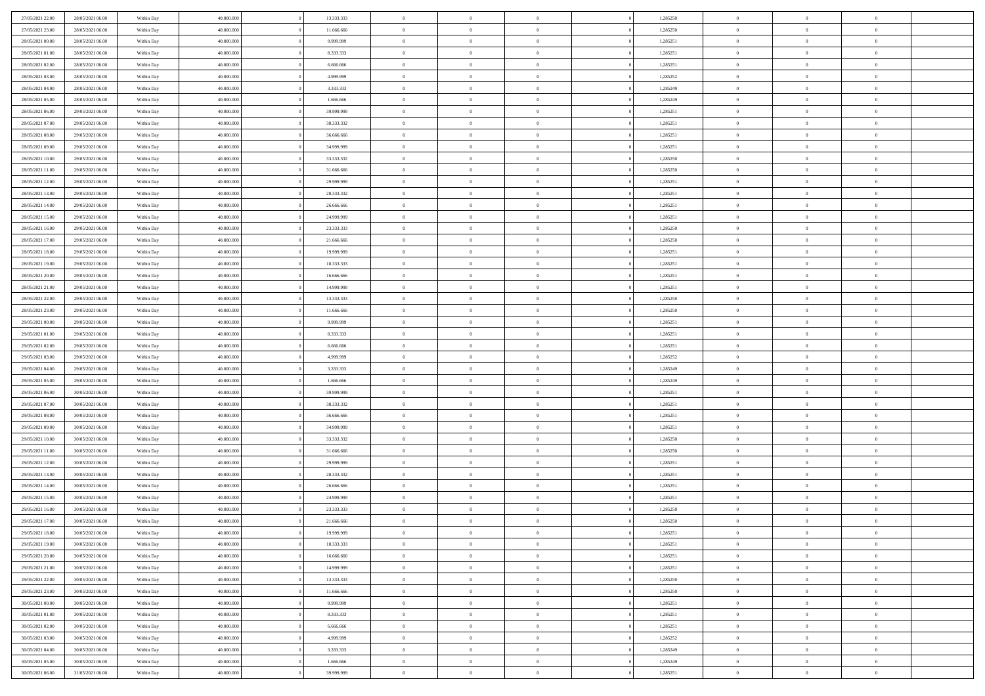| 27/05/2021 22:00 | 28/05/2021 06:00 | Within Day | 40.000.000 | 13.333.333 | $\bf{0}$       | $\overline{0}$ | $\theta$       |          | 1,285250 | $\bf{0}$       | $\overline{0}$ | $\,0\,$        |  |
|------------------|------------------|------------|------------|------------|----------------|----------------|----------------|----------|----------|----------------|----------------|----------------|--|
| 27/05/2021 23:00 | 28/05/2021 06:00 | Within Day | 40,000,000 | 11.666.666 | $\overline{0}$ | $\overline{0}$ | $\overline{0}$ |          | 1,285250 | $\theta$       | $\overline{0}$ | $\theta$       |  |
| 28/05/2021 00:00 | 28/05/2021 06:00 | Within Day | 40.000.000 | 9.999.999  | $\mathbf{0}$   | $\overline{0}$ | $\overline{0}$ |          | 1,285251 | $\mathbf{0}$   | $\overline{0}$ | $\overline{0}$ |  |
| 28/05/2021 01:00 | 28/05/2021 06:00 | Within Day | 40.000.000 | 8.333.333  | $\bf{0}$       | $\overline{0}$ | $\overline{0}$ |          | 1,285251 | $\bf{0}$       | $\overline{0}$ | $\overline{0}$ |  |
| 28/05/2021 02:00 | 28/05/2021 06:00 | Within Day | 40,000,000 | 6.666.666  | $\bf{0}$       | $\overline{0}$ | $\overline{0}$ |          | 1,285251 | $\bf{0}$       | $\overline{0}$ | $\,0\,$        |  |
| 28/05/2021 03:00 | 28/05/2021 06:00 | Within Dav | 40.000.000 | 4.999.999  | $\overline{0}$ | $\overline{0}$ | $\overline{0}$ |          | 1,285252 | $\mathbf{0}$   | $\overline{0}$ | $\overline{0}$ |  |
| 28/05/2021 04:00 | 28/05/2021 06:00 | Within Day | 40.000.000 | 3.333.333  | $\bf{0}$       | $\overline{0}$ | $\overline{0}$ |          | 1,285249 | $\bf{0}$       | $\overline{0}$ | $\bf{0}$       |  |
| 28/05/2021 05:00 | 28/05/2021 06:00 | Within Day | 40,000,000 | 1.666.666  | $\overline{0}$ | $\overline{0}$ | $\overline{0}$ |          | 1,285249 | $\,$ 0 $\,$    | $\overline{0}$ | $\theta$       |  |
| 28/05/2021 06:00 | 29/05/2021 06:00 | Within Day | 40.000.000 | 39.999.999 | $\mathbf{0}$   | $\overline{0}$ | $\overline{0}$ |          | 1,285251 | $\mathbf{0}$   | $\overline{0}$ | $\overline{0}$ |  |
| 28/05/2021 07:00 | 29/05/2021 06:00 | Within Day | 40.000.000 | 38.333.332 | $\bf{0}$       | $\overline{0}$ | $\overline{0}$ |          | 1,285251 | $\bf{0}$       | $\overline{0}$ | $\,0\,$        |  |
| 28/05/2021 08:00 | 29/05/2021 06:00 | Within Day | 40,000,000 | 36,666,666 | $\overline{0}$ | $\overline{0}$ | $\overline{0}$ |          | 1,285251 | $\bf{0}$       | $\overline{0}$ | $\overline{0}$ |  |
| 28/05/2021 09:00 | 29/05/2021 06:00 | Within Dav | 40.000.000 | 34.999.999 | $\mathbf{0}$   | $\overline{0}$ | $\overline{0}$ |          | 1,285251 | $\mathbf{0}$   | $\overline{0}$ | $\overline{0}$ |  |
| 28/05/2021 10:00 | 29/05/2021 06:00 | Within Day | 40.000.000 | 33.333.332 | $\bf{0}$       | $\overline{0}$ | $\overline{0}$ |          | 1,285250 | $\bf{0}$       | $\overline{0}$ | $\overline{0}$ |  |
| 28/05/2021 11:00 | 29/05/2021 06:00 | Within Day | 40.000.000 | 31.666.666 | $\bf{0}$       | $\overline{0}$ | $\overline{0}$ |          | 1,285250 | $\bf{0}$       | $\mathbf{0}$   | $\,0\,$        |  |
| 28/05/2021 12:00 | 29/05/2021 06:00 | Within Dav | 40.000.000 | 29.999.999 | $\overline{0}$ | $\overline{0}$ | $\overline{0}$ |          | 1,285251 | $\mathbf{0}$   | $\overline{0}$ | $\overline{0}$ |  |
| 28/05/2021 13:00 | 29/05/2021 06:00 | Within Day | 40.000.000 | 28.333.332 | $\bf{0}$       | $\overline{0}$ | $\overline{0}$ |          | 1,285251 | $\bf{0}$       | $\overline{0}$ | $\bf{0}$       |  |
| 28/05/2021 14:00 | 29/05/2021 06:00 | Within Day | 40,000,000 | 26.666.666 | $\overline{0}$ | $\overline{0}$ | $\overline{0}$ |          | 1,285251 | $\bf{0}$       | $\mathbf{0}$   | $\overline{0}$ |  |
| 28/05/2021 15:00 | 29/05/2021 06:00 | Within Day | 40.000.000 | 24.999.999 | $\mathbf{0}$   | $\overline{0}$ | $\overline{0}$ |          | 1,285251 | $\mathbf{0}$   | $\overline{0}$ | $\overline{0}$ |  |
| 28/05/2021 16:00 | 29/05/2021 06:00 | Within Day | 40.000.000 | 23.333.333 | $\bf{0}$       | $\bf{0}$       | $\overline{0}$ |          | 1,285250 | $\bf{0}$       | $\overline{0}$ | $\,0\,$        |  |
| 28/05/2021 17:00 | 29/05/2021 06:00 | Within Day | 40,000,000 | 21.666.666 | $\overline{0}$ | $\overline{0}$ | $\overline{0}$ |          | 1,285250 | $\bf{0}$       | $\overline{0}$ | $\overline{0}$ |  |
| 28/05/2021 18:00 | 29/05/2021 06:00 | Within Day | 40.000.000 | 19.999.999 | $\mathbf{0}$   | $\overline{0}$ | $\overline{0}$ |          | 1,285251 | $\mathbf{0}$   | $\overline{0}$ | $\overline{0}$ |  |
| 28/05/2021 19:00 | 29/05/2021 06:00 | Within Day | 40.000.000 | 18.333.333 | $\bf{0}$       | $\overline{0}$ | $\overline{0}$ |          | 1,285251 | $\bf{0}$       | $\overline{0}$ | $\bf{0}$       |  |
| 28/05/2021 20:00 | 29/05/2021 06:00 | Within Day | 40,000,000 | 16.666.666 | $\bf{0}$       | $\bf{0}$       | $\overline{0}$ |          | 1,285251 | $\,$ 0 $\,$    | $\overline{0}$ | $\bf{0}$       |  |
| 28/05/2021 21:00 | 29/05/2021 06:00 | Within Dav | 40.000.000 | 14.999.999 | $\mathbf{0}$   | $\overline{0}$ | $\overline{0}$ |          | 1,285251 | $\mathbf{0}$   | $\overline{0}$ | $\overline{0}$ |  |
| 28/05/2021 22:00 | 29/05/2021 06:00 | Within Day | 40.000.000 | 13.333.333 | $\bf{0}$       | $\bf{0}$       | $\overline{0}$ |          | 1,285250 | $\bf{0}$       | $\overline{0}$ | $\bf{0}$       |  |
| 28/05/2021 23:00 | 29/05/2021 06:00 | Within Day | 40,000,000 | 11.666.666 | $\overline{0}$ | $\overline{0}$ | $\overline{0}$ |          | 1,285250 | $\bf{0}$       | $\mathbf{0}$   | $\overline{0}$ |  |
| 29/05/2021 00:00 | 29/05/2021 06:00 | Within Day | 40.000.000 | 9.999.999  | $\mathbf{0}$   | $\overline{0}$ | $\overline{0}$ |          | 1,285251 | $\mathbf{0}$   | $\overline{0}$ | $\overline{0}$ |  |
| 29/05/2021 01:00 | 29/05/2021 06:00 | Within Day | 40.000.000 | 8.333.333  | $\bf{0}$       | $\bf{0}$       | $\overline{0}$ |          | 1,285251 | $\bf{0}$       | $\overline{0}$ | $\,0\,$        |  |
| 29/05/2021 02:00 | 29/05/2021 06:00 | Within Day | 40,000,000 | 6.666.666  | $\bf{0}$       | $\overline{0}$ | $\overline{0}$ |          | 1,285251 | $\bf{0}$       | $\mathbf{0}$   | $\overline{0}$ |  |
| 29/05/2021 03:00 | 29/05/2021 06:00 | Within Day | 40.000.000 | 4.999.999  | $\mathbf{0}$   | $\overline{0}$ | $\overline{0}$ |          | 1,285252 | $\mathbf{0}$   | $\overline{0}$ | $\overline{0}$ |  |
| 29/05/2021 04:00 | 29/05/2021 06:00 | Within Day | 40.000.000 | 3.333.333  | $\bf{0}$       | $\overline{0}$ | $\overline{0}$ |          | 1,285249 | $\,$ 0         | $\overline{0}$ | $\,$ 0 $\,$    |  |
| 29/05/2021 05:00 | 29/05/2021 06:00 | Within Day | 40,000,000 | 1.666.666  | $\bf{0}$       | $\overline{0}$ | $\overline{0}$ |          | 1,285249 | $\bf{0}$       | $\bf{0}$       | $\overline{0}$ |  |
| 29/05/2021 06:00 | 30/05/2021 06:00 | Within Dav | 40.000.000 | 39.999.999 | $\overline{0}$ | $\overline{0}$ | $\overline{0}$ |          | 1,285251 | $\mathbf{0}$   | $\overline{0}$ | $\overline{0}$ |  |
| 29/05/2021 07:00 | 30/05/2021 06:00 | Within Day | 40.000.000 | 38.333.332 | $\bf{0}$       | $\overline{0}$ | $\theta$       |          | 1,285251 | $\,$ 0         | $\overline{0}$ | $\theta$       |  |
| 29/05/2021 08:00 | 30/05/2021 06:00 | Within Day | 40,000,000 | 36.666.666 | $\overline{0}$ | $\overline{0}$ | $\overline{0}$ |          | 1,285251 | $\bf{0}$       | $\overline{0}$ | $\overline{0}$ |  |
| 29/05/2021 09:00 | 30/05/2021 06:00 | Within Day | 40.000.000 | 34.999.999 | $\mathbf{0}$   | $\overline{0}$ | $\overline{0}$ |          | 1,285251 | $\mathbf{0}$   | $\overline{0}$ | $\overline{0}$ |  |
| 29/05/2021 10:00 | 30/05/2021 06:00 | Within Day | 40.000.000 | 33.333.332 | $\bf{0}$       | $\overline{0}$ | $\theta$       |          | 1,285250 | $\,$ 0         | $\overline{0}$ | $\theta$       |  |
| 29/05/2021 11:00 | 30/05/2021 06:00 | Within Day | 40,000,000 | 31.666.666 | $\bf{0}$       | $\overline{0}$ | $\overline{0}$ |          | 1,285250 | $\bf{0}$       | $\mathbf{0}$   | $\overline{0}$ |  |
| 29/05/2021 12:00 | 30/05/2021 06:00 | Within Day | 40.000.000 | 29.999.999 | $\mathbf{0}$   | $\overline{0}$ | $\overline{0}$ |          | 1,285251 | $\mathbf{0}$   | $\overline{0}$ | $\overline{0}$ |  |
| 29/05/2021 13:00 | 30/05/2021 06:00 | Within Day | 40.000.000 | 28.333.332 | $\,0\,$        | $\overline{0}$ | $\theta$       |          | 1,285251 | $\,$ 0         | $\overline{0}$ | $\,$ 0 $\,$    |  |
| 29/05/2021 14:00 | 30/05/2021 06:00 | Within Day | 40,000,000 | 26.666.666 | $\bf{0}$       | $\overline{0}$ | $\overline{0}$ |          | 1,285251 | $\bf{0}$       | $\overline{0}$ | $\overline{0}$ |  |
| 29/05/2021 15:00 | 30/05/2021 06:00 | Within Dav | 40.000.000 | 24.999.999 | $\mathbf{0}$   | $\overline{0}$ | $\overline{0}$ |          | 1,285251 | $\mathbf{0}$   | $\overline{0}$ | $\overline{0}$ |  |
| 29/05/2021 16:00 | 30/05/2021 06:00 | Within Day | 40.000.000 | 23.333.333 | $\bf{0}$       | $\overline{0}$ | $\theta$       |          | 1,285250 | $\,$ 0         | $\overline{0}$ | $\theta$       |  |
| 29/05/2021 17:00 | 30/05/2021 06:00 | Within Day | 40,000,000 | 21.666.666 | $\bf{0}$       | $\overline{0}$ | $\overline{0}$ |          | 1,285250 | $\bf{0}$       | $\overline{0}$ | $\overline{0}$ |  |
| 29/05/2021 18:00 | 30/05/2021 06:00 | Within Day | 40.000.000 | 19.999.999 | $\bf{0}$       | $\overline{0}$ | $\Omega$       |          | 1,285251 | $\overline{0}$ | $\bf{0}$       | $\theta$       |  |
| 29/05/2021 19:00 | 30/05/2021 06:00 | Within Day | 40.000.000 | 18.333.333 | $\,0\,$        | $\overline{0}$ | $\overline{0}$ |          | 1,285251 | $\,$ 0 $\,$    | $\bf{0}$       | $\theta$       |  |
| 29/05/2021 20:00 | 30/05/2021 06:00 | Within Day | 40.000.000 | 16.666.666 | $\overline{0}$ | $\overline{0}$ | $\overline{0}$ |          | 1,285251 | $\overline{0}$ | $\overline{0}$ | $\overline{0}$ |  |
| 29/05/2021 21:00 | 30/05/2021 06:00 | Within Day | 40.000.000 | 14.999.999 | $\bf{0}$       | $\overline{0}$ | $\overline{0}$ |          | 1,285251 | $\overline{0}$ | $\bf{0}$       | $\overline{0}$ |  |
| 29/05/2021 22:00 | 30/05/2021 06:00 | Within Day | 40.000.000 | 13.333.333 | $\bf{0}$       | $\overline{0}$ | $\overline{0}$ | $\theta$ | 1,285250 | $\,$ 0 $\,$    | $\bf{0}$       | $\,$ 0 $\,$    |  |
| 29/05/2021 23:00 | 30/05/2021 06:00 | Within Day | 40.000.000 | 11.666.666 | $\bf{0}$       | $\overline{0}$ | $\overline{0}$ |          | 1,285250 | $\,$ 0 $\,$    | $\overline{0}$ | $\overline{0}$ |  |
| 30/05/2021 00:00 | 30/05/2021 06:00 | Within Day | 40.000.000 | 9.999.999  | $\bf{0}$       | $\overline{0}$ | $\overline{0}$ |          | 1,285251 | $\mathbf{0}$   | $\overline{0}$ | $\overline{0}$ |  |
| 30/05/2021 01:00 | 30/05/2021 06:00 | Within Day | 40.000.000 | 8.333.333  | $\,$ 0 $\,$    | $\overline{0}$ | $\overline{0}$ | $\theta$ | 1,285251 | $\,$ 0 $\,$    | $\bf{0}$       | $\,$ 0 $\,$    |  |
| 30/05/2021 02:00 | 30/05/2021 06:00 | Within Day | 40.000.000 | 6.666.666  | $\bf{0}$       | $\overline{0}$ | $\overline{0}$ |          | 1,285251 | $\overline{0}$ | $\overline{0}$ | $\overline{0}$ |  |
| 30/05/2021 03:00 | 30/05/2021 06:00 | Within Day | 40.000.000 | 4.999.999  | $\bf{0}$       | $\overline{0}$ | $\overline{0}$ |          | 1,285252 | $\mathbf{0}$   | $\bf{0}$       | $\overline{0}$ |  |
| 30/05/2021 04:00 | 30/05/2021 06:00 | Within Day | 40.000.000 | 3.333.333  | $\,$ 0 $\,$    | $\overline{0}$ | $\overline{0}$ |          | 1,285249 | $\,$ 0 $\,$    | $\overline{0}$ | $\,$ 0 $\,$    |  |
| 30/05/2021 05:00 | 30/05/2021 06:00 | Within Day | 40,000,000 | 1.666.666  | $\overline{0}$ | $\overline{0}$ | $\overline{0}$ |          | 1,285249 | $\mathbf 0$    | $\mathbf{0}$   | $\overline{0}$ |  |
| 30/05/2021 06:00 | 31/05/2021 06:00 | Within Day | 40.000.000 | 39.999.999 | $\bf{0}$       | $\overline{0}$ | $\overline{0}$ |          | 1,285251 | $\mathbf{0}$   | $\overline{0}$ | $\overline{0}$ |  |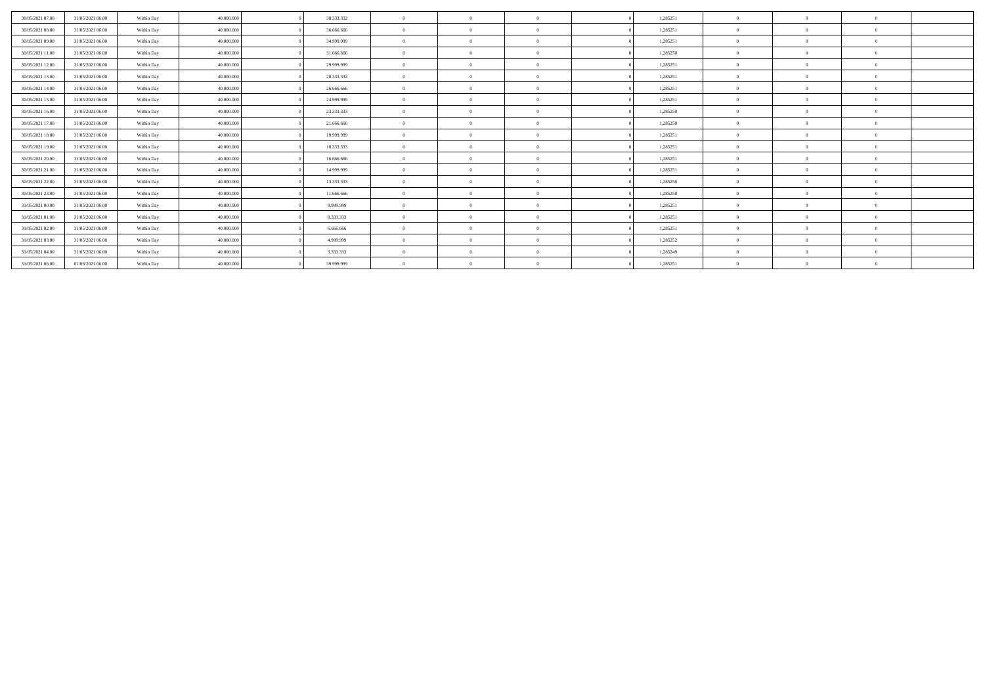| 30/05/2021 07:00 | 31/05/2021 06:00 | Within Day | 40,000,000 | 38.333.332 |                | $\Omega$       |          | 1,285251 |              |                |          |  |
|------------------|------------------|------------|------------|------------|----------------|----------------|----------|----------|--------------|----------------|----------|--|
| 30/05/2021 08:00 | 31/05/2021 06:00 | Within Day | 40,000,000 | 36,666,666 |                | $\Omega$       |          | 1,285251 |              |                |          |  |
| 30/05/2021 09:00 | 31/05/2021 06:00 | Within Day | 40,000,000 | 34.999.999 | $\theta$       | $\Omega$       | $\Omega$ | 1,285251 | $\Omega$     | $\Omega$       | $\Omega$ |  |
| 30/05/2021 11:00 | 31/05/2021 06:00 | Within Day | 40,000,000 | 31,666,666 | $\Omega$       | $\Omega$       | $\Omega$ | 1,285250 | $\Omega$     | $\theta$       | $\Omega$ |  |
| 30/05/2021 12:00 | 31/05/2021 06:00 | Within Day | 40,000,000 | 29.999.999 | $\Omega$       | $\Omega$       | $\Omega$ | 1.285251 | $\Omega$     |                | $\Omega$ |  |
| 30/05/2021 13:00 | 31/05/2021 06:00 | Within Day | 40,000,000 | 28.333.332 | $\theta$       | $\Omega$       | $\Omega$ | 1,285251 | $\Omega$     |                | $\Omega$ |  |
| 30/05/2021 14:00 | 31/05/2021 06:00 | Within Day | 40,000,000 | 26,666,666 | $\Omega$       | $\Omega$       | $\Omega$ | 1,285251 | $\Omega$     | $\Omega$       | $\Omega$ |  |
| 30/05/2021 15:00 | 31/05/2021 06:00 | Within Day | 40,000,000 | 24.999.999 |                | $\Omega$       |          | 1,285251 |              |                | $\Omega$ |  |
| 30/05/2021 16:00 | 31/05/2021 06:00 | Within Day | 40,000,000 | 23.333.333 | $\Omega$       | $\Omega$       | $\Omega$ | 1,285250 | $\Omega$     |                | $\Omega$ |  |
| 30/05/2021 17:00 | 31/05/2021 06:00 | Within Day | 40,000,000 | 21.666.666 | $\Omega$       | $\Omega$       | $\Omega$ | 1,285250 | $\Omega$     | $\theta$       | $\Omega$ |  |
| 30/05/2021 18:00 | 31/05/2021 06:00 | Within Day | 40,000,000 | 19,999,999 | $\overline{0}$ | $\Omega$       | $\Omega$ | 1,285251 | $\bf{0}$     | $^{\circ}$     | $\theta$ |  |
| 30/05/2021 19:00 | 31/05/2021 06:00 | Within Day | 40,000,000 | 18.333.333 | $\Omega$       | $\Omega$       | $\Omega$ | 1,285251 | $\Omega$     |                | $\Omega$ |  |
| 30/05/2021 20:00 | 31/05/2021 06:00 | Within Day | 40,000,000 | 16,666,666 | $\theta$       | $\Omega$       | $\Omega$ | 1,285251 | $\Omega$     | $\Omega$       | $\Omega$ |  |
| 30/05/2021 21:00 | 31/05/2021 06:00 | Within Day | 40,000,000 | 14.999.999 |                | $\Omega$       | $\Omega$ | 1,285251 | $\Omega$     |                | $\Omega$ |  |
| 30/05/2021 22:00 | 31/05/2021 06:00 | Within Day | 40,000,000 | 13.333.333 | $\Omega$       | $\Omega$       | $\Omega$ | 1,285250 | $\Omega$     |                | $\Omega$ |  |
| 30/05/2021 23:00 | 31/05/2021 06:00 | Within Day | 40,000,000 | 11.666.666 | $\Omega$       | $\Omega$       | $\Omega$ | 1,285250 | $\Omega$     | $\Omega$       | $\Omega$ |  |
| 31/05/2021 00:00 | 31/05/2021 06:00 | Within Day | 40,000,000 | 9.999.999  | $\Omega$       | $\Omega$       | $\Omega$ | 1,285251 | $\mathbf{0}$ |                | $\Omega$ |  |
| 31/05/2021 01:00 | 31/05/2021 06:00 | Within Day | 40,000,000 | 8.333.333  | $\Omega$       | $\Omega$       | $\Omega$ | 1,285251 | $\Omega$     |                | $\Omega$ |  |
| 31/05/2021 02:00 | 31/05/2021 06:00 | Within Day | 40,000,000 | 6.666.666  | $\theta$       | $\overline{0}$ | $\Omega$ | 1,285251 | $\theta$     | $\overline{0}$ | $\Omega$ |  |
| 31/05/2021 03:00 | 31/05/2021 06:00 | Within Day | 40,000,000 | 4.999.999  | $\Omega$       | $\Omega$       | $\Omega$ | 1,285252 | $\mathbf{0}$ |                | $\Omega$ |  |
| 31/05/2021 04:00 | 31/05/2021 06:00 | Within Day | 40.000.000 | 3.333.333  | $\Omega$       | $\theta$       |          | 1,285249 | $\Omega$     |                |          |  |
| 31/05/2021 06:00 | 01/06/2021 06:00 | Within Day | 40.000.000 | 39.999.999 |                | $\Omega$       |          | 1,285251 |              |                |          |  |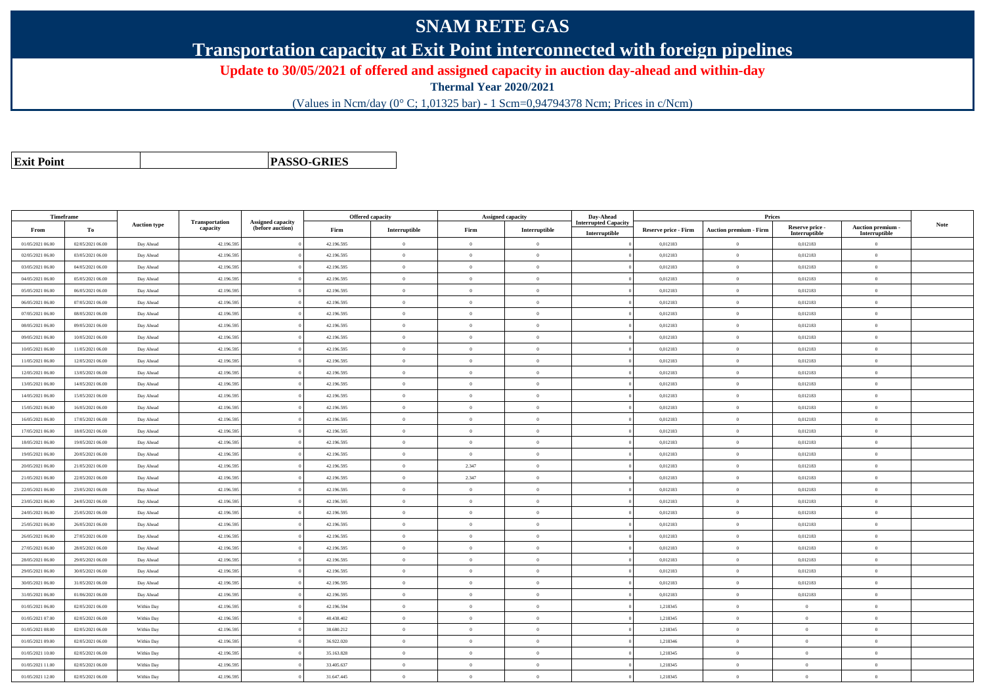## **SNAM RETE GAS**

**Transportation capacity at Exit Point interconnected with foreign pipelines**

**Update to 30/05/2021 of offered and assigned capacity in auction day-ahead and within-day**

**Thermal Year 2020/2021**

(Values in Ncm/day (0° C; 1,01325 bar) - 1 Scm=0,94794378 Ncm; Prices in c/Ncm)

**Exit Point**

**PASSO-GRIES**

|                  | Timeframe        |                     |                            |                                       |            | <b>Offered capacity</b> |                | <b>Assigned capacity</b> | Day-Ahead                                    |                      | Prices                        |                           |                                         |             |
|------------------|------------------|---------------------|----------------------------|---------------------------------------|------------|-------------------------|----------------|--------------------------|----------------------------------------------|----------------------|-------------------------------|---------------------------|-----------------------------------------|-------------|
| From             | To               | <b>Auction type</b> | Transportation<br>capacity | Assigned capacity<br>(before auction) | Firm       | Interruptible           | Firm           | Interruptible            | <b>Interrupted Capacity</b><br>Interruptible | Reserve price - Firm | <b>Auction premium - Firm</b> | Reserve price -           | <b>Auction premium</b><br>Interruptible | <b>Note</b> |
| 01/05/2021 06:00 | 02/05/2021 06:00 | Day Ahead           | 42.196.595                 |                                       | 42.196.595 | $\bf{0}$                | $\theta$       | $\overline{0}$           |                                              | 0,012183             | $\overline{0}$                | Interruptible<br>0,012183 | $\overline{0}$                          |             |
| 02/05/2021 06:00 | 03/05/2021 06:00 | Day Ahead           | 42.196.595                 |                                       | 42.196.595 | $\Omega$                | $\theta$       | $\theta$                 |                                              | 0.012183             | $\theta$                      | 0.012183                  | $\Omega$                                |             |
| 03/05/2021 06:00 | 04/05/2021 06:00 | Day Ahead           | 42.196.595                 |                                       | 42.196.595 | $\theta$                | $\theta$       | $\overline{0}$           |                                              | 0,012183             | $\overline{0}$                | 0,012183                  | $\Omega$                                |             |
| 04/05/2021 06:00 | 05/05/2021 06:00 | Day Ahead           | 42.196.595                 |                                       | 42.196.595 | $\theta$                | $\theta$       | $\overline{0}$           |                                              | 0,012183             | $\overline{0}$                | 0,012183                  | $\theta$                                |             |
| 05/05/2021 06:00 | 06/05/2021 06:00 | Day Ahead           | 42.196.595                 |                                       | 42.196.595 | $\theta$                | $\theta$       | $\overline{0}$           |                                              | 0,012183             | $\overline{0}$                | 0,012183                  | $\overline{0}$                          |             |
| 06/05/2021 06:00 | 07/05/2021 06:00 | Day Ahead           | 42.196.595                 |                                       | 42.196.595 | $\overline{0}$          | $\overline{0}$ | $\overline{0}$           |                                              | 0.012183             | $\overline{0}$                | 0,012183                  | $\mathbf{0}$                            |             |
| 07/05/2021 06:00 | 08/05/2021 06:00 | Day Ahead           | 42.196.595                 |                                       | 42.196.595 | $\mathbf{0}$            | $\Omega$       | $\overline{0}$           |                                              | 0,012183             | $\theta$                      | 0,012183                  | $\theta$                                |             |
| 08/05/2021 06:00 | 09/05/2021 06:00 | Day Ahead           | 42.196.595                 |                                       | 42.196.595 | $\mathbf{0}$            | $\overline{0}$ | $\overline{0}$           |                                              | 0,012183             | $\mathbf{0}$                  | 0,012183                  | $\mathbf{0}$                            |             |
| 09/05/2021 06:00 | 10/05/2021 06:00 | Day Ahead           | 42.196.595                 |                                       | 42.196.595 | $\bf{0}$                | $\overline{0}$ | $\overline{0}$           |                                              | 0,012183             | $\mathbf{0}$                  | 0,012183                  | $\theta$                                |             |
| 10/05/2021 06:00 | 11/05/2021 06:00 | Day Ahead           | 42.196.595                 |                                       | 42.196.595 | $\theta$                | $\overline{0}$ | $\overline{0}$           |                                              | 0,012183             | $\mathbf{0}$                  | 0,012183                  | $\theta$                                |             |
| 11/05/2021 06:00 | 12/05/2021 06:00 | Day Ahead           | 42.196.595                 |                                       | 42.196.595 | $\Omega$                | $\theta$       | $\overline{0}$           |                                              | 0,012183             | $\overline{0}$                | 0,012183                  | $\overline{0}$                          |             |
| 12/05/2021 06:00 | 13/05/2021 06:00 | Day Ahead           | 42.196.595                 |                                       | 42.196.595 | $\theta$                | $\overline{0}$ | $\overline{0}$           |                                              | 0,012183             | $\overline{0}$                | 0,012183                  | $\mathbf{0}$                            |             |
| 13/05/2021 06:00 | 14/05/2021 06:00 | Day Ahead           | 42.196.595                 |                                       | 42.196.595 | $\Omega$                | $\Omega$       | $\overline{0}$           |                                              | 0.012183             | $\overline{0}$                | 0.012183                  | $\Omega$                                |             |
| 14/05/2021 06:00 | 15/05/2021 06:00 | Day Ahead           | 42.196.595                 |                                       | 42.196.595 | $\Omega$                | $\theta$       | $\overline{0}$           |                                              | 0,012183             | $\overline{0}$                | 0,012183                  | $\Omega$                                |             |
| 15/05/2021 06:00 | 16/05/2021 06:00 | Day Ahead           | 42.196.595                 |                                       | 42.196.595 | $\Omega$                | $\overline{0}$ | $\theta$                 |                                              | 0,012183             | $\mathbf{0}$                  | 0,012183                  | $\theta$                                |             |
| 16/05/2021 06:00 | 17/05/2021 06:00 | Day Ahead           | 42.196.595                 |                                       | 42.196.595 | $\theta$                | $\overline{0}$ | $\Omega$                 |                                              | 0,012183             | $\overline{0}$                | 0,012183                  | $\overline{0}$                          |             |
| 17/05/2021 06:00 | 18/05/2021 06:00 | Day Ahead           | 42.196.595                 |                                       | 42.196.595 | $\theta$                | $\overline{0}$ | $\overline{0}$           |                                              | 0.012183             | $\overline{0}$                | 0,012183                  | $\mathbf{0}$                            |             |
| 18/05/2021 06:00 | 19/05/2021 06:00 | Day Ahead           | 42.196.595                 |                                       | 42.196.595 | $\Omega$                | $\theta$       | $\overline{0}$           |                                              | 0,012183             | $\overline{0}$                | 0,012183                  | $\overline{0}$                          |             |
| 19/05/2021 06:00 | 20/05/2021 06:00 | Day Ahead           | 42.196.595                 |                                       | 42.196.595 | $\theta$                | $\overline{0}$ | $\overline{0}$           |                                              | 0,012183             | $\mathbf{0}$                  | 0,012183                  | $\mathbf{0}$                            |             |
| 20/05/2021 06:00 | 21/05/2021 06:00 | Day Ahead           | 42.196.595                 |                                       | 42.196.595 | $\theta$                | 2.347          | $\overline{0}$           |                                              | 0,012183             | $\mathbf{0}$                  | 0,012183                  | $\Omega$                                |             |
| 21/05/2021 06:00 | 22/05/2021 06:00 | Day Ahead           | 42.196.595                 |                                       | 42.196.595 | $\overline{0}$          | 2.347          | $\overline{0}$           |                                              | 0,012183             | $\bf{0}$                      | 0,012183                  | $\bf{0}$                                |             |
| 22/05/2021 06:00 | 23/05/2021 06:00 | Day Ahead           | 42.196.595                 |                                       | 42.196.595 | $\Omega$                | $\overline{0}$ | $\overline{0}$           |                                              | 0,012183             | $\overline{0}$                | 0,012183                  | $\overline{0}$                          |             |
| 23/05/2021 06:00 | 24/05/2021 06:00 | Day Ahead           | 42.196.595                 |                                       | 42.196.595 | $\Omega$                | $\theta$       | $\overline{0}$           |                                              | 0,012183             | $\overline{0}$                | 0,012183                  | $\mathbf{0}$                            |             |
| 24/05/2021 06:00 | 25/05/2021 06:00 | Day Ahead           | 42.196.595                 |                                       | 42.196.595 | $\Omega$                | $\theta$       | $\alpha$                 |                                              | 0,012183             | $\Omega$                      | 0,012183                  | $\Omega$                                |             |
| 25/05/2021 06:00 | 26/05/2021 06:00 | Day Ahead           | 42.196.595                 |                                       | 42.196.595 | $\Omega$                | $\theta$       | $\alpha$                 |                                              | 0,012183             | $\overline{0}$                | 0,012183                  | $\Omega$                                |             |
| 26/05/2021 06:00 | 27/05/2021 06:00 | Day Ahead           | 42.196.595                 |                                       | 42.196.595 | $\Omega$                | $\overline{0}$ | $\theta$                 |                                              | 0,012183             | $\mathbf{0}$                  | 0,012183                  | $\theta$                                |             |
| 27/05/2021 06:00 | 28/05/2021 06:00 | Day Ahead           | 42.196.595                 |                                       | 42.196.595 | $\mathbf{0}$            | $\theta$       | $\overline{0}$           |                                              | 0,012183             | $\overline{0}$                | 0,012183                  | $\mathbf{0}$                            |             |
| 28/05/2021 06:00 | 29/05/2021 06:00 | Day Ahead           | 42.196.595                 |                                       | 42.196.595 | $\theta$                | $\overline{0}$ | $\overline{0}$           |                                              | 0,012183             | $\mathbf{0}$                  | 0,012183                  | $\theta$                                |             |
| 29/05/2021 06:00 | 30/05/2021 06:00 | Day Ahead           | 42.196.595                 |                                       | 42.196.595 | $\bf{0}$                | $\theta$       | $\overline{0}$           |                                              | 0,012183             | $\overline{0}$                | 0,012183                  | $\overline{0}$                          |             |
| 30/05/2021 06:00 | 31/05/2021 06:00 | Day Ahead           | 42.196.595                 |                                       | 42.196.595 | $\theta$                | $\overline{0}$ | $\theta$                 |                                              | 0,012183             | $\mathbf{0}$                  | 0,012183                  | $\mathbf{0}$                            |             |
| 31/05/2021 06:00 | 01/06/2021 06:00 | Day Ahead           | 42.196.595                 |                                       | 42.196.595 | $\overline{0}$          | $\theta$       | $\overline{0}$           |                                              | 0,012183             | $\overline{0}$                | 0.012183                  | $\Omega$                                |             |
| 01/05/2021 06:00 | 02/05/2021 06:00 | Within Day          | 42.196.595                 |                                       | 42.196.594 | $\bf{0}$                | $\overline{0}$ | $\overline{0}$           |                                              | 1,218345             | $\mathbf{0}$                  | $\mathbf{0}$              | $\bf{0}$                                |             |
| 01/05/2021 07:00 | 02/05/2021 06:00 | Within Day          | 42.196.595                 |                                       | 40.438.402 | $\Omega$                | $\overline{0}$ | $\theta$                 |                                              | 1,218345             | $\mathbf{0}$                  | $\theta$                  | $\mathbf{0}$                            |             |
| 01/05/2021 08:00 | 02/05/2021 06:00 | Within Day          | 42.196.595                 |                                       | 38.680.212 | $\theta$                | $\overline{0}$ | $\overline{0}$           |                                              | 1,218345             | $\mathbf{0}$                  | $\theta$                  | $\theta$                                |             |
| 01/05/2021 09:00 | 02/05/2021 06:00 | Within Day          | 42.196.595                 |                                       | 36.922.020 | $\theta$                | $\theta$       | $\overline{0}$           |                                              | 1,218346             | $\theta$                      | $\theta$                  | $\Omega$                                |             |
| 01/05/2021 10:00 | 02/05/2021 06:00 | Within Day          | 42.196.595                 |                                       | 35.163.828 | $\theta$                | $\theta$       | $\overline{0}$           |                                              | 1,218345             | $\overline{0}$                | $\Omega$                  | $\overline{0}$                          |             |
| 01/05/2021 11:00 | 02/05/2021 06:00 | Within Day          | 42.196.595                 |                                       | 33.405.637 | $\theta$                | $\overline{0}$ | $\overline{0}$           |                                              | 1,218345             | $\mathbf{0}$                  | $\overline{0}$            | $\theta$                                |             |
| 01/05/2021 12:00 | 02/05/2021 06:00 | Within Day          | 42.196.595                 |                                       | 31.647.445 | $\theta$                | $\theta$       | $\overline{0}$           |                                              | 1.218345             | $\theta$                      | $\theta$                  | $\Omega$                                |             |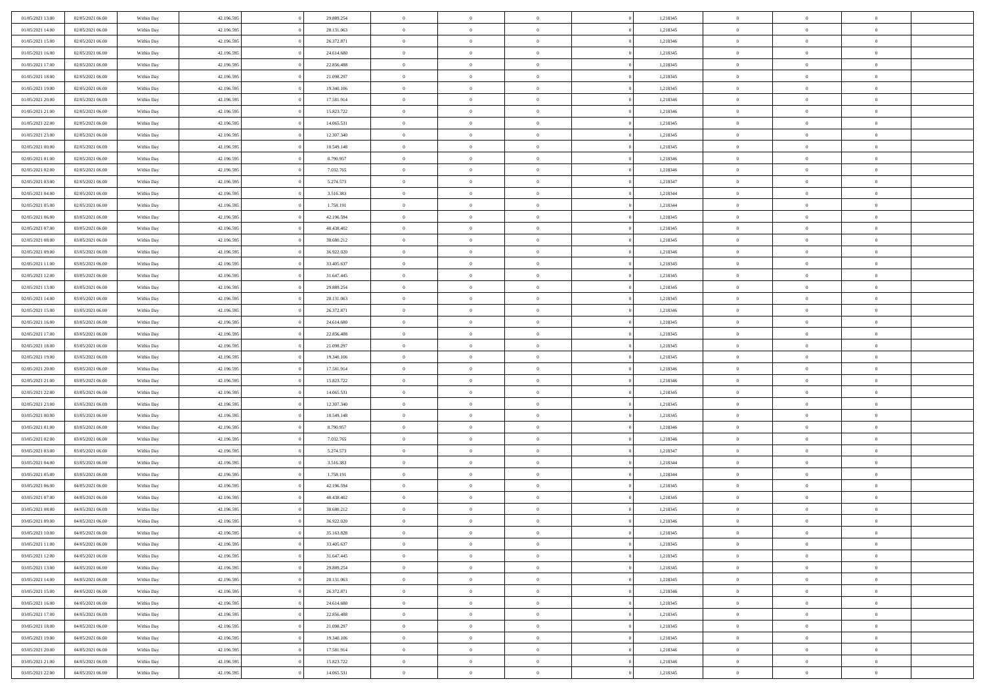| 01/05/2021 13:00 | 02/05/2021 06:00 | Within Day | 42.196.595 | 29.889.254 | $\,$ 0                   | $\bf{0}$       | $\theta$       |          | 1,218345 | $\bf{0}$       | $\overline{0}$ | $\,0\,$                    |  |
|------------------|------------------|------------|------------|------------|--------------------------|----------------|----------------|----------|----------|----------------|----------------|----------------------------|--|
| 01/05/2021 14:00 | 02/05/2021 06:00 | Within Day | 42.196.595 | 28.131.063 | $\overline{0}$           | $\overline{0}$ | $\overline{0}$ |          | 1,218345 | $\overline{0}$ | $\overline{0}$ | $\theta$                   |  |
| 01/05/2021 15:00 | 02/05/2021 06:00 | Within Day | 42.196.595 | 26.372.871 | $\mathbf{0}$             | $\overline{0}$ | $\overline{0}$ |          | 1,218346 | $\mathbf{0}$   | $\overline{0}$ | $\overline{0}$             |  |
| 01/05/2021 16:00 | 02/05/2021 06:00 | Within Day | 42.196.595 | 24.614.680 | $\bf{0}$                 | $\overline{0}$ | $\overline{0}$ |          | 1,218345 | $\bf{0}$       | $\overline{0}$ | $\overline{0}$             |  |
| 01/05/2021 17:00 | 02/05/2021 06:00 | Within Day | 42.196.595 | 22.856.488 | $\bf{0}$                 | $\bf{0}$       | $\overline{0}$ |          | 1,218345 | $\bf{0}$       | $\bf{0}$       | $\,0\,$                    |  |
| 01/05/2021 18:00 | 02/05/2021 06:00 | Within Dav | 42.196.595 | 21.098.297 | $\overline{0}$           | $\overline{0}$ | $\overline{0}$ |          | 1,218345 | $\mathbf{0}$   | $\overline{0}$ | $\overline{0}$             |  |
|                  |                  |            |            |            |                          |                |                |          |          |                |                |                            |  |
| 01/05/2021 19:00 | 02/05/2021 06:00 | Within Day | 42.196.595 | 19.340.106 | $\bf{0}$                 | $\overline{0}$ | $\overline{0}$ |          | 1,218345 | $\bf{0}$       | $\overline{0}$ | $\bf{0}$                   |  |
| 01/05/2021 20:00 | 02/05/2021 06:00 | Within Day | 42.196.595 | 17.581.914 | $\overline{0}$           | $\overline{0}$ | $\overline{0}$ |          | 1,218346 | $\,$ 0 $\,$    | $\overline{0}$ | $\theta$                   |  |
| 01/05/2021 21:00 | 02/05/2021 06:00 | Within Day | 42.196.595 | 15.823.722 | $\mathbf{0}$             | $\overline{0}$ | $\overline{0}$ |          | 1,218346 | $\mathbf{0}$   | $\overline{0}$ | $\overline{0}$             |  |
| 01/05/2021 22:00 | 02/05/2021 06:00 | Within Day | 42.196.595 | 14.065.531 | $\bf{0}$                 | $\overline{0}$ | $\overline{0}$ |          | 1,218345 | $\bf{0}$       | $\overline{0}$ | $\,0\,$                    |  |
| 01/05/2021 23.00 | 02/05/2021 06:00 | Within Day | 42.196.595 | 12.307.340 | $\overline{0}$           | $\overline{0}$ | $\overline{0}$ |          | 1,218345 | $\bf{0}$       | $\overline{0}$ | $\overline{0}$             |  |
| 02/05/2021 00:00 | 02/05/2021 06:00 | Within Dav | 42.196.595 | 10.549.148 | $\mathbf{0}$             | $\overline{0}$ | $\overline{0}$ |          | 1,218345 | $\mathbf{0}$   | $\overline{0}$ | $\overline{0}$             |  |
| 02/05/2021 01:00 | 02/05/2021 06:00 | Within Day | 42.196.595 | 8.790.957  | $\bf{0}$                 | $\overline{0}$ | $\overline{0}$ |          | 1,218346 | $\bf{0}$       | $\overline{0}$ | $\overline{0}$             |  |
| 02/05/2021 02:00 | 02/05/2021 06:00 | Within Day | 42.196.595 | 7.032.765  | $\bf{0}$                 | $\overline{0}$ | $\overline{0}$ |          | 1,218346 | $\bf{0}$       | $\mathbf{0}$   | $\,0\,$                    |  |
| 02/05/2021 03:00 | 02/05/2021 06:00 | Within Dav | 42.196.595 | 5.274.573  | $\overline{0}$           | $\overline{0}$ | $\overline{0}$ |          | 1,218347 | $\mathbf{0}$   | $\overline{0}$ | $\overline{0}$             |  |
| 02/05/2021 04:00 | 02/05/2021 06:00 | Within Day | 42.196.595 | 3.516.383  | $\bf{0}$                 | $\overline{0}$ | $\overline{0}$ |          | 1,218344 | $\bf{0}$       | $\overline{0}$ | $\bf{0}$                   |  |
| 02/05/2021 05:00 | 02/05/2021 06:00 | Within Day | 42.196.595 | 1.758.191  | $\overline{0}$           | $\overline{0}$ | $\overline{0}$ |          | 1,218344 | $\bf{0}$       | $\overline{0}$ | $\overline{0}$             |  |
| 02/05/2021 06:00 | 03/05/2021 06:00 | Within Day | 42.196.595 | 42.196.594 | $\mathbf{0}$             | $\overline{0}$ | $\overline{0}$ |          | 1,218345 | $\mathbf{0}$   | $\overline{0}$ | $\overline{0}$             |  |
| 02/05/2021 07:00 | 03/05/2021 06:00 | Within Day | 42.196.595 | 40.438.402 | $\bf{0}$                 | $\overline{0}$ | $\overline{0}$ |          | 1,218345 | $\bf{0}$       | $\overline{0}$ | $\,0\,$                    |  |
| 02/05/2021 08:00 | 03/05/2021 06:00 | Within Day | 42.196.595 | 38.680.212 | $\overline{0}$           | $\overline{0}$ | $\overline{0}$ |          | 1,218345 | $\bf{0}$       | $\overline{0}$ | $\overline{0}$             |  |
| 02/05/2021 09:00 | 03/05/2021 06:00 | Within Day | 42.196.595 | 36.922.020 | $\overline{0}$           | $\overline{0}$ | $\overline{0}$ |          | 1,218346 | $\mathbf{0}$   | $\overline{0}$ | $\overline{0}$             |  |
| 02/05/2021 11:00 | 03/05/2021 06:00 | Within Day | 42.196.595 | 33.405.637 | $\bf{0}$                 | $\overline{0}$ | $\overline{0}$ |          | 1,218345 | $\bf{0}$       | $\overline{0}$ | $\bf{0}$                   |  |
| 02/05/2021 12:00 | 03/05/2021 06:00 | Within Day | 42.196.595 | 31.647.445 | $\bf{0}$                 | $\overline{0}$ | $\overline{0}$ |          | 1,218345 | $\bf{0}$       | $\overline{0}$ | $\,0\,$                    |  |
| 02/05/2021 13:00 | 03/05/2021 06:00 | Within Dav | 42.196.595 | 29.889.254 | $\mathbf{0}$             | $\overline{0}$ | $\overline{0}$ |          | 1,218345 | $\mathbf{0}$   | $\overline{0}$ | $\overline{0}$             |  |
| 02/05/2021 14:00 | 03/05/2021 06:00 | Within Day | 42.196.595 | 28.131.063 | $\bf{0}$                 | $\overline{0}$ | $\overline{0}$ |          | 1,218345 | $\bf{0}$       | $\overline{0}$ | $\,0\,$                    |  |
| 02/05/2021 15:00 | 03/05/2021 06:00 | Within Day | 42.196.595 | 26.372.871 | $\overline{0}$           | $\overline{0}$ | $\overline{0}$ |          | 1,218346 | $\bf{0}$       | $\mathbf{0}$   | $\overline{0}$             |  |
| 02/05/2021 16:00 | 03/05/2021 06:00 | Within Day | 42.196.595 | 24.614.680 | $\overline{0}$           | $\overline{0}$ | $\overline{0}$ |          | 1,218345 | $\mathbf{0}$   | $\overline{0}$ | $\overline{0}$             |  |
| 02/05/2021 17:00 | 03/05/2021 06:00 | Within Day | 42.196.595 | 22.856.488 | $\bf{0}$                 | $\overline{0}$ | $\overline{0}$ |          | 1,218345 | $\bf{0}$       | $\overline{0}$ | $\,0\,$                    |  |
| 02/05/2021 18:00 | 03/05/2021 06:00 | Within Day | 42.196.595 | 21.098.297 | $\bf{0}$                 | $\overline{0}$ | $\overline{0}$ |          | 1,218345 | $\bf{0}$       | $\mathbf{0}$   | $\overline{0}$             |  |
| 02/05/2021 19:00 | 03/05/2021 06:00 | Within Day | 42.196.595 | 19.340.106 | $\mathbf{0}$             | $\overline{0}$ | $\overline{0}$ |          | 1,218345 | $\mathbf{0}$   | $\overline{0}$ | $\overline{0}$             |  |
| 02/05/2021 20:00 | 03/05/2021 06:00 | Within Day | 42.196.595 | 17.581.914 | $\bf{0}$                 | $\overline{0}$ | $\overline{0}$ |          | 1,218346 | $\,$ 0         | $\overline{0}$ | $\,$ 0 $\,$                |  |
| 02/05/2021 21:00 | 03/05/2021 06:00 | Within Day | 42.196.595 | 15.823.722 | $\bf{0}$                 | $\overline{0}$ | $\overline{0}$ |          | 1,218346 | $\bf{0}$       | $\overline{0}$ | $\overline{0}$             |  |
| 02/05/2021 22:00 | 03/05/2021 06:00 | Within Dav | 42.196.595 | 14.065.531 | $\overline{0}$           | $\overline{0}$ | $\overline{0}$ |          | 1,218345 | $\mathbf{0}$   | $\overline{0}$ | $\overline{0}$             |  |
| 02/05/2021 23:00 | 03/05/2021 06:00 | Within Day | 42.196.595 | 12.307.340 | $\bf{0}$                 | $\overline{0}$ | $\theta$       |          | 1,218345 | $\,$ 0         | $\overline{0}$ | $\theta$                   |  |
| 03/05/2021 00:00 | 03/05/2021 06:00 | Within Day | 42.196.595 | 10.549.148 | $\overline{0}$           | $\overline{0}$ | $\overline{0}$ |          | 1,218345 | $\bf{0}$       | $\overline{0}$ | $\overline{0}$             |  |
| 03/05/2021 01:00 | 03/05/2021 06:00 | Within Day | 42.196.595 | 8.790.957  | $\mathbf{0}$             | $\overline{0}$ | $\overline{0}$ |          | 1,218346 | $\mathbf{0}$   | $\overline{0}$ | $\overline{0}$             |  |
| 03/05/2021 02:00 | 03/05/2021 06:00 | Within Day | 42.196.595 | 7.032.765  | $\bf{0}$                 | $\overline{0}$ | $\theta$       |          | 1,218346 | $\,$ 0         | $\overline{0}$ | $\theta$                   |  |
| 03/05/2021 03:00 | 03/05/2021 06:00 |            | 42.196.595 | 5.274.573  | $\bf{0}$                 | $\overline{0}$ | $\overline{0}$ |          | 1,218347 | $\bf{0}$       | $\overline{0}$ | $\overline{0}$             |  |
| 03/05/2021 04:00 | 03/05/2021 06:00 | Within Day | 42.196.595 | 3.516.383  | $\mathbf{0}$             | $\overline{0}$ | $\overline{0}$ |          | 1,218344 | $\mathbf{0}$   | $\overline{0}$ | $\overline{0}$             |  |
|                  |                  | Within Day |            |            |                          |                |                |          |          |                |                |                            |  |
| 03/05/2021 05:00 | 03/05/2021 06:00 | Within Day | 42.196.595 | 1.758.191  | $\,0\,$                  | $\overline{0}$ | $\theta$       |          | 1,218344 | $\,$ 0         | $\overline{0}$ | $\theta$                   |  |
| 03/05/2021 06:00 | 04/05/2021 06:00 | Within Day | 42.196.595 | 42.196.594 | $\bf{0}$                 | $\overline{0}$ | $\overline{0}$ |          | 1,218345 | $\bf{0}$       | $\overline{0}$ | $\overline{0}$             |  |
| 03/05/2021 07:00 | 04/05/2021 06:00 | Within Day | 42.196.595 | 40.438.402 | $\mathbf{0}$<br>$\bf{0}$ | $\overline{0}$ | $\overline{0}$ |          | 1,218345 | $\mathbf{0}$   | $\overline{0}$ | $\overline{0}$<br>$\theta$ |  |
| 03/05/2021 08:00 | 04/05/2021 06:00 | Within Day | 42.196.595 | 38.680.212 |                          | $\overline{0}$ | $\theta$       |          | 1,218345 | $\,$ 0         | $\overline{0}$ |                            |  |
| 03/05/2021 09:00 | 04/05/2021 06:00 | Within Day | 42.196.595 | 36.922.020 | $\bf{0}$                 | $\overline{0}$ | $\overline{0}$ |          | 1,218346 | $\bf{0}$       | $\overline{0}$ | $\overline{0}$             |  |
| 03/05/2021 10:00 | 04/05/2021 06:00 | Within Day | 42.196.595 | 35.163.828 | $\bf{0}$                 | $\overline{0}$ | $\Omega$       |          | 1,218345 | $\overline{0}$ | $\theta$       | $\theta$                   |  |
| 03/05/2021 11:00 | 04/05/2021 06:00 | Within Day | 42.196.595 | 33.405.637 | $\,0\,$                  | $\overline{0}$ | $\theta$       |          | 1,218345 | $\,$ 0 $\,$    | $\bf{0}$       | $\theta$                   |  |
| 03/05/2021 12:00 | 04/05/2021 06:00 | Within Day | 42.196.595 | 31.647.445 | $\overline{0}$           | $\overline{0}$ | $\overline{0}$ |          | 1,218345 | $\overline{0}$ | $\overline{0}$ | $\overline{0}$             |  |
| 03/05/2021 13:00 | 04/05/2021 06:00 | Within Day | 42.196.595 | 29.889.254 | $\bf{0}$                 | $\overline{0}$ | $\overline{0}$ |          | 1,218345 | $\overline{0}$ | $\bf{0}$       | $\mathbf{0}$               |  |
| 03/05/2021 14:00 | 04/05/2021 06:00 | Within Day | 42.196.595 | 28.131.063 | $\bf{0}$                 | $\overline{0}$ | $\overline{0}$ | $\theta$ | 1,218345 | $\,$ 0 $\,$    | $\bf{0}$       | $\,$ 0 $\,$                |  |
| 03/05/2021 15:00 | 04/05/2021 06:00 | Within Day | 42.196.595 | 26.372.871 | $\bf{0}$                 | $\overline{0}$ | $\overline{0}$ |          | 1,218346 | $\,$ 0 $\,$    | $\overline{0}$ | $\overline{0}$             |  |
| 03/05/2021 16:00 | 04/05/2021 06:00 | Within Day | 42.196.595 | 24.614.680 | $\bf{0}$                 | $\overline{0}$ | $\overline{0}$ |          | 1,218345 | $\mathbf{0}$   | $\overline{0}$ | $\overline{0}$             |  |
| 03/05/2021 17:00 | 04/05/2021 06:00 | Within Day | 42.196.595 | 22.856.488 | $\,$ 0 $\,$              | $\overline{0}$ | $\overline{0}$ | $\theta$ | 1,218345 | $\,$ 0 $\,$    | $\overline{0}$ | $\,$ 0 $\,$                |  |
| 03/05/2021 18:00 | 04/05/2021 06:00 | Within Day | 42.196.595 | 21.098.297 | $\bf{0}$                 | $\overline{0}$ | $\overline{0}$ |          | 1,218345 | $\overline{0}$ | $\overline{0}$ | $\overline{0}$             |  |
| 03/05/2021 19:00 | 04/05/2021 06:00 | Within Day | 42.196.595 | 19.340.106 | $\bf{0}$                 | $\overline{0}$ | $\overline{0}$ |          | 1,218345 | $\mathbf{0}$   | $\overline{0}$ | $\overline{0}$             |  |
| 03/05/2021 20:00 | 04/05/2021 06:00 | Within Day | 42.196.595 | 17.581.914 | $\,0\,$                  | $\overline{0}$ | $\overline{0}$ |          | 1,218346 | $\,$ 0 $\,$    | $\mathbf{0}$   | $\,$ 0 $\,$                |  |
| 03/05/2021 21:00 | 04/05/2021 06:00 | Within Day | 42.196.595 | 15.823.722 | $\overline{0}$           | $\overline{0}$ | $\overline{0}$ |          | 1,218346 | $\bf{0}$       | $\mathbf{0}$   | $\overline{0}$             |  |
| 03/05/2021 22:00 | 04/05/2021 06:00 | Within Day | 42.196.595 | 14.065.531 | $\overline{0}$           | $\overline{0}$ | $\overline{0}$ |          | 1,218345 | $\mathbf{0}$   | $\overline{0}$ | $\overline{0}$             |  |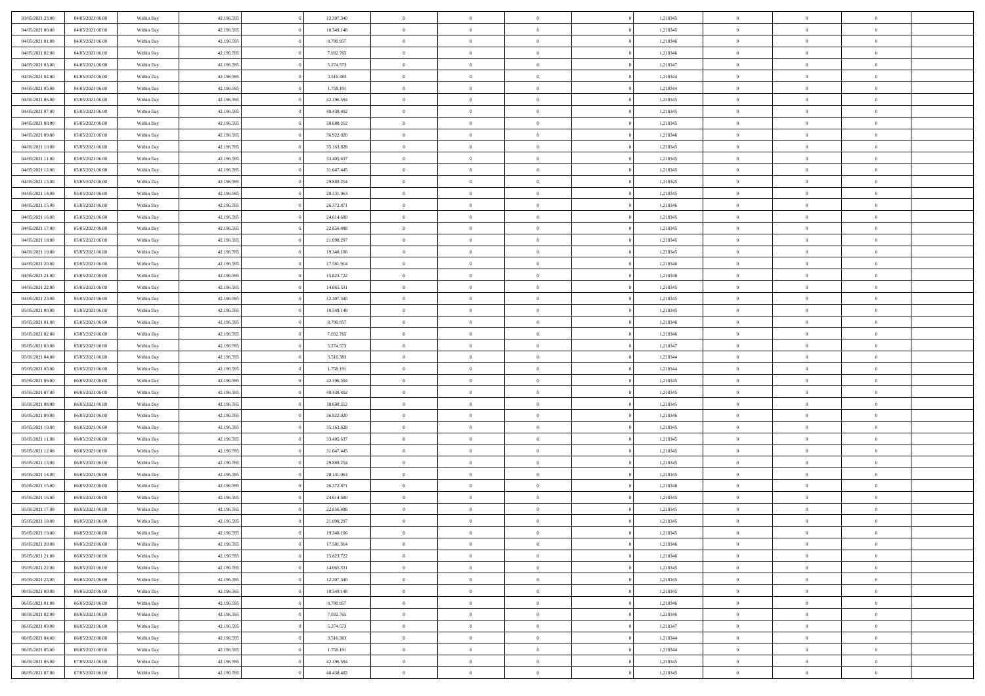| 03/05/2021 23:00 | 04/05/2021 06:00 | Within Day               | 42.196.595 | 12.307.340 | $\,$ 0 $\,$    | $\overline{0}$                    | $\overline{0}$ |          | 1,218345 | $\bf{0}$       | $\overline{0}$ | $\,0\,$        |  |
|------------------|------------------|--------------------------|------------|------------|----------------|-----------------------------------|----------------|----------|----------|----------------|----------------|----------------|--|
| 04/05/2021 00:00 | 04/05/2021 06:00 | Within Day               | 42.196.595 | 10.549.148 | $\overline{0}$ | $\overline{0}$                    | $\mathbf{0}$   |          | 1,218345 | $\theta$       | $\overline{0}$ | $\theta$       |  |
| 04/05/2021 01:00 | 04/05/2021 06:00 | Within Day               | 42.196.595 | 8.790.957  | $\theta$       | $\overline{0}$                    | $\overline{0}$ |          | 1,218346 | $\mathbf{0}$   | $\overline{0}$ | $\overline{0}$ |  |
| 04/05/2021 02:00 | 04/05/2021 06:00 | Within Day               | 42.196.595 | 7.032.765  | $\,$ 0 $\,$    | $\overline{0}$                    | $\overline{0}$ |          | 1,218346 | $\bf{0}$       | $\overline{0}$ | $\bf{0}$       |  |
| 04/05/2021 03:00 | 04/05/2021 06:00 | Within Day               | 42.196.595 | 5.274.573  | $\bf{0}$       | $\overline{0}$                    | $\mathbf{0}$   |          | 1,218347 | $\bf{0}$       | $\overline{0}$ | $\,0\,$        |  |
| 04/05/2021 04:00 | 04/05/2021 06:00 | Within Day               | 42.196.595 | 3.516.383  | $\theta$       | $\overline{0}$                    | $\mathbf{0}$   |          | 1,218344 | $\mathbf{0}$   | $\overline{0}$ | $\overline{0}$ |  |
| 04/05/2021 05:00 | 04/05/2021 06:00 | Within Day               | 42.196.595 | 1.758.191  | $\,$ 0 $\,$    | $\overline{0}$                    | $\overline{0}$ |          | 1,218344 | $\bf{0}$       | $\overline{0}$ | $\bf{0}$       |  |
| 04/05/2021 06:00 | 05/05/2021 06:00 | Within Day               | 42.196.595 | 42.196.594 | $\overline{0}$ | $\overline{0}$                    | $\mathbf{0}$   |          | 1,218345 | $\,$ 0 $\,$    | $\overline{0}$ | $\overline{0}$ |  |
| 04/05/2021 07:00 | 05/05/2021 06:00 | Within Day               | 42.196.595 | 40.438.402 | $\theta$       | $\overline{0}$                    | $\mathbf{0}$   |          | 1,218345 | $\mathbf{0}$   | $\overline{0}$ | $\overline{0}$ |  |
|                  |                  |                          |            |            | $\,$ 0 $\,$    |                                   | $\Omega$       |          | 1,218345 | $\bf{0}$       | $\overline{0}$ | $\bf{0}$       |  |
| 04/05/2021 08:00 | 05/05/2021 06:00 | Within Day               | 42.196.595 | 38.680.212 |                | $\overline{0}$                    |                |          |          |                | $\overline{0}$ |                |  |
| 04/05/2021 09:00 | 05/05/2021 06:00 | Within Day               | 42.196.595 | 36.922.020 | $\bf{0}$       | $\overline{0}$                    | $\mathbf{0}$   |          | 1,218346 | $\bf{0}$       |                | $\theta$       |  |
| 04/05/2021 10:00 | 05/05/2021 06:00 | Within Day               | 42.196.595 | 35.163.828 | $\theta$       | $\overline{0}$                    | $\overline{0}$ |          | 1,218345 | $\mathbf{0}$   | $\overline{0}$ | $\overline{0}$ |  |
| 04/05/2021 11:00 | 05/05/2021 06:00 | Within Day               | 42.196.595 | 33.405.637 | $\,$ 0 $\,$    | $\overline{0}$                    | $\overline{0}$ |          | 1,218345 | $\bf{0}$       | $\overline{0}$ | $\overline{0}$ |  |
| 04/05/2021 12:00 | 05/05/2021 06:00 | Within Day               | 42.196.595 | 31.647.445 | $\bf{0}$       | $\overline{0}$                    | $\mathbf{0}$   |          | 1,218345 | $\bf{0}$       | $\mathbf{0}$   | $\,0\,$        |  |
| 04/05/2021 13:00 | 05/05/2021 06:00 | Within Day               | 42.196.595 | 29.889.254 | $\overline{0}$ | $\overline{0}$                    | $\overline{0}$ |          | 1,218345 | $\mathbf{0}$   | $\overline{0}$ | $\overline{0}$ |  |
| 04/05/2021 14:00 | 05/05/2021 06:00 | Within Day               | 42.196.595 | 28.131.063 | $\,$ 0 $\,$    | $\overline{0}$                    | $\Omega$       |          | 1,218345 | $\bf{0}$       | $\overline{0}$ | $\bf{0}$       |  |
| 04/05/2021 15:00 | 05/05/2021 06:00 | Within Day               | 42.196.595 | 26.372.871 | $\,$ 0         | $\overline{0}$                    | $\mathbf{0}$   |          | 1,218346 | $\,$ 0 $\,$    | $\overline{0}$ | $\theta$       |  |
| 04/05/2021 16:00 | 05/05/2021 06:00 | Within Day               | 42.196.595 | 24.614.680 | $\theta$       | $\overline{0}$                    | $\mathbf{0}$   |          | 1,218345 | $\mathbf{0}$   | $\overline{0}$ | $\overline{0}$ |  |
| 04/05/2021 17:00 | 05/05/2021 06:00 | Within Day               | 42.196.595 | 22.856.488 | $\,$ 0 $\,$    | $\overline{0}$                    | $\Omega$       |          | 1,218345 | $\bf{0}$       | $\overline{0}$ | $\bf{0}$       |  |
| 04/05/2021 18:00 | 05/05/2021 06:00 | Within Day               | 42.196.595 | 21.098.297 | $\bf{0}$       | $\overline{0}$                    | $\mathbf{0}$   |          | 1,218345 | $\bf{0}$       | $\overline{0}$ | $\overline{0}$ |  |
| 04/05/2021 19:00 | 05/05/2021 06:00 | Within Day               | 42.196.595 | 19.340.106 | $\theta$       | $\overline{0}$                    | $\overline{0}$ |          | 1,218345 | $\mathbf{0}$   | $\overline{0}$ | $\overline{0}$ |  |
| 04/05/2021 20:00 | 05/05/2021 06:00 | Within Day               | 42.196.595 | 17.581.914 | $\,$ 0 $\,$    | $\overline{0}$                    | $\overline{0}$ |          | 1,218346 | $\bf{0}$       | $\overline{0}$ | $\bf{0}$       |  |
| 04/05/2021 21:00 | 05/05/2021 06:00 | Within Day               | 42.196.595 | 15.823.722 | $\bf{0}$       | $\overline{0}$                    | $\mathbf{0}$   |          | 1,218346 | $\,$ 0 $\,$    | $\overline{0}$ | $\,0\,$        |  |
| 04/05/2021 22:00 | 05/05/2021 06:00 | Within Day               | 42.196.595 | 14.065.531 | $\theta$       | $\overline{0}$                    | $\mathbf{0}$   |          | 1,218345 | $\mathbf{0}$   | $\overline{0}$ | $\overline{0}$ |  |
| 04/05/2021 23:00 | 05/05/2021 06:00 | Within Day               | 42.196.595 | 12.307.340 | $\,$ 0 $\,$    | $\overline{0}$                    | $\overline{0}$ |          | 1,218345 | $\bf{0}$       | $\overline{0}$ | $\bf{0}$       |  |
| 05/05/2021 00:00 | 05/05/2021 06:00 | Within Day               | 42.196.595 | 10.549.148 | $\,$ 0         | $\overline{0}$                    | $\mathbf{0}$   |          | 1,218345 | $\bf{0}$       | $\overline{0}$ | $\overline{0}$ |  |
| 05/05/2021 01:00 | 05/05/2021 06:00 | Within Day               | 42.196.595 | 8.790.957  | $\theta$       | $\overline{0}$                    | $\mathbf{0}$   |          | 1,218346 | $\mathbf{0}$   | $\overline{0}$ | $\overline{0}$ |  |
| 05/05/2021 02:00 | 05/05/2021 06:00 | Within Day               | 42.196.595 | 7.032.765  | $\,$ 0 $\,$    | $\overline{0}$                    | $\Omega$       |          | 1,218346 | $\bf{0}$       | $\overline{0}$ | $\bf{0}$       |  |
| 05/05/2021 03:00 | 05/05/2021 06:00 | Within Day               | 42.196.595 | 5.274.573  | $\bf{0}$       | $\overline{0}$                    | $\mathbf{0}$   |          | 1,218347 | $\bf{0}$       | $\overline{0}$ | $\overline{0}$ |  |
| 05/05/2021 04:00 | 05/05/2021 06:00 | Within Day               | 42.196.595 | 3.516.383  | $\theta$       | $\overline{0}$                    | $\overline{0}$ |          | 1,218344 | $\mathbf{0}$   | $\overline{0}$ | $\overline{0}$ |  |
| 05/05/2021 05:00 | 05/05/2021 06:00 | Within Day               | 42.196.595 | 1.758.191  | $\,$ 0 $\,$    | $\overline{0}$                    | $\overline{0}$ |          | 1,218344 | $\,$ 0         | $\overline{0}$ | $\,$ 0 $\,$    |  |
| 05/05/2021 06:00 | 06/05/2021 06:00 | Within Day               | 42.196.595 | 42.196.594 | $\bf{0}$       | $\overline{0}$                    | $\mathbf{0}$   |          | 1,218345 | $\bf{0}$       | $\overline{0}$ | $\overline{0}$ |  |
| 05/05/2021 07:00 | 06/05/2021 06:00 | Within Day               | 42.196.595 | 40.438.402 | $\theta$       | $\overline{0}$                    | $\overline{0}$ |          | 1,218345 | $\mathbf{0}$   | $\overline{0}$ | $\overline{0}$ |  |
| 05/05/2021 08:00 | 06/05/2021 06:00 | Within Day               | 42.196.595 | 38.680.212 | $\theta$       | $\overline{0}$                    | $\overline{0}$ |          | 1,218345 | $\,$ 0         | $\overline{0}$ | $\theta$       |  |
| 05/05/2021 09:00 | 06/05/2021 06:00 | Within Day               | 42.196.595 | 36.922.020 | $\bf{0}$       | $\overline{0}$                    | $\mathbf{0}$   |          | 1,218346 | $\overline{0}$ | $\overline{0}$ | $\overline{0}$ |  |
| 05/05/2021 10:00 | 06/05/2021 06:00 | Within Day               | 42.196.595 | 35.163.828 | $\theta$       | $\overline{0}$                    | $\mathbf{0}$   |          | 1,218345 | $\mathbf{0}$   | $\overline{0}$ | $\overline{0}$ |  |
| 05/05/2021 11:00 | 06/05/2021 06:00 | Within Day               | 42.196.595 | 33.405.637 | $\theta$       | $\overline{0}$                    | $\overline{0}$ |          | 1,218345 | $\,$ 0         | $\overline{0}$ | $\theta$       |  |
| 05/05/2021 12:00 | 06/05/2021 06:00 | Within Day               | 42.196.595 | 31.647.445 | $\bf{0}$       | $\overline{0}$                    | $\mathbf{0}$   |          | 1,218345 | $\bf{0}$       | $\mathbf{0}$   | $\overline{0}$ |  |
| 05/05/2021 13:00 | 06/05/2021 06:00 | Within Day               | 42.196.595 | 29.889.254 | $\theta$       | $\overline{0}$                    | $\overline{0}$ |          | 1,218345 | $\mathbf{0}$   | $\overline{0}$ | $\overline{0}$ |  |
| 05/05/2021 14:00 | 06/05/2021 06:00 | Within Day               | 42.196.595 | 28.131.063 | $\,$ 0 $\,$    | $\overline{0}$                    | $\overline{0}$ |          | 1,218345 | $\,$ 0         | $\overline{0}$ | $\,$ 0 $\,$    |  |
| 05/05/2021 15:00 | 06/05/2021 06:00 | Within Day               | 42.196.595 | 26.372.871 | $\bf{0}$       | $\,$ 0 $\,$                       | $\overline{0}$ |          | 1,218346 | $\,$ 0 $\,$    | $\overline{0}$ | $\overline{0}$ |  |
| 05/05/2021 16:00 | 06/05/2021 06:00 | Within Day               | 42.196.595 | 24.614.680 | $\theta$       | $\overline{0}$                    | $\mathbf{0}$   |          | 1,218345 | $\mathbf{0}$   | $\overline{0}$ | $\overline{0}$ |  |
| 05/05/2021 17:00 | 06/05/2021 06:00 | Within Day               | 42.196.595 | 22.856.488 | $\theta$       | $\overline{0}$                    | $\overline{0}$ |          | 1,218345 | $\,$ 0         | $\overline{0}$ | $\theta$       |  |
| 05/05/2021 18:00 | 06/05/2021 06:00 | Within Day               | 42.196.595 | 21.098.297 | $\bf{0}$       | $\,$ 0 $\,$                       | $\mathbf{0}$   |          | 1,218345 | $\,$ 0 $\,$    | $\overline{0}$ | $\overline{0}$ |  |
| 05/05/2021 19:00 | 06/05/2021 06:00 | Within Day               | 42.196.595 | 19.340.106 | $\overline{0}$ | $\theta$                          |                |          | 1,218345 | $\overline{0}$ | $\theta$       | $\theta$       |  |
| 05/05/2021 20:00 | 06/05/2021 06:00 | Within Day               | 42.196.595 | 17.581.914 | $\,$ 0 $\,$    | $\overline{0}$                    | $\overline{0}$ |          | 1,218346 | $\,$ 0 $\,$    | $\bf{0}$       | $\,$ 0 $\,$    |  |
| 05/05/2021 21:00 | 06/05/2021 06:00 | Within Day               | 42.196.595 | 15.823.722 | $\overline{0}$ | $\hspace{0.1cm} 0 \hspace{0.1cm}$ | $\overline{0}$ |          | 1,218346 | $\,$ 0 $\,$    | $\overline{0}$ | $\overline{0}$ |  |
| 05/05/2021 22:00 | 06/05/2021 06:00 | Within Day               | 42.196.595 | 14.065.531 | $\mathbf{0}$   | $\overline{0}$                    | $\overline{0}$ |          | 1,218345 | $\,$ 0 $\,$    | $\bf{0}$       | $\mathbf{0}$   |  |
| 05/05/2021 23:00 | 06/05/2021 06:00 | Within Day               | 42.196.595 | 12.307.340 | $\,$ 0 $\,$    | $\overline{0}$                    | $\overline{0}$ | $\theta$ | 1,218345 | $\,$ 0 $\,$    | $\bf{0}$       | $\,$ 0 $\,$    |  |
| 06/05/2021 00:00 | 06/05/2021 06:00 |                          | 42.196.595 | 10.549.148 | $\,$ 0 $\,$    | $\,$ 0 $\,$                       | $\overline{0}$ |          | 1,218345 | $\,$ 0 $\,$    | $\overline{0}$ | $\overline{0}$ |  |
| 06/05/2021 01:00 | 06/05/2021 06:00 | Within Day<br>Within Day | 42.196.595 | 8.790.957  | $\overline{0}$ | $\overline{0}$                    | $\overline{0}$ |          | 1,218346 | $\mathbf{0}$   | $\bf{0}$       | $\overline{0}$ |  |
|                  |                  |                          |            |            |                |                                   |                |          |          |                |                |                |  |
| 06/05/2021 02:00 | 06/05/2021 06:00 | Within Day               | 42.196.595 | 7.032.765  | $\,$ 0 $\,$    | $\overline{0}$                    | $\overline{0}$ |          | 1,218346 | $\,$ 0 $\,$    | $\bf{0}$       | $\,$ 0 $\,$    |  |
| 06/05/2021 03:00 | 06/05/2021 06:00 | Within Day               | 42.196.595 | 5.274.573  | $\overline{0}$ | $\overline{0}$                    | $\overline{0}$ |          | 1,218347 | $\,$ 0 $\,$    | $\overline{0}$ | $\mathbf{0}$   |  |
| 06/05/2021 04:00 | 06/05/2021 06:00 | Within Day               | 42.196.595 | 3.516.383  | $\mathbf{0}$   | $\overline{0}$                    | $\overline{0}$ |          | 1,218344 | $\,$ 0 $\,$    | $\bf{0}$       | $\overline{0}$ |  |
| 06/05/2021 05:00 | 06/05/2021 06:00 | Within Day               | 42.196.595 | 1.758.191  | $\,$ 0 $\,$    | $\overline{0}$                    | $\overline{0}$ |          | 1,218344 | $\,$ 0 $\,$    | $\bf{0}$       | $\,$ 0 $\,$    |  |
| 06/05/2021 06:00 | 07/05/2021 06:00 | Within Day               | 42.196.595 | 42.196.594 | $\,$ 0 $\,$    | $\,$ 0 $\,$                       | $\overline{0}$ |          | 1,218345 | $\,$ 0 $\,$    | $\overline{0}$ | $\overline{0}$ |  |
| 06/05/2021 07:00 | 07/05/2021 06:00 | Within Day               | 42.196.595 | 40.438.402 | $\theta$       | $\overline{0}$                    | $\overline{0}$ |          | 1,218345 | $\,$ 0 $\,$    | $\mathbf{0}$   | $\overline{0}$ |  |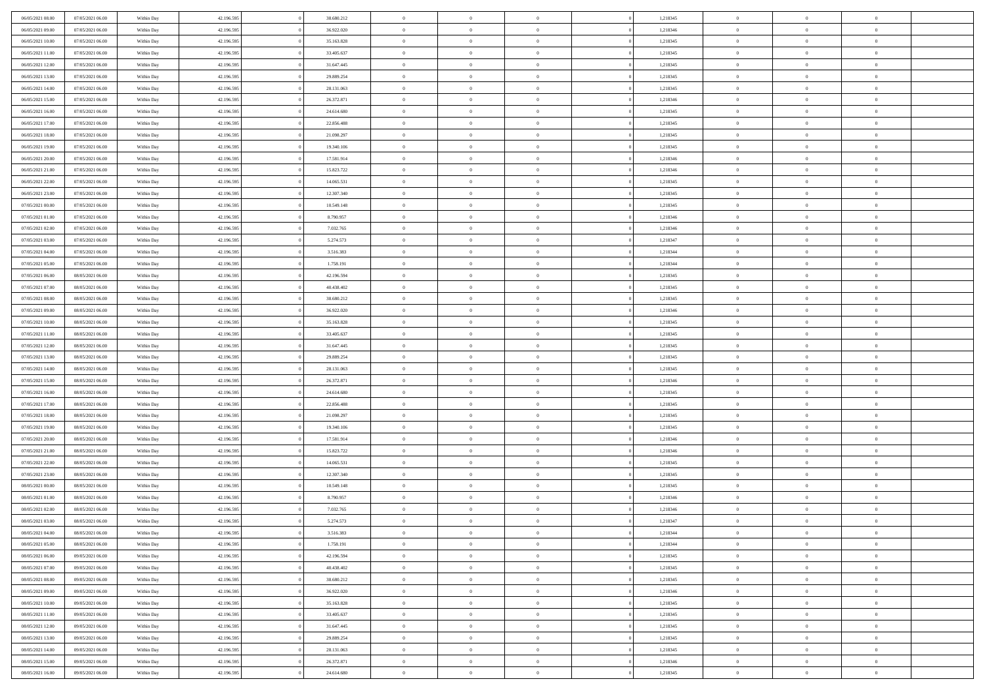| 06/05/2021 08:00 | 07/05/2021 06:00 | Within Day | 42.196.595 | 38.680.212 | $\bf{0}$       | $\bf{0}$       | $\theta$       |          | 1,218345 | $\bf{0}$                 | $\overline{0}$ | $\,0\,$        |  |
|------------------|------------------|------------|------------|------------|----------------|----------------|----------------|----------|----------|--------------------------|----------------|----------------|--|
| 06/05/2021 09:00 | 07/05/2021 06:00 | Within Day | 42.196.595 | 36.922.020 | $\overline{0}$ | $\overline{0}$ | $\overline{0}$ |          | 1,218346 | $\overline{0}$           | $\overline{0}$ | $\theta$       |  |
| 06/05/2021 10:00 | 07/05/2021 06:00 | Within Day | 42.196.595 | 35.163.828 | $\mathbf{0}$   | $\overline{0}$ | $\overline{0}$ |          | 1,218345 | $\mathbf{0}$             | $\overline{0}$ | $\overline{0}$ |  |
| 06/05/2021 11:00 | 07/05/2021 06:00 | Within Day | 42.196.595 | 33.405.637 | $\bf{0}$       | $\overline{0}$ | $\overline{0}$ |          | 1,218345 | $\bf{0}$                 | $\overline{0}$ | $\overline{0}$ |  |
| 06/05/2021 12:00 | 07/05/2021 06:00 | Within Day | 42.196.595 | 31.647.445 | $\bf{0}$       | $\bf{0}$       | $\overline{0}$ |          | 1,218345 | $\bf{0}$                 | $\overline{0}$ | $\,0\,$        |  |
| 06/05/2021 13:00 | 07/05/2021 06:00 | Within Dav | 42.196.595 | 29.889.254 | $\overline{0}$ | $\overline{0}$ | $\overline{0}$ |          | 1,218345 | $\mathbf{0}$             | $\overline{0}$ | $\overline{0}$ |  |
| 06/05/2021 14:00 | 07/05/2021 06:00 | Within Day | 42.196.595 | 28.131.063 | $\bf{0}$       | $\bf{0}$       | $\overline{0}$ |          | 1,218345 | $\bf{0}$                 | $\overline{0}$ | $\bf{0}$       |  |
| 06/05/2021 15:00 | 07/05/2021 06:00 | Within Day | 42.196.595 | 26.372.871 | $\overline{0}$ | $\overline{0}$ | $\overline{0}$ |          | 1,218346 | $\,$ 0 $\,$              | $\overline{0}$ | $\theta$       |  |
| 06/05/2021 16:00 | 07/05/2021 06:00 | Within Day | 42.196.595 | 24.614.680 | $\mathbf{0}$   | $\overline{0}$ | $\overline{0}$ |          | 1,218345 | $\mathbf{0}$             | $\overline{0}$ | $\overline{0}$ |  |
|                  | 07/05/2021 06:00 |            | 42.196.595 | 22.856.488 | $\bf{0}$       | $\bf{0}$       | $\overline{0}$ |          | 1,218345 | $\bf{0}$                 | $\overline{0}$ | $\,0\,$        |  |
| 06/05/2021 17:00 |                  | Within Day |            |            | $\overline{0}$ | $\overline{0}$ |                |          |          |                          | $\overline{0}$ | $\overline{0}$ |  |
| 06/05/2021 18:00 | 07/05/2021 06:00 | Within Day | 42.196.595 | 21.098.297 | $\mathbf{0}$   |                | $\overline{0}$ |          | 1,218345 | $\bf{0}$<br>$\mathbf{0}$ |                | $\overline{0}$ |  |
| 06/05/2021 19:00 | 07/05/2021 06:00 | Within Dav | 42.196.595 | 19.340.106 |                | $\overline{0}$ | $\overline{0}$ |          | 1,218345 |                          | $\overline{0}$ |                |  |
| 06/05/2021 20:00 | 07/05/2021 06:00 | Within Day | 42.196.595 | 17.581.914 | $\bf{0}$       | $\overline{0}$ | $\overline{0}$ |          | 1,218346 | $\bf{0}$                 | $\overline{0}$ | $\overline{0}$ |  |
| 06/05/2021 21:00 | 07/05/2021 06:00 | Within Day | 42.196.595 | 15.823.722 | $\bf{0}$       | $\overline{0}$ | $\overline{0}$ |          | 1,218346 | $\bf{0}$                 | $\mathbf{0}$   | $\,0\,$        |  |
| 06/05/2021 22:00 | 07/05/2021 06:00 | Within Dav | 42.196.595 | 14.065.531 | $\overline{0}$ | $\overline{0}$ | $\overline{0}$ |          | 1,218345 | $\mathbf{0}$             | $\overline{0}$ | $\overline{0}$ |  |
| 06/05/2021 23.00 | 07/05/2021 06:00 | Within Day | 42.196.595 | 12.307.340 | $\bf{0}$       | $\bf{0}$       | $\overline{0}$ |          | 1,218345 | $\bf{0}$                 | $\overline{0}$ | $\bf{0}$       |  |
| 07/05/2021 00:00 | 07/05/2021 06:00 | Within Day | 42.196.595 | 10.549.148 | $\overline{0}$ | $\overline{0}$ | $\overline{0}$ |          | 1,218345 | $\bf{0}$                 | $\overline{0}$ | $\overline{0}$ |  |
| 07/05/2021 01:00 | 07/05/2021 06:00 | Within Day | 42.196.595 | 8.790.957  | $\mathbf{0}$   | $\overline{0}$ | $\overline{0}$ |          | 1,218346 | $\mathbf{0}$             | $\overline{0}$ | $\overline{0}$ |  |
| 07/05/2021 02.00 | 07/05/2021 06:00 | Within Day | 42.196.595 | 7.032.765  | $\bf{0}$       | $\bf{0}$       | $\overline{0}$ |          | 1,218346 | $\bf{0}$                 | $\overline{0}$ | $\,0\,$        |  |
| 07/05/2021 03:00 | 07/05/2021 06:00 | Within Day | 42.196.595 | 5.274.573  | $\overline{0}$ | $\overline{0}$ | $\overline{0}$ |          | 1,218347 | $\bf{0}$                 | $\mathbf{0}$   | $\overline{0}$ |  |
| 07/05/2021 04:00 | 07/05/2021 06:00 | Within Day | 42.196.595 | 3.516.383  | $\mathbf{0}$   | $\overline{0}$ | $\overline{0}$ |          | 1,218344 | $\mathbf{0}$             | $\overline{0}$ | $\overline{0}$ |  |
| 07/05/2021 05:00 | 07/05/2021 06:00 | Within Day | 42.196.595 | 1.758.191  | $\bf{0}$       | $\overline{0}$ | $\overline{0}$ |          | 1,218344 | $\bf{0}$                 | $\overline{0}$ | $\bf{0}$       |  |
| 07/05/2021 06:00 | 08/05/2021 06:00 | Within Day | 42.196.595 | 42.196.594 | $\bf{0}$       | $\bf{0}$       | $\overline{0}$ |          | 1,218345 | $\bf{0}$                 | $\overline{0}$ | $\bf{0}$       |  |
| 07/05/2021 07:00 | 08/05/2021 06:00 | Within Dav | 42.196.595 | 40.438.402 | $\mathbf{0}$   | $\overline{0}$ | $\overline{0}$ |          | 1,218345 | $\mathbf{0}$             | $\overline{0}$ | $\overline{0}$ |  |
| 07/05/2021 08:00 | 08/05/2021 06:00 | Within Day | 42.196.595 | 38.680.212 | $\bf{0}$       | $\bf{0}$       | $\overline{0}$ |          | 1,218345 | $\bf{0}$                 | $\overline{0}$ | $\,0\,$        |  |
| 07/05/2021 09:00 | 08/05/2021 06:00 | Within Day | 42.196.595 | 36.922.020 | $\overline{0}$ | $\overline{0}$ | $\overline{0}$ |          | 1,218346 | $\bf{0}$                 | $\mathbf{0}$   | $\overline{0}$ |  |
| 07/05/2021 10:00 | 08/05/2021 06:00 | Within Day | 42.196.595 | 35.163.828 | $\overline{0}$ | $\overline{0}$ | $\overline{0}$ |          | 1,218345 | $\mathbf{0}$             | $\overline{0}$ | $\overline{0}$ |  |
| 07/05/2021 11:00 | 08/05/2021 06:00 | Within Day | 42.196.595 | 33.405.637 | $\bf{0}$       | $\bf{0}$       | $\overline{0}$ |          | 1,218345 | $\bf{0}$                 | $\overline{0}$ | $\,0\,$        |  |
| 07/05/2021 12:00 | 08/05/2021 06:00 | Within Day | 42.196.595 | 31.647.445 | $\bf{0}$       | $\overline{0}$ | $\overline{0}$ |          | 1,218345 | $\bf{0}$                 | $\mathbf{0}$   | $\overline{0}$ |  |
| 07/05/2021 13:00 | 08/05/2021 06:00 | Within Day | 42.196.595 | 29.889.254 | $\mathbf{0}$   | $\overline{0}$ | $\overline{0}$ |          | 1,218345 | $\mathbf{0}$             | $\overline{0}$ | $\overline{0}$ |  |
| 07/05/2021 14:00 | 08/05/2021 06:00 | Within Day | 42.196.595 | 28.131.063 | $\bf{0}$       | $\overline{0}$ | $\overline{0}$ |          | 1,218345 | $\,$ 0                   | $\overline{0}$ | $\,$ 0 $\,$    |  |
| 07/05/2021 15:00 | 08/05/2021 06:00 | Within Day | 42.196.595 | 26.372.871 | $\bf{0}$       | $\overline{0}$ | $\overline{0}$ |          | 1,218346 | $\bf{0}$                 | $\mathbf{0}$   | $\bf{0}$       |  |
| 07/05/2021 16:00 | 08/05/2021 06:00 | Within Dav | 42.196.595 | 24.614.680 | $\overline{0}$ | $\overline{0}$ | $\overline{0}$ |          | 1,218345 | $\mathbf{0}$             | $\overline{0}$ | $\overline{0}$ |  |
| 07/05/2021 17:00 | 08/05/2021 06:00 | Within Day | 42.196.595 | 22.856.488 | $\bf{0}$       | $\overline{0}$ | $\theta$       |          | 1,218345 | $\,$ 0                   | $\overline{0}$ | $\theta$       |  |
| 07/05/2021 18:00 | 08/05/2021 06:00 | Within Day | 42.196.595 | 21.098.297 | $\overline{0}$ | $\overline{0}$ | $\overline{0}$ |          | 1,218345 | $\bf{0}$                 | $\overline{0}$ | $\overline{0}$ |  |
| 07/05/2021 19:00 | 08/05/2021 06:00 | Within Day | 42.196.595 | 19.340.106 | $\mathbf{0}$   | $\overline{0}$ | $\overline{0}$ |          | 1,218345 | $\mathbf{0}$             | $\overline{0}$ | $\overline{0}$ |  |
| 07/05/2021 20:00 | 08/05/2021 06:00 | Within Day | 42.196.595 | 17.581.914 | $\bf{0}$       | $\overline{0}$ | $\theta$       |          | 1,218346 | $\,$ 0                   | $\overline{0}$ | $\theta$       |  |
| 07/05/2021 21:00 | 08/05/2021 06:00 | Within Day | 42.196.595 | 15.823.722 | $\bf{0}$       | $\overline{0}$ | $\overline{0}$ |          | 1,218346 | $\bf{0}$                 | $\overline{0}$ | $\bf{0}$       |  |
| 07/05/2021 22:00 | 08/05/2021 06:00 | Within Day | 42.196.595 | 14.065.531 | $\mathbf{0}$   | $\overline{0}$ | $\overline{0}$ |          | 1,218345 | $\mathbf{0}$             | $\overline{0}$ | $\overline{0}$ |  |
| 07/05/2021 23:00 | 08/05/2021 06:00 | Within Day | 42.196.595 | 12.307.340 | $\,0\,$        | $\overline{0}$ | $\theta$       |          | 1,218345 | $\,$ 0                   | $\overline{0}$ | $\,$ 0 $\,$    |  |
| 08/05/2021 00:00 | 08/05/2021 06:00 | Within Day | 42.196.595 | 10.549.148 | $\bf{0}$       | $\overline{0}$ | $\overline{0}$ |          | 1,218345 | $\bf{0}$                 | $\overline{0}$ | $\bf{0}$       |  |
| 08/05/2021 01:00 | 08/05/2021 06:00 | Within Day | 42.196.595 | 8.790.957  | $\mathbf{0}$   | $\overline{0}$ | $\overline{0}$ |          | 1,218346 | $\mathbf{0}$             | $\overline{0}$ | $\overline{0}$ |  |
| 08/05/2021 02:00 | 08/05/2021 06:00 | Within Day | 42.196.595 | 7.032.765  | $\bf{0}$       | $\overline{0}$ | $\theta$       |          | 1,218346 | $\,$ 0                   | $\overline{0}$ | $\theta$       |  |
| 08/05/2021 03:00 | 08/05/2021 06:00 | Within Day | 42.196.595 | 5.274.573  | $\bf{0}$       | $\overline{0}$ | $\overline{0}$ |          | 1,218347 | $\bf{0}$                 | $\overline{0}$ | $\bf{0}$       |  |
| 08/05/2021 04:00 | 08/05/2021 06:00 | Within Day | 42.196.595 | 3.516.383  | $\bf{0}$       | $\overline{0}$ | $\Omega$       |          | 1,218344 | $\overline{0}$           | $\theta$       | $\theta$       |  |
| 08/05/2021 05:00 | 08/05/2021 06:00 | Within Day | 42.196.595 | 1.758.191  | $\,0\,$        | $\overline{0}$ | $\theta$       |          | 1,218344 | $\,$ 0 $\,$              | $\bf{0}$       | $\theta$       |  |
| 08/05/2021 06:00 | 09/05/2021 06:00 | Within Day | 42.196.595 | 42.196.594 | $\overline{0}$ | $\overline{0}$ | $\overline{0}$ |          | 1,218345 | $\overline{0}$           | $\overline{0}$ | $\overline{0}$ |  |
| 08/05/2021 07:00 | 09/05/2021 06:00 | Within Day | 42.196.595 | 40.438.402 | $\bf{0}$       | $\overline{0}$ | $\overline{0}$ |          | 1,218345 | $\overline{0}$           | $\bf{0}$       | $\mathbf{0}$   |  |
| 08/05/2021 08:00 | 09/05/2021 06:00 | Within Day | 42.196.595 | 38.680.212 | $\bf{0}$       | $\overline{0}$ | $\overline{0}$ | $\theta$ | 1,218345 | $\,$ 0 $\,$              | $\bf{0}$       | $\,$ 0 $\,$    |  |
| 08/05/2021 09:00 | 09/05/2021 06:00 | Within Day | 42.196.595 | 36.922.020 | $\bf{0}$       | $\overline{0}$ | $\overline{0}$ |          | 1,218346 | $\,$ 0 $\,$              | $\overline{0}$ | $\overline{0}$ |  |
| 08/05/2021 10:00 | 09/05/2021 06:00 | Within Day | 42.196.595 | 35.163.828 | $\bf{0}$       | $\overline{0}$ | $\overline{0}$ |          | 1,218345 | $\mathbf{0}$             | $\overline{0}$ | $\overline{0}$ |  |
|                  |                  |            |            |            |                |                |                |          |          |                          | $\overline{0}$ |                |  |
| 08/05/2021 11:00 | 09/05/2021 06:00 | Within Day | 42.196.595 | 33.405.637 | $\,0\,$        | $\overline{0}$ | $\overline{0}$ | $\theta$ | 1,218345 | $\,$ 0 $\,$              |                | $\,$ 0 $\,$    |  |
| 08/05/2021 12:00 | 09/05/2021 06:00 | Within Day | 42.196.595 | 31.647.445 | $\bf{0}$       | $\overline{0}$ | $\overline{0}$ |          | 1,218345 | $\overline{0}$           | $\overline{0}$ | $\overline{0}$ |  |
| 08/05/2021 13:00 | 09/05/2021 06:00 | Within Day | 42.196.595 | 29.889.254 | $\bf{0}$       | $\overline{0}$ | $\overline{0}$ |          | 1,218345 | $\mathbf{0}$             | $\overline{0}$ | $\overline{0}$ |  |
| 08/05/2021 14:00 | 09/05/2021 06:00 | Within Day | 42.196.595 | 28.131.063 | $\,0\,$        | $\overline{0}$ | $\overline{0}$ |          | 1,218345 | $\,$ 0 $\,$              | $\mathbf{0}$   | $\,$ 0 $\,$    |  |
| 08/05/2021 15:00 | 09/05/2021 06:00 | Within Day | 42.196.595 | 26.372.871 | $\overline{0}$ | $\overline{0}$ | $\overline{0}$ |          | 1,218346 | $\mathbf{0}$             | $\mathbf{0}$   | $\overline{0}$ |  |
| 08/05/2021 16:00 | 09/05/2021 06:00 | Within Day | 42.196.595 | 24.614.680 | $\overline{0}$ | $\overline{0}$ | $\overline{0}$ |          | 1,218345 | $\mathbf{0}$             | $\overline{0}$ | $\overline{0}$ |  |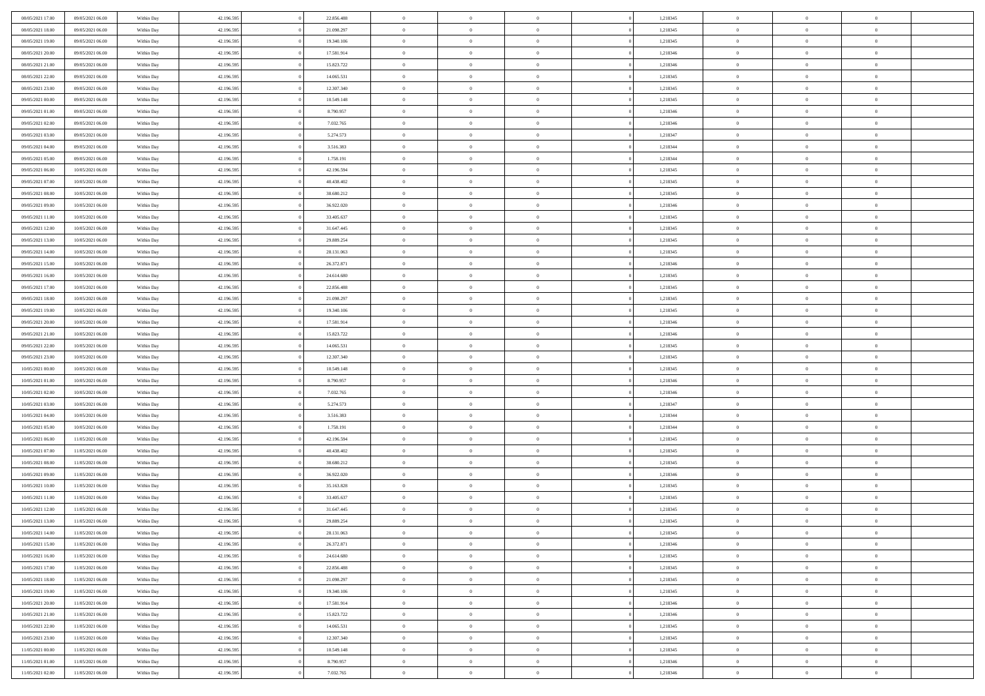| 08/05/2021 17:00 | 09/05/2021 06:00                     | Within Day | 42.196.595 | 22.856.488 | $\,$ 0 $\,$    | $\overline{0}$                    | $\overline{0}$ |          | 1,218345 | $\bf{0}$       | $\overline{0}$ | $\,0\,$        |  |
|------------------|--------------------------------------|------------|------------|------------|----------------|-----------------------------------|----------------|----------|----------|----------------|----------------|----------------|--|
| 08/05/2021 18:00 | 09/05/2021 06:00                     | Within Day | 42.196.595 | 21.098.297 | $\overline{0}$ | $\overline{0}$                    | $\mathbf{0}$   |          | 1,218345 | $\theta$       | $\overline{0}$ | $\theta$       |  |
| 08/05/2021 19:00 | 09/05/2021 06:00                     | Within Day | 42.196.595 | 19.340.106 | $\theta$       | $\overline{0}$                    | $\overline{0}$ |          | 1,218345 | $\mathbf{0}$   | $\overline{0}$ | $\overline{0}$ |  |
| 08/05/2021 20:00 | 09/05/2021 06:00                     | Within Day | 42.196.595 | 17.581.914 | $\,$ 0 $\,$    | $\overline{0}$                    | $\overline{0}$ |          | 1,218346 | $\bf{0}$       | $\overline{0}$ | $\bf{0}$       |  |
| 08/05/2021 21:00 | 09/05/2021 06:00                     | Within Day | 42.196.595 | 15.823.722 | $\bf{0}$       | $\overline{0}$                    | $\mathbf{0}$   |          | 1,218346 | $\bf{0}$       | $\overline{0}$ | $\,0\,$        |  |
| 08/05/2021 22:00 | 09/05/2021 06:00                     | Within Day | 42.196.595 | 14.065.531 | $\theta$       | $\overline{0}$                    | $\mathbf{0}$   |          | 1,218345 | $\mathbf{0}$   | $\overline{0}$ | $\overline{0}$ |  |
| 08/05/2021 23:00 | 09/05/2021 06:00                     | Within Day | 42.196.595 | 12.307.340 | $\,$ 0 $\,$    | $\overline{0}$                    | $\overline{0}$ |          | 1,218345 | $\bf{0}$       | $\overline{0}$ | $\bf{0}$       |  |
| 09/05/2021 00:00 | 09/05/2021 06:00                     | Within Day | 42.196.595 | 10.549.148 | $\overline{0}$ | $\overline{0}$                    | $\mathbf{0}$   |          | 1,218345 | $\,$ 0 $\,$    | $\overline{0}$ | $\overline{0}$ |  |
| 09/05/2021 01:00 | 09/05/2021 06:00                     | Within Day | 42.196.595 | 8.790.957  | $\theta$       | $\overline{0}$                    | $\mathbf{0}$   |          | 1,218346 | $\mathbf{0}$   | $\overline{0}$ | $\overline{0}$ |  |
|                  | 09/05/2021 06:00                     |            | 42.196.595 | 7.032.765  | $\,$ 0 $\,$    | $\overline{0}$                    | $\Omega$       |          | 1,218346 | $\bf{0}$       | $\overline{0}$ | $\bf{0}$       |  |
| 09/05/2021 02:00 |                                      | Within Day |            |            |                |                                   |                |          |          |                | $\overline{0}$ | $\theta$       |  |
| 09/05/2021 03:00 | 09/05/2021 06:00<br>09/05/2021 06:00 | Within Day | 42.196.595 | 5.274.573  | $\bf{0}$       | $\overline{0}$                    | $\mathbf{0}$   |          | 1,218347 | $\bf{0}$       |                |                |  |
| 09/05/2021 04:00 |                                      | Within Day | 42.196.595 | 3.516.383  | $\theta$       | $\overline{0}$                    | $\overline{0}$ |          | 1,218344 | $\mathbf{0}$   | $\overline{0}$ | $\overline{0}$ |  |
| 09/05/2021 05:00 | 09/05/2021 06:00                     | Within Day | 42.196.595 | 1.758.191  | $\,$ 0 $\,$    | $\overline{0}$                    | $\overline{0}$ |          | 1,218344 | $\bf{0}$       | $\overline{0}$ | $\overline{0}$ |  |
| 09/05/2021 06:00 | 10/05/2021 06:00                     | Within Day | 42.196.595 | 42.196.594 | $\bf{0}$       | $\overline{0}$                    | $\mathbf{0}$   |          | 1,218345 | $\bf{0}$       | $\mathbf{0}$   | $\,0\,$        |  |
| 09/05/2021 07:00 | 10/05/2021 06:00                     | Within Day | 42.196.595 | 40.438.402 | $\overline{0}$ | $\overline{0}$                    | $\overline{0}$ |          | 1,218345 | $\mathbf{0}$   | $\overline{0}$ | $\overline{0}$ |  |
| 09/05/2021 08:00 | 10/05/2021 06:00                     | Within Day | 42.196.595 | 38.680.212 | $\,$ 0 $\,$    | $\overline{0}$                    | $\Omega$       |          | 1,218345 | $\bf{0}$       | $\overline{0}$ | $\bf{0}$       |  |
| 09/05/2021 09:00 | 10/05/2021 06:00                     | Within Day | 42.196.595 | 36.922.020 | $\,$ 0         | $\overline{0}$                    | $\mathbf{0}$   |          | 1,218346 | $\,$ 0 $\,$    | $\overline{0}$ | $\theta$       |  |
| 09/05/2021 11:00 | 10/05/2021 06:00                     | Within Day | 42.196.595 | 33.405.637 | $\theta$       | $\overline{0}$                    | $\mathbf{0}$   |          | 1,218345 | $\mathbf{0}$   | $\overline{0}$ | $\overline{0}$ |  |
| 09/05/2021 12:00 | 10/05/2021 06:00                     | Within Day | 42.196.595 | 31.647.445 | $\,$ 0 $\,$    | $\overline{0}$                    | $\Omega$       |          | 1,218345 | $\bf{0}$       | $\overline{0}$ | $\bf{0}$       |  |
| 09/05/2021 13:00 | 10/05/2021 06:00                     | Within Day | 42.196.595 | 29.889.254 | $\bf{0}$       | $\overline{0}$                    | $\mathbf{0}$   |          | 1,218345 | $\bf{0}$       | $\overline{0}$ | $\overline{0}$ |  |
| 09/05/2021 14:00 | 10/05/2021 06:00                     | Within Day | 42.196.595 | 28.131.063 | $\theta$       | $\overline{0}$                    | $\overline{0}$ |          | 1,218345 | $\mathbf{0}$   | $\overline{0}$ | $\overline{0}$ |  |
| 09/05/2021 15:00 | 10/05/2021 06:00                     | Within Day | 42.196.595 | 26.372.871 | $\,$ 0 $\,$    | $\overline{0}$                    | $\overline{0}$ |          | 1,218346 | $\bf{0}$       | $\overline{0}$ | $\bf{0}$       |  |
| 09/05/2021 16:00 | 10/05/2021 06:00                     | Within Day | 42.196.595 | 24.614.680 | $\bf{0}$       | $\overline{0}$                    | $\mathbf{0}$   |          | 1,218345 | $\,$ 0 $\,$    | $\overline{0}$ | $\bf{0}$       |  |
| 09/05/2021 17:00 | 10/05/2021 06:00                     | Within Day | 42.196.595 | 22.856.488 | $\theta$       | $\overline{0}$                    | $\mathbf{0}$   |          | 1,218345 | $\mathbf{0}$   | $\overline{0}$ | $\overline{0}$ |  |
| 09/05/2021 18:00 | 10/05/2021 06:00                     | Within Day | 42.196.595 | 21.098.297 | $\,$ 0 $\,$    | $\overline{0}$                    | $\overline{0}$ |          | 1,218345 | $\bf{0}$       | $\overline{0}$ | $\bf{0}$       |  |
| 09/05/2021 19:00 | 10/05/2021 06:00                     | Within Day | 42.196.595 | 19.340.106 | $\,$ 0         | $\overline{0}$                    | $\mathbf{0}$   |          | 1,218345 | $\bf{0}$       | $\overline{0}$ | $\overline{0}$ |  |
| 09/05/2021 20:00 | 10/05/2021 06:00                     | Within Day | 42.196.595 | 17.581.914 | $\theta$       | $\overline{0}$                    | $\mathbf{0}$   |          | 1,218346 | $\mathbf{0}$   | $\overline{0}$ | $\overline{0}$ |  |
| 09/05/2021 21:00 | 10/05/2021 06:00                     | Within Day | 42.196.595 | 15.823.722 | $\,$ 0 $\,$    | $\overline{0}$                    | $\Omega$       |          | 1,218346 | $\bf{0}$       | $\overline{0}$ | $\bf{0}$       |  |
| 09/05/2021 22:00 | 10/05/2021 06:00                     | Within Day | 42.196.595 | 14.065.531 | $\bf{0}$       | $\overline{0}$                    | $\mathbf{0}$   |          | 1,218345 | $\bf{0}$       | $\overline{0}$ | $\overline{0}$ |  |
| 09/05/2021 23:00 | 10/05/2021 06:00                     | Within Day | 42.196.595 | 12.307.340 | $\theta$       | $\overline{0}$                    | $\overline{0}$ |          | 1,218345 | $\mathbf{0}$   | $\overline{0}$ | $\overline{0}$ |  |
| 10/05/2021 00:00 | 10/05/2021 06:00                     | Within Day | 42.196.595 | 10.549.148 | $\,$ 0 $\,$    | $\overline{0}$                    | $\overline{0}$ |          | 1,218345 | $\,$ 0         | $\overline{0}$ | $\,$ 0 $\,$    |  |
| 10/05/2021 01:00 | 10/05/2021 06:00                     | Within Day | 42.196.595 | 8.790.957  | $\bf{0}$       | $\overline{0}$                    | $\mathbf{0}$   |          | 1,218346 | $\bf{0}$       | $\overline{0}$ | $\bf{0}$       |  |
| 10/05/2021 02:00 | 10/05/2021 06:00                     | Within Day | 42.196.595 | 7.032.765  | $\overline{0}$ | $\overline{0}$                    | $\overline{0}$ |          | 1,218346 | $\mathbf{0}$   | $\overline{0}$ | $\overline{0}$ |  |
| 10/05/2021 03:00 | 10/05/2021 06:00                     | Within Day | 42.196.595 | 5.274.573  | $\theta$       | $\overline{0}$                    | $\overline{0}$ |          | 1,218347 | $\,$ 0         | $\overline{0}$ | $\theta$       |  |
| 10/05/2021 04:00 | 10/05/2021 06:00                     | Within Day | 42.196.595 | 3.516.383  | $\overline{0}$ | $\overline{0}$                    | $\mathbf{0}$   |          | 1,218344 | $\overline{0}$ | $\overline{0}$ | $\overline{0}$ |  |
| 10/05/2021 05:00 | 10/05/2021 06:00                     | Within Day | 42.196.595 | 1.758.191  | $\theta$       | $\overline{0}$                    | $\mathbf{0}$   |          | 1,218344 | $\mathbf{0}$   | $\overline{0}$ | $\overline{0}$ |  |
| 10/05/2021 06:00 | 11/05/2021 06:00                     | Within Day | 42.196.595 | 42.196.594 | $\theta$       | $\overline{0}$                    | $\overline{0}$ |          | 1,218345 | $\,$ 0         | $\overline{0}$ | $\,$ 0 $\,$    |  |
| 10/05/2021 07:00 | 11/05/2021 06:00                     | Within Day | 42.196.595 | 40.438.402 | $\bf{0}$       | $\overline{0}$                    | $\mathbf{0}$   |          | 1,218345 | $\bf{0}$       | $\mathbf{0}$   | $\bf{0}$       |  |
| 10/05/2021 08:00 | 11/05/2021 06:00                     | Within Day | 42.196.595 | 38.680.212 | $\theta$       | $\overline{0}$                    | $\overline{0}$ |          | 1,218345 | $\mathbf{0}$   | $\overline{0}$ | $\overline{0}$ |  |
| 10/05/2021 09:00 | 11/05/2021 06:00                     | Within Day | 42.196.595 | 36.922.020 | $\,$ 0 $\,$    | $\overline{0}$                    | $\overline{0}$ |          | 1,218346 | $\,$ 0         | $\overline{0}$ | $\,$ 0 $\,$    |  |
| 10/05/2021 10:00 | 11/05/2021 06:00                     | Within Day | 42.196.595 | 35.163.828 | $\bf{0}$       | $\,$ 0 $\,$                       | $\overline{0}$ |          | 1,218345 | $\,$ 0 $\,$    | $\overline{0}$ | $\bf{0}$       |  |
| 10/05/2021 11:00 | 11/05/2021 06:00                     | Within Day | 42.196.595 | 33.405.637 | $\theta$       | $\overline{0}$                    | $\mathbf{0}$   |          | 1,218345 | $\mathbf{0}$   | $\overline{0}$ | $\overline{0}$ |  |
| 10/05/2021 12:00 | 11/05/2021 06:00                     | Within Day | 42.196.595 | 31.647.445 | $\theta$       | $\overline{0}$                    | $\overline{0}$ |          | 1,218345 | $\,$ 0         | $\overline{0}$ | $\theta$       |  |
| 10/05/2021 13:00 | 11/05/2021 06:00                     | Within Day | 42.196.595 | 29.889.254 | $\bf{0}$       | $\,$ 0 $\,$                       | $\mathbf{0}$   |          | 1,218345 | $\,$ 0 $\,$    | $\overline{0}$ | $\bf{0}$       |  |
| 10/05/2021 14:00 | 11/05/2021 06:00                     | Within Day | 42.196.595 | 28.131.063 | $\overline{0}$ | $\theta$                          |                |          | 1,218345 | $\overline{0}$ | $\theta$       | $\theta$       |  |
| 10/05/2021 15:00 | 11/05/2021 06:00                     | Within Day | 42.196.595 | 26.372.871 | $\,$ 0 $\,$    | $\overline{0}$                    | $\overline{0}$ |          | 1,218346 | $\,$ 0 $\,$    | $\bf{0}$       | $\,$ 0 $\,$    |  |
| 10/05/2021 16:00 | 11/05/2021 06:00                     | Within Day | 42.196.595 | 24.614.680 | $\bf{0}$       | $\hspace{0.1cm} 0 \hspace{0.1cm}$ | $\overline{0}$ |          | 1,218345 | $\,$ 0 $\,$    | $\overline{0}$ | $\overline{0}$ |  |
| 10/05/2021 17:00 | 11/05/2021 06:00                     | Within Day | 42.196.595 | 22.856.488 | $\,$ 0 $\,$    | $\overline{0}$                    | $\overline{0}$ |          | 1,218345 | $\,$ 0 $\,$    | $\bf{0}$       | $\mathbf{0}$   |  |
|                  |                                      |            |            |            |                |                                   |                |          |          |                |                |                |  |
| 10/05/2021 18:00 | 11/05/2021 06:00                     | Within Day | 42.196.595 | 21.098.297 | $\,$ 0 $\,$    | $\overline{0}$                    | $\overline{0}$ | $\theta$ | 1,218345 | $\,$ 0 $\,$    | $\bf{0}$       | $\,$ 0 $\,$    |  |
| 10/05/2021 19:00 | 11/05/2021 06:00                     | Within Day | 42.196.595 | 19.340.106 | $\,$ 0 $\,$    | $\,$ 0 $\,$                       | $\overline{0}$ |          | 1,218345 | $\,$ 0 $\,$    | $\overline{0}$ | $\overline{0}$ |  |
| 10/05/2021 20:00 | 11/05/2021 06:00                     | Within Day | 42.196.595 | 17.581.914 | $\mathbf{0}$   | $\overline{0}$                    | $\overline{0}$ |          | 1,218346 | $\mathbf{0}$   | $\bf{0}$       | $\overline{0}$ |  |
| 10/05/2021 21:00 | 11/05/2021 06:00                     | Within Day | 42.196.595 | 15.823.722 | $\,$ 0 $\,$    | $\overline{0}$                    | $\overline{0}$ |          | 1,218346 | $\,$ 0 $\,$    | $\bf{0}$       | $\,$ 0 $\,$    |  |
| 10/05/2021 22:00 | 11/05/2021 06:00                     | Within Day | 42.196.595 | 14.065.531 | $\bf{0}$       | $\overline{0}$                    | $\overline{0}$ |          | 1,218345 | $\,$ 0 $\,$    | $\overline{0}$ | $\mathbf{0}$   |  |
| 10/05/2021 23:00 | 11/05/2021 06:00                     | Within Day | 42.196.595 | 12.307.340 | $\,$ 0 $\,$    | $\overline{0}$                    | $\overline{0}$ |          | 1,218345 | $\,$ 0 $\,$    | $\bf{0}$       | $\overline{0}$ |  |
| 11/05/2021 00:00 | 11/05/2021 06:00                     | Within Day | 42.196.595 | 10.549.148 | $\,$ 0 $\,$    | $\overline{0}$                    | $\overline{0}$ |          | 1,218345 | $\,$ 0 $\,$    | $\bf{0}$       | $\,$ 0 $\,$    |  |
| 11/05/2021 01:00 | 11/05/2021 06:00                     | Within Day | 42.196.595 | 8.790.957  | $\,$ 0 $\,$    | $\,$ 0 $\,$                       | $\overline{0}$ |          | 1,218346 | $\,$ 0 $\,$    | $\overline{0}$ | $\overline{0}$ |  |
| 11/05/2021 02:00 | 11/05/2021 06:00                     | Within Day | 42.196.595 | 7.032.765  | $\theta$       | $\overline{0}$                    | $\overline{0}$ |          | 1,218346 | $\mathbf{0}$   | $\mathbf{0}$   | $\overline{0}$ |  |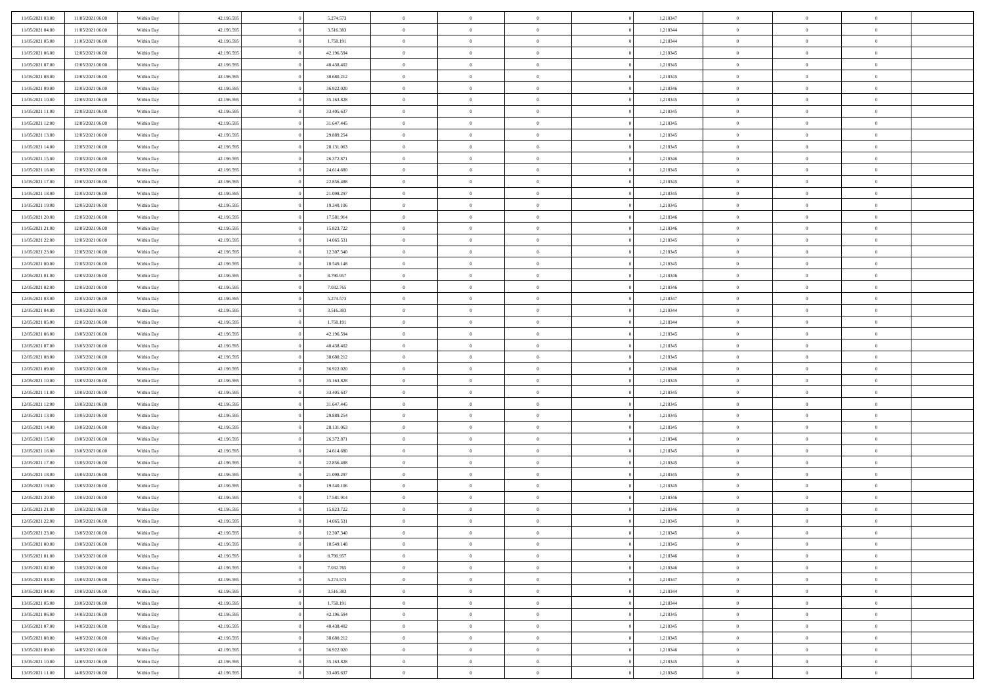| 11/05/2021 03:00 | 11/05/2021 06:00                     | Within Day | 42.196.595 | 5.274.573  | $\,$ 0 $\,$    | $\overline{0}$                    | $\overline{0}$ |          | 1,218347 | $\bf{0}$       | $\overline{0}$ | $\,0\,$        |  |
|------------------|--------------------------------------|------------|------------|------------|----------------|-----------------------------------|----------------|----------|----------|----------------|----------------|----------------|--|
| 11/05/2021 04:00 | 11/05/2021 06:00                     | Within Day | 42.196.595 | 3.516.383  | $\overline{0}$ | $\overline{0}$                    | $\mathbf{0}$   |          | 1,218344 | $\theta$       | $\overline{0}$ | $\theta$       |  |
| 11/05/2021 05:00 | 11/05/2021 06:00                     | Within Day | 42.196.595 | 1.758.191  | $\theta$       | $\overline{0}$                    | $\overline{0}$ |          | 1,218344 | $\mathbf{0}$   | $\overline{0}$ | $\overline{0}$ |  |
| 11/05/2021 06:00 | 12/05/2021 06:00                     | Within Day | 42.196.595 | 42.196.594 | $\,$ 0 $\,$    | $\overline{0}$                    | $\overline{0}$ |          | 1,218345 | $\mathbf{0}$   | $\overline{0}$ | $\bf{0}$       |  |
| 11/05/2021 07:00 | 12/05/2021 06:00                     | Within Day | 42.196.595 | 40.438.402 | $\bf{0}$       | $\overline{0}$                    | $\mathbf{0}$   |          | 1,218345 | $\bf{0}$       | $\overline{0}$ | $\bf{0}$       |  |
| 11/05/2021 08:00 | 12/05/2021 06:00                     | Within Day | 42.196.595 | 38.680.212 | $\overline{0}$ | $\overline{0}$                    | $\overline{0}$ |          | 1,218345 | $\mathbf{0}$   | $\overline{0}$ | $\overline{0}$ |  |
| 11/05/2021 09:00 | 12/05/2021 06:00                     | Within Day | 42.196.595 | 36.922.020 | $\,$ 0 $\,$    | $\overline{0}$                    | $\overline{0}$ |          | 1,218346 | $\bf{0}$       | $\overline{0}$ | $\bf{0}$       |  |
| 11/05/2021 10:00 | 12/05/2021 06:00                     | Within Day | 42.196.595 | 35.163.828 | $\overline{0}$ | $\overline{0}$                    | $\mathbf{0}$   |          | 1,218345 | $\,$ 0 $\,$    | $\overline{0}$ | $\overline{0}$ |  |
| 11/05/2021 11:00 | 12/05/2021 06:00                     | Within Day | 42.196.595 | 33.405.637 | $\theta$       | $\overline{0}$                    | $\mathbf{0}$   |          | 1,218345 | $\mathbf{0}$   | $\overline{0}$ | $\overline{0}$ |  |
|                  |                                      |            | 42.196.595 | 31.647.445 | $\,$ 0 $\,$    | $\overline{0}$                    | $\Omega$       |          | 1,218345 | $\bf{0}$       | $\overline{0}$ | $\bf{0}$       |  |
| 11/05/2021 12:00 | 12/05/2021 06:00                     | Within Day |            |            |                |                                   |                |          |          |                | $\overline{0}$ | $\overline{0}$ |  |
| 11/05/2021 13:00 | 12/05/2021 06:00<br>12/05/2021 06:00 | Within Day | 42.196.595 | 29.889.254 | $\bf{0}$       | $\overline{0}$                    | $\mathbf{0}$   |          | 1,218345 | $\bf{0}$       |                |                |  |
| 11/05/2021 14:00 |                                      | Within Day | 42.196.595 | 28.131.063 | $\theta$       | $\overline{0}$                    | $\overline{0}$ |          | 1,218345 | $\mathbf{0}$   | $\overline{0}$ | $\overline{0}$ |  |
| 11/05/2021 15:00 | 12/05/2021 06:00                     | Within Day | 42.196.595 | 26.372.871 | $\bf{0}$       | $\overline{0}$                    | $\overline{0}$ |          | 1,218346 | $\bf{0}$       | $\overline{0}$ | $\bf{0}$       |  |
| 11/05/2021 16:00 | 12/05/2021 06:00                     | Within Day | 42.196.595 | 24.614.680 | $\bf{0}$       | $\overline{0}$                    | $\mathbf{0}$   |          | 1,218345 | $\bf{0}$       | $\mathbf{0}$   | $\bf{0}$       |  |
| 11/05/2021 17:00 | 12/05/2021 06:00                     | Within Day | 42.196.595 | 22.856.488 | $\overline{0}$ | $\overline{0}$                    | $\overline{0}$ |          | 1,218345 | $\mathbf{0}$   | $\overline{0}$ | $\overline{0}$ |  |
| 11/05/2021 18:00 | 12/05/2021 06:00                     | Within Day | 42.196.595 | 21.098.297 | $\,$ 0 $\,$    | $\overline{0}$                    | $\Omega$       |          | 1,218345 | $\bf{0}$       | $\overline{0}$ | $\bf{0}$       |  |
| 11/05/2021 19:00 | 12/05/2021 06:00                     | Within Day | 42.196.595 | 19.340.106 | $\,$ 0         | $\overline{0}$                    | $\mathbf{0}$   |          | 1,218345 | $\,$ 0 $\,$    | $\overline{0}$ | $\overline{0}$ |  |
| 11/05/2021 20:00 | 12/05/2021 06:00                     | Within Day | 42.196.595 | 17.581.914 | $\theta$       | $\overline{0}$                    | $\mathbf{0}$   |          | 1,218346 | $\mathbf{0}$   | $\overline{0}$ | $\overline{0}$ |  |
| 11/05/2021 21:00 | 12/05/2021 06:00                     | Within Day | 42.196.595 | 15.823.722 | $\,$ 0 $\,$    | $\overline{0}$                    | $\Omega$       |          | 1,218346 | $\bf{0}$       | $\overline{0}$ | $\bf{0}$       |  |
| 11/05/2021 22:00 | 12/05/2021 06:00                     | Within Day | 42.196.595 | 14.065.531 | $\bf{0}$       | $\overline{0}$                    | $\mathbf{0}$   |          | 1,218345 | $\bf{0}$       | $\overline{0}$ | $\overline{0}$ |  |
| 11/05/2021 23:00 | 12/05/2021 06:00                     | Within Day | 42.196.595 | 12.307.340 | $\theta$       | $\overline{0}$                    | $\overline{0}$ |          | 1,218345 | $\mathbf{0}$   | $\overline{0}$ | $\overline{0}$ |  |
| 12/05/2021 00:00 | 12/05/2021 06:00                     | Within Day | 42.196.595 | 10.549.148 | $\,$ 0 $\,$    | $\overline{0}$                    | $\overline{0}$ |          | 1,218345 | $\bf{0}$       | $\overline{0}$ | $\bf{0}$       |  |
| 12/05/2021 01:00 | 12/05/2021 06:00                     | Within Day | 42.196.595 | 8.790.957  | $\bf{0}$       | $\overline{0}$                    | $\mathbf{0}$   |          | 1,218346 | $\,$ 0 $\,$    | $\overline{0}$ | $\bf{0}$       |  |
| 12/05/2021 02:00 | 12/05/2021 06:00                     | Within Day | 42.196.595 | 7.032.765  | $\theta$       | $\overline{0}$                    | $\mathbf{0}$   |          | 1,218346 | $\mathbf{0}$   | $\overline{0}$ | $\overline{0}$ |  |
| 12/05/2021 03:00 | 12/05/2021 06:00                     | Within Day | 42.196.595 | 5.274.573  | $\,$ 0 $\,$    | $\overline{0}$                    | $\overline{0}$ |          | 1,218347 | $\bf{0}$       | $\overline{0}$ | $\bf{0}$       |  |
| 12/05/2021 04:00 | 12/05/2021 06:00                     | Within Day | 42.196.595 | 3.516.383  | $\,$ 0         | $\overline{0}$                    | $\mathbf{0}$   |          | 1,218344 | $\mathbf{0}$   | $\overline{0}$ | $\overline{0}$ |  |
| 12/05/2021 05:00 | 12/05/2021 06:00                     | Within Day | 42.196.595 | 1.758.191  | $\theta$       | $\overline{0}$                    | $\mathbf{0}$   |          | 1,218344 | $\mathbf{0}$   | $\overline{0}$ | $\overline{0}$ |  |
| 12/05/2021 06:00 | 13/05/2021 06:00                     | Within Day | 42.196.595 | 42.196.594 | $\,$ 0 $\,$    | $\overline{0}$                    | $\Omega$       |          | 1,218345 | $\bf{0}$       | $\overline{0}$ | $\bf{0}$       |  |
| 12/05/2021 07:00 | 13/05/2021 06:00                     | Within Day | 42.196.595 | 40.438.402 | $\bf{0}$       | $\overline{0}$                    | $\mathbf{0}$   |          | 1,218345 | $\bf{0}$       | $\overline{0}$ | $\overline{0}$ |  |
| 12/05/2021 08:00 | 13/05/2021 06:00                     | Within Day | 42.196.595 | 38.680.212 | $\theta$       | $\overline{0}$                    | $\overline{0}$ |          | 1,218345 | $\mathbf{0}$   | $\overline{0}$ | $\overline{0}$ |  |
| 12/05/2021 09:00 | 13/05/2021 06:00                     | Within Day | 42.196.595 | 36.922.020 | $\,$ 0 $\,$    | $\overline{0}$                    | $\overline{0}$ |          | 1,218346 | $\,$ 0         | $\overline{0}$ | $\,$ 0 $\,$    |  |
| 12/05/2021 10:00 | 13/05/2021 06:00                     | Within Day | 42.196.595 | 35.163.828 | $\bf{0}$       | $\overline{0}$                    | $\overline{0}$ |          | 1,218345 | $\bf{0}$       | $\overline{0}$ | $\bf{0}$       |  |
| 12/05/2021 11:00 | 13/05/2021 06:00                     | Within Day | 42.196.595 | 33.405.637 | $\overline{0}$ | $\overline{0}$                    | $\overline{0}$ |          | 1,218345 | $\mathbf{0}$   | $\overline{0}$ | $\overline{0}$ |  |
| 12/05/2021 12:00 | 13/05/2021 06:00                     | Within Day | 42.196.595 | 31.647.445 | $\theta$       | $\overline{0}$                    | $\overline{0}$ |          | 1,218345 | $\,$ 0         | $\overline{0}$ | $\theta$       |  |
| 12/05/2021 13:00 | 13/05/2021 06:00                     | Within Day | 42.196.595 | 29.889.254 | $\overline{0}$ | $\overline{0}$                    | $\mathbf{0}$   |          | 1,218345 | $\overline{0}$ | $\overline{0}$ | $\overline{0}$ |  |
| 12/05/2021 14:00 | 13/05/2021 06:00                     | Within Day | 42.196.595 | 28.131.063 | $\theta$       | $\overline{0}$                    | $\overline{0}$ |          | 1,218345 | $\mathbf{0}$   | $\overline{0}$ | $\overline{0}$ |  |
| 12/05/2021 15:00 | 13/05/2021 06:00                     | Within Day | 42.196.595 | 26.372.871 | $\theta$       | $\overline{0}$                    | $\overline{0}$ |          | 1,218346 | $\,$ 0         | $\overline{0}$ | $\,$ 0 $\,$    |  |
| 12/05/2021 16:00 | 13/05/2021 06:00                     | Within Day | 42.196.595 | 24.614.680 | $\bf{0}$       | $\overline{0}$                    | $\mathbf{0}$   |          | 1,218345 | $\bf{0}$       | $\overline{0}$ | $\bf{0}$       |  |
| 12/05/2021 17:00 | 13/05/2021 06:00                     | Within Day | 42.196.595 | 22.856.488 | $\theta$       | $\overline{0}$                    | $\overline{0}$ |          | 1,218345 | $\mathbf{0}$   | $\overline{0}$ | $\overline{0}$ |  |
| 12/05/2021 18:00 | 13/05/2021 06:00                     | Within Day | 42.196.595 | 21.098.297 | $\,$ 0 $\,$    | $\overline{0}$                    | $\overline{0}$ |          | 1,218345 | $\,$ 0         | $\overline{0}$ | $\,$ 0 $\,$    |  |
| 12/05/2021 19:00 | 13/05/2021 06:00                     | Within Day | 42.196.595 | 19.340.106 | $\bf{0}$       | $\,$ 0 $\,$                       | $\overline{0}$ |          | 1,218345 | $\,$ 0 $\,$    | $\overline{0}$ | $\bf{0}$       |  |
| 12/05/2021 20:00 | 13/05/2021 06:00                     | Within Day | 42.196.595 | 17.581.914 | $\theta$       | $\overline{0}$                    | $\mathbf{0}$   |          | 1,218346 | $\mathbf{0}$   | $\overline{0}$ | $\overline{0}$ |  |
| 12/05/2021 21:00 | 13/05/2021 06:00                     | Within Day | 42.196.595 | 15.823.722 | $\theta$       | $\overline{0}$                    | $\overline{0}$ |          | 1,218346 | $\,$ 0         | $\overline{0}$ | $\,$ 0 $\,$    |  |
| 12/05/2021 22:00 | 13/05/2021 06:00                     | Within Day | 42.196.595 | 14.065.531 | $\bf{0}$       | $\,$ 0 $\,$                       | $\mathbf{0}$   |          | 1,218345 | $\mathbf{0}$   | $\overline{0}$ | $\overline{0}$ |  |
| 12/05/2021 23:00 | 13/05/2021 06:00                     | Within Day | 42.196.595 | 12.307.340 | $\overline{0}$ | $\theta$                          |                |          | 1,218345 | $\overline{0}$ | $\theta$       | $\theta$       |  |
| 13/05/2021 00:00 | 13/05/2021 06:00                     | Within Day | 42.196.595 | 10.549.148 | $\,$ 0 $\,$    | $\overline{0}$                    | $\overline{0}$ |          | 1,218345 | $\,$ 0 $\,$    | $\bf{0}$       | $\,$ 0 $\,$    |  |
| 13/05/2021 01:00 | 13/05/2021 06:00                     | Within Day | 42.196.595 | 8.790.957  | $\bf{0}$       | $\hspace{0.1cm} 0 \hspace{0.1cm}$ | $\overline{0}$ |          | 1,218346 | $\,$ 0 $\,$    | $\overline{0}$ | $\overline{0}$ |  |
| 13/05/2021 02:00 | 13/05/2021 06:00                     | Within Day | 42.196.595 | 7.032.765  | $\mathbf{0}$   | $\overline{0}$                    | $\overline{0}$ |          | 1,218346 | $\,$ 0 $\,$    | $\bf{0}$       | $\mathbf{0}$   |  |
| 13/05/2021 03:00 | 13/05/2021 06:00                     | Within Day | 42.196.595 | 5.274.573  | $\,$ 0 $\,$    | $\overline{0}$                    | $\overline{0}$ | $\theta$ | 1,218347 | $\,$ 0 $\,$    | $\bf{0}$       | $\,$ 0 $\,$    |  |
| 13/05/2021 04:00 | 13/05/2021 06:00                     | Within Day | 42.196.595 | 3.516.383  | $\,$ 0 $\,$    | $\,$ 0 $\,$                       | $\overline{0}$ |          | 1,218344 | $\,$ 0 $\,$    | $\overline{0}$ | $\overline{0}$ |  |
| 13/05/2021 05:00 | 13/05/2021 06:00                     | Within Day | 42.196.595 | 1.758.191  | $\overline{0}$ |                                   | $\overline{0}$ |          | 1,218344 | $\mathbf{0}$   | $\bf{0}$       | $\overline{0}$ |  |
|                  |                                      |            |            |            |                | $\overline{0}$                    |                |          |          |                |                |                |  |
| 13/05/2021 06:00 | 14/05/2021 06:00                     | Within Day | 42.196.595 | 42.196.594 | $\,$ 0 $\,$    | $\overline{0}$                    | $\overline{0}$ |          | 1,218345 | $\,$ 0 $\,$    | $\bf{0}$       | $\,$ 0 $\,$    |  |
| 13/05/2021 07:00 | 14/05/2021 06:00                     | Within Day | 42.196.595 | 40.438.402 | $\overline{0}$ | $\overline{0}$                    | $\overline{0}$ |          | 1,218345 | $\,$ 0 $\,$    | $\overline{0}$ | $\mathbf{0}$   |  |
| 13/05/2021 08:00 | 14/05/2021 06:00                     | Within Day | 42.196.595 | 38.680.212 | $\,$ 0 $\,$    | $\overline{0}$                    | $\overline{0}$ |          | 1,218345 | $\,$ 0 $\,$    | $\bf{0}$       | $\overline{0}$ |  |
| 13/05/2021 09:00 | 14/05/2021 06:00                     | Within Day | 42.196.595 | 36.922.020 | $\,$ 0 $\,$    | $\overline{0}$                    | $\overline{0}$ |          | 1,218346 | $\,$ 0 $\,$    | $\bf{0}$       | $\,$ 0 $\,$    |  |
| 13/05/2021 10:00 | 14/05/2021 06:00                     | Within Day | 42.196.595 | 35.163.828 | $\mathbf{0}$   | $\,$ 0 $\,$                       | $\overline{0}$ |          | 1,218345 | $\,$ 0 $\,$    | $\overline{0}$ | $\overline{0}$ |  |
| 13/05/2021 11:00 | 14/05/2021 06:00                     | Within Day | 42.196.595 | 33.405.637 | $\theta$       | $\overline{0}$                    | $\overline{0}$ |          | 1,218345 | $\,$ 0 $\,$    | $\mathbf{0}$   | $\overline{0}$ |  |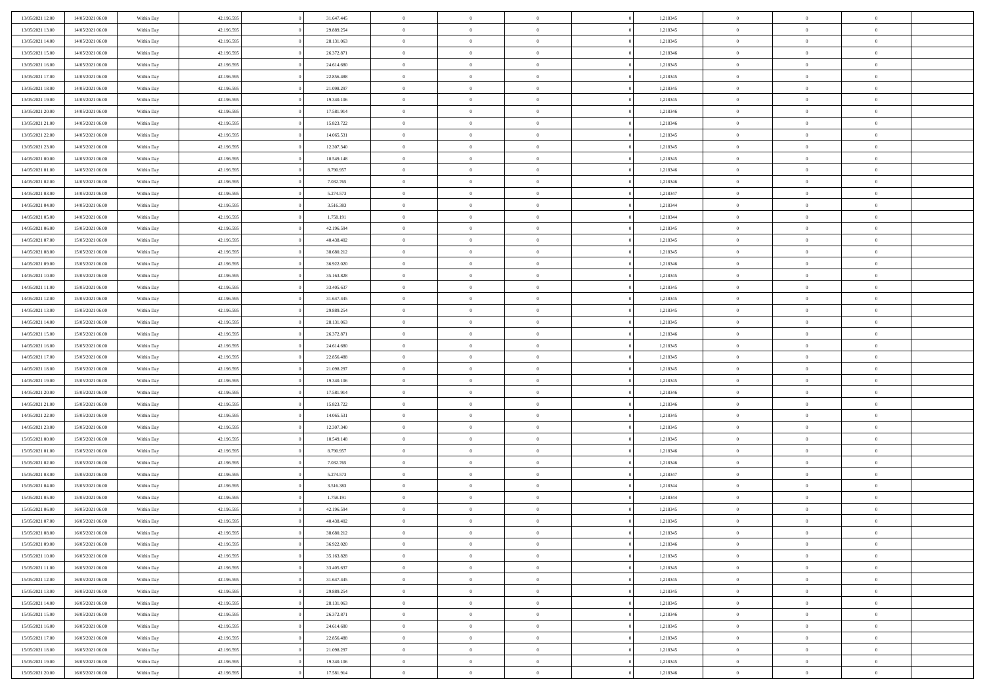| 13/05/2021 12:00 | 14/05/2021 06:00 | Within Day | 42.196.595 | 31.647.445 | $\,$ 0 $\,$    | $\overline{0}$                    | $\overline{0}$           |          | 1,218345 | $\bf{0}$       | $\overline{0}$ | $\,0\,$        |  |
|------------------|------------------|------------|------------|------------|----------------|-----------------------------------|--------------------------|----------|----------|----------------|----------------|----------------|--|
| 13/05/2021 13:00 | 14/05/2021 06:00 | Within Day | 42.196.595 | 29.889.254 | $\overline{0}$ | $\overline{0}$                    | $\mathbf{0}$             |          | 1,218345 | $\theta$       | $\overline{0}$ | $\theta$       |  |
| 13/05/2021 14:00 | 14/05/2021 06:00 | Within Day | 42.196.595 | 28.131.063 | $\theta$       | $\overline{0}$                    | $\overline{0}$           |          | 1,218345 | $\mathbf{0}$   | $\overline{0}$ | $\overline{0}$ |  |
| 13/05/2021 15:00 | 14/05/2021 06:00 | Within Day | 42.196.595 | 26.372.871 | $\bf{0}$       | $\overline{0}$                    | $\overline{0}$           |          | 1,218346 | $\mathbf{0}$   | $\overline{0}$ | $\overline{0}$ |  |
| 13/05/2021 16:00 | 14/05/2021 06:00 | Within Day | 42.196.595 | 24.614.680 | $\bf{0}$       | $\overline{0}$                    | $\mathbf{0}$             |          | 1,218345 | $\bf{0}$       | $\overline{0}$ | $\,0\,$        |  |
| 13/05/2021 17:00 | 14/05/2021 06:00 | Within Day | 42.196.595 | 22.856.488 | $\overline{0}$ | $\overline{0}$                    | $\overline{0}$           |          | 1,218345 | $\mathbf{0}$   | $\overline{0}$ | $\overline{0}$ |  |
| 13/05/2021 18:00 | 14/05/2021 06:00 | Within Day | 42.196.595 | 21.098.297 | $\,$ 0 $\,$    | $\overline{0}$                    | $\overline{0}$           |          | 1,218345 | $\bf{0}$       | $\overline{0}$ | $\bf{0}$       |  |
|                  |                  |            |            |            | $\overline{0}$ | $\overline{0}$                    | $\mathbf{0}$             |          |          | $\,$ 0 $\,$    | $\overline{0}$ | $\overline{0}$ |  |
| 13/05/2021 19:00 | 14/05/2021 06:00 | Within Day | 42.196.595 | 19.340.106 | $\theta$       |                                   |                          |          | 1,218345 | $\mathbf{0}$   |                | $\overline{0}$ |  |
| 13/05/2021 20:00 | 14/05/2021 06:00 | Within Day | 42.196.595 | 17.581.914 |                | $\overline{0}$                    | $\mathbf{0}$<br>$\Omega$ |          | 1,218346 |                | $\overline{0}$ |                |  |
| 13/05/2021 21:00 | 14/05/2021 06:00 | Within Day | 42.196.595 | 15.823.722 | $\,$ 0 $\,$    | $\overline{0}$                    |                          |          | 1,218346 | $\bf{0}$       | $\overline{0}$ | $\bf{0}$       |  |
| 13/05/2021 22:00 | 14/05/2021 06:00 | Within Day | 42.196.595 | 14.065.531 | $\bf{0}$       | $\overline{0}$                    | $\mathbf{0}$             |          | 1,218345 | $\bf{0}$       | $\overline{0}$ | $\overline{0}$ |  |
| 13/05/2021 23:00 | 14/05/2021 06:00 | Within Day | 42.196.595 | 12.307.340 | $\theta$       | $\overline{0}$                    | $\overline{0}$           |          | 1,218345 | $\mathbf{0}$   | $\overline{0}$ | $\overline{0}$ |  |
| 14/05/2021 00:00 | 14/05/2021 06:00 | Within Day | 42.196.595 | 10.549.148 | $\bf{0}$       | $\overline{0}$                    | $\overline{0}$           |          | 1,218345 | $\bf{0}$       | $\overline{0}$ | $\overline{0}$ |  |
| 14/05/2021 01:00 | 14/05/2021 06:00 | Within Day | 42.196.595 | 8.790.957  | $\bf{0}$       | $\overline{0}$                    | $\mathbf{0}$             |          | 1,218346 | $\bf{0}$       | $\mathbf{0}$   | $\bf{0}$       |  |
| 14/05/2021 02:00 | 14/05/2021 06:00 | Within Day | 42.196.595 | 7.032.765  | $\overline{0}$ | $\overline{0}$                    | $\overline{0}$           |          | 1,218346 | $\mathbf{0}$   | $\overline{0}$ | $\overline{0}$ |  |
| 14/05/2021 03:00 | 14/05/2021 06:00 | Within Day | 42.196.595 | 5.274.573  | $\,$ 0 $\,$    | $\overline{0}$                    | $\Omega$                 |          | 1,218347 | $\bf{0}$       | $\overline{0}$ | $\bf{0}$       |  |
| 14/05/2021 04:00 | 14/05/2021 06:00 | Within Day | 42.196.595 | 3.516.383  | $\,$ 0 $\,$    | $\overline{0}$                    | $\mathbf{0}$             |          | 1,218344 | $\,$ 0 $\,$    | $\overline{0}$ | $\overline{0}$ |  |
| 14/05/2021 05:00 | 14/05/2021 06:00 | Within Day | 42.196.595 | 1.758.191  | $\theta$       | $\overline{0}$                    | $\mathbf{0}$             |          | 1,218344 | $\mathbf{0}$   | $\overline{0}$ | $\overline{0}$ |  |
| 14/05/2021 06:00 | 15/05/2021 06:00 | Within Day | 42.196.595 | 42.196.594 | $\,$ 0 $\,$    | $\overline{0}$                    | $\Omega$                 |          | 1,218345 | $\bf{0}$       | $\overline{0}$ | $\bf{0}$       |  |
| 14/05/2021 07:00 | 15/05/2021 06:00 | Within Day | 42.196.595 | 40.438.402 | $\bf{0}$       | $\overline{0}$                    | $\mathbf{0}$             |          | 1,218345 | $\bf{0}$       | $\overline{0}$ | $\overline{0}$ |  |
| 14/05/2021 08:00 | 15/05/2021 06:00 | Within Day | 42.196.595 | 38.680.212 | $\theta$       | $\overline{0}$                    | $\overline{0}$           |          | 1,218345 | $\mathbf{0}$   | $\overline{0}$ | $\overline{0}$ |  |
| 14/05/2021 09:00 | 15/05/2021 06:00 | Within Day | 42.196.595 | 36.922.020 | $\,$ 0 $\,$    | $\overline{0}$                    | $\overline{0}$           |          | 1,218346 | $\bf{0}$       | $\overline{0}$ | $\bf{0}$       |  |
| 14/05/2021 10:00 | 15/05/2021 06:00 | Within Day | 42.196.595 | 35.163.828 | $\bf{0}$       | $\overline{0}$                    | $\mathbf{0}$             |          | 1,218345 | $\,$ 0 $\,$    | $\overline{0}$ | $\bf{0}$       |  |
| 14/05/2021 11:00 | 15/05/2021 06:00 | Within Day | 42.196.595 | 33.405.637 | $\theta$       | $\overline{0}$                    | $\mathbf{0}$             |          | 1,218345 | $\mathbf{0}$   | $\overline{0}$ | $\overline{0}$ |  |
| 14/05/2021 12:00 | 15/05/2021 06:00 | Within Day | 42.196.595 | 31.647.445 | $\,$ 0 $\,$    | $\overline{0}$                    | $\overline{0}$           |          | 1,218345 | $\bf{0}$       | $\overline{0}$ | $\bf{0}$       |  |
| 14/05/2021 13:00 | 15/05/2021 06:00 | Within Day | 42.196.595 | 29.889.254 | $\,$ 0         | $\overline{0}$                    | $\mathbf{0}$             |          | 1,218345 | $\mathbf{0}$   | $\overline{0}$ | $\overline{0}$ |  |
| 14/05/2021 14:00 | 15/05/2021 06:00 | Within Day | 42.196.595 | 28.131.063 | $\theta$       | $\overline{0}$                    | $\mathbf{0}$             |          | 1,218345 | $\mathbf{0}$   | $\overline{0}$ | $\overline{0}$ |  |
| 14/05/2021 15:00 | 15/05/2021 06:00 | Within Day | 42.196.595 | 26.372.871 | $\,$ 0 $\,$    | $\overline{0}$                    | $\Omega$                 |          | 1,218346 | $\bf{0}$       | $\overline{0}$ | $\bf{0}$       |  |
| 14/05/2021 16:00 | 15/05/2021 06:00 | Within Day | 42.196.595 | 24.614.680 | $\bf{0}$       | $\overline{0}$                    | $\mathbf{0}$             |          | 1,218345 | $\bf{0}$       | $\overline{0}$ | $\overline{0}$ |  |
| 14/05/2021 17:00 | 15/05/2021 06:00 | Within Day | 42.196.595 | 22.856.488 | $\theta$       | $\overline{0}$                    | $\overline{0}$           |          | 1,218345 | $\mathbf{0}$   | $\overline{0}$ | $\overline{0}$ |  |
| 14/05/2021 18:00 | 15/05/2021 06:00 | Within Day | 42.196.595 | 21.098.297 | $\,$ 0 $\,$    | $\overline{0}$                    | $\overline{0}$           |          | 1,218345 | $\,$ 0         | $\overline{0}$ | $\,$ 0 $\,$    |  |
| 14/05/2021 19:00 | 15/05/2021 06:00 | Within Day | 42.196.595 | 19.340.106 | $\bf{0}$       | $\overline{0}$                    | $\overline{0}$           |          | 1,218345 | $\bf{0}$       | $\overline{0}$ | $\overline{0}$ |  |
| 14/05/2021 20:00 | 15/05/2021 06:00 | Within Day | 42.196.595 | 17.581.914 | $\overline{0}$ | $\overline{0}$                    | $\overline{0}$           |          | 1,218346 | $\mathbf{0}$   | $\overline{0}$ | $\overline{0}$ |  |
| 14/05/2021 21:00 | 15/05/2021 06:00 | Within Day | 42.196.595 | 15.823.722 | $\theta$       | $\overline{0}$                    | $\overline{0}$           |          | 1,218346 | $\,$ 0         | $\overline{0}$ | $\theta$       |  |
| 14/05/2021 22:00 | 15/05/2021 06:00 | Within Day | 42.196.595 | 14.065.531 | $\overline{0}$ | $\overline{0}$                    | $\mathbf{0}$             |          | 1,218345 | $\overline{0}$ | $\overline{0}$ | $\overline{0}$ |  |
| 14/05/2021 23:00 | 15/05/2021 06:00 | Within Day | 42.196.595 | 12.307.340 | $\theta$       | $\overline{0}$                    | $\overline{0}$           |          | 1,218345 | $\mathbf{0}$   | $\overline{0}$ | $\overline{0}$ |  |
| 15/05/2021 00:00 | 15/05/2021 06:00 | Within Day | 42.196.595 | 10.549.148 | $\theta$       | $\overline{0}$                    | $\overline{0}$           |          | 1,218345 | $\,$ 0 $\,$    | $\overline{0}$ | $\,$ 0 $\,$    |  |
| 15/05/2021 01:00 | 15/05/2021 06:00 | Within Day | 42.196.595 | 8.790.957  | $\bf{0}$       | $\overline{0}$                    | $\mathbf{0}$             |          | 1,218346 | $\bf{0}$       | $\overline{0}$ | $\overline{0}$ |  |
| 15/05/2021 02:00 | 15/05/2021 06:00 | Within Day | 42.196.595 | 7.032.765  | $\theta$       | $\overline{0}$                    | $\overline{0}$           |          | 1,218346 | $\mathbf{0}$   | $\overline{0}$ | $\overline{0}$ |  |
| 15/05/2021 03:00 | 15/05/2021 06:00 | Within Day | 42.196.595 | 5.274.573  | $\,$ 0 $\,$    | $\overline{0}$                    | $\overline{0}$           |          | 1,218347 | $\,$ 0         | $\overline{0}$ | $\,$ 0 $\,$    |  |
| 15/05/2021 04:00 | 15/05/2021 06:00 | Within Day | 42.196.595 | 3.516.383  | $\bf{0}$       | $\,$ 0 $\,$                       | $\overline{0}$           |          | 1,218344 | $\,$ 0 $\,$    | $\overline{0}$ | $\overline{0}$ |  |
| 15/05/2021 05:00 | 15/05/2021 06:00 | Within Day | 42.196.595 | 1.758.191  | $\theta$       | $\overline{0}$                    | $\mathbf{0}$             |          | 1,218344 | $\mathbf{0}$   | $\overline{0}$ | $\overline{0}$ |  |
| 15/05/2021 06:00 | 16/05/2021 06:00 | Within Day | 42.196.595 | 42.196.594 | $\theta$       | $\overline{0}$                    | $\overline{0}$           |          | 1,218345 | $\,$ 0         | $\overline{0}$ | $\,$ 0 $\,$    |  |
| 15/05/2021 07:00 | 16/05/2021 06:00 | Within Day | 42.196.595 | 40.438.402 | $\bf{0}$       | $\,$ 0 $\,$                       | $\mathbf{0}$             |          | 1,218345 | $\,$ 0 $\,$    | $\overline{0}$ | $\bf{0}$       |  |
| 15/05/2021 08:00 | 16/05/2021 06:00 | Within Day | 42.196.595 | 38.680.212 | $\overline{0}$ | $\theta$                          |                          |          | 1,218345 | $\overline{0}$ | $\theta$       | $\theta$       |  |
| 15/05/2021 09:00 | 16/05/2021 06:00 | Within Day | 42.196.595 | 36.922.020 | $\,$ 0 $\,$    | $\overline{0}$                    | $\overline{0}$           |          | 1,218346 | $\,$ 0 $\,$    | $\bf{0}$       | $\,$ 0 $\,$    |  |
| 15/05/2021 10:00 | 16/05/2021 06:00 | Within Day | 42.196.595 | 35.163.828 | $\overline{0}$ | $\hspace{0.1cm} 0 \hspace{0.1cm}$ | $\overline{0}$           |          | 1,218345 | $\,$ 0 $\,$    | $\overline{0}$ | $\overline{0}$ |  |
| 15/05/2021 11:00 | 16/05/2021 06:00 | Within Day | 42.196.595 | 33.405.637 | $\,$ 0 $\,$    | $\overline{0}$                    | $\overline{0}$           |          | 1,218345 | $\,$ 0 $\,$    | $\bf{0}$       | $\mathbf{0}$   |  |
| 15/05/2021 12:00 | 16/05/2021 06:00 | Within Day | 42.196.595 | 31.647.445 | $\,$ 0 $\,$    | $\overline{0}$                    | $\overline{0}$           | $\theta$ | 1,218345 | $\,$ 0 $\,$    | $\bf{0}$       | $\,$ 0 $\,$    |  |
| 15/05/2021 13:00 | 16/05/2021 06:00 | Within Day | 42.196.595 | 29.889.254 | $\,$ 0 $\,$    | $\,$ 0 $\,$                       | $\overline{0}$           |          | 1,218345 | $\,$ 0 $\,$    | $\overline{0}$ | $\overline{0}$ |  |
| 15/05/2021 14:00 | 16/05/2021 06:00 | Within Day | 42.196.595 | 28.131.063 | $\mathbf{0}$   | $\overline{0}$                    | $\overline{0}$           |          | 1,218345 | $\mathbf{0}$   | $\bf{0}$       | $\overline{0}$ |  |
|                  |                  |            |            |            |                |                                   |                          |          |          |                |                |                |  |
| 15/05/2021 15:00 | 16/05/2021 06:00 | Within Day | 42.196.595 | 26.372.871 | $\,$ 0 $\,$    | $\overline{0}$                    | $\overline{0}$           |          | 1,218346 | $\,$ 0 $\,$    | $\bf{0}$       | $\,$ 0 $\,$    |  |
| 15/05/2021 16:00 | 16/05/2021 06:00 | Within Day | 42.196.595 | 24.614.680 | $\bf{0}$       | $\overline{0}$                    | $\overline{0}$           |          | 1,218345 | $\,$ 0 $\,$    | $\overline{0}$ | $\mathbf{0}$   |  |
| 15/05/2021 17:00 | 16/05/2021 06:00 | Within Day | 42.196.595 | 22.856.488 | $\,$ 0 $\,$    | $\overline{0}$                    | $\overline{0}$           |          | 1,218345 | $\,$ 0 $\,$    | $\bf{0}$       | $\overline{0}$ |  |
| 15/05/2021 18:00 | 16/05/2021 06:00 | Within Day | 42.196.595 | 21.098.297 | $\,$ 0 $\,$    | $\overline{0}$                    | $\overline{0}$           |          | 1,218345 | $\,$ 0 $\,$    | $\bf{0}$       | $\,$ 0 $\,$    |  |
| 15/05/2021 19:00 | 16/05/2021 06:00 | Within Day | 42.196.595 | 19.340.106 | $\,$ 0 $\,$    | $\,$ 0 $\,$                       | $\overline{0}$           |          | 1,218345 | $\,$ 0 $\,$    | $\overline{0}$ | $\overline{0}$ |  |
| 15/05/2021 20:00 | 16/05/2021 06:00 | Within Day | 42.196.595 | 17.581.914 | $\theta$       | $\overline{0}$                    | $\overline{0}$           |          | 1,218346 | $\mathbf{0}$   | $\mathbf{0}$   | $\overline{0}$ |  |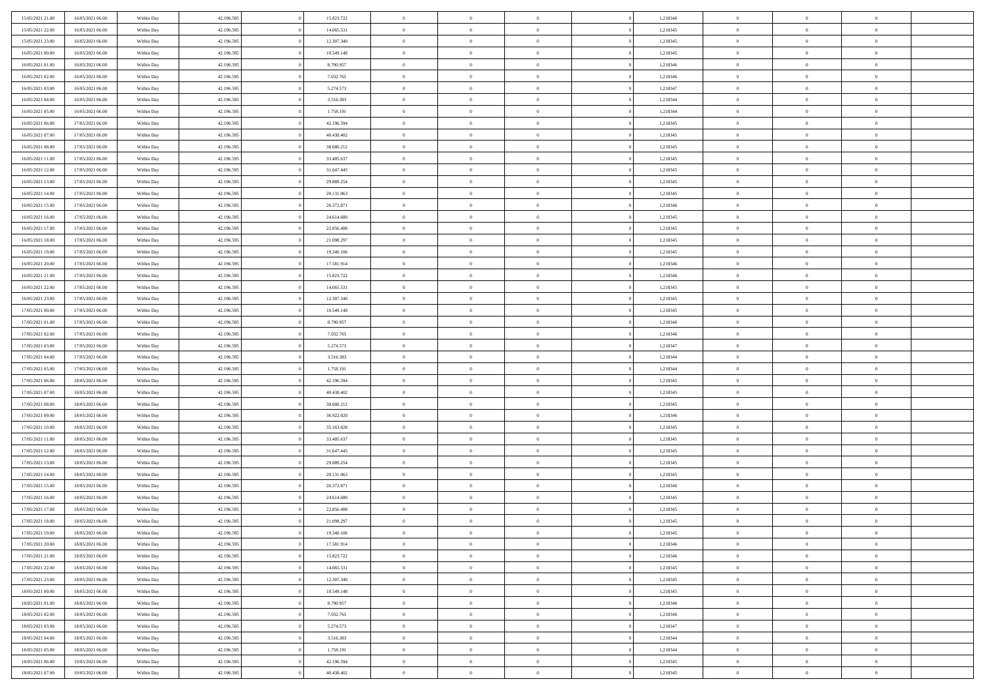| 15/05/2021 21:00 | 16/05/2021 06:00 | Within Day | 42.196.595 | 15.823.722 | $\,$ 0 $\,$    | $\overline{0}$                    | $\overline{0}$ |          | 1,218346 | $\bf{0}$       | $\overline{0}$ | $\,0\,$        |  |
|------------------|------------------|------------|------------|------------|----------------|-----------------------------------|----------------|----------|----------|----------------|----------------|----------------|--|
| 15/05/2021 22:00 | 16/05/2021 06:00 | Within Day | 42.196.595 | 14.065.531 | $\overline{0}$ | $\overline{0}$                    | $\mathbf{0}$   |          | 1,218345 | $\theta$       | $\overline{0}$ | $\theta$       |  |
| 15/05/2021 23:00 | 16/05/2021 06:00 | Within Day | 42.196.595 | 12.307.340 | $\theta$       | $\overline{0}$                    | $\overline{0}$ |          | 1,218345 | $\mathbf{0}$   | $\overline{0}$ | $\overline{0}$ |  |
| 16/05/2021 00:00 | 16/05/2021 06:00 | Within Day | 42.196.595 | 10.549.148 | $\bf{0}$       | $\overline{0}$                    | $\overline{0}$ |          | 1,218345 | $\mathbf{0}$   | $\overline{0}$ | $\bf{0}$       |  |
| 16/05/2021 01:00 | 16/05/2021 06:00 | Within Day | 42.196.595 | 8.790.957  | $\bf{0}$       | $\overline{0}$                    | $\mathbf{0}$   |          | 1,218346 | $\bf{0}$       | $\overline{0}$ | $\,0\,$        |  |
| 16/05/2021 02:00 | 16/05/2021 06:00 | Within Day | 42.196.595 | 7.032.765  | $\theta$       | $\overline{0}$                    | $\overline{0}$ |          | 1,218346 | $\mathbf{0}$   | $\overline{0}$ | $\overline{0}$ |  |
| 16/05/2021 03:00 | 16/05/2021 06:00 | Within Day | 42.196.595 | 5.274.573  | $\,$ 0 $\,$    | $\overline{0}$                    | $\overline{0}$ |          | 1,218347 | $\bf{0}$       | $\overline{0}$ | $\bf{0}$       |  |
|                  |                  |            |            |            | $\overline{0}$ |                                   |                |          |          |                | $\overline{0}$ | $\overline{0}$ |  |
| 16/05/2021 04:00 | 16/05/2021 06:00 | Within Day | 42.196.595 | 3.516.383  |                | $\overline{0}$                    | $\mathbf{0}$   |          | 1,218344 | $\,$ 0 $\,$    |                |                |  |
| 16/05/2021 05:00 | 16/05/2021 06:00 | Within Day | 42.196.595 | 1.758.191  | $\theta$       | $\overline{0}$                    | $\mathbf{0}$   |          | 1,218344 | $\mathbf{0}$   | $\overline{0}$ | $\overline{0}$ |  |
| 16/05/2021 06:00 | 17/05/2021 06:00 | Within Day | 42.196.595 | 42.196.594 | $\,$ 0 $\,$    | $\overline{0}$                    | $\Omega$       |          | 1,218345 | $\bf{0}$       | $\overline{0}$ | $\bf{0}$       |  |
| 16/05/2021 07:00 | 17/05/2021 06:00 | Within Day | 42.196.595 | 40.438.402 | $\bf{0}$       | $\overline{0}$                    | $\mathbf{0}$   |          | 1,218345 | $\bf{0}$       | $\overline{0}$ | $\theta$       |  |
| 16/05/2021 08:00 | 17/05/2021 06:00 | Within Day | 42.196.595 | 38.680.212 | $\theta$       | $\overline{0}$                    | $\overline{0}$ |          | 1,218345 | $\mathbf{0}$   | $\overline{0}$ | $\overline{0}$ |  |
| 16/05/2021 11:00 | 17/05/2021 06:00 | Within Day | 42.196.595 | 33.405.637 | $\bf{0}$       | $\overline{0}$                    | $\overline{0}$ |          | 1,218345 | $\bf{0}$       | $\overline{0}$ | $\overline{0}$ |  |
| 16/05/2021 12:00 | 17/05/2021 06:00 | Within Day | 42.196.595 | 31.647.445 | $\bf{0}$       | $\overline{0}$                    | $\mathbf{0}$   |          | 1,218345 | $\bf{0}$       | $\mathbf{0}$   | $\bf{0}$       |  |
| 16/05/2021 13:00 | 17/05/2021 06:00 | Within Day | 42.196.595 | 29.889.254 | $\overline{0}$ | $\overline{0}$                    | $\overline{0}$ |          | 1,218345 | $\mathbf{0}$   | $\overline{0}$ | $\overline{0}$ |  |
| 16/05/2021 14:00 | 17/05/2021 06:00 | Within Day | 42.196.595 | 28.131.063 | $\,$ 0 $\,$    | $\overline{0}$                    | $\Omega$       |          | 1,218345 | $\bf{0}$       | $\overline{0}$ | $\bf{0}$       |  |
| 16/05/2021 15:00 | 17/05/2021 06:00 | Within Day | 42.196.595 | 26.372.871 | $\,$ 0         | $\overline{0}$                    | $\mathbf{0}$   |          | 1,218346 | $\,$ 0 $\,$    | $\overline{0}$ | $\overline{0}$ |  |
| 16/05/2021 16:00 | 17/05/2021 06:00 | Within Day | 42.196.595 | 24.614.680 | $\theta$       | $\overline{0}$                    | $\mathbf{0}$   |          | 1,218345 | $\mathbf{0}$   | $\overline{0}$ | $\overline{0}$ |  |
| 16/05/2021 17:00 | 17/05/2021 06:00 | Within Day | 42.196.595 | 22.856.488 | $\,$ 0 $\,$    | $\overline{0}$                    | $\Omega$       |          | 1,218345 | $\bf{0}$       | $\overline{0}$ | $\bf{0}$       |  |
| 16/05/2021 18:00 | 17/05/2021 06:00 | Within Day | 42.196.595 | 21.098.297 | $\bf{0}$       | $\overline{0}$                    | $\mathbf{0}$   |          | 1,218345 | $\bf{0}$       | $\overline{0}$ | $\overline{0}$ |  |
| 16/05/2021 19:00 | 17/05/2021 06:00 | Within Day | 42.196.595 | 19.340.106 | $\theta$       | $\overline{0}$                    | $\overline{0}$ |          | 1,218345 | $\mathbf{0}$   | $\overline{0}$ | $\overline{0}$ |  |
| 16/05/2021 20:00 | 17/05/2021 06:00 | Within Day | 42.196.595 | 17.581.914 | $\,$ 0 $\,$    | $\overline{0}$                    | $\overline{0}$ |          | 1,218346 | $\bf{0}$       | $\overline{0}$ | $\bf{0}$       |  |
| 16/05/2021 21:00 | 17/05/2021 06:00 | Within Day | 42.196.595 | 15.823.722 | $\bf{0}$       | $\overline{0}$                    | $\mathbf{0}$   |          | 1,218346 | $\,$ 0 $\,$    | $\overline{0}$ | $\bf{0}$       |  |
| 16/05/2021 22:00 | 17/05/2021 06:00 | Within Day | 42.196.595 | 14.065.531 | $\theta$       | $\overline{0}$                    | $\mathbf{0}$   |          | 1,218345 | $\mathbf{0}$   | $\overline{0}$ | $\overline{0}$ |  |
| 16/05/2021 23:00 | 17/05/2021 06:00 | Within Day | 42.196.595 | 12.307.340 | $\,$ 0 $\,$    | $\overline{0}$                    | $\overline{0}$ |          | 1,218345 | $\bf{0}$       | $\overline{0}$ | $\bf{0}$       |  |
| 17/05/2021 00:00 | 17/05/2021 06:00 | Within Day | 42.196.595 | 10.549.148 | $\,$ 0         | $\overline{0}$                    | $\mathbf{0}$   |          | 1,218345 | $\mathbf{0}$   | $\overline{0}$ | $\overline{0}$ |  |
| 17/05/2021 01:00 | 17/05/2021 06:00 | Within Day | 42.196.595 | 8.790.957  | $\theta$       | $\overline{0}$                    | $\mathbf{0}$   |          | 1,218346 | $\mathbf{0}$   | $\overline{0}$ | $\overline{0}$ |  |
| 17/05/2021 02:00 | 17/05/2021 06:00 | Within Day | 42.196.595 | 7.032.765  | $\,$ 0 $\,$    | $\overline{0}$                    | $\Omega$       |          | 1,218346 | $\bf{0}$       | $\overline{0}$ | $\bf{0}$       |  |
| 17/05/2021 03:00 | 17/05/2021 06:00 | Within Day | 42.196.595 | 5.274.573  | $\bf{0}$       | $\overline{0}$                    | $\mathbf{0}$   |          | 1,218347 | $\bf{0}$       | $\overline{0}$ | $\overline{0}$ |  |
| 17/05/2021 04:00 | 17/05/2021 06:00 | Within Day | 42.196.595 | 3.516.383  | $\theta$       | $\overline{0}$                    | $\overline{0}$ |          | 1,218344 | $\mathbf{0}$   | $\overline{0}$ | $\overline{0}$ |  |
| 17/05/2021 05:00 | 17/05/2021 06:00 | Within Day | 42.196.595 | 1.758.191  | $\,$ 0 $\,$    | $\overline{0}$                    | $\overline{0}$ |          | 1,218344 | $\,$ 0         | $\overline{0}$ | $\,$ 0 $\,$    |  |
| 17/05/2021 06:00 | 18/05/2021 06:00 | Within Day | 42.196.595 | 42.196.594 | $\bf{0}$       | $\overline{0}$                    | $\mathbf{0}$   |          | 1,218345 | $\bf{0}$       | $\overline{0}$ | $\bf{0}$       |  |
| 17/05/2021 07:00 | 18/05/2021 06:00 | Within Day | 42.196.595 | 40.438.402 | $\overline{0}$ | $\overline{0}$                    | $\overline{0}$ |          | 1,218345 | $\mathbf{0}$   | $\overline{0}$ | $\overline{0}$ |  |
|                  |                  |            |            |            | $\theta$       | $\overline{0}$                    | $\overline{0}$ |          |          | $\,$ 0         | $\overline{0}$ | $\theta$       |  |
| 17/05/2021 08:00 | 18/05/2021 06:00 | Within Day | 42.196.595 | 38.680.212 |                |                                   |                |          | 1,218345 |                | $\overline{0}$ | $\overline{0}$ |  |
| 17/05/2021 09:00 | 18/05/2021 06:00 | Within Day | 42.196.595 | 36.922.020 | $\overline{0}$ | $\overline{0}$                    | $\mathbf{0}$   |          | 1,218346 | $\overline{0}$ |                |                |  |
| 17/05/2021 10:00 | 18/05/2021 06:00 | Within Day | 42.196.595 | 35.163.828 | $\theta$       | $\overline{0}$                    | $\mathbf{0}$   |          | 1,218345 | $\mathbf{0}$   | $\overline{0}$ | $\overline{0}$ |  |
| 17/05/2021 11:00 | 18/05/2021 06:00 | Within Day | 42.196.595 | 33.405.637 | $\theta$       | $\overline{0}$                    | $\overline{0}$ |          | 1,218345 | $\,$ 0         | $\overline{0}$ | $\,$ 0 $\,$    |  |
| 17/05/2021 12:00 | 18/05/2021 06:00 | Within Day | 42.196.595 | 31.647.445 | $\bf{0}$       | $\overline{0}$                    | $\mathbf{0}$   |          | 1,218345 | $\bf{0}$       | $\overline{0}$ | $\bf{0}$       |  |
| 17/05/2021 13:00 | 18/05/2021 06:00 | Within Day | 42.196.595 | 29.889.254 | $\theta$       | $\overline{0}$                    | $\overline{0}$ |          | 1,218345 | $\mathbf{0}$   | $\overline{0}$ | $\overline{0}$ |  |
| 17/05/2021 14:00 | 18/05/2021 06:00 | Within Day | 42.196.595 | 28.131.063 | $\,$ 0 $\,$    | $\overline{0}$                    | $\overline{0}$ |          | 1,218345 | $\,$ 0         | $\overline{0}$ | $\,$ 0 $\,$    |  |
| 17/05/2021 15:00 | 18/05/2021 06:00 | Within Day | 42.196.595 | 26.372.871 | $\bf{0}$       | $\,$ 0 $\,$                       | $\overline{0}$ |          | 1,218346 | $\,$ 0 $\,$    | $\overline{0}$ | $\bf{0}$       |  |
| 17/05/2021 16:00 | 18/05/2021 06:00 | Within Day | 42.196.595 | 24.614.680 | $\theta$       | $\overline{0}$                    | $\mathbf{0}$   |          | 1,218345 | $\mathbf{0}$   | $\overline{0}$ | $\overline{0}$ |  |
| 17/05/2021 17:00 | 18/05/2021 06:00 | Within Day | 42.196.595 | 22.856.488 | $\theta$       | $\overline{0}$                    | $\overline{0}$ |          | 1,218345 | $\,$ 0         | $\overline{0}$ | $\,$ 0 $\,$    |  |
| 17/05/2021 18:00 | 18/05/2021 06:00 | Within Day | 42.196.595 | 21.098.297 | $\bf{0}$       | $\,$ 0 $\,$                       | $\mathbf{0}$   |          | 1,218345 | $\,$ 0 $\,$    | $\overline{0}$ | $\bf{0}$       |  |
| 17/05/2021 19:00 | 18/05/2021 06:00 | Within Day | 42.196.595 | 19.340.106 | $\overline{0}$ | $\theta$                          |                |          | 1,218345 | $\overline{0}$ | $\theta$       | $\theta$       |  |
| 17/05/2021 20:00 | 18/05/2021 06:00 | Within Day | 42.196.595 | 17.581.914 | $\,$ 0 $\,$    | $\overline{0}$                    | $\overline{0}$ |          | 1,218346 | $\,$ 0 $\,$    | $\bf{0}$       | $\,$ 0 $\,$    |  |
| 17/05/2021 21:00 | 18/05/2021 06:00 | Within Day | 42.196.595 | 15.823.722 | $\overline{0}$ | $\hspace{0.1cm} 0 \hspace{0.1cm}$ | $\overline{0}$ |          | 1,218346 | $\,$ 0 $\,$    | $\overline{0}$ | $\overline{0}$ |  |
| 17/05/2021 22:00 | 18/05/2021 06:00 | Within Day | 42.196.595 | 14.065.531 | $\,$ 0 $\,$    | $\overline{0}$                    | $\overline{0}$ |          | 1,218345 | $\,$ 0 $\,$    | $\bf{0}$       | $\mathbf{0}$   |  |
| 17/05/2021 23:00 | 18/05/2021 06:00 | Within Day | 42.196.595 | 12.307.340 | $\,$ 0 $\,$    | $\overline{0}$                    | $\overline{0}$ | $\theta$ | 1,218345 | $\,$ 0 $\,$    | $\bf{0}$       | $\,$ 0 $\,$    |  |
| 18/05/2021 00:00 | 18/05/2021 06:00 | Within Day | 42.196.595 | 10.549.148 | $\,$ 0 $\,$    | $\,$ 0 $\,$                       | $\overline{0}$ |          | 1,218345 | $\,$ 0 $\,$    | $\overline{0}$ | $\overline{0}$ |  |
| 18/05/2021 01:00 | 18/05/2021 06:00 | Within Day | 42.196.595 | 8.790.957  | $\mathbf{0}$   | $\overline{0}$                    | $\overline{0}$ |          | 1,218346 | $\mathbf{0}$   | $\bf{0}$       | $\overline{0}$ |  |
| 18/05/2021 02:00 | 18/05/2021 06:00 | Within Day | 42.196.595 | 7.032.765  | $\,$ 0 $\,$    | $\overline{0}$                    | $\overline{0}$ |          | 1,218346 | $\,$ 0 $\,$    | $\bf{0}$       | $\,$ 0 $\,$    |  |
| 18/05/2021 03:00 | 18/05/2021 06:00 | Within Day | 42.196.595 | 5.274.573  | $\overline{0}$ | $\overline{0}$                    | $\overline{0}$ |          | 1,218347 | $\,$ 0 $\,$    | $\overline{0}$ | $\mathbf{0}$   |  |
| 18/05/2021 04:00 | 18/05/2021 06:00 | Within Day | 42.196.595 | 3.516.383  | $\,$ 0 $\,$    | $\overline{0}$                    | $\overline{0}$ |          | 1,218344 | $\,$ 0 $\,$    | $\bf{0}$       | $\overline{0}$ |  |
| 18/05/2021 05:00 | 18/05/2021 06:00 | Within Day | 42.196.595 | 1.758.191  | $\,$ 0 $\,$    | $\overline{0}$                    | $\overline{0}$ |          | 1,218344 | $\,$ 0 $\,$    | $\bf{0}$       | $\,$ 0 $\,$    |  |
| 18/05/2021 06:00 | 19/05/2021 06:00 | Within Day | 42.196.595 | 42.196.594 | $\,$ 0 $\,$    | $\,$ 0 $\,$                       | $\overline{0}$ |          | 1,218345 | $\,$ 0 $\,$    | $\overline{0}$ | $\overline{0}$ |  |
| 18/05/2021 07:00 | 19/05/2021 06:00 | Within Day | 42.196.595 | 40.438.402 | $\theta$       | $\overline{0}$                    | $\overline{0}$ |          | 1,218345 | $\,$ 0 $\,$    | $\mathbf{0}$   | $\overline{0}$ |  |
|                  |                  |            |            |            |                |                                   |                |          |          |                |                |                |  |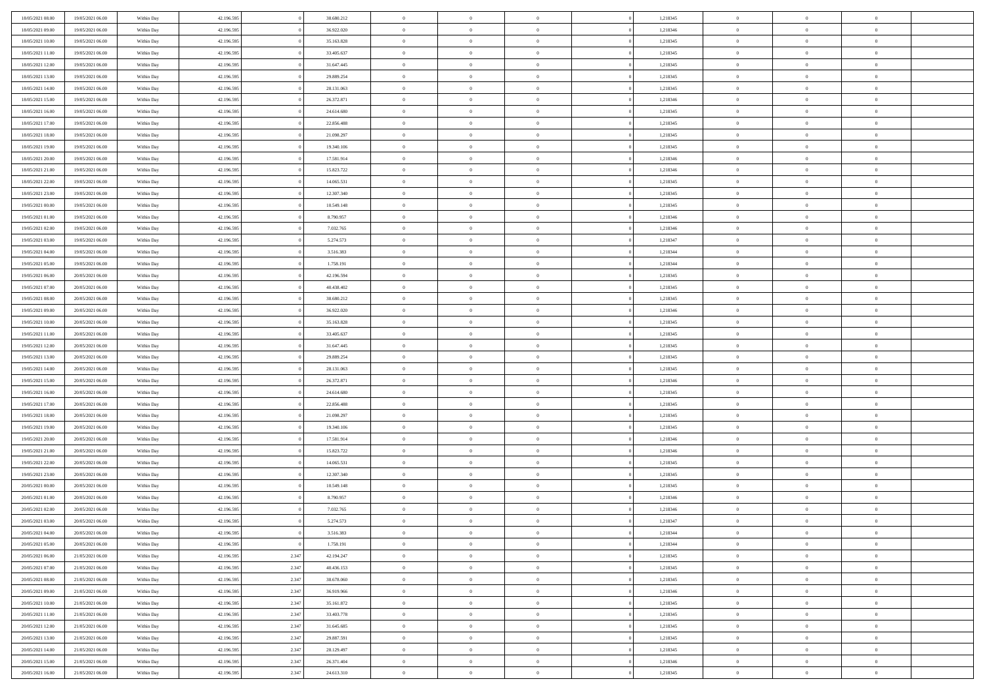| 18/05/2021 08:00 | 19/05/2021 06:00 | Within Day | 42.196.595 |       | 38.680.212 | $\bf{0}$       | $\bf{0}$       | $\theta$       |          | 1,218345 | $\bf{0}$       | $\overline{0}$ | $\,0\,$        |  |
|------------------|------------------|------------|------------|-------|------------|----------------|----------------|----------------|----------|----------|----------------|----------------|----------------|--|
| 18/05/2021 09:00 | 19/05/2021 06:00 | Within Day | 42.196.595 |       | 36.922.020 | $\overline{0}$ | $\overline{0}$ | $\overline{0}$ |          | 1,218346 | $\overline{0}$ | $\overline{0}$ | $\theta$       |  |
| 18/05/2021 10:00 | 19/05/2021 06:00 | Within Day | 42.196.595 |       | 35.163.828 | $\mathbf{0}$   | $\overline{0}$ | $\overline{0}$ |          | 1,218345 | $\mathbf{0}$   | $\overline{0}$ | $\overline{0}$ |  |
| 18/05/2021 11:00 | 19/05/2021 06:00 | Within Day | 42.196.595 |       | 33.405.637 | $\bf{0}$       | $\overline{0}$ | $\overline{0}$ |          | 1,218345 | $\bf{0}$       | $\overline{0}$ | $\bf{0}$       |  |
| 18/05/2021 12:00 | 19/05/2021 06:00 | Within Day | 42.196.595 |       | 31.647.445 | $\bf{0}$       | $\bf{0}$       | $\overline{0}$ |          | 1,218345 | $\bf{0}$       | $\overline{0}$ | $\,0\,$        |  |
| 18/05/2021 13:00 | 19/05/2021 06:00 | Within Dav | 42.196.595 |       | 29.889.254 | $\overline{0}$ | $\overline{0}$ | $\overline{0}$ |          | 1,218345 | $\mathbf{0}$   | $\overline{0}$ | $\overline{0}$ |  |
| 18/05/2021 14:00 | 19/05/2021 06:00 | Within Day | 42.196.595 |       | 28.131.063 | $\bf{0}$       | $\bf{0}$       | $\overline{0}$ |          | 1,218345 | $\bf{0}$       | $\overline{0}$ | $\bf{0}$       |  |
| 18/05/2021 15:00 | 19/05/2021 06:00 | Within Day | 42.196.595 |       | 26.372.871 | $\overline{0}$ | $\overline{0}$ | $\overline{0}$ |          | 1,218346 | $\,$ 0 $\,$    | $\overline{0}$ | $\theta$       |  |
| 18/05/2021 16:00 | 19/05/2021 06:00 | Within Day | 42.196.595 |       | 24.614.680 | $\mathbf{0}$   | $\overline{0}$ | $\overline{0}$ |          | 1,218345 | $\mathbf{0}$   | $\overline{0}$ | $\overline{0}$ |  |
| 18/05/2021 17:00 | 19/05/2021 06:00 | Within Day | 42.196.595 |       | 22.856.488 | $\bf{0}$       | $\bf{0}$       | $\overline{0}$ |          | 1,218345 | $\bf{0}$       | $\overline{0}$ | $\,0\,$        |  |
| 18/05/2021 18:00 | 19/05/2021 06:00 | Within Day | 42.196.595 |       | 21.098.297 | $\overline{0}$ | $\overline{0}$ | $\overline{0}$ |          | 1,218345 | $\bf{0}$       | $\overline{0}$ | $\overline{0}$ |  |
| 18/05/2021 19:00 | 19/05/2021 06:00 | Within Dav | 42.196.595 |       | 19.340.106 | $\mathbf{0}$   | $\overline{0}$ | $\overline{0}$ |          | 1,218345 | $\mathbf{0}$   | $\overline{0}$ | $\overline{0}$ |  |
| 18/05/2021 20:00 | 19/05/2021 06:00 | Within Day | 42.196.595 |       | 17.581.914 | $\bf{0}$       | $\overline{0}$ | $\overline{0}$ |          | 1,218346 | $\bf{0}$       | $\overline{0}$ | $\bf{0}$       |  |
| 18/05/2021 21:00 | 19/05/2021 06:00 | Within Day | 42.196.595 |       | 15.823.722 | $\bf{0}$       | $\overline{0}$ | $\overline{0}$ |          | 1,218346 | $\bf{0}$       | $\mathbf{0}$   | $\,0\,$        |  |
| 18/05/2021 22:00 | 19/05/2021 06:00 | Within Dav | 42.196.595 |       | 14.065.531 | $\overline{0}$ | $\overline{0}$ | $\overline{0}$ |          | 1,218345 | $\mathbf{0}$   | $\overline{0}$ | $\overline{0}$ |  |
|                  |                  |            |            |       |            | $\bf{0}$       |                | $\overline{0}$ |          |          | $\bf{0}$       | $\overline{0}$ | $\bf{0}$       |  |
| 18/05/2021 23:00 | 19/05/2021 06:00 | Within Day | 42.196.595 |       | 12.307.340 |                | $\bf{0}$       |                |          | 1,218345 |                | $\overline{0}$ |                |  |
| 19/05/2021 00:00 | 19/05/2021 06:00 | Within Day | 42.196.595 |       | 10.549.148 | $\overline{0}$ | $\overline{0}$ | $\overline{0}$ |          | 1,218345 | $\bf{0}$       |                | $\overline{0}$ |  |
| 19/05/2021 01:00 | 19/05/2021 06:00 | Within Day | 42.196.595 |       | 8.790.957  | $\mathbf{0}$   | $\overline{0}$ | $\overline{0}$ |          | 1,218346 | $\mathbf{0}$   | $\overline{0}$ | $\overline{0}$ |  |
| 19/05/2021 02:00 | 19/05/2021 06:00 | Within Day | 42.196.595 |       | 7.032.765  | $\bf{0}$       | $\bf{0}$       | $\overline{0}$ |          | 1,218346 | $\bf{0}$       | $\overline{0}$ | $\,0\,$        |  |
| 19/05/2021 03:00 | 19/05/2021 06:00 | Within Day | 42.196.595 |       | 5.274.573  | $\overline{0}$ | $\overline{0}$ | $\overline{0}$ |          | 1,218347 | $\bf{0}$       | $\overline{0}$ | $\overline{0}$ |  |
| 19/05/2021 04:00 | 19/05/2021 06:00 | Within Day | 42.196.595 |       | 3.516.383  | $\overline{0}$ | $\overline{0}$ | $\overline{0}$ |          | 1,218344 | $\mathbf{0}$   | $\overline{0}$ | $\overline{0}$ |  |
| 19/05/2021 05:00 | 19/05/2021 06:00 | Within Day | 42.196.595 |       | 1.758.191  | $\bf{0}$       | $\overline{0}$ | $\overline{0}$ |          | 1,218344 | $\bf{0}$       | $\overline{0}$ | $\bf{0}$       |  |
| 19/05/2021 06:00 | 20/05/2021 06:00 | Within Day | 42.196.595 |       | 42.196.594 | $\bf{0}$       | $\bf{0}$       | $\overline{0}$ |          | 1,218345 | $\bf{0}$       | $\overline{0}$ | $\bf{0}$       |  |
| 19/05/2021 07:00 | 20/05/2021 06:00 | Within Dav | 42.196.595 |       | 40.438.402 | $\mathbf{0}$   | $\overline{0}$ | $\overline{0}$ |          | 1,218345 | $\mathbf{0}$   | $\overline{0}$ | $\overline{0}$ |  |
| 19/05/2021 08:00 | 20/05/2021 06:00 | Within Day | 42.196.595 |       | 38.680.212 | $\bf{0}$       | $\bf{0}$       | $\overline{0}$ |          | 1,218345 | $\bf{0}$       | $\overline{0}$ | $\bf{0}$       |  |
| 19/05/2021 09:00 | 20/05/2021 06:00 | Within Day | 42.196.595 |       | 36.922.020 | $\overline{0}$ | $\overline{0}$ | $\overline{0}$ |          | 1,218346 | $\bf{0}$       | $\mathbf{0}$   | $\overline{0}$ |  |
| 19/05/2021 10:00 | 20/05/2021 06:00 | Within Day | 42.196.595 |       | 35.163.828 | $\overline{0}$ | $\overline{0}$ | $\overline{0}$ |          | 1,218345 | $\mathbf{0}$   | $\overline{0}$ | $\overline{0}$ |  |
| 19/05/2021 11:00 | 20/05/2021 06:00 | Within Day | 42.196.595 |       | 33.405.637 | $\bf{0}$       | $\bf{0}$       | $\overline{0}$ |          | 1,218345 | $\bf{0}$       | $\overline{0}$ | $\,0\,$        |  |
| 19/05/2021 12:00 | 20/05/2021 06:00 | Within Day | 42.196.595 |       | 31.647.445 | $\bf{0}$       | $\overline{0}$ | $\overline{0}$ |          | 1,218345 | $\bf{0}$       | $\mathbf{0}$   | $\overline{0}$ |  |
| 19/05/2021 13:00 | 20/05/2021 06:00 | Within Day | 42.196.595 |       | 29.889.254 | $\mathbf{0}$   | $\overline{0}$ | $\overline{0}$ |          | 1,218345 | $\mathbf{0}$   | $\overline{0}$ | $\overline{0}$ |  |
| 19/05/2021 14:00 | 20/05/2021 06:00 | Within Day | 42.196.595 |       | 28.131.063 | $\bf{0}$       | $\overline{0}$ | $\overline{0}$ |          | 1,218345 | $\,$ 0         | $\overline{0}$ | $\,$ 0 $\,$    |  |
| 19/05/2021 15:00 | 20/05/2021 06:00 | Within Day | 42.196.595 |       | 26.372.871 | $\bf{0}$       | $\overline{0}$ | $\overline{0}$ |          | 1,218346 | $\bf{0}$       | $\overline{0}$ | $\overline{0}$ |  |
| 19/05/2021 16:00 | 20/05/2021 06:00 | Within Dav | 42.196.595 |       | 24.614.680 | $\overline{0}$ | $\overline{0}$ | $\overline{0}$ |          | 1,218345 | $\mathbf{0}$   | $\overline{0}$ | $\overline{0}$ |  |
| 19/05/2021 17:00 | 20/05/2021 06:00 | Within Day | 42.196.595 |       | 22.856.488 | $\bf{0}$       | $\overline{0}$ | $\theta$       |          | 1,218345 | $\,$ 0         | $\overline{0}$ | $\theta$       |  |
| 19/05/2021 18:00 | 20/05/2021 06:00 | Within Day | 42.196.595 |       | 21.098.297 | $\overline{0}$ | $\overline{0}$ | $\overline{0}$ |          | 1,218345 | $\bf{0}$       | $\overline{0}$ | $\overline{0}$ |  |
| 19/05/2021 19:00 | 20/05/2021 06:00 | Within Day | 42.196.595 |       | 19.340.106 | $\mathbf{0}$   | $\overline{0}$ | $\overline{0}$ |          | 1,218345 | $\mathbf{0}$   | $\overline{0}$ | $\overline{0}$ |  |
| 19/05/2021 20:00 | 20/05/2021 06:00 | Within Day | 42.196.595 |       | 17.581.914 | $\bf{0}$       | $\overline{0}$ | $\theta$       |          | 1,218346 | $\,$ 0         | $\overline{0}$ | $\theta$       |  |
| 19/05/2021 21:00 | 20/05/2021 06:00 | Within Day | 42.196.595 |       | 15.823.722 | $\bf{0}$       | $\overline{0}$ | $\overline{0}$ |          | 1,218346 | $\bf{0}$       | $\overline{0}$ | $\overline{0}$ |  |
| 19/05/2021 22:00 | 20/05/2021 06:00 | Within Day | 42.196.595 |       | 14.065.531 | $\mathbf{0}$   | $\overline{0}$ | $\overline{0}$ |          | 1,218345 | $\mathbf{0}$   | $\overline{0}$ | $\overline{0}$ |  |
| 19/05/2021 23:00 | 20/05/2021 06:00 | Within Day | 42.196.595 |       | 12.307.340 | $\,0\,$        | $\overline{0}$ | $\theta$       |          | 1,218345 | $\,$ 0         | $\overline{0}$ | $\theta$       |  |
| 20/05/2021 00:00 | 20/05/2021 06:00 | Within Day | 42.196.595 |       | 10.549.148 | $\bf{0}$       | $\overline{0}$ | $\overline{0}$ |          | 1,218345 | $\bf{0}$       | $\overline{0}$ | $\overline{0}$ |  |
| 20/05/2021 01:00 | 20/05/2021 06:00 | Within Dav | 42.196.595 |       | 8.790.957  | $\mathbf{0}$   | $\overline{0}$ | $\overline{0}$ |          | 1,218346 | $\mathbf{0}$   | $\overline{0}$ | $\overline{0}$ |  |
| 20/05/2021 02:00 | 20/05/2021 06:00 | Within Day | 42.196.595 |       | 7.032.765  | $\bf{0}$       | $\overline{0}$ | $\theta$       |          | 1,218346 | $\,$ 0         | $\overline{0}$ | $\theta$       |  |
| 20/05/2021 03:00 | 20/05/2021 06:00 | Within Day | 42.196.595 |       | 5.274.573  | $\bf{0}$       | $\overline{0}$ | $\overline{0}$ |          | 1,218347 | $\bf{0}$       | $\overline{0}$ | $\overline{0}$ |  |
| 20/05/2021 04:00 | 20/05/2021 06:00 | Within Day | 42.196.595 |       | 3.516.383  | $\bf{0}$       | $\overline{0}$ | $\Omega$       |          | 1,218344 | $\overline{0}$ | $\bf{0}$       | $\theta$       |  |
| 20/05/2021 05:00 | 20/05/2021 06:00 | Within Day | 42.196.595 |       | 1.758.191  | $\,0\,$        | $\overline{0}$ | $\theta$       |          | 1,218344 | $\,$ 0 $\,$    | $\bf{0}$       | $\theta$       |  |
| 20/05/2021 06:00 | 21/05/2021 06:00 | Within Day | 42.196.595 | 2.347 | 42.194.247 | $\overline{0}$ | $\overline{0}$ | $\overline{0}$ |          | 1,218345 | $\,$ 0 $\,$    | $\overline{0}$ | $\overline{0}$ |  |
| 20/05/2021 07:00 | 21/05/2021 06:00 | Within Day | 42.196.595 | 2.347 | 40.436.153 | $\bf{0}$       | $\overline{0}$ | $\overline{0}$ |          | 1,218345 | $\overline{0}$ | $\bf{0}$       | $\mathbf{0}$   |  |
| 20/05/2021 08:00 | 21/05/2021 06:00 | Within Day | 42.196.595 | 2.347 | 38.678.060 | $\bf{0}$       | $\overline{0}$ | $\overline{0}$ | $\theta$ | 1,218345 | $\mathbf{0}$   | $\bf{0}$       | $\,$ 0 $\,$    |  |
| 20/05/2021 09:00 | 21/05/2021 06:00 | Within Day | 42.196.595 | 2.347 | 36.919.966 | $\bf{0}$       | $\overline{0}$ | $\overline{0}$ |          | 1,218346 | $\,$ 0 $\,$    | $\overline{0}$ | $\overline{0}$ |  |
| 20/05/2021 10:00 | 21/05/2021 06:00 | Within Day | 42.196.595 | 2.347 | 35.161.872 | $\bf{0}$       | $\overline{0}$ | $\overline{0}$ |          | 1,218345 | $\mathbf{0}$   | $\overline{0}$ | $\overline{0}$ |  |
| 20/05/2021 11:00 | 21/05/2021 06:00 | Within Day | 42.196.595 | 2.347 | 33.403.778 | $\,$ 0 $\,$    | $\overline{0}$ | $\overline{0}$ | $\theta$ | 1,218345 | $\,$ 0 $\,$    | $\bf{0}$       | $\,$ 0 $\,$    |  |
| 20/05/2021 12:00 | 21/05/2021 06:00 | Within Day | 42.196.595 | 2.347 | 31.645.685 | $\bf{0}$       | $\overline{0}$ | $\overline{0}$ |          | 1,218345 | $\overline{0}$ | $\overline{0}$ | $\overline{0}$ |  |
| 20/05/2021 13:00 | 21/05/2021 06:00 | Within Day | 42.196.595 | 2.347 | 29.887.591 | $\bf{0}$       | $\overline{0}$ | $\overline{0}$ |          | 1,218345 | $\overline{0}$ | $\bf{0}$       | $\overline{0}$ |  |
| 20/05/2021 14:00 | 21/05/2021 06:00 | Within Day | 42.196.595 | 2.347 | 28.129.497 | $\,0\,$        | $\overline{0}$ | $\overline{0}$ |          | 1,218345 | $\mathbf{0}$   | $\overline{0}$ | $\,$ 0 $\,$    |  |
| 20/05/2021 15:00 | 21/05/2021 06:00 | Within Day | 42.196.595 | 2.347 | 26.371.404 | $\bf{0}$       | $\overline{0}$ | $\overline{0}$ |          | 1,218346 | $\mathbf{0}$   | $\mathbf{0}$   | $\overline{0}$ |  |
| 20/05/2021 16:00 | 21/05/2021 06:00 | Within Day | 42.196.595 | 2.347 | 24.613.310 | $\overline{0}$ | $\overline{0}$ | $\overline{0}$ |          | 1,218345 | $\mathbf{0}$   | $\overline{0}$ | $\overline{0}$ |  |
|                  |                  |            |            |       |            |                |                |                |          |          |                |                |                |  |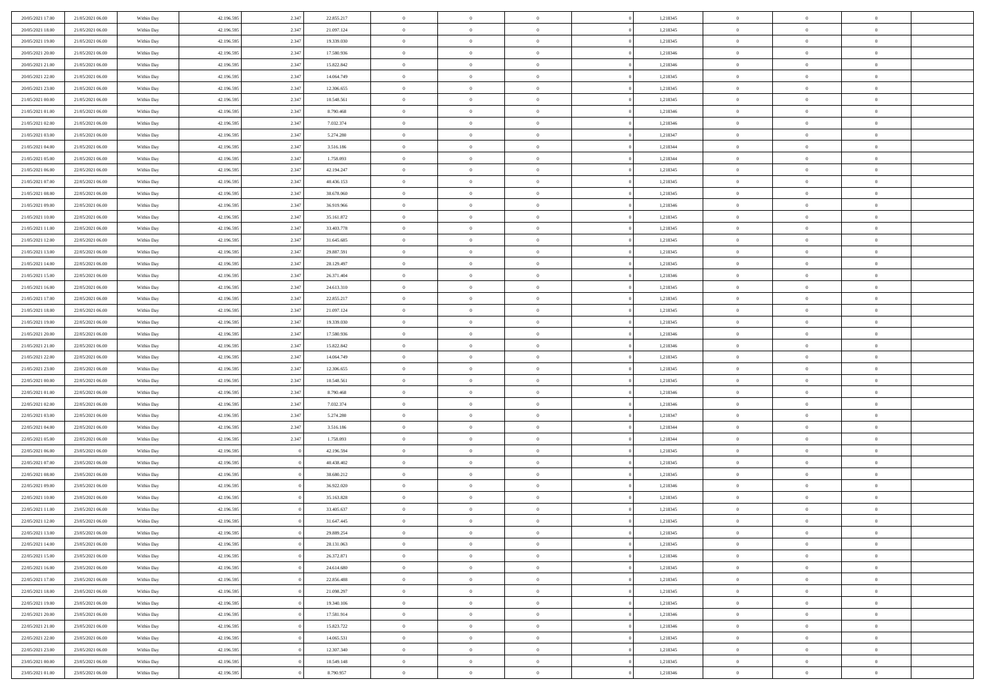| 20/05/2021 17:00 | 21/05/2021 06:00 | Within Day | 42.196.595 | 2.347 | 22.855.217 | $\bf{0}$                 | $\overline{0}$ | $\theta$       |          | 1,218345 | $\bf{0}$                 | $\overline{0}$ | $\,0\,$        |  |
|------------------|------------------|------------|------------|-------|------------|--------------------------|----------------|----------------|----------|----------|--------------------------|----------------|----------------|--|
| 20/05/2021 18:00 | 21/05/2021 06:00 | Within Day | 42.196.595 | 2.347 | 21.097.124 | $\overline{0}$           | $\overline{0}$ | $\overline{0}$ |          | 1,218345 | $\theta$                 | $\overline{0}$ | $\theta$       |  |
| 20/05/2021 19:00 | 21/05/2021 06:00 | Within Day | 42.196.595 | 2.347 | 19.339.030 | $\mathbf{0}$             | $\overline{0}$ | $\overline{0}$ |          | 1,218345 | $\mathbf{0}$             | $\overline{0}$ | $\overline{0}$ |  |
| 20/05/2021 20:00 | 21/05/2021 06:00 | Within Day | 42.196.595 | 2.347 | 17.580.936 | $\bf{0}$                 | $\overline{0}$ | $\overline{0}$ |          | 1,218346 | $\bf{0}$                 | $\overline{0}$ | $\bf{0}$       |  |
| 20/05/2021 21:00 | 21/05/2021 06:00 | Within Day | 42.196.595 | 2.347 | 15.822.842 | $\bf{0}$                 | $\overline{0}$ | $\overline{0}$ |          | 1,218346 | $\bf{0}$                 | $\overline{0}$ | $\,0\,$        |  |
| 20/05/2021 22:00 | 21/05/2021 06:00 | Within Dav | 42.196.595 | 2.347 | 14.064.749 | $\overline{0}$           | $\overline{0}$ | $\overline{0}$ |          | 1,218345 | $\mathbf{0}$             | $\overline{0}$ | $\overline{0}$ |  |
| 20/05/2021 23:00 | 21/05/2021 06:00 | Within Day | 42.196.595 | 2.347 | 12.306.655 | $\bf{0}$                 | $\overline{0}$ | $\overline{0}$ |          | 1,218345 | $\bf{0}$                 | $\overline{0}$ | $\bf{0}$       |  |
| 21/05/2021 00:00 | 21/05/2021 06:00 | Within Day | 42.196.595 | 2.347 | 10.548.561 | $\overline{0}$           | $\overline{0}$ | $\overline{0}$ |          | 1,218345 | $\,$ 0 $\,$              | $\overline{0}$ | $\overline{0}$ |  |
| 21/05/2021 01:00 | 21/05/2021 06:00 | Within Day | 42.196.595 | 2.347 | 8.790.468  | $\mathbf{0}$             | $\overline{0}$ | $\overline{0}$ |          | 1,218346 | $\mathbf{0}$             | $\overline{0}$ | $\overline{0}$ |  |
|                  | 21/05/2021 06:00 |            | 42.196.595 | 2.347 | 7.032.374  | $\bf{0}$                 | $\bf{0}$       | $\overline{0}$ |          | 1,218346 | $\bf{0}$                 | $\overline{0}$ | $\,0\,$        |  |
| 21/05/2021 02:00 |                  | Within Day |            |       |            |                          | $\overline{0}$ |                |          |          |                          | $\overline{0}$ | $\overline{0}$ |  |
| 21/05/2021 03:00 | 21/05/2021 06:00 | Within Day | 42.196.595 | 2.347 | 5.274.280  | $\bf{0}$<br>$\mathbf{0}$ |                | $\overline{0}$ |          | 1,218347 | $\bf{0}$<br>$\mathbf{0}$ |                | $\overline{0}$ |  |
| 21/05/2021 04:00 | 21/05/2021 06:00 | Within Day | 42.196.595 | 2.347 | 3.516.186  |                          | $\overline{0}$ | $\overline{0}$ |          | 1,218344 |                          | $\overline{0}$ |                |  |
| 21/05/2021 05:00 | 21/05/2021 06:00 | Within Day | 42.196.595 | 2.347 | 1.758.093  | $\bf{0}$                 | $\overline{0}$ | $\overline{0}$ |          | 1,218344 | $\bf{0}$                 | $\overline{0}$ | $\overline{0}$ |  |
| 21/05/2021 06:00 | 22/05/2021 06:00 | Within Day | 42.196.595 | 2.347 | 42.194.247 | $\bf{0}$                 | $\bf{0}$       | $\overline{0}$ |          | 1,218345 | $\bf{0}$                 | $\overline{0}$ | $\bf{0}$       |  |
| 21/05/2021 07:00 | 22/05/2021 06:00 | Within Dav | 42.196.595 | 2.347 | 40.436.153 | $\overline{0}$           | $\overline{0}$ | $\overline{0}$ |          | 1,218345 | $\mathbf{0}$             | $\overline{0}$ | $\overline{0}$ |  |
| 21/05/2021 08:00 | 22/05/2021 06:00 | Within Day | 42.196.595 | 2.347 | 38.678.060 | $\bf{0}$                 | $\bf{0}$       | $\overline{0}$ |          | 1,218345 | $\bf{0}$                 | $\overline{0}$ | $\bf{0}$       |  |
| 21/05/2021 09:00 | 22/05/2021 06:00 | Within Day | 42.196.595 | 2.347 | 36.919.966 | $\bf{0}$                 | $\overline{0}$ | $\overline{0}$ |          | 1,218346 | $\,$ 0 $\,$              | $\overline{0}$ | $\overline{0}$ |  |
| 21/05/2021 10:00 | 22/05/2021 06:00 | Within Day | 42.196.595 | 2.347 | 35.161.872 | $\mathbf{0}$             | $\overline{0}$ | $\overline{0}$ |          | 1,218345 | $\mathbf{0}$             | $\overline{0}$ | $\overline{0}$ |  |
| 21/05/2021 11:00 | 22/05/2021 06:00 | Within Day | 42.196.595 | 2.347 | 33.403.778 | $\bf{0}$                 | $\bf{0}$       | $\overline{0}$ |          | 1,218345 | $\bf{0}$                 | $\overline{0}$ | $\,0\,$        |  |
| 21/05/2021 12:00 | 22/05/2021 06:00 | Within Day | 42.196.595 | 2.347 | 31.645.685 | $\bf{0}$                 | $\overline{0}$ | $\overline{0}$ |          | 1,218345 | $\bf{0}$                 | $\overline{0}$ | $\overline{0}$ |  |
| 21/05/2021 13:00 | 22/05/2021 06:00 | Within Day | 42.196.595 | 2.347 | 29.887.591 | $\mathbf{0}$             | $\overline{0}$ | $\overline{0}$ |          | 1,218345 | $\mathbf{0}$             | $\overline{0}$ | $\overline{0}$ |  |
| 21/05/2021 14:00 | 22/05/2021 06:00 | Within Day | 42.196.595 | 2.347 | 28.129.497 | $\bf{0}$                 | $\overline{0}$ | $\overline{0}$ |          | 1,218345 | $\bf{0}$                 | $\overline{0}$ | $\bf{0}$       |  |
| 21/05/2021 15:00 | 22/05/2021 06:00 | Within Day | 42.196.595 | 2.347 | 26.371.404 | $\bf{0}$                 | $\bf{0}$       | $\overline{0}$ |          | 1,218346 | $\,$ 0 $\,$              | $\overline{0}$ | $\bf{0}$       |  |
| 21/05/2021 16:00 | 22/05/2021 06:00 | Within Dav | 42.196.595 | 2.347 | 24.613.310 | $\mathbf{0}$             | $\overline{0}$ | $\overline{0}$ |          | 1,218345 | $\mathbf{0}$             | $\overline{0}$ | $\overline{0}$ |  |
| 21/05/2021 17:00 | 22/05/2021 06:00 | Within Day | 42.196.595 | 2.347 | 22.855.217 | $\bf{0}$                 | $\bf{0}$       | $\overline{0}$ |          | 1,218345 | $\bf{0}$                 | $\overline{0}$ | $\bf{0}$       |  |
| 21/05/2021 18:00 | 22/05/2021 06:00 | Within Day | 42.196.595 | 2.347 | 21.097.124 | $\bf{0}$                 | $\overline{0}$ | $\overline{0}$ |          | 1,218345 | $\bf{0}$                 | $\mathbf{0}$   | $\overline{0}$ |  |
| 21/05/2021 19:00 | 22/05/2021 06:00 | Within Day | 42.196.595 | 2.347 | 19.339.030 | $\overline{0}$           | $\overline{0}$ | $\overline{0}$ |          | 1,218345 | $\mathbf{0}$             | $\overline{0}$ | $\overline{0}$ |  |
| 21/05/2021 20:00 | 22/05/2021 06:00 | Within Day | 42.196.595 | 2.347 | 17.580.936 | $\bf{0}$                 | $\bf{0}$       | $\overline{0}$ |          | 1,218346 | $\bf{0}$                 | $\overline{0}$ | $\bf{0}$       |  |
| 21/05/2021 21:00 | 22/05/2021 06:00 | Within Day | 42.196.595 | 2.347 | 15.822.842 | $\bf{0}$                 | $\overline{0}$ | $\overline{0}$ |          | 1,218346 | $\bf{0}$                 | $\overline{0}$ | $\overline{0}$ |  |
| 21/05/2021 22:00 | 22/05/2021 06:00 | Within Day | 42.196.595 | 2.347 | 14.064.749 | $\mathbf{0}$             | $\overline{0}$ | $\overline{0}$ |          | 1,218345 | $\mathbf{0}$             | $\overline{0}$ | $\overline{0}$ |  |
| 21/05/2021 23:00 | 22/05/2021 06:00 | Within Day | 42.196.595 | 2.347 | 12.306.655 | $\bf{0}$                 | $\overline{0}$ | $\overline{0}$ |          | 1,218345 | $\,$ 0                   | $\overline{0}$ | $\,$ 0 $\,$    |  |
| 22/05/2021 00:00 | 22/05/2021 06:00 | Within Day | 42.196.595 | 2.347 | 10.548.561 | $\bf{0}$                 | $\overline{0}$ | $\overline{0}$ |          | 1,218345 | $\bf{0}$                 | $\overline{0}$ | $\overline{0}$ |  |
| 22/05/2021 01:00 | 22/05/2021 06:00 | Within Dav | 42.196.595 | 2.347 | 8.790.468  | $\overline{0}$           | $\overline{0}$ | $\overline{0}$ |          | 1,218346 | $\mathbf{0}$             | $\overline{0}$ | $\overline{0}$ |  |
| 22/05/2021 02:00 | 22/05/2021 06:00 | Within Day | 42.196.595 | 2.347 | 7.032.374  | $\bf{0}$                 | $\overline{0}$ | $\theta$       |          | 1,218346 | $\,$ 0                   | $\overline{0}$ | $\theta$       |  |
| 22/05/2021 03:00 | 22/05/2021 06:00 | Within Day | 42.196.595 | 2.347 | 5.274.280  | $\overline{0}$           | $\overline{0}$ | $\overline{0}$ |          | 1,218347 | $\bf{0}$                 | $\overline{0}$ | $\overline{0}$ |  |
| 22/05/2021 04:00 | 22/05/2021 06:00 | Within Day | 42.196.595 | 2.347 | 3.516.186  | $\mathbf{0}$             | $\overline{0}$ | $\overline{0}$ |          | 1,218344 | $\mathbf{0}$             | $\overline{0}$ | $\overline{0}$ |  |
| 22/05/2021 05:00 | 22/05/2021 06:00 | Within Day | 42.196.595 | 2.347 | 1.758.093  | $\bf{0}$                 | $\overline{0}$ | $\theta$       |          | 1,218344 | $\,$ 0                   | $\overline{0}$ | $\theta$       |  |
| 22/05/2021 06:00 | 23/05/2021 06:00 | Within Day | 42.196.595 |       | 42.196.594 | $\bf{0}$                 | $\overline{0}$ | $\overline{0}$ |          | 1,218345 | $\bf{0}$                 | $\mathbf{0}$   | $\overline{0}$ |  |
| 22/05/2021 07:00 | 23/05/2021 06:00 | Within Day | 42.196.595 |       | 40.438.402 | $\mathbf{0}$             | $\overline{0}$ | $\overline{0}$ |          | 1,218345 | $\mathbf{0}$             | $\overline{0}$ | $\overline{0}$ |  |
| 22/05/2021 08:00 | 23/05/2021 06:00 | Within Day | 42.196.595 |       | 38.680.212 | $\,0\,$                  | $\overline{0}$ | $\theta$       |          | 1,218345 | $\,$ 0                   | $\overline{0}$ | $\,$ 0 $\,$    |  |
| 22/05/2021 09:00 | 23/05/2021 06:00 | Within Day | 42.196.595 |       | 36.922.020 | $\bf{0}$                 | $\overline{0}$ | $\overline{0}$ |          | 1,218346 | $\bf{0}$                 | $\overline{0}$ | $\overline{0}$ |  |
| 22/05/2021 10:00 | 23/05/2021 06:00 | Within Dav | 42.196.595 |       | 35.163.828 | $\mathbf{0}$             | $\overline{0}$ | $\overline{0}$ |          | 1,218345 | $\mathbf{0}$             | $\overline{0}$ | $\overline{0}$ |  |
| 22/05/2021 11:00 | 23/05/2021 06:00 | Within Day | 42.196.595 |       | 33.405.637 | $\bf{0}$                 | $\overline{0}$ | $\theta$       |          | 1,218345 | $\,$ 0                   | $\overline{0}$ | $\theta$       |  |
| 22/05/2021 12:00 | 23/05/2021 06:00 | Within Day | 42.196.595 |       | 31.647.445 | $\bf{0}$                 | $\overline{0}$ | $\overline{0}$ |          | 1,218345 | $\,$ 0 $\,$              | $\overline{0}$ | $\overline{0}$ |  |
| 22/05/2021 13:00 | 23/05/2021 06:00 | Within Day | 42.196.595 |       | 29.889.254 | $\bf{0}$                 | $\overline{0}$ | $\Omega$       |          | 1,218345 | $\overline{0}$           | $\theta$       | $\theta$       |  |
| 22/05/2021 14:00 | 23/05/2021 06:00 | Within Day | 42.196.595 |       | 28.131.063 | $\,0\,$                  | $\overline{0}$ | $\theta$       |          | 1,218345 | $\,$ 0 $\,$              | $\bf{0}$       | $\theta$       |  |
| 22/05/2021 15:00 | 23/05/2021 06:00 | Within Day | 42.196.595 |       | 26.372.871 | $\overline{0}$           | $\overline{0}$ | $\overline{0}$ |          | 1,218346 | $\overline{0}$           | $\overline{0}$ | $\overline{0}$ |  |
| 22/05/2021 16:00 | 23/05/2021 06:00 | Within Day | 42.196.595 |       | 24.614.680 | $\bf{0}$                 | $\overline{0}$ | $\overline{0}$ |          | 1,218345 | $\overline{0}$           | $\bf{0}$       | $\mathbf{0}$   |  |
| 22/05/2021 17:00 | 23/05/2021 06:00 | Within Day | 42.196.595 |       | 22.856.488 | $\bf{0}$                 | $\overline{0}$ | $\overline{0}$ | $\theta$ | 1,218345 | $\,$ 0 $\,$              | $\bf{0}$       | $\,$ 0 $\,$    |  |
| 22/05/2021 18:00 | 23/05/2021 06:00 | Within Day | 42.196.595 |       | 21.098.297 | $\bf{0}$                 | $\overline{0}$ | $\overline{0}$ |          | 1,218345 | $\,$ 0 $\,$              | $\overline{0}$ | $\overline{0}$ |  |
| 22/05/2021 19:00 | 23/05/2021 06:00 | Within Day | 42.196.595 |       | 19.340.106 | $\bf{0}$                 | $\overline{0}$ | $\overline{0}$ |          | 1,218345 | $\mathbf{0}$             | $\overline{0}$ | $\overline{0}$ |  |
| 22/05/2021 20:00 | 23/05/2021 06:00 | Within Day | 42.196.595 |       | 17.581.914 | $\,0\,$                  | $\overline{0}$ | $\overline{0}$ | $\theta$ | 1,218346 | $\,$ 0 $\,$              | $\overline{0}$ | $\,$ 0 $\,$    |  |
| 22/05/2021 21:00 | 23/05/2021 06:00 | Within Day | 42.196.595 |       | 15.823.722 | $\bf{0}$                 | $\overline{0}$ | $\overline{0}$ |          | 1,218346 | $\overline{0}$           | $\overline{0}$ | $\overline{0}$ |  |
| 22/05/2021 22:00 | 23/05/2021 06:00 | Within Day | 42.196.595 |       | 14.065.531 | $\bf{0}$                 | $\overline{0}$ | $\overline{0}$ |          | 1,218345 | $\mathbf{0}$             | $\overline{0}$ | $\overline{0}$ |  |
|                  |                  |            |            |       |            |                          |                |                |          |          |                          |                |                |  |
| 22/05/2021 23:00 | 23/05/2021 06:00 | Within Day | 42.196.595 |       | 12.307.340 | $\,0\,$                  | $\overline{0}$ | $\overline{0}$ |          | 1,218345 | $\,$ 0 $\,$              | $\mathbf{0}$   | $\,$ 0 $\,$    |  |
| 23/05/2021 00:00 | 23/05/2021 06:00 | Within Day | 42.196.595 |       | 10.549.148 | $\overline{0}$           | $\overline{0}$ | $\overline{0}$ |          | 1,218345 | $\bf{0}$                 | $\mathbf{0}$   | $\overline{0}$ |  |
| 23/05/2021 01:00 | 23/05/2021 06:00 | Within Day | 42.196.595 |       | 8.790.957  | $\bf{0}$                 | $\overline{0}$ | $\overline{0}$ |          | 1,218346 | $\mathbf{0}$             | $\overline{0}$ | $\overline{0}$ |  |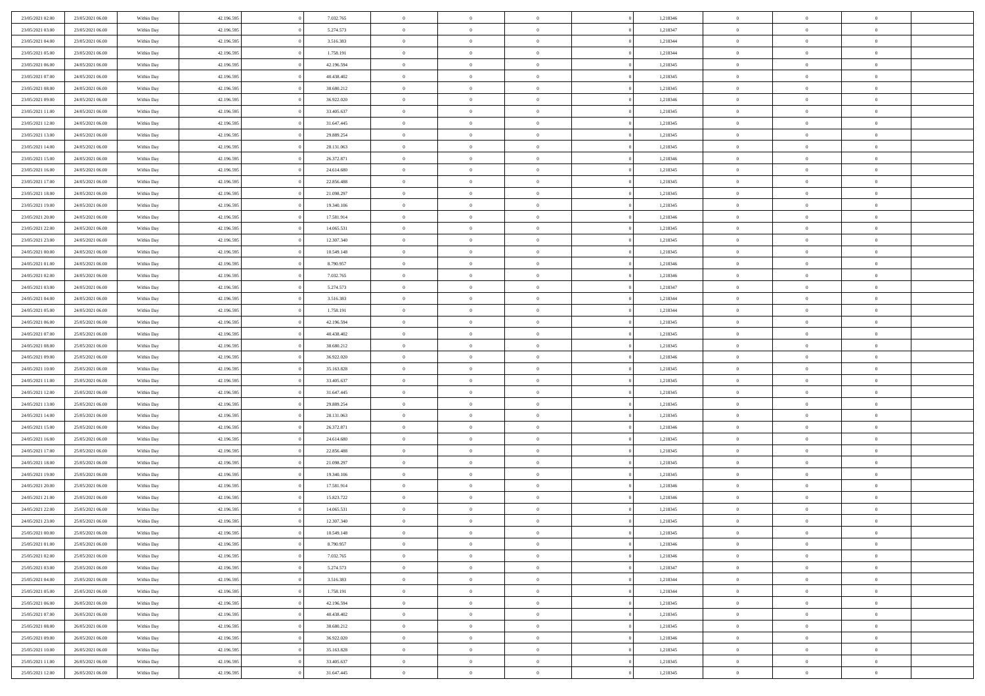| 23/05/2021 02:00 | 23/05/2021 06:00 | Within Day | 42.196.595 | 7.032.765  | $\bf{0}$       | $\bf{0}$       | $\theta$       |          | 1,218346 | $\bf{0}$       | $\overline{0}$ | $\,0\,$        |  |
|------------------|------------------|------------|------------|------------|----------------|----------------|----------------|----------|----------|----------------|----------------|----------------|--|
| 23/05/2021 03:00 | 23/05/2021 06:00 | Within Day | 42.196.595 | 5.274.573  | $\overline{0}$ | $\overline{0}$ | $\overline{0}$ |          | 1,218347 | $\theta$       | $\overline{0}$ | $\theta$       |  |
| 23/05/2021 04:00 | 23/05/2021 06:00 | Within Day | 42.196.595 | 3.516.383  | $\overline{0}$ | $\overline{0}$ | $\overline{0}$ |          | 1,218344 | $\mathbf{0}$   | $\overline{0}$ | $\overline{0}$ |  |
| 23/05/2021 05:00 | 23/05/2021 06:00 | Within Day | 42.196.595 | 1.758.191  | $\bf{0}$       | $\overline{0}$ | $\overline{0}$ |          | 1,218344 | $\bf{0}$       | $\overline{0}$ | $\overline{0}$ |  |
| 23/05/2021 06:00 | 24/05/2021 06:00 | Within Day | 42.196.595 | 42.196.594 | $\bf{0}$       | $\bf{0}$       | $\overline{0}$ |          | 1,218345 | $\bf{0}$       | $\overline{0}$ | $\,0\,$        |  |
| 23/05/2021 07:00 | 24/05/2021 06:00 | Within Dav | 42.196.595 | 40.438.402 | $\overline{0}$ | $\overline{0}$ | $\overline{0}$ |          | 1,218345 | $\mathbf{0}$   | $\overline{0}$ | $\overline{0}$ |  |
|                  |                  |            |            |            |                |                |                |          |          |                |                |                |  |
| 23/05/2021 08:00 | 24/05/2021 06:00 | Within Day | 42.196.595 | 38.680.212 | $\bf{0}$       | $\overline{0}$ | $\overline{0}$ |          | 1,218345 | $\bf{0}$       | $\overline{0}$ | $\bf{0}$       |  |
| 23/05/2021 09:00 | 24/05/2021 06:00 | Within Day | 42.196.595 | 36.922.020 | $\overline{0}$ | $\overline{0}$ | $\overline{0}$ |          | 1,218346 | $\,$ 0 $\,$    | $\overline{0}$ | $\overline{0}$ |  |
| 23/05/2021 11:00 | 24/05/2021 06:00 | Within Day | 42.196.595 | 33.405.637 | $\overline{0}$ | $\overline{0}$ | $\overline{0}$ |          | 1,218345 | $\mathbf{0}$   | $\overline{0}$ | $\overline{0}$ |  |
| 23/05/2021 12:00 | 24/05/2021 06:00 | Within Day | 42.196.595 | 31.647.445 | $\bf{0}$       | $\bf{0}$       | $\overline{0}$ |          | 1,218345 | $\bf{0}$       | $\overline{0}$ | $\,0\,$        |  |
| 23/05/2021 13:00 | 24/05/2021 06:00 | Within Day | 42.196.595 | 29.889.254 | $\bf{0}$       | $\overline{0}$ | $\overline{0}$ |          | 1,218345 | $\bf{0}$       | $\overline{0}$ | $\overline{0}$ |  |
| 23/05/2021 14:00 | 24/05/2021 06:00 | Within Day | 42.196.595 | 28.131.063 | $\mathbf{0}$   | $\overline{0}$ | $\overline{0}$ |          | 1,218345 | $\mathbf{0}$   | $\overline{0}$ | $\overline{0}$ |  |
| 23/05/2021 15:00 | 24/05/2021 06:00 | Within Day | 42.196.595 | 26.372.871 | $\bf{0}$       | $\overline{0}$ | $\overline{0}$ |          | 1,218346 | $\bf{0}$       | $\overline{0}$ | $\overline{0}$ |  |
| 23/05/2021 16:00 | 24/05/2021 06:00 | Within Day | 42.196.595 | 24.614.680 | $\bf{0}$       | $\overline{0}$ | $\overline{0}$ |          | 1,218345 | $\bf{0}$       | $\mathbf{0}$   | $\,0\,$        |  |
| 23/05/2021 17:00 | 24/05/2021 06:00 | Within Dav | 42.196.595 | 22.856.488 | $\overline{0}$ | $\overline{0}$ | $\overline{0}$ |          | 1,218345 | $\mathbf{0}$   | $\overline{0}$ | $\overline{0}$ |  |
| 23/05/2021 18:00 | 24/05/2021 06:00 | Within Day | 42.196.595 | 21.098.297 | $\bf{0}$       | $\bf{0}$       | $\overline{0}$ |          | 1,218345 | $\bf{0}$       | $\overline{0}$ | $\bf{0}$       |  |
| 23/05/2021 19:00 | 24/05/2021 06:00 | Within Day | 42.196.595 | 19.340.106 | $\overline{0}$ | $\overline{0}$ | $\overline{0}$ |          | 1,218345 | $\bf{0}$       | $\mathbf{0}$   | $\overline{0}$ |  |
| 23/05/2021 20:00 | 24/05/2021 06:00 | Within Day | 42.196.595 | 17.581.914 | $\mathbf{0}$   | $\overline{0}$ | $\overline{0}$ |          | 1,218346 | $\mathbf{0}$   | $\overline{0}$ | $\overline{0}$ |  |
| 23/05/2021 22:00 | 24/05/2021 06:00 | Within Day | 42.196.595 | 14.065.531 | $\bf{0}$       | $\bf{0}$       | $\overline{0}$ |          | 1,218345 | $\bf{0}$       | $\overline{0}$ | $\bf{0}$       |  |
| 23/05/2021 23:00 | 24/05/2021 06:00 | Within Day | 42.196.595 | 12.307.340 | $\overline{0}$ | $\overline{0}$ | $\overline{0}$ |          | 1,218345 | $\bf{0}$       | $\overline{0}$ | $\overline{0}$ |  |
| 24/05/2021 00:00 | 24/05/2021 06:00 | Within Day | 42.196.595 | 10.549.148 | $\overline{0}$ | $\overline{0}$ | $\overline{0}$ |          | 1,218345 | $\mathbf{0}$   | $\overline{0}$ | $\overline{0}$ |  |
| 24/05/2021 01:00 | 24/05/2021 06:00 | Within Day | 42.196.595 | 8.790.957  | $\bf{0}$       | $\overline{0}$ | $\overline{0}$ |          | 1,218346 | $\bf{0}$       | $\overline{0}$ | $\bf{0}$       |  |
| 24/05/2021 02:00 | 24/05/2021 06:00 | Within Day | 42.196.595 | 7.032.765  | $\bf{0}$       | $\overline{0}$ | $\overline{0}$ |          | 1,218346 | $\bf{0}$       | $\overline{0}$ | $\overline{0}$ |  |
| 24/05/2021 03:00 | 24/05/2021 06:00 | Within Dav | 42.196.595 | 5.274.573  | $\overline{0}$ | $\overline{0}$ | $\overline{0}$ |          | 1,218347 | $\mathbf{0}$   | $\overline{0}$ | $\overline{0}$ |  |
| 24/05/2021 04:00 | 24/05/2021 06:00 | Within Day | 42.196.595 | 3.516.383  | $\bf{0}$       | $\overline{0}$ | $\overline{0}$ |          | 1,218344 | $\bf{0}$       | $\overline{0}$ | $\bf{0}$       |  |
| 24/05/2021 05:00 | 24/05/2021 06:00 | Within Day | 42.196.595 | 1.758.191  | $\overline{0}$ | $\overline{0}$ | $\overline{0}$ |          | 1,218344 | $\bf{0}$       | $\mathbf{0}$   | $\overline{0}$ |  |
| 24/05/2021 06:00 | 25/05/2021 06:00 | Within Day | 42.196.595 | 42.196.594 | $\overline{0}$ | $\overline{0}$ | $\overline{0}$ |          | 1,218345 | $\mathbf{0}$   | $\overline{0}$ | $\overline{0}$ |  |
| 24/05/2021 07:00 | 25/05/2021 06:00 | Within Day | 42.196.595 | 40.438.402 | $\bf{0}$       | $\overline{0}$ | $\overline{0}$ |          | 1,218345 | $\bf{0}$       | $\overline{0}$ | $\bf{0}$       |  |
| 24/05/2021 08:00 | 25/05/2021 06:00 |            | 42.196.595 | 38.680.212 | $\bf{0}$       | $\overline{0}$ | $\overline{0}$ |          | 1,218345 | $\bf{0}$       | $\mathbf{0}$   | $\overline{0}$ |  |
| 24/05/2021 09:00 | 25/05/2021 06:00 | Within Day | 42.196.595 | 36.922.020 | $\mathbf{0}$   | $\overline{0}$ | $\overline{0}$ |          | 1,218346 | $\mathbf{0}$   | $\overline{0}$ | $\overline{0}$ |  |
|                  |                  | Within Day |            |            |                |                |                |          |          |                |                |                |  |
| 24/05/2021 10:00 | 25/05/2021 06:00 | Within Day | 42.196.595 | 35.163.828 | $\bf{0}$       | $\overline{0}$ | $\overline{0}$ |          | 1,218345 | $\,$ 0         | $\overline{0}$ | $\,$ 0 $\,$    |  |
| 24/05/2021 11:00 | 25/05/2021 06:00 | Within Day | 42.196.595 | 33.405.637 | $\bf{0}$       | $\overline{0}$ | $\overline{0}$ |          | 1,218345 | $\bf{0}$       | $\overline{0}$ | $\overline{0}$ |  |
| 24/05/2021 12:00 | 25/05/2021 06:00 | Within Dav | 42.196.595 | 31.647.445 | $\overline{0}$ | $\overline{0}$ | $\overline{0}$ |          | 1,218345 | $\mathbf{0}$   | $\overline{0}$ | $\overline{0}$ |  |
| 24/05/2021 13:00 | 25/05/2021 06:00 | Within Day | 42.196.595 | 29.889.254 | $\bf{0}$       | $\overline{0}$ | $\theta$       |          | 1,218345 | $\,$ 0         | $\overline{0}$ | $\theta$       |  |
| 24/05/2021 14:00 | 25/05/2021 06:00 | Within Day | 42.196.595 | 28.131.063 | $\overline{0}$ | $\overline{0}$ | $\overline{0}$ |          | 1,218345 | $\bf{0}$       | $\overline{0}$ | $\overline{0}$ |  |
| 24/05/2021 15:00 | 25/05/2021 06:00 | Within Day | 42.196.595 | 26.372.871 | $\mathbf{0}$   | $\overline{0}$ | $\overline{0}$ |          | 1,218346 | $\mathbf{0}$   | $\overline{0}$ | $\overline{0}$ |  |
| 24/05/2021 16:00 | 25/05/2021 06:00 | Within Day | 42.196.595 | 24.614.680 | $\bf{0}$       | $\overline{0}$ | $\theta$       |          | 1,218345 | $\,$ 0         | $\overline{0}$ | $\theta$       |  |
| 24/05/2021 17:00 | 25/05/2021 06:00 | Within Day | 42.196.595 | 22.856.488 | $\bf{0}$       | $\overline{0}$ | $\overline{0}$ |          | 1,218345 | $\bf{0}$       | $\mathbf{0}$   | $\overline{0}$ |  |
| 24/05/2021 18:00 | 25/05/2021 06:00 | Within Day | 42.196.595 | 21.098.297 | $\mathbf{0}$   | $\overline{0}$ | $\overline{0}$ |          | 1,218345 | $\mathbf{0}$   | $\overline{0}$ | $\overline{0}$ |  |
| 24/05/2021 19:00 | 25/05/2021 06:00 | Within Day | 42.196.595 | 19.340.106 | $\,0\,$        | $\overline{0}$ | $\theta$       |          | 1,218345 | $\,$ 0         | $\overline{0}$ | $\,$ 0 $\,$    |  |
| 24/05/2021 20:00 | 25/05/2021 06:00 | Within Day | 42.196.595 | 17.581.914 | $\bf{0}$       | $\overline{0}$ | $\overline{0}$ |          | 1,218346 | $\bf{0}$       | $\overline{0}$ | $\overline{0}$ |  |
| 24/05/2021 21:00 | 25/05/2021 06:00 | Within Dav | 42.196.595 | 15.823.722 | $\mathbf{0}$   | $\overline{0}$ | $\overline{0}$ |          | 1,218346 | $\mathbf{0}$   | $\overline{0}$ | $\overline{0}$ |  |
| 24/05/2021 22:00 | 25/05/2021 06:00 | Within Day | 42.196.595 | 14.065.531 | $\bf{0}$       | $\overline{0}$ | $\theta$       |          | 1,218345 | $\,$ 0         | $\overline{0}$ | $\theta$       |  |
| 24/05/2021 23.00 | 25/05/2021 06:00 | Within Day | 42.196.595 | 12.307.340 | $\bf{0}$       | $\overline{0}$ | $\overline{0}$ |          | 1,218345 | $\bf{0}$       | $\overline{0}$ | $\overline{0}$ |  |
| 25/05/2021 00:00 | 25/05/2021 06:00 | Within Day | 42.196.595 | 10.549.148 | $\bf{0}$       | $\overline{0}$ | $\Omega$       |          | 1,218345 | $\overline{0}$ | $\bf{0}$       | $\theta$       |  |
| 25/05/2021 01:00 | 25/05/2021 06:00 | Within Day | 42.196.595 | 8.790.957  | $\,0\,$        | $\overline{0}$ | $\theta$       |          | 1,218346 | $\,$ 0 $\,$    | $\bf{0}$       | $\theta$       |  |
| 25/05/2021 02:00 | 25/05/2021 06:00 | Within Day | 42.196.595 | 7.032.765  | $\overline{0}$ | $\overline{0}$ | $\overline{0}$ |          | 1,218346 | $\overline{0}$ | $\overline{0}$ | $\overline{0}$ |  |
| 25/05/2021 03:00 | 25/05/2021 06:00 | Within Day | 42.196.595 | 5.274.573  | $\bf{0}$       | $\overline{0}$ | $\overline{0}$ |          | 1,218347 | $\overline{0}$ | $\bf{0}$       | $\mathbf{0}$   |  |
| 25/05/2021 04:00 | 25/05/2021 06:00 | Within Day | 42.196.595 | 3.516.383  | $\bf{0}$       | $\overline{0}$ | $\overline{0}$ | $\theta$ | 1,218344 | $\,$ 0 $\,$    | $\bf{0}$       | $\,$ 0 $\,$    |  |
| 25/05/2021 05:00 | 25/05/2021 06:00 | Within Day | 42.196.595 | 1.758.191  | $\bf{0}$       | $\overline{0}$ | $\overline{0}$ |          | 1,218344 | $\,$ 0 $\,$    | $\overline{0}$ | $\overline{0}$ |  |
| 25/05/2021 06:00 | 26/05/2021 06:00 | Within Day | 42.196.595 | 42.196.594 | $\bf{0}$       | $\overline{0}$ | $\overline{0}$ |          | 1,218345 | $\mathbf{0}$   | $\overline{0}$ | $\overline{0}$ |  |
| 25/05/2021 07:00 | 26/05/2021 06:00 | Within Day | 42.196.595 | 40.438.402 | $\,0\,$        | $\overline{0}$ | $\overline{0}$ | $\theta$ | 1,218345 | $\,$ 0 $\,$    | $\mathbf{0}$   | $\,$ 0 $\,$    |  |
| 25/05/2021 08:00 | 26/05/2021 06:00 | Within Day | 42.196.595 | 38.680.212 | $\bf{0}$       | $\overline{0}$ | $\overline{0}$ |          | 1,218345 | $\overline{0}$ | $\overline{0}$ | $\overline{0}$ |  |
| 25/05/2021 09:00 | 26/05/2021 06:00 | Within Day | 42.196.595 | 36.922.020 | $\bf{0}$       | $\overline{0}$ | $\overline{0}$ |          | 1,218346 | $\mathbf{0}$   | $\overline{0}$ | $\overline{0}$ |  |
| 25/05/2021 10:00 | 26/05/2021 06:00 | Within Day | 42.196.595 | 35.163.828 | $\,0\,$        | $\overline{0}$ | $\overline{0}$ |          | 1,218345 | $\,$ 0 $\,$    | $\mathbf{0}$   | $\,$ 0 $\,$    |  |
| 25/05/2021 11:00 | 26/05/2021 06:00 | Within Day | 42.196.595 | 33.405.637 | $\overline{0}$ | $\overline{0}$ | $\overline{0}$ |          | 1,218345 | $\bf{0}$       | $\mathbf{0}$   | $\overline{0}$ |  |
| 25/05/2021 12:00 | 26/05/2021 06:00 | Within Day | 42.196.595 | 31.647.445 | $\bf{0}$       | $\overline{0}$ | $\overline{0}$ |          | 1,218345 | $\mathbf{0}$   | $\overline{0}$ | $\overline{0}$ |  |
|                  |                  |            |            |            |                |                |                |          |          |                |                |                |  |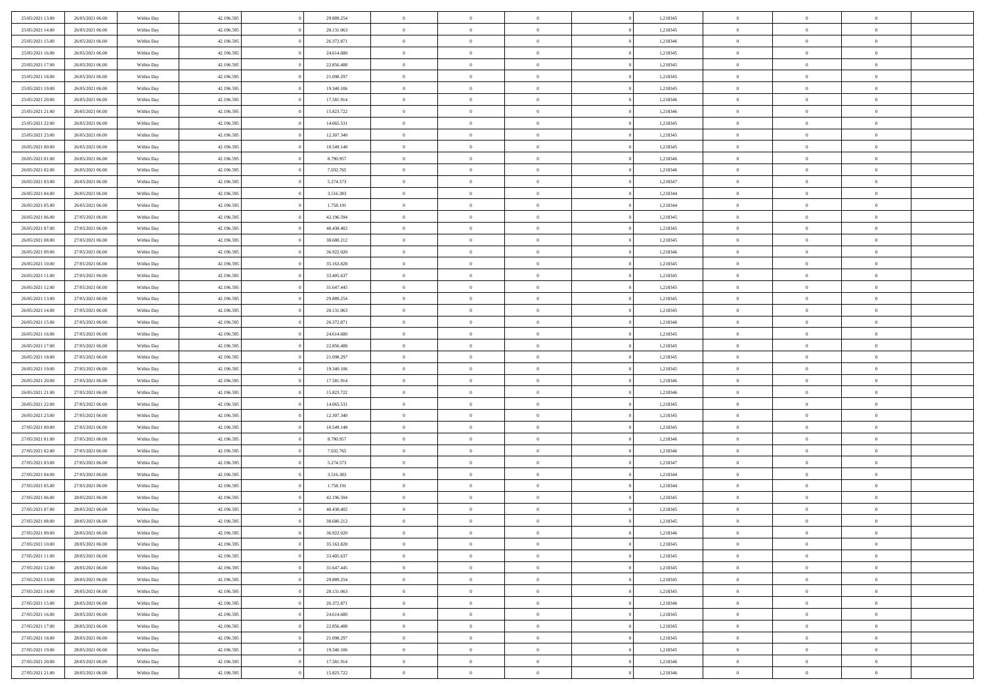| 25/05/2021 13:00 | 26/05/2021 06:00 | Within Day | 42.196.595 | 29.889.254 | $\bf{0}$       | $\bf{0}$       | $\theta$       |          | 1,218345 | $\bf{0}$       | $\overline{0}$ | $\,0\,$        |  |
|------------------|------------------|------------|------------|------------|----------------|----------------|----------------|----------|----------|----------------|----------------|----------------|--|
| 25/05/2021 14:00 | 26/05/2021 06:00 | Within Day | 42.196.595 | 28.131.063 | $\overline{0}$ | $\overline{0}$ | $\overline{0}$ |          | 1,218345 | $\theta$       | $\overline{0}$ | $\theta$       |  |
| 25/05/2021 15:00 | 26/05/2021 06:00 | Within Day | 42.196.595 | 26.372.871 | $\mathbf{0}$   | $\overline{0}$ | $\overline{0}$ |          | 1,218346 | $\mathbf{0}$   | $\overline{0}$ | $\overline{0}$ |  |
| 25/05/2021 16:00 | 26/05/2021 06:00 | Within Day | 42.196.595 | 24.614.680 | $\bf{0}$       | $\overline{0}$ | $\overline{0}$ |          | 1,218345 | $\bf{0}$       | $\overline{0}$ | $\overline{0}$ |  |
| 25/05/2021 17:00 | 26/05/2021 06:00 | Within Day | 42.196.595 | 22.856.488 | $\bf{0}$       | $\bf{0}$       | $\overline{0}$ |          | 1,218345 | $\bf{0}$       | $\overline{0}$ | $\,0\,$        |  |
| 25/05/2021 18:00 | 26/05/2021 06:00 | Within Dav | 42.196.595 | 21.098.297 | $\overline{0}$ | $\overline{0}$ | $\overline{0}$ |          | 1,218345 | $\mathbf{0}$   | $\overline{0}$ | $\overline{0}$ |  |
|                  |                  |            |            |            |                |                |                |          |          |                |                |                |  |
| 25/05/2021 19:00 | 26/05/2021 06:00 | Within Day | 42.196.595 | 19.340.106 | $\bf{0}$       | $\overline{0}$ | $\overline{0}$ |          | 1,218345 | $\bf{0}$       | $\overline{0}$ | $\bf{0}$       |  |
| 25/05/2021 20:00 | 26/05/2021 06:00 | Within Day | 42.196.595 | 17.581.914 | $\overline{0}$ | $\overline{0}$ | $\overline{0}$ |          | 1,218346 | $\,$ 0 $\,$    | $\overline{0}$ | $\overline{0}$ |  |
| 25/05/2021 21:00 | 26/05/2021 06:00 | Within Day | 42.196.595 | 15.823.722 | $\mathbf{0}$   | $\overline{0}$ | $\overline{0}$ |          | 1,218346 | $\mathbf{0}$   | $\overline{0}$ | $\overline{0}$ |  |
| 25/05/2021 22:00 | 26/05/2021 06:00 | Within Day | 42.196.595 | 14.065.531 | $\bf{0}$       | $\overline{0}$ | $\overline{0}$ |          | 1,218345 | $\bf{0}$       | $\overline{0}$ | $\,0\,$        |  |
| 25/05/2021 23:00 | 26/05/2021 06:00 | Within Day | 42.196.595 | 12.307.340 | $\overline{0}$ | $\overline{0}$ | $\overline{0}$ |          | 1,218345 | $\bf{0}$       | $\overline{0}$ | $\overline{0}$ |  |
| 26/05/2021 00:00 | 26/05/2021 06:00 | Within Dav | 42.196.595 | 10.549.148 | $\mathbf{0}$   | $\overline{0}$ | $\overline{0}$ |          | 1,218345 | $\mathbf{0}$   | $\overline{0}$ | $\overline{0}$ |  |
| 26/05/2021 01:00 | 26/05/2021 06:00 | Within Day | 42.196.595 | 8.790.957  | $\bf{0}$       | $\overline{0}$ | $\overline{0}$ |          | 1,218346 | $\bf{0}$       | $\overline{0}$ | $\overline{0}$ |  |
| 26/05/2021 02:00 | 26/05/2021 06:00 | Within Day | 42.196.595 | 7.032.765  | $\bf{0}$       | $\overline{0}$ | $\overline{0}$ |          | 1,218346 | $\bf{0}$       | $\mathbf{0}$   | $\,0\,$        |  |
| 26/05/2021 03:00 | 26/05/2021 06:00 | Within Dav | 42.196.595 | 5.274.573  | $\overline{0}$ | $\overline{0}$ | $\overline{0}$ |          | 1,218347 | $\mathbf{0}$   | $\overline{0}$ | $\overline{0}$ |  |
| 26/05/2021 04:00 | 26/05/2021 06:00 | Within Day | 42.196.595 | 3.516.383  | $\bf{0}$       | $\overline{0}$ | $\overline{0}$ |          | 1,218344 | $\bf{0}$       | $\overline{0}$ | $\bf{0}$       |  |
| 26/05/2021 05:00 | 26/05/2021 06:00 | Within Day | 42.196.595 | 1.758.191  | $\overline{0}$ | $\overline{0}$ | $\overline{0}$ |          | 1,218344 | $\bf{0}$       | $\mathbf{0}$   | $\overline{0}$ |  |
| 26/05/2021 06:00 | 27/05/2021 06:00 | Within Day | 42.196.595 | 42.196.594 | $\mathbf{0}$   | $\overline{0}$ | $\overline{0}$ |          | 1,218345 | $\mathbf{0}$   | $\overline{0}$ | $\overline{0}$ |  |
| 26/05/2021 07:00 | 27/05/2021 06:00 | Within Day | 42.196.595 | 40.438.402 | $\bf{0}$       | $\overline{0}$ | $\overline{0}$ |          | 1,218345 | $\bf{0}$       | $\overline{0}$ | $\,0\,$        |  |
| 26/05/2021 08:00 | 27/05/2021 06:00 | Within Day | 42.196.595 | 38.680.212 | $\overline{0}$ | $\overline{0}$ | $\overline{0}$ |          | 1,218345 | $\bf{0}$       | $\overline{0}$ | $\overline{0}$ |  |
| 26/05/2021 09:00 | 27/05/2021 06:00 | Within Day | 42.196.595 | 36.922.020 | $\overline{0}$ | $\overline{0}$ | $\overline{0}$ |          | 1,218346 | $\mathbf{0}$   | $\overline{0}$ | $\overline{0}$ |  |
| 26/05/2021 10:00 | 27/05/2021 06:00 | Within Day | 42.196.595 | 35.163.828 | $\bf{0}$       | $\overline{0}$ | $\overline{0}$ |          | 1,218345 | $\bf{0}$       | $\overline{0}$ | $\bf{0}$       |  |
| 26/05/2021 11:00 | 27/05/2021 06:00 | Within Day | 42.196.595 | 33.405.637 | $\bf{0}$       | $\overline{0}$ | $\overline{0}$ |          | 1,218345 | $\,$ 0 $\,$    | $\overline{0}$ | $\,0\,$        |  |
| 26/05/2021 12:00 | 27/05/2021 06:00 | Within Dav | 42.196.595 | 31.647.445 | $\mathbf{0}$   | $\overline{0}$ | $\overline{0}$ |          | 1,218345 | $\mathbf{0}$   | $\overline{0}$ | $\overline{0}$ |  |
| 26/05/2021 13:00 | 27/05/2021 06:00 | Within Day | 42.196.595 | 29.889.254 | $\bf{0}$       | $\overline{0}$ | $\overline{0}$ |          | 1,218345 | $\bf{0}$       | $\overline{0}$ | $\bf{0}$       |  |
| 26/05/2021 14:00 | 27/05/2021 06:00 | Within Day | 42.196.595 | 28.131.063 | $\overline{0}$ | $\overline{0}$ | $\overline{0}$ |          | 1,218345 | $\bf{0}$       | $\mathbf{0}$   | $\overline{0}$ |  |
| 26/05/2021 15:00 | 27/05/2021 06:00 | Within Day | 42.196.595 | 26.372.871 | $\overline{0}$ | $\overline{0}$ | $\overline{0}$ |          | 1,218346 | $\mathbf{0}$   | $\overline{0}$ | $\overline{0}$ |  |
| 26/05/2021 16:00 | 27/05/2021 06:00 | Within Day | 42.196.595 | 24.614.680 | $\bf{0}$       | $\bf{0}$       | $\overline{0}$ |          | 1,218345 | $\bf{0}$       | $\overline{0}$ | $\bf{0}$       |  |
|                  |                  |            |            |            | $\bf{0}$       |                | $\overline{0}$ |          |          |                | $\mathbf{0}$   |                |  |
| 26/05/2021 17:00 | 27/05/2021 06:00 | Within Day | 42.196.595 | 22.856.488 |                | $\overline{0}$ |                |          | 1,218345 | $\bf{0}$       |                | $\overline{0}$ |  |
| 26/05/2021 18:00 | 27/05/2021 06:00 | Within Day | 42.196.595 | 21.098.297 | $\mathbf{0}$   | $\overline{0}$ | $\overline{0}$ |          | 1,218345 | $\mathbf{0}$   | $\overline{0}$ | $\overline{0}$ |  |
| 26/05/2021 19:00 | 27/05/2021 06:00 | Within Day | 42.196.595 | 19.340.106 | $\bf{0}$       | $\overline{0}$ | $\overline{0}$ |          | 1,218345 | $\,$ 0         | $\overline{0}$ | $\,$ 0 $\,$    |  |
| 26/05/2021 20:00 | 27/05/2021 06:00 | Within Day | 42.196.595 | 17.581.914 | $\bf{0}$       | $\overline{0}$ | $\overline{0}$ |          | 1,218346 | $\bf{0}$       | $\overline{0}$ | $\overline{0}$ |  |
| 26/05/2021 21:00 | 27/05/2021 06:00 | Within Dav | 42.196.595 | 15.823.722 | $\overline{0}$ | $\overline{0}$ | $\overline{0}$ |          | 1,218346 | $\mathbf{0}$   | $\overline{0}$ | $\overline{0}$ |  |
| 26/05/2021 22:00 | 27/05/2021 06:00 | Within Day | 42.196.595 | 14.065.531 | $\bf{0}$       | $\overline{0}$ | $\theta$       |          | 1,218345 | $\,$ 0         | $\overline{0}$ | $\theta$       |  |
| 26/05/2021 23:00 | 27/05/2021 06:00 | Within Day | 42.196.595 | 12.307.340 | $\overline{0}$ | $\overline{0}$ | $\overline{0}$ |          | 1,218345 | $\bf{0}$       | $\overline{0}$ | $\overline{0}$ |  |
| 27/05/2021 00:00 | 27/05/2021 06:00 | Within Day | 42.196.595 | 10.549.148 | $\mathbf{0}$   | $\overline{0}$ | $\overline{0}$ |          | 1,218345 | $\mathbf{0}$   | $\overline{0}$ | $\overline{0}$ |  |
| 27/05/2021 01:00 | 27/05/2021 06:00 | Within Day | 42.196.595 | 8.790.957  | $\bf{0}$       | $\overline{0}$ | $\theta$       |          | 1,218346 | $\,$ 0         | $\overline{0}$ | $\theta$       |  |
| 27/05/2021 02:00 | 27/05/2021 06:00 | Within Day | 42.196.595 | 7.032.765  | $\bf{0}$       | $\overline{0}$ | $\overline{0}$ |          | 1,218346 | $\bf{0}$       | $\mathbf{0}$   | $\overline{0}$ |  |
| 27/05/2021 03:00 | 27/05/2021 06:00 | Within Day | 42.196.595 | 5.274.573  | $\mathbf{0}$   | $\overline{0}$ | $\overline{0}$ |          | 1,218347 | $\mathbf{0}$   | $\overline{0}$ | $\overline{0}$ |  |
| 27/05/2021 04:00 | 27/05/2021 06:00 | Within Day | 42.196.595 | 3.516.383  | $\,0\,$        | $\overline{0}$ | $\theta$       |          | 1,218344 | $\,$ 0         | $\overline{0}$ | $\,$ 0 $\,$    |  |
| 27/05/2021 05:00 | 27/05/2021 06:00 | Within Day | 42.196.595 | 1.758.191  | $\bf{0}$       | $\overline{0}$ | $\overline{0}$ |          | 1,218344 | $\bf{0}$       | $\overline{0}$ | $\overline{0}$ |  |
| 27/05/2021 06:00 | 28/05/2021 06:00 | Within Dav | 42.196.595 | 42.196.594 | $\mathbf{0}$   | $\overline{0}$ | $\overline{0}$ |          | 1,218345 | $\mathbf{0}$   | $\overline{0}$ | $\overline{0}$ |  |
| 27/05/2021 07:00 | 28/05/2021 06:00 | Within Day | 42.196.595 | 40.438.402 | $\bf{0}$       | $\overline{0}$ | $\theta$       |          | 1,218345 | $\,$ 0         | $\overline{0}$ | $\theta$       |  |
| 27/05/2021 08:00 | 28/05/2021 06:00 | Within Day | 42.196.595 | 38.680.212 | $\bf{0}$       | $\overline{0}$ | $\overline{0}$ |          | 1,218345 | $\bf{0}$       | $\overline{0}$ | $\overline{0}$ |  |
| 27/05/2021 09:00 | 28/05/2021 06:00 | Within Day | 42.196.595 | 36.922.020 | $\bf{0}$       | $\overline{0}$ | $\Omega$       |          | 1,218346 | $\overline{0}$ | $\bf{0}$       | $\theta$       |  |
| 27/05/2021 10:00 | 28/05/2021 06:00 | Within Day | 42.196.595 | 35.163.828 | $\,0\,$        | $\overline{0}$ | $\theta$       |          | 1,218345 | $\,$ 0 $\,$    | $\bf{0}$       | $\theta$       |  |
| 27/05/2021 11:00 | 28/05/2021 06:00 | Within Day | 42.196.595 | 33.405.637 | $\overline{0}$ | $\overline{0}$ | $\overline{0}$ |          | 1,218345 | $\overline{0}$ | $\overline{0}$ | $\overline{0}$ |  |
| 27/05/2021 12:00 | 28/05/2021 06:00 | Within Day | 42.196.595 | 31.647.445 | $\bf{0}$       | $\overline{0}$ | $\overline{0}$ |          | 1,218345 | $\overline{0}$ | $\bf{0}$       | $\mathbf{0}$   |  |
| 27/05/2021 13:00 | 28/05/2021 06:00 | Within Day | 42.196.595 | 29.889.254 | $\bf{0}$       | $\overline{0}$ | $\overline{0}$ | $\theta$ | 1,218345 | $\,$ 0 $\,$    | $\bf{0}$       | $\,$ 0 $\,$    |  |
| 27/05/2021 14:00 | 28/05/2021 06:00 | Within Day | 42.196.595 | 28.131.063 | $\bf{0}$       | $\overline{0}$ | $\overline{0}$ |          | 1,218345 | $\,$ 0 $\,$    | $\overline{0}$ | $\overline{0}$ |  |
| 27/05/2021 15:00 | 28/05/2021 06:00 | Within Day | 42.196.595 | 26.372.871 | $\bf{0}$       | $\overline{0}$ | $\overline{0}$ |          | 1,218346 | $\mathbf{0}$   | $\overline{0}$ | $\overline{0}$ |  |
| 27/05/2021 16:00 | 28/05/2021 06:00 | Within Day | 42.196.595 | 24.614.680 | $\,0\,$        | $\overline{0}$ | $\overline{0}$ | $\theta$ | 1,218345 | $\,$ 0 $\,$    | $\mathbf{0}$   | $\,$ 0 $\,$    |  |
| 27/05/2021 17:00 | 28/05/2021 06:00 | Within Day | 42.196.595 | 22.856.488 | $\bf{0}$       | $\overline{0}$ | $\overline{0}$ |          | 1,218345 | $\overline{0}$ | $\overline{0}$ | $\overline{0}$ |  |
| 27/05/2021 18:00 | 28/05/2021 06:00 | Within Day | 42.196.595 | 21.098.297 | $\bf{0}$       | $\overline{0}$ | $\overline{0}$ |          | 1,218345 | $\mathbf{0}$   | $\bf{0}$       | $\overline{0}$ |  |
| 27/05/2021 19:00 | 28/05/2021 06:00 | Within Day | 42.196.595 | 19.340.106 | $\,0\,$        | $\overline{0}$ | $\overline{0}$ |          | 1,218345 | $\,$ 0 $\,$    | $\overline{0}$ | $\,$ 0 $\,$    |  |
| 27/05/2021 20:00 | 28/05/2021 06:00 | Within Day | 42.196.595 | 17.581.914 | $\overline{0}$ | $\overline{0}$ | $\overline{0}$ |          | 1,218346 | $\bf{0}$       | $\mathbf{0}$   | $\overline{0}$ |  |
| 27/05/2021 21:00 | 28/05/2021 06:00 | Within Day | 42.196.595 | 15.823.722 | $\bf{0}$       | $\overline{0}$ | $\overline{0}$ |          | 1,218346 | $\mathbf{0}$   | $\overline{0}$ | $\overline{0}$ |  |
|                  |                  |            |            |            |                |                |                |          |          |                |                |                |  |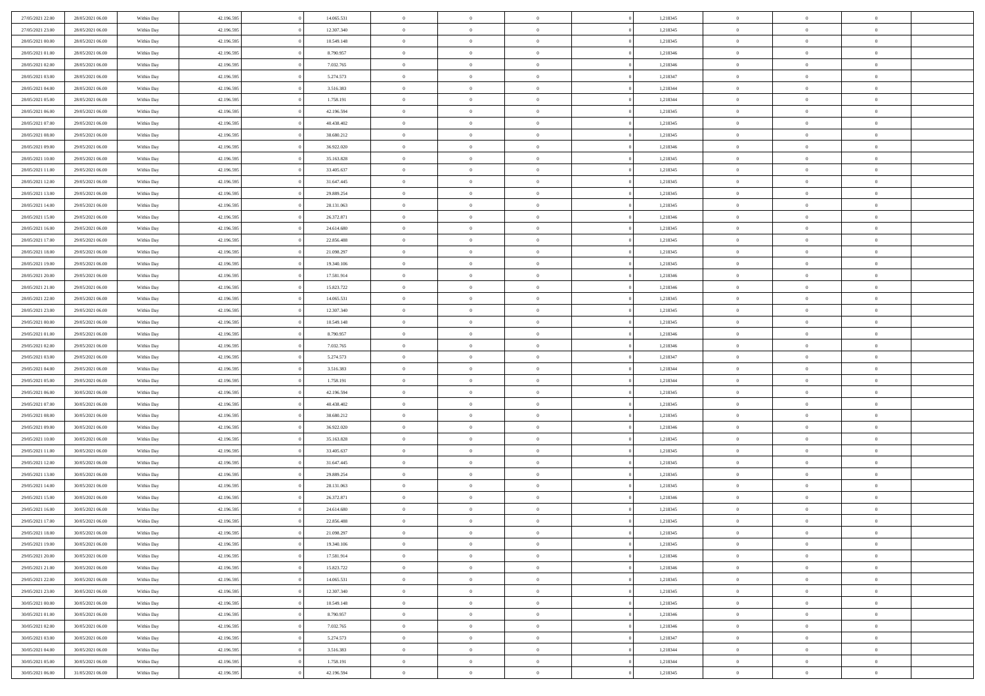| 27/05/2021 22:00 | 28/05/2021 06:00 | Within Day | 42.196.595 | 14.065.531 | $\bf{0}$       | $\overline{0}$ | $\theta$       |          | 1,218345 | $\bf{0}$       | $\overline{0}$ | $\,0\,$        |  |
|------------------|------------------|------------|------------|------------|----------------|----------------|----------------|----------|----------|----------------|----------------|----------------|--|
| 27/05/2021 23:00 | 28/05/2021 06:00 | Within Day | 42.196.595 | 12.307.340 | $\overline{0}$ | $\overline{0}$ | $\overline{0}$ |          | 1,218345 | $\theta$       | $\overline{0}$ | $\theta$       |  |
| 28/05/2021 00:00 | 28/05/2021 06:00 | Within Day | 42.196.595 | 10.549.148 | $\mathbf{0}$   | $\overline{0}$ | $\overline{0}$ |          | 1,218345 | $\mathbf{0}$   | $\overline{0}$ | $\overline{0}$ |  |
| 28/05/2021 01:00 | 28/05/2021 06:00 | Within Day | 42.196.595 | 8.790.957  | $\bf{0}$       | $\overline{0}$ | $\overline{0}$ |          | 1,218346 | $\bf{0}$       | $\overline{0}$ | $\overline{0}$ |  |
| 28/05/2021 02:00 | 28/05/2021 06:00 | Within Day | 42.196.595 | 7.032.765  | $\bf{0}$       | $\overline{0}$ | $\overline{0}$ |          | 1,218346 | $\bf{0}$       | $\overline{0}$ | $\,0\,$        |  |
| 28/05/2021 03:00 | 28/05/2021 06:00 | Within Dav | 42.196.595 | 5.274.573  | $\overline{0}$ | $\overline{0}$ | $\overline{0}$ |          | 1,218347 | $\mathbf{0}$   | $\overline{0}$ | $\overline{0}$ |  |
|                  |                  |            |            |            |                |                |                |          |          |                |                |                |  |
| 28/05/2021 04:00 | 28/05/2021 06:00 | Within Day | 42.196.595 | 3.516.383  | $\bf{0}$       | $\overline{0}$ | $\overline{0}$ |          | 1,218344 | $\bf{0}$       | $\overline{0}$ | $\bf{0}$       |  |
| 28/05/2021 05:00 | 28/05/2021 06:00 | Within Day | 42.196.595 | 1.758.191  | $\overline{0}$ | $\overline{0}$ | $\overline{0}$ |          | 1,218344 | $\,$ 0 $\,$    | $\overline{0}$ | $\overline{0}$ |  |
| 28/05/2021 06:00 | 29/05/2021 06:00 | Within Day | 42.196.595 | 42.196.594 | $\overline{0}$ | $\overline{0}$ | $\overline{0}$ |          | 1,218345 | $\mathbf{0}$   | $\overline{0}$ | $\overline{0}$ |  |
| 28/05/2021 07:00 | 29/05/2021 06:00 | Within Day | 42.196.595 | 40.438.402 | $\bf{0}$       | $\overline{0}$ | $\overline{0}$ |          | 1,218345 | $\bf{0}$       | $\overline{0}$ | $\,0\,$        |  |
| 28/05/2021 08:00 | 29/05/2021 06:00 | Within Day | 42.196.595 | 38.680.212 | $\bf{0}$       | $\overline{0}$ | $\overline{0}$ |          | 1,218345 | $\bf{0}$       | $\overline{0}$ | $\overline{0}$ |  |
| 28/05/2021 09:00 | 29/05/2021 06:00 | Within Day | 42.196.595 | 36.922.020 | $\mathbf{0}$   | $\overline{0}$ | $\overline{0}$ |          | 1,218346 | $\mathbf{0}$   | $\overline{0}$ | $\overline{0}$ |  |
| 28/05/2021 10:00 | 29/05/2021 06:00 | Within Day | 42.196.595 | 35.163.828 | $\bf{0}$       | $\overline{0}$ | $\overline{0}$ |          | 1,218345 | $\bf{0}$       | $\overline{0}$ | $\overline{0}$ |  |
| 28/05/2021 11:00 | 29/05/2021 06:00 | Within Day | 42.196.595 | 33.405.637 | $\bf{0}$       | $\overline{0}$ | $\overline{0}$ |          | 1,218345 | $\bf{0}$       | $\mathbf{0}$   | $\,0\,$        |  |
| 28/05/2021 12:00 | 29/05/2021 06:00 | Within Dav | 42.196.595 | 31.647.445 | $\overline{0}$ | $\overline{0}$ | $\overline{0}$ |          | 1,218345 | $\mathbf{0}$   | $\overline{0}$ | $\overline{0}$ |  |
| 28/05/2021 13:00 | 29/05/2021 06:00 | Within Day | 42.196.595 | 29.889.254 | $\bf{0}$       | $\bf{0}$       | $\overline{0}$ |          | 1,218345 | $\bf{0}$       | $\overline{0}$ | $\bf{0}$       |  |
| 28/05/2021 14:00 | 29/05/2021 06:00 | Within Day | 42.196.595 | 28.131.063 | $\overline{0}$ | $\overline{0}$ | $\overline{0}$ |          | 1,218345 | $\bf{0}$       | $\mathbf{0}$   | $\overline{0}$ |  |
| 28/05/2021 15:00 | 29/05/2021 06:00 | Within Day | 42.196.595 | 26.372.871 | $\mathbf{0}$   | $\overline{0}$ | $\overline{0}$ |          | 1,218346 | $\mathbf{0}$   | $\overline{0}$ | $\overline{0}$ |  |
| 28/05/2021 16:00 | 29/05/2021 06:00 | Within Day | 42.196.595 | 24.614.680 | $\bf{0}$       | $\bf{0}$       | $\overline{0}$ |          | 1,218345 | $\bf{0}$       | $\overline{0}$ | $\,0\,$        |  |
| 28/05/2021 17:00 | 29/05/2021 06:00 | Within Day | 42.196.595 | 22.856.488 | $\overline{0}$ | $\overline{0}$ | $\overline{0}$ |          | 1,218345 | $\bf{0}$       | $\overline{0}$ | $\overline{0}$ |  |
| 28/05/2021 18:00 | 29/05/2021 06:00 | Within Day | 42.196.595 | 21.098.297 | $\overline{0}$ | $\overline{0}$ | $\overline{0}$ |          | 1,218345 | $\mathbf{0}$   | $\overline{0}$ | $\overline{0}$ |  |
| 28/05/2021 19:00 | 29/05/2021 06:00 | Within Day | 42.196.595 | 19.340.106 | $\bf{0}$       | $\overline{0}$ | $\overline{0}$ |          | 1,218345 | $\bf{0}$       | $\overline{0}$ | $\overline{0}$ |  |
| 28/05/2021 20:00 | 29/05/2021 06:00 | Within Day | 42.196.595 | 17.581.914 | $\bf{0}$       | $\bf{0}$       | $\overline{0}$ |          | 1,218346 | $\bf{0}$       | $\overline{0}$ | $\bf{0}$       |  |
| 28/05/2021 21:00 | 29/05/2021 06:00 | Within Dav | 42.196.595 | 15.823.722 | $\mathbf{0}$   | $\overline{0}$ | $\overline{0}$ |          | 1,218346 | $\mathbf{0}$   | $\overline{0}$ | $\overline{0}$ |  |
| 28/05/2021 22:00 | 29/05/2021 06:00 | Within Day | 42.196.595 | 14.065.531 | $\bf{0}$       | $\bf{0}$       | $\overline{0}$ |          | 1,218345 | $\bf{0}$       | $\overline{0}$ | $\bf{0}$       |  |
| 28/05/2021 23:00 | 29/05/2021 06:00 | Within Day | 42.196.595 | 12.307.340 | $\overline{0}$ | $\overline{0}$ | $\overline{0}$ |          | 1,218345 | $\bf{0}$       | $\mathbf{0}$   | $\overline{0}$ |  |
| 29/05/2021 00:00 | 29/05/2021 06:00 | Within Day | 42.196.595 | 10.549.148 | $\overline{0}$ | $\overline{0}$ | $\overline{0}$ |          | 1,218345 | $\mathbf{0}$   | $\overline{0}$ | $\overline{0}$ |  |
| 29/05/2021 01:00 | 29/05/2021 06:00 | Within Day | 42.196.595 | 8.790.957  | $\bf{0}$       | $\bf{0}$       | $\overline{0}$ |          | 1,218346 | $\bf{0}$       | $\overline{0}$ | $\bf{0}$       |  |
|                  |                  |            |            |            | $\bf{0}$       |                | $\overline{0}$ |          |          |                | $\mathbf{0}$   |                |  |
| 29/05/2021 02:00 | 29/05/2021 06:00 | Within Day | 42.196.595 | 7.032.765  |                | $\overline{0}$ |                |          | 1,218346 | $\bf{0}$       |                | $\overline{0}$ |  |
| 29/05/2021 03:00 | 29/05/2021 06:00 | Within Day | 42.196.595 | 5.274.573  | $\mathbf{0}$   | $\overline{0}$ | $\overline{0}$ |          | 1,218347 | $\mathbf{0}$   | $\overline{0}$ | $\overline{0}$ |  |
| 29/05/2021 04:00 | 29/05/2021 06:00 | Within Day | 42.196.595 | 3.516.383  | $\bf{0}$       | $\overline{0}$ | $\overline{0}$ |          | 1,218344 | $\,$ 0         | $\overline{0}$ | $\,$ 0 $\,$    |  |
| 29/05/2021 05:00 | 29/05/2021 06:00 | Within Day | 42.196.595 | 1.758.191  | $\bf{0}$       | $\overline{0}$ | $\overline{0}$ |          | 1,218344 | $\bf{0}$       | $\overline{0}$ | $\overline{0}$ |  |
| 29/05/2021 06:00 | 30/05/2021 06:00 | Within Dav | 42.196.595 | 42.196.594 | $\overline{0}$ | $\overline{0}$ | $\overline{0}$ |          | 1,218345 | $\mathbf{0}$   | $\overline{0}$ | $\overline{0}$ |  |
| 29/05/2021 07:00 | 30/05/2021 06:00 | Within Day | 42.196.595 | 40.438.402 | $\bf{0}$       | $\overline{0}$ | $\theta$       |          | 1,218345 | $\,$ 0         | $\overline{0}$ | $\theta$       |  |
| 29/05/2021 08:00 | 30/05/2021 06:00 | Within Day | 42.196.595 | 38.680.212 | $\overline{0}$ | $\overline{0}$ | $\overline{0}$ |          | 1,218345 | $\bf{0}$       | $\overline{0}$ | $\overline{0}$ |  |
| 29/05/2021 09:00 | 30/05/2021 06:00 | Within Day | 42.196.595 | 36.922.020 | $\mathbf{0}$   | $\overline{0}$ | $\overline{0}$ |          | 1,218346 | $\mathbf{0}$   | $\overline{0}$ | $\overline{0}$ |  |
| 29/05/2021 10:00 | 30/05/2021 06:00 | Within Day | 42.196.595 | 35.163.828 | $\bf{0}$       | $\overline{0}$ | $\theta$       |          | 1,218345 | $\,$ 0         | $\overline{0}$ | $\theta$       |  |
| 29/05/2021 11:00 | 30/05/2021 06:00 | Within Day | 42.196.595 | 33.405.637 | $\bf{0}$       | $\overline{0}$ | $\overline{0}$ |          | 1,218345 | $\bf{0}$       | $\mathbf{0}$   | $\overline{0}$ |  |
| 29/05/2021 12:00 | 30/05/2021 06:00 | Within Day | 42.196.595 | 31.647.445 | $\mathbf{0}$   | $\overline{0}$ | $\overline{0}$ |          | 1,218345 | $\mathbf{0}$   | $\overline{0}$ | $\overline{0}$ |  |
| 29/05/2021 13:00 | 30/05/2021 06:00 | Within Day | 42.196.595 | 29.889.254 | $\,0\,$        | $\overline{0}$ | $\theta$       |          | 1,218345 | $\,$ 0         | $\overline{0}$ | $\,$ 0 $\,$    |  |
| 29/05/2021 14:00 | 30/05/2021 06:00 | Within Day | 42.196.595 | 28.131.063 | $\bf{0}$       | $\overline{0}$ | $\overline{0}$ |          | 1,218345 | $\bf{0}$       | $\overline{0}$ | $\overline{0}$ |  |
| 29/05/2021 15:00 | 30/05/2021 06:00 | Within Day | 42.196.595 | 26.372.871 | $\mathbf{0}$   | $\overline{0}$ | $\overline{0}$ |          | 1,218346 | $\mathbf{0}$   | $\overline{0}$ | $\overline{0}$ |  |
| 29/05/2021 16:00 | 30/05/2021 06:00 | Within Day | 42.196.595 | 24.614.680 | $\bf{0}$       | $\overline{0}$ | $\theta$       |          | 1,218345 | $\,$ 0         | $\overline{0}$ | $\theta$       |  |
| 29/05/2021 17:00 | 30/05/2021 06:00 | Within Day | 42.196.595 | 22.856.488 | $\bf{0}$       | $\overline{0}$ | $\overline{0}$ |          | 1,218345 | $\bf{0}$       | $\overline{0}$ | $\overline{0}$ |  |
| 29/05/2021 18:00 | 30/05/2021 06:00 | Within Day | 42.196.595 | 21.098.297 | $\bf{0}$       | $\overline{0}$ | $\Omega$       |          | 1,218345 | $\overline{0}$ | $\bf{0}$       | $\theta$       |  |
| 29/05/2021 19:00 | 30/05/2021 06:00 | Within Day | 42.196.595 | 19.340.106 | $\,0\,$        | $\overline{0}$ | $\theta$       |          | 1,218345 | $\,$ 0 $\,$    | $\bf{0}$       | $\theta$       |  |
| 29/05/2021 20:00 | 30/05/2021 06:00 | Within Day | 42.196.595 | 17.581.914 | $\overline{0}$ | $\overline{0}$ | $\overline{0}$ |          | 1,218346 | $\overline{0}$ | $\overline{0}$ | $\overline{0}$ |  |
| 29/05/2021 21:00 | 30/05/2021 06:00 | Within Day | 42.196.595 | 15.823.722 | $\bf{0}$       | $\overline{0}$ | $\overline{0}$ |          | 1,218346 | $\overline{0}$ | $\bf{0}$       | $\mathbf{0}$   |  |
| 29/05/2021 22:00 | 30/05/2021 06:00 | Within Day | 42.196.595 | 14.065.531 | $\bf{0}$       | $\overline{0}$ | $\overline{0}$ | $\theta$ | 1,218345 | $\,$ 0 $\,$    | $\bf{0}$       | $\,$ 0 $\,$    |  |
| 29/05/2021 23:00 | 30/05/2021 06:00 | Within Day | 42.196.595 | 12.307.340 | $\bf{0}$       | $\overline{0}$ | $\overline{0}$ |          | 1,218345 | $\,$ 0 $\,$    | $\overline{0}$ | $\overline{0}$ |  |
| 30/05/2021 00:00 | 30/05/2021 06:00 | Within Day | 42.196.595 | 10.549.148 | $\bf{0}$       | $\overline{0}$ | $\overline{0}$ |          | 1,218345 | $\mathbf{0}$   | $\overline{0}$ | $\overline{0}$ |  |
| 30/05/2021 01:00 | 30/05/2021 06:00 | Within Day | 42.196.595 | 8.790.957  | $\,0\,$        | $\overline{0}$ | $\overline{0}$ | $\theta$ | 1,218346 | $\,$ 0 $\,$    | $\overline{0}$ | $\,$ 0 $\,$    |  |
| 30/05/2021 02:00 | 30/05/2021 06:00 | Within Day | 42.196.595 | 7.032.765  | $\bf{0}$       | $\overline{0}$ | $\overline{0}$ |          | 1,218346 | $\overline{0}$ | $\overline{0}$ | $\overline{0}$ |  |
| 30/05/2021 03:00 | 30/05/2021 06:00 | Within Day | 42.196.595 | 5.274.573  | $\bf{0}$       | $\overline{0}$ | $\overline{0}$ |          | 1,218347 | $\mathbf{0}$   | $\overline{0}$ | $\overline{0}$ |  |
| 30/05/2021 04:00 | 30/05/2021 06:00 | Within Day | 42.196.595 | 3.516.383  | $\,$ 0 $\,$    | $\overline{0}$ | $\overline{0}$ |          | 1,218344 | $\,$ 0 $\,$    | $\overline{0}$ | $\,$ 0 $\,$    |  |
| 30/05/2021 05:00 | 30/05/2021 06:00 | Within Day | 42.196.595 | 1.758.191  | $\overline{0}$ | $\overline{0}$ | $\overline{0}$ |          | 1,218344 | $\mathbf{0}$   | $\mathbf{0}$   | $\overline{0}$ |  |
| 30/05/2021 06:00 | 31/05/2021 06:00 | Within Day | 42.196.595 | 42.196.594 | $\bf{0}$       | $\overline{0}$ | $\overline{0}$ |          | 1,218345 | $\mathbf{0}$   | $\overline{0}$ | $\overline{0}$ |  |
|                  |                  |            |            |            |                |                |                |          |          |                |                |                |  |